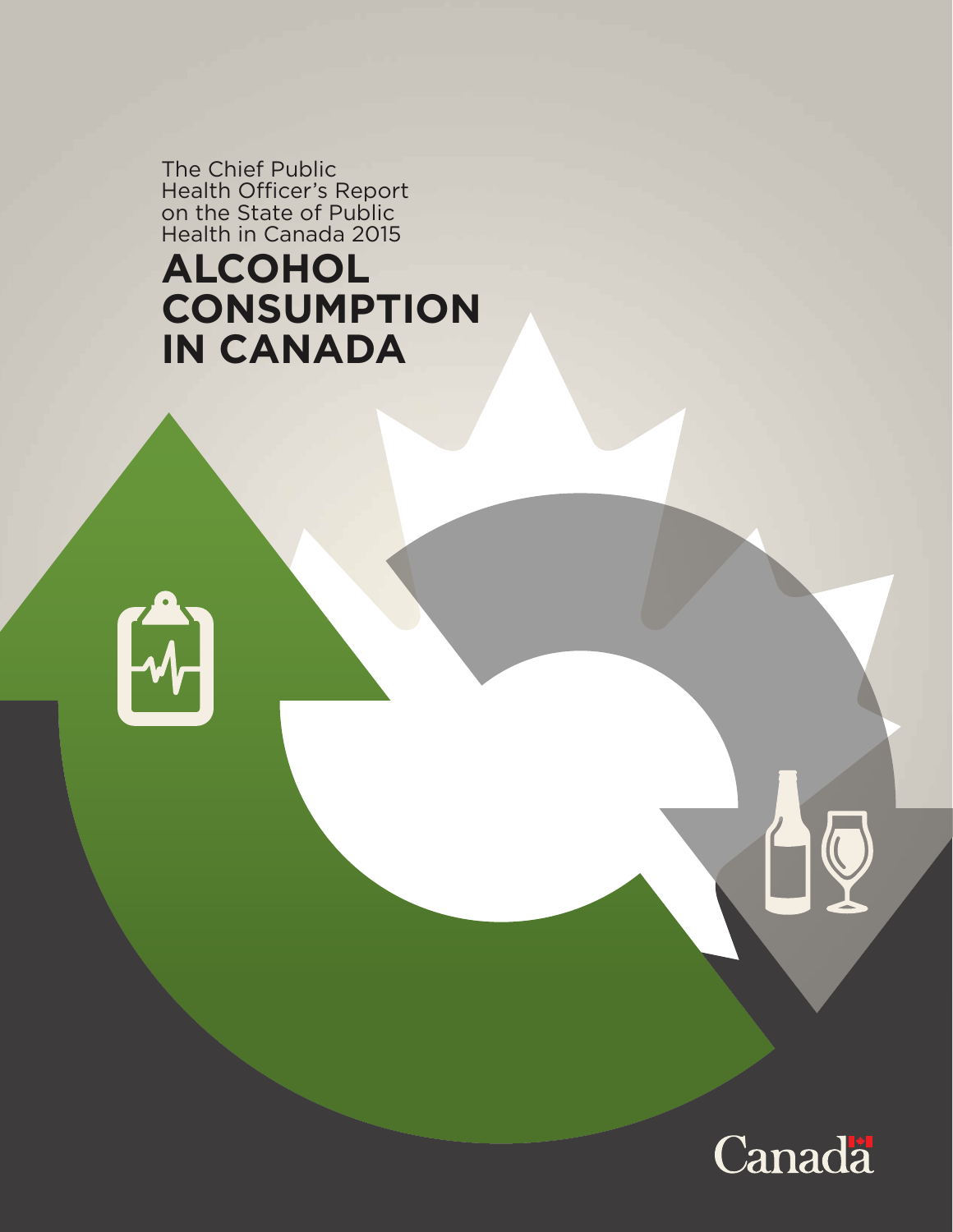The Chief Public Health Officer's Report on the State of Public Health in Canada 2015

## **ALCOHOL CONSUMPTION IN CANADA**



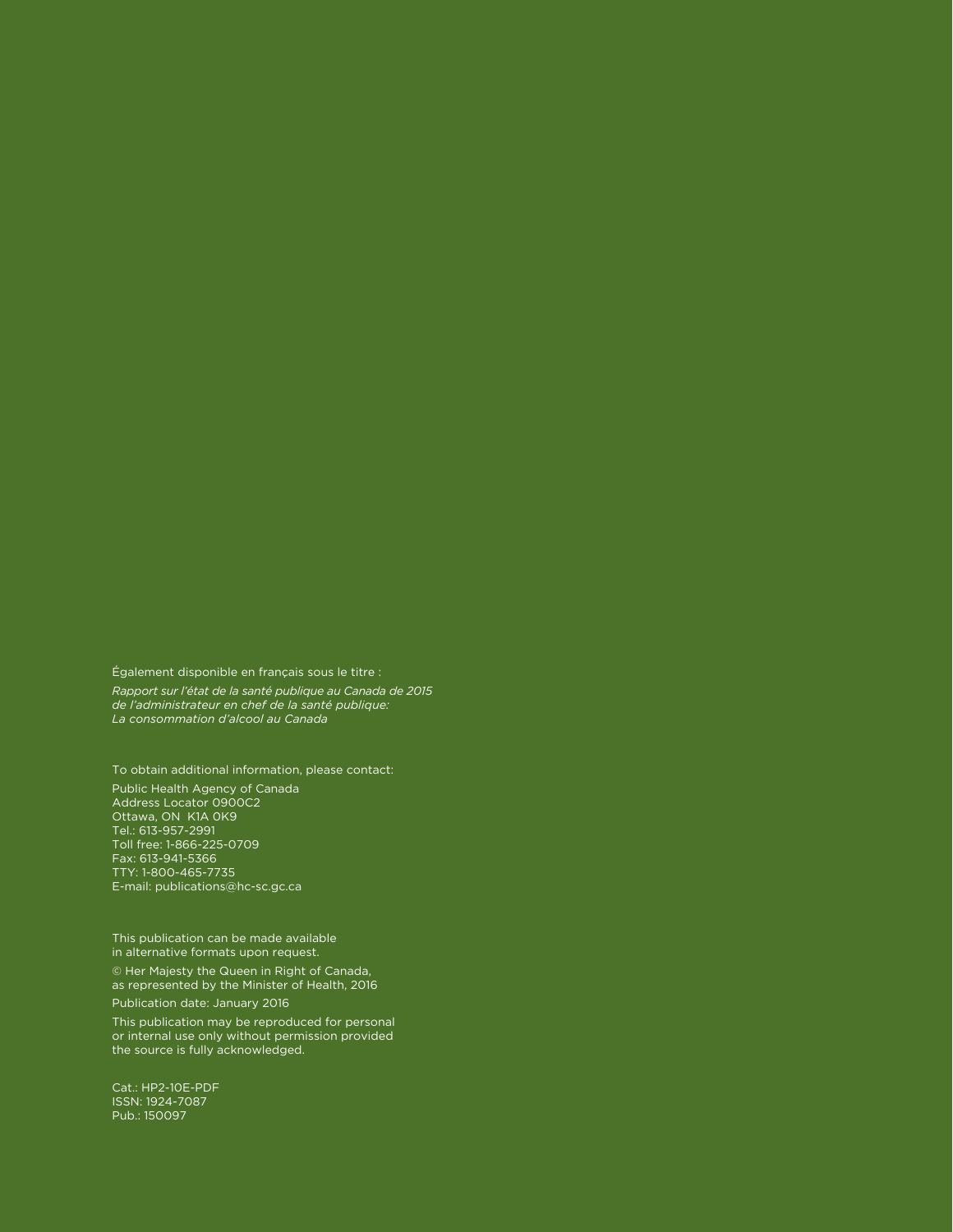Également disponible en français sous le titre : *Rapport sur l'état de la santé publique au Canada de 2015 de l'administrateur en chef de la santé publique: La consommation d'alcool au Canada*

To obtain additional information, please contact: Public Health Agency of Canada Address Locator 0900C2 Ottawa, ON K1A 0K9 Tel.: 613-957-2991 Toll free: 1-866-225-0709 Fax: 613-941-5366 TTY: 1-800-465-7735 E-mail: publications@hc-sc.gc.ca

This publication can be made available in alternative formats upon request.

© Her Majesty the Queen in Right of Canada, as represented by the Minister of Health, 2016

Publication date: January 2016

This publication may be reproduced for personal or internal use only without permission provided the source is fully acknowledged.

Cat.: HP2-10E-PDF ISSN: 1924-7087 Pub.: 150097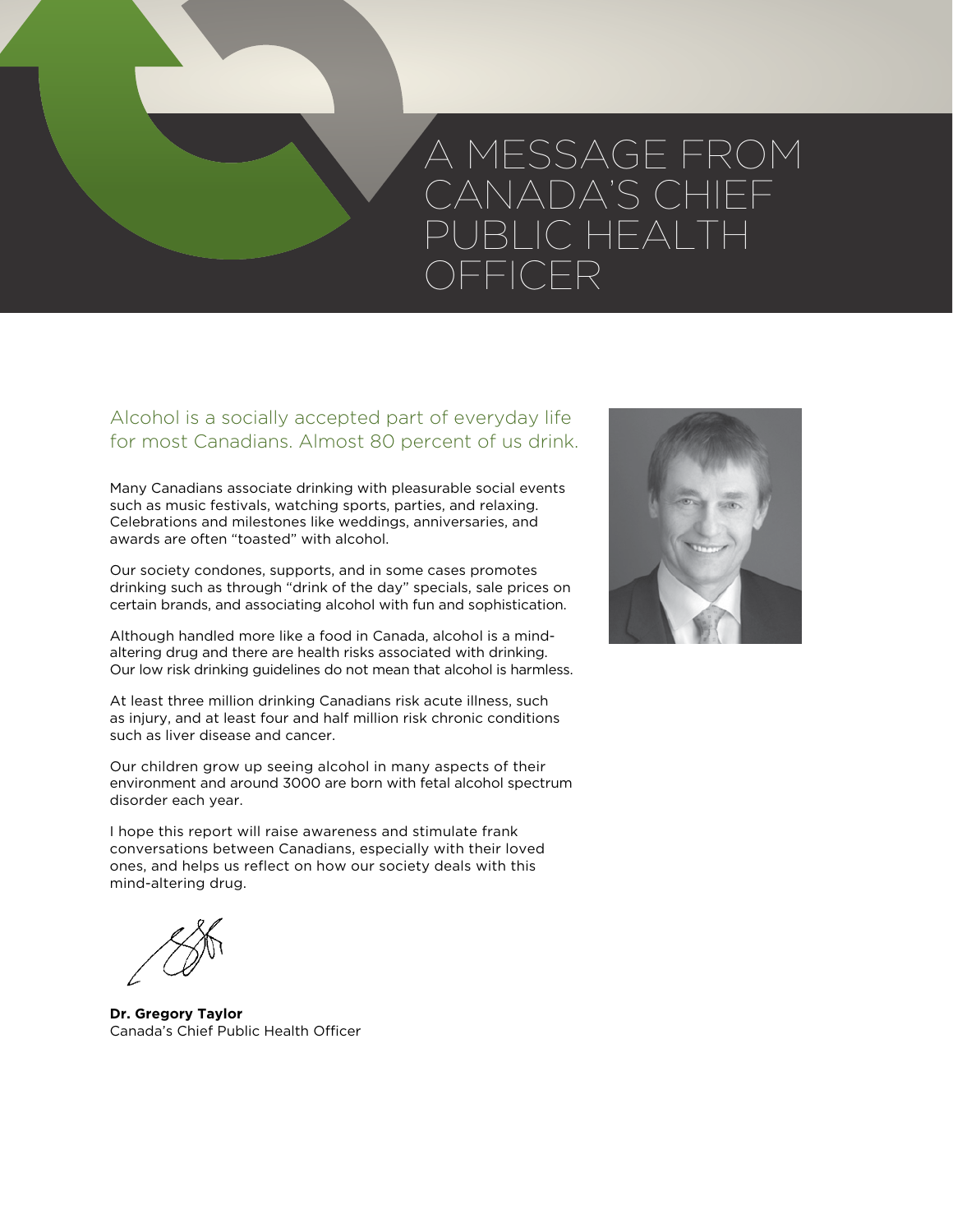## A MESSAGE FROM CANADA'S CHIEF IC HEALT OFFICER

### Alcohol is a socially accepted part of everyday life for most Canadians. Almost 80 percent of us drink.

Many Canadians associate drinking with pleasurable social events such as music festivals, watching sports, parties, and relaxing. Celebrations and milestones like weddings, anniversaries, and awards are often "toasted" with alcohol.

Our society condones, supports, and in some cases promotes drinking such as through "drink of the day" specials, sale prices on certain brands, and associating alcohol with fun and sophistication.

Although handled more like a food in Canada, alcohol is a mindaltering drug and there are health risks associated with drinking. Our low risk drinking guidelines do not mean that alcohol is harmless.

At least three million drinking Canadians risk acute illness, such as injury, and at least four and half million risk chronic conditions such as liver disease and cancer.

Our children grow up seeing alcohol in many aspects of their environment and around 3000 are born with fetal alcohol spectrum disorder each year.

I hope this report will raise awareness and stimulate frank conversations between Canadians, especially with their loved ones, and helps us reflect on how our society deals with this mind-altering drug.

**Dr. Gregory Taylor** Canada's Chief Public Health Officer

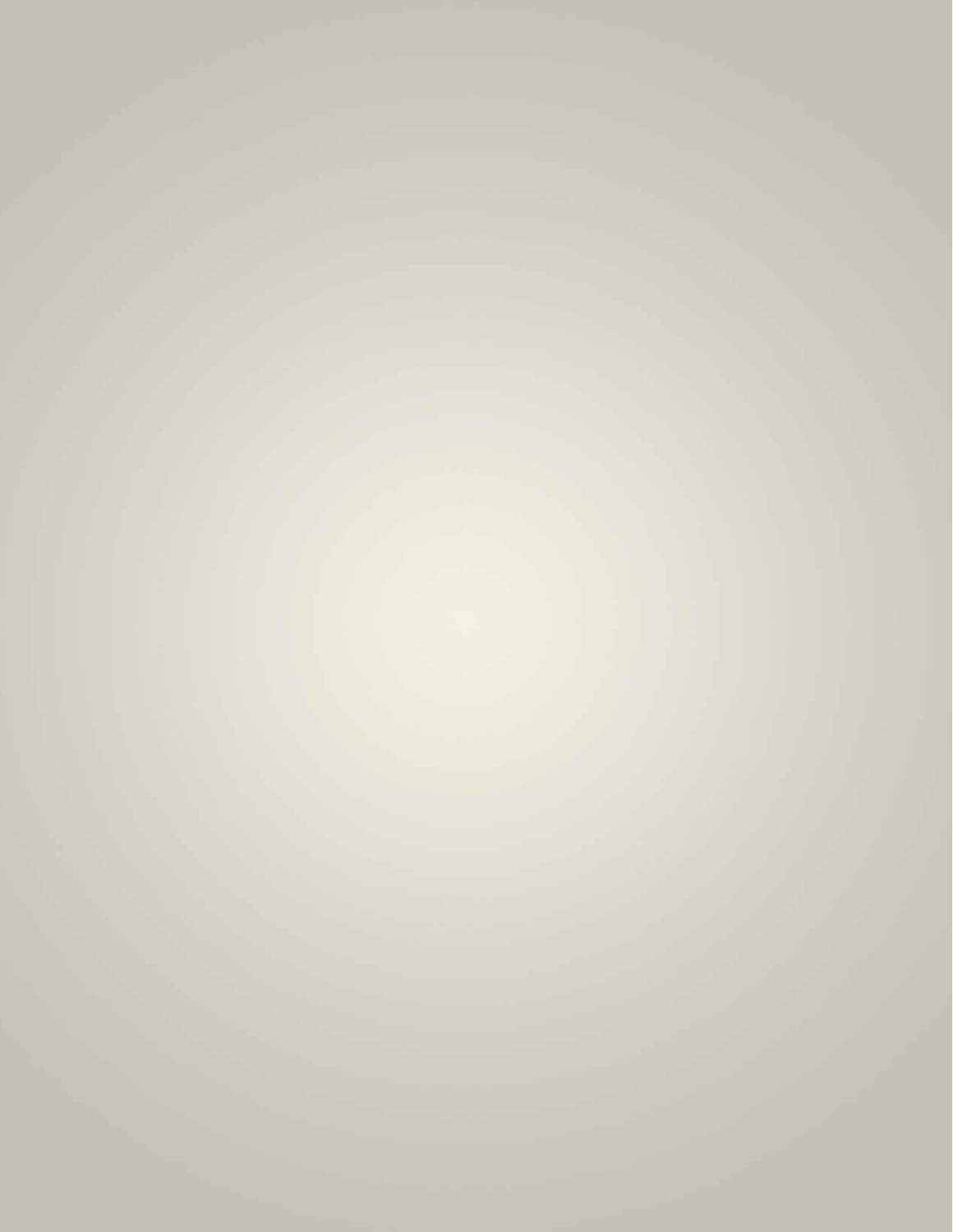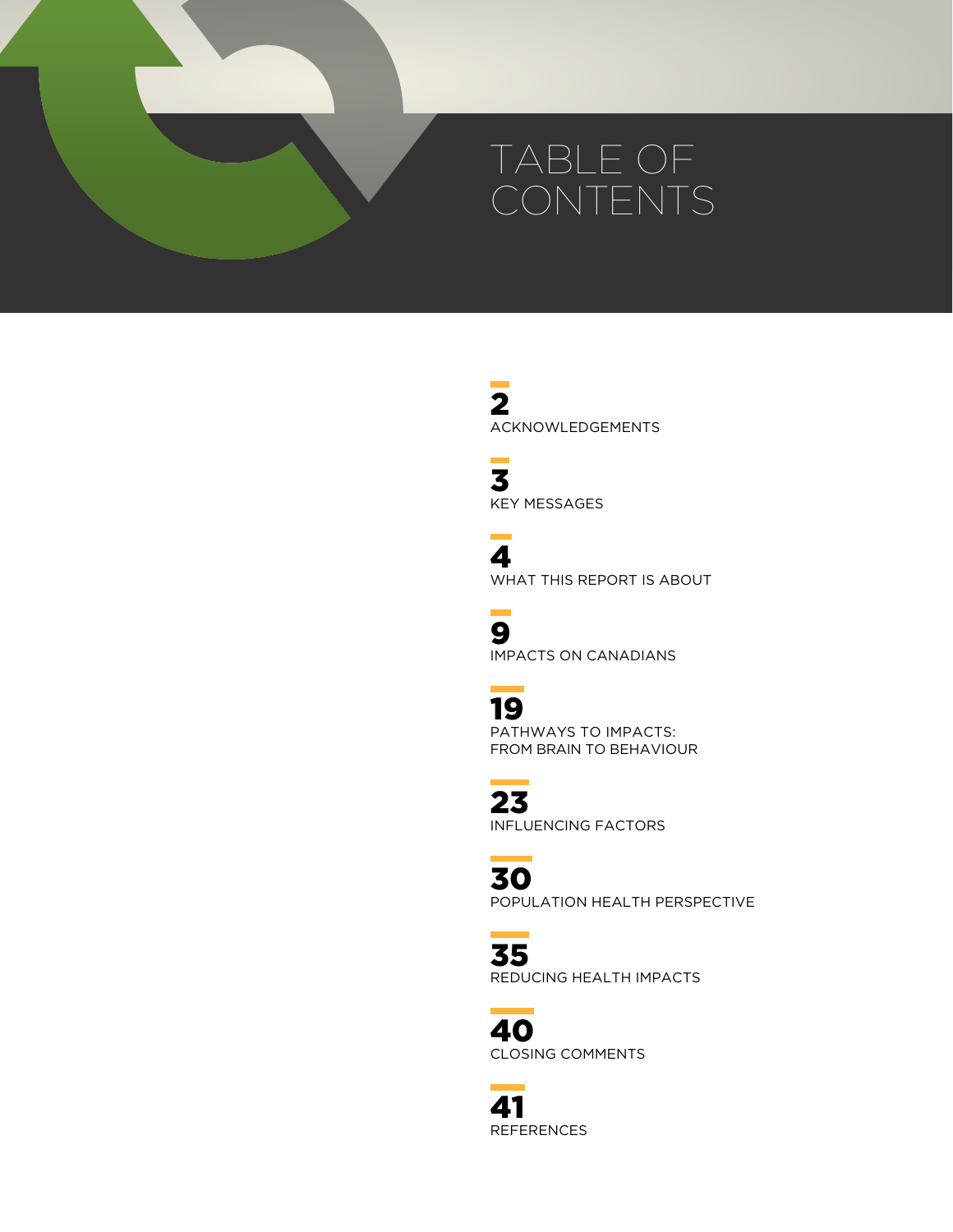# TABLE OF CONTENTS

2 ACKNOWLEDGEMENTS

3 KEY MESSAGES

 $A$  and  $A$  and  $A$  and  $A$  and  $A$  and  $A$  and  $A$  and  $A$  and  $A$  and  $A$  and  $A$  and  $A$  and  $A$  and  $A$  and  $A$  and  $A$  and  $A$  and  $A$  and  $A$  and  $A$  and  $A$  and  $A$  and  $A$  and  $A$  and  $A$  and  $A$  and  $A$  and  $A$  a

TABLE OF THE CONTROL

Contents of the Contents of the Contents of the Contents of the Contents of the Contents of the Contents of th<br>Contents of the Contents of the Contents of the Contents of the Contents of the Contents of the Contents of th

 $\sim 10^{-10}$ 4 WHAT THIS REPORT IS ABOUT

 $\mathcal{L}^{\text{max}}$ 9 IMPACTS ON CANADIANS

## 19

PATHWAYS TO IMPACTS: FROM BRAIN TO BEHAVIOUR

23 INFLUENCING FACTORS

30

POPULATION HEALTH PERSPECTIVE

35 REDUCING HEALTH IMPACTS

40 CLOSING COMMENTS

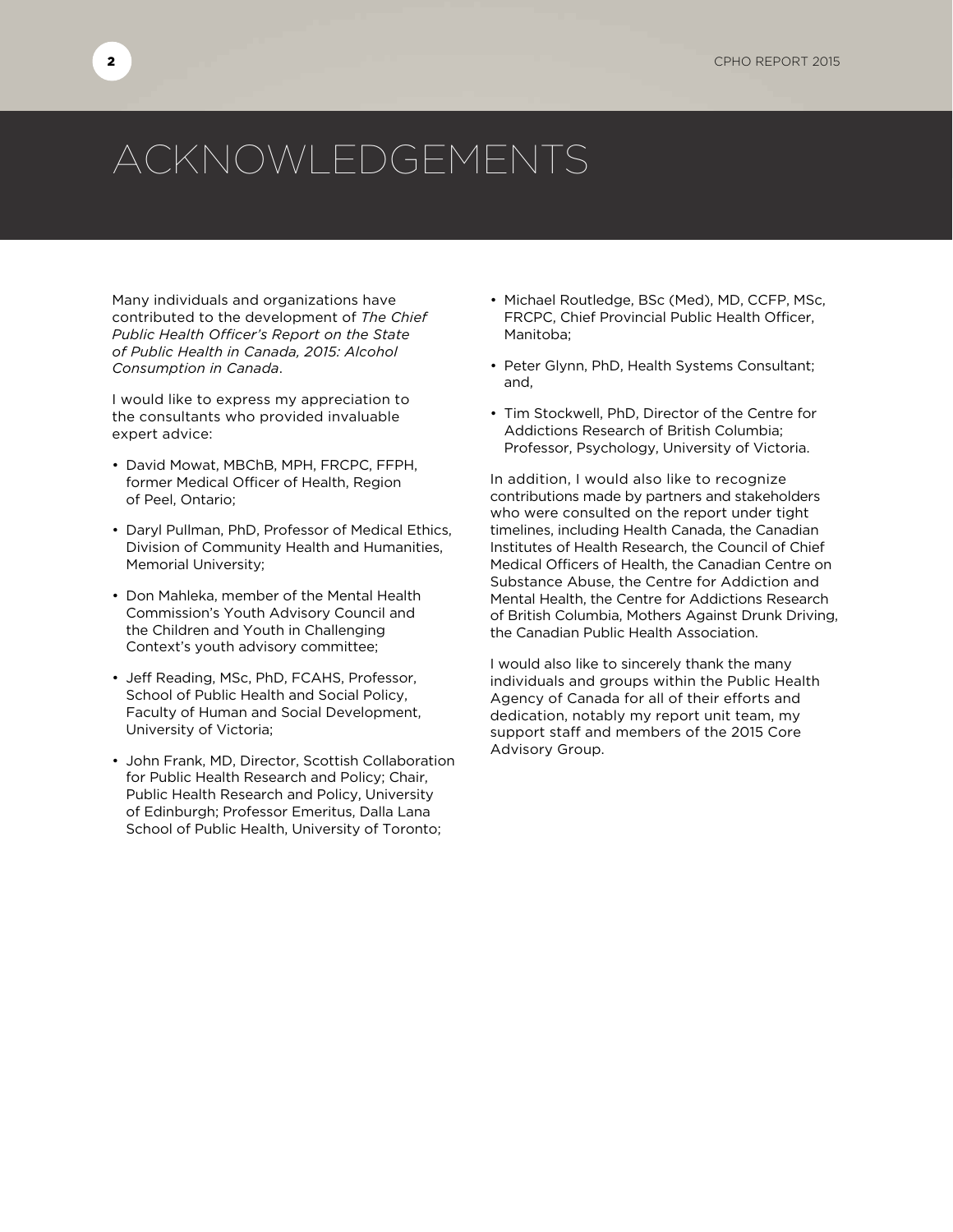# ACKNOWLEDGEMENTS

Many individuals and organizations have contributed to the development of *The Chief Public Health Officer's Report on the State of Public Health in Canada, 2015: Alcohol Consumption in Canada*.

I would like to express my appreciation to the consultants who provided invaluable expert advice:

- David Mowat, MBChB, MPH, FRCPC, FFPH, former Medical Officer of Health, Region of Peel, Ontario;
- Daryl Pullman, PhD, Professor of Medical Ethics, Division of Community Health and Humanities, Memorial University;
- Don Mahleka, member of the Mental Health Commission's Youth Advisory Council and the Children and Youth in Challenging Context's youth advisory committee;
- Jeff Reading, MSc, PhD, FCAHS, Professor, School of Public Health and Social Policy, Faculty of Human and Social Development, University of Victoria;
- John Frank, MD, Director, Scottish Collaboration for Public Health Research and Policy; Chair, Public Health Research and Policy, University of Edinburgh; Professor Emeritus, Dalla Lana School of Public Health, University of Toronto;
- Michael Routledge, BSc (Med), MD, CCFP, MSc, FRCPC, Chief Provincial Public Health Officer, Manitoba;
- Peter Glynn, PhD, Health Systems Consultant; and,
- Tim Stockwell, PhD, Director of the Centre for Addictions Research of British Columbia; Professor, Psychology, University of Victoria.

In addition, I would also like to recognize contributions made by partners and stakeholders who were consulted on the report under tight timelines, including Health Canada, the Canadian Institutes of Health Research, the Council of Chief Medical Officers of Health, the Canadian Centre on Substance Abuse, the Centre for Addiction and Mental Health, the Centre for Addictions Research of British Columbia, Mothers Against Drunk Driving, the Canadian Public Health Association.

I would also like to sincerely thank the many individuals and groups within the Public Health Agency of Canada for all of their efforts and dedication, notably my report unit team, my support staff and members of the 2015 Core Advisory Group.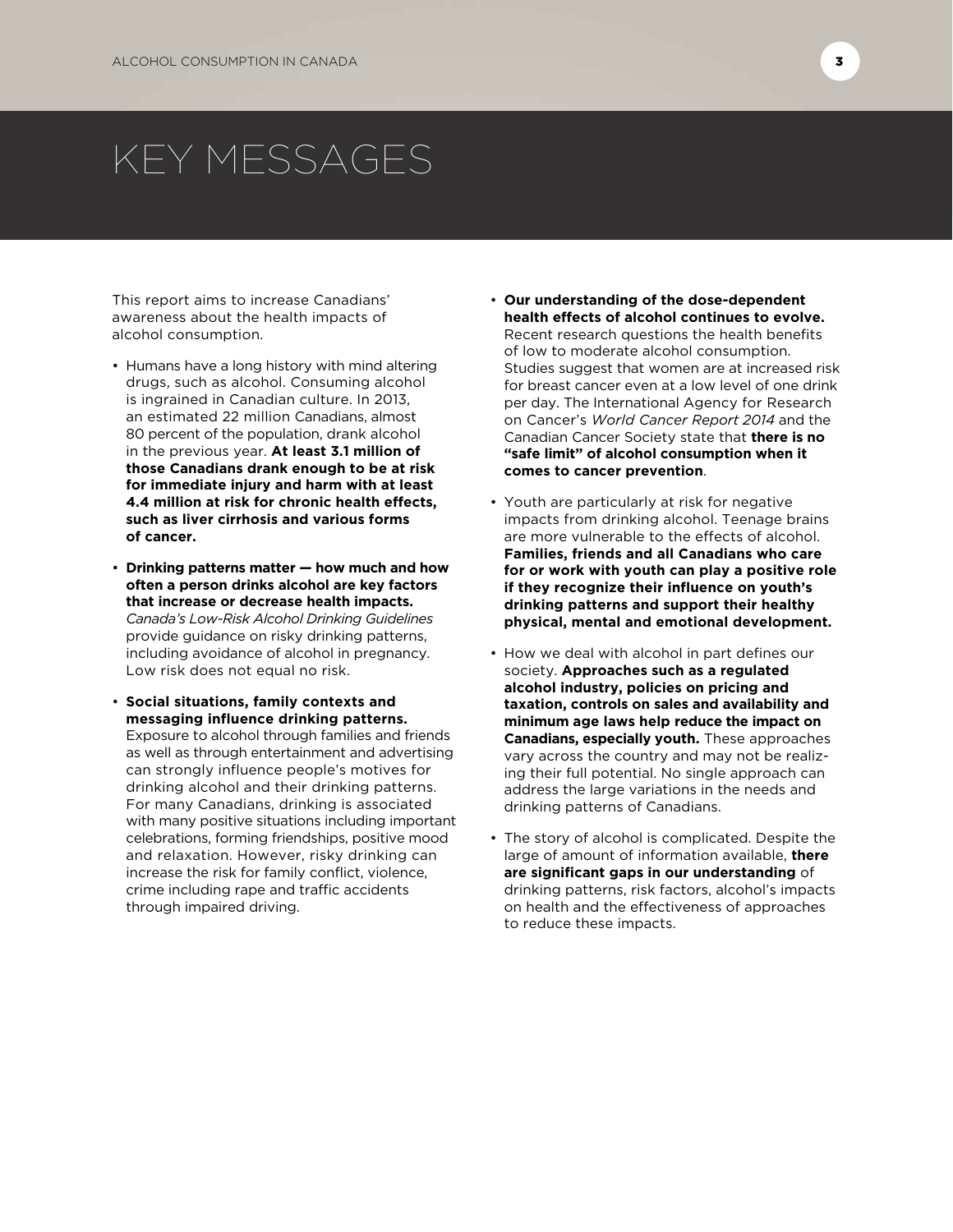## KEY MESSAGES

This report aims to increase Canadians' awareness about the health impacts of alcohol consumption.

- Humans have a long history with mind altering drugs, such as alcohol. Consuming alcohol is ingrained in Canadian culture. In 2013, an estimated 22 million Canadians, almost 80 percent of the population, drank alcohol in the previous year. **At least 3.1 million of those Canadians drank enough to be at risk for immediate injury and harm with at least 4.4 million at risk for chronic health effects, such as liver cirrhosis and various forms of cancer.**
- **Drinking patterns matter how much and how often a person drinks alcohol are key factors that increase or decrease health impacts.** *Canada's Low-Risk Alcohol Drinking Guidelines* provide guidance on risky drinking patterns, including avoidance of alcohol in pregnancy. Low risk does not equal no risk.
- **Social situations, family contexts and messaging influence drinking patterns.** Exposure to alcohol through families and friends as well as through entertainment and advertising can strongly influence people's motives for drinking alcohol and their drinking patterns. For many Canadians, drinking is associated with many positive situations including important celebrations, forming friendships, positive mood and relaxation. However, risky drinking can increase the risk for family conflict, violence, crime including rape and traffic accidents through impaired driving.
- **Our understanding of the dose-dependent health effects of alcohol continues to evolve.**  Recent research questions the health benefits of low to moderate alcohol consumption. Studies suggest that women are at increased risk for breast cancer even at a low level of one drink per day. The International Agency for Research on Cancer's *World Cancer Report 2014* and the Canadian Cancer Society state that **there is no "safe limit" of alcohol consumption when it comes to cancer prevention**.
- Youth are particularly at risk for negative impacts from drinking alcohol. Teenage brains are more vulnerable to the effects of alcohol. **Families, friends and all Canadians who care for or work with youth can play a positive role if they recognize their influence on youth's drinking patterns and support their healthy physical, mental and emotional development.**
- How we deal with alcohol in part defines our society. **Approaches such as a regulated alcohol industry, policies on pricing and taxation, controls on sales and availability and minimum age laws help reduce the impact on Canadians, especially youth.** These approaches vary across the country and may not be realizing their full potential. No single approach can address the large variations in the needs and drinking patterns of Canadians.
- The story of alcohol is complicated. Despite the large of amount of information available, **there are significant gaps in our understanding** of drinking patterns, risk factors, alcohol's impacts on health and the effectiveness of approaches to reduce these impacts.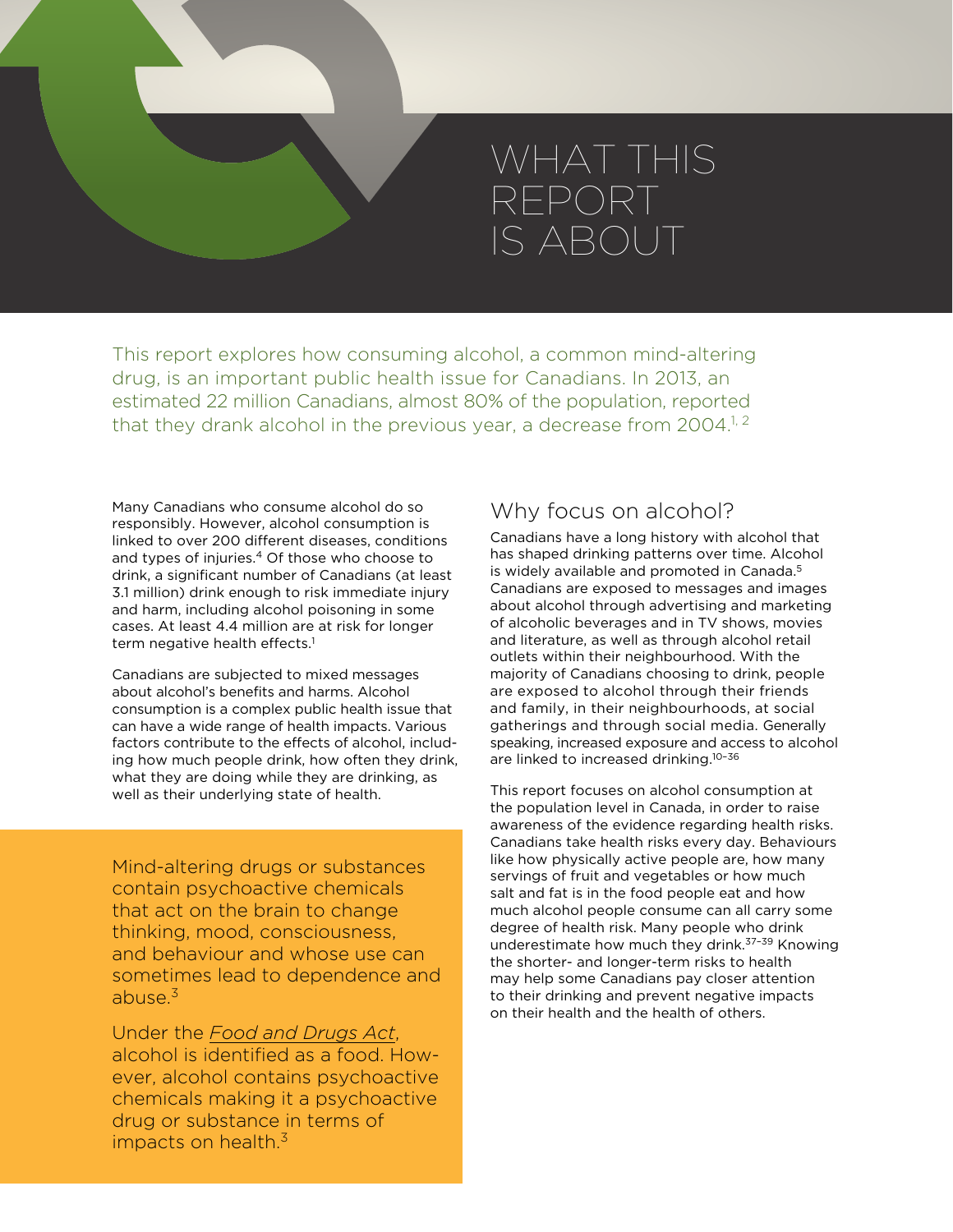## WHAT THIS REPORT IS ABOUT

This report explores how consuming alcohol, a common mind-altering drug, is an important public health issue for Canadians. In 2013, an estimated 22 million Canadians, almost 80% of the population, reported that they drank alcohol in the previous year, a decrease from 2004.<sup>1, 2</sup>

Many Canadians who consume alcohol do so responsibly. However, alcohol consumption is linked to over 200 different diseases, conditions and types of injuries.<sup>4</sup> Of those who choose to drink, a significant number of Canadians (at least 3.1 million) drink enough to risk immediate injury and harm, including alcohol poisoning in some cases. At least 4.4 million are at risk for longer term negative health effects.<sup>1</sup>

Canadians are subjected to mixed messages about alcohol's benefits and harms. Alcohol consumption is a complex public health issue that can have a wide range of health impacts. Various factors contribute to the effects of alcohol, including how much people drink, how often they drink, what they are doing while they are drinking, as well as their underlying state of health.

Mind-altering drugs or substances contain psychoactive chemicals that act on the brain to change thinking, mood, consciousness, and behaviour and whose use can sometimes lead to dependence and abuse. $3$ 

Under the *Food and Drugs Act*, alcohol is identified as a food. However, alcohol contains psychoactive chemicals making it a psychoactive drug or substance in terms of impacts on health. $3$ 

## Why focus on alcohol?

Canadians have a long history with alcohol that has shaped drinking patterns over time. Alcohol is widely available and promoted in Canada.<sup>5</sup> Canadians are exposed to messages and images about alcohol through advertising and marketing of alcoholic beverages and in TV shows, movies and literature, as well as through alcohol retail outlets within their neighbourhood. With the majority of Canadians choosing to drink, people are exposed to alcohol through their friends and family, in their neighbourhoods, at social gatherings and through social media. Generally speaking, increased exposure and access to alcohol are linked to increased drinking.10–36

This report focuses on alcohol consumption at the population level in Canada, in order to raise awareness of the evidence regarding health risks. Canadians take health risks every day. Behaviours like how physically active people are, how many servings of fruit and vegetables or how much salt and fat is in the food people eat and how much alcohol people consume can all carry some degree of health risk. Many people who drink underestimate how much they drink.37–39 Knowing the shorter- and longer-term risks to health may help some Canadians pay closer attention to their drinking and prevent negative impacts on their health and the health of others.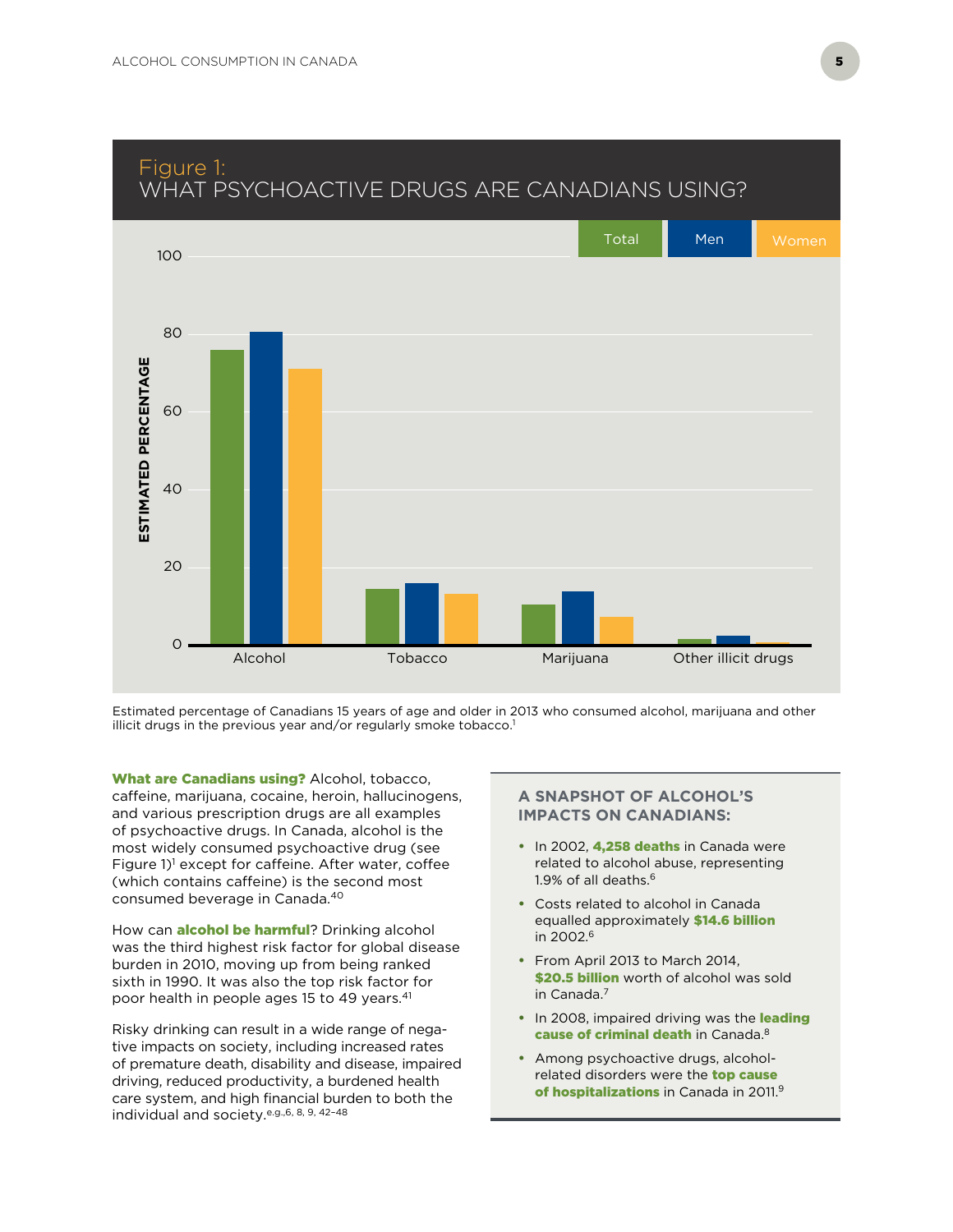

Estimated percentage of Canadians 15 years of age and older in 2013 who consumed alcohol, marijuana and other illicit drugs in the previous year and/or regularly smoke tobacco.<sup>1</sup>

What are Canadians using? Alcohol, tobacco, caffeine, marijuana, cocaine, heroin, hallucinogens, and various prescription drugs are all examples of psychoactive drugs. In Canada, alcohol is the most widely consumed psychoactive drug (see Figure 1)<sup>1</sup> except for caffeine. After water, coffee (which contains caffeine) is the second most consumed beverage in Canada.40

How can **alcohol be harmful**? Drinking alcohol was the third highest risk factor for global disease burden in 2010, moving up from being ranked sixth in 1990. It was also the top risk factor for poor health in people ages 15 to 49 years.<sup>41</sup>

Risky drinking can result in a wide range of negative impacts on society, including increased rates of premature death, disability and disease, impaired driving, reduced productivity, a burdened health care system, and high financial burden to both the

#### **A SNAPSHOT OF ALCOHOL'S IMPACTS ON CANADIANS:**

- **•** In 2002, 4,258 deaths in Canada were related to alcohol abuse, representing 1.9% of all deaths. $6$
- **•** Costs related to alcohol in Canada equalled approximately \$14.6 billion in 2002.6
- **•** From April 2013 to March 2014, \$20.5 billion worth of alcohol was sold in Canada.7
- In 2008, impaired driving was the **leading** cause of criminal death in Canada.<sup>8</sup>
- **•** Among psychoactive drugs, alcoholrelated disorders were the top cause of hospitalizations in Canada in 2011.<sup>9</sup>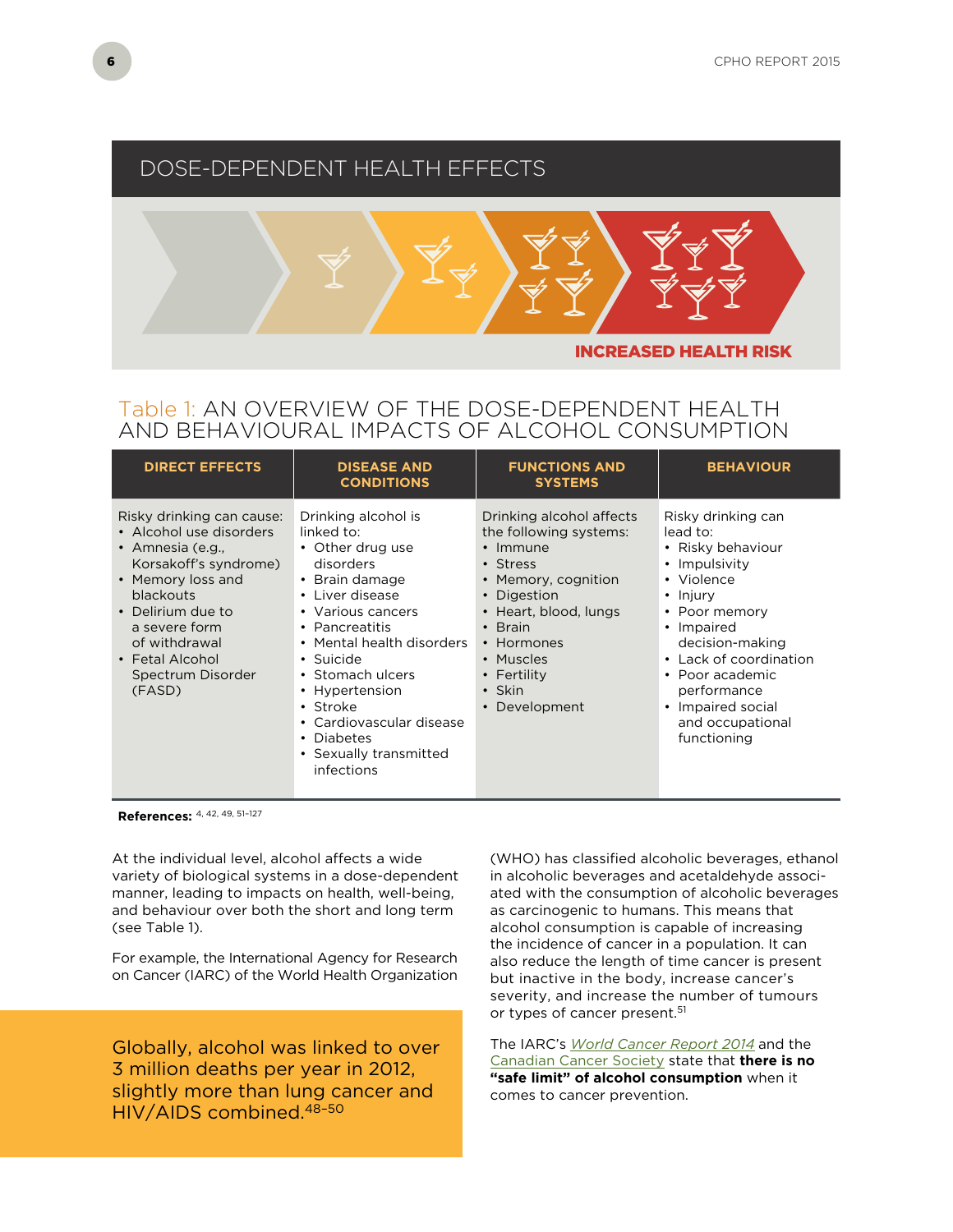## DOSE-DEPENDENT HEALTH EFFECTS



### Table 1: AN OVERVIEW OF THE DOSE-DEPENDENT HEALTH AND BEHAVIOURAL IMPACTS OF ALCOHOL CONSUMPTION

| <b>DIRECT EFFECTS</b>                                                                                                                                                                                                                                | <b>DISEASE AND</b><br><b>CONDITIONS</b>                                                                                                                                                                                                                                                                                                                 | <b>FUNCTIONS AND</b><br><b>SYSTEMS</b>                                                                                                                                                                                                | <b>BEHAVIOUR</b>                                                                                                                                                                                                                                                     |
|------------------------------------------------------------------------------------------------------------------------------------------------------------------------------------------------------------------------------------------------------|---------------------------------------------------------------------------------------------------------------------------------------------------------------------------------------------------------------------------------------------------------------------------------------------------------------------------------------------------------|---------------------------------------------------------------------------------------------------------------------------------------------------------------------------------------------------------------------------------------|----------------------------------------------------------------------------------------------------------------------------------------------------------------------------------------------------------------------------------------------------------------------|
| Risky drinking can cause:<br>• Alcohol use disorders<br>$\bullet$ Amnesia (e.g.,<br>Korsakoff's syndrome)<br>• Memory loss and<br>blackouts<br>• Delirium due to<br>a severe form<br>of withdrawal<br>• Fetal Alcohol<br>Spectrum Disorder<br>(FASD) | Drinking alcohol is<br>linked to:<br>• Other drug use<br>disorders<br>Brain damage<br>• Liver disease<br>• Various cancers<br>• Pancreatitis<br>• Mental health disorders<br>• Suicide<br>• Stomach ulcers<br>Hypertension<br>$\bullet$<br>• Stroke<br>• Cardiovascular disease<br><b>Diabetes</b><br>$\bullet$<br>• Sexually transmitted<br>infections | Drinking alcohol affects<br>the following systems:<br>• Immune<br>• Stress<br>• Memory, cognition<br>• Digestion<br>• Heart, blood, lungs<br>$\cdot$ Brain<br>• Hormones<br>• Muscles<br>• Fertility<br>$\cdot$ Skin<br>• Development | Risky drinking can<br>lead to:<br>• Risky behaviour<br>• Impulsivity<br>• Violence<br>• Injury<br>• Poor memory<br>• Impaired<br>decision-making<br>• Lack of coordination<br>• Poor academic<br>performance<br>• Impaired social<br>and occupational<br>functioning |

**References:** 4, 42, 49, 51–127

At the individual level, alcohol affects a wide variety of biological systems in a dose-dependent manner, leading to impacts on health, well-being, and behaviour over both the short and long term (see Table 1).

For example, the International Agency for Research on Cancer (IARC) of the World Health Organization

Globally, alcohol was linked to over 3 million deaths per year in 2012, slightly more than lung cancer and HIV/AIDS combined.48–50

(WHO) has classified alcoholic beverages, ethanol in alcoholic beverages and acetaldehyde associated with the consumption of alcoholic beverages as carcinogenic to humans. This means that alcohol consumption is capable of increasing the incidence of cancer in a population. It can also reduce the length of time cancer is present but inactive in the body, increase cancer's severity, and increase the number of tumours or types of cancer present.<sup>51</sup>

The IARC's *World Cancer Report 2014* and the Canadian Cancer Society state that **there is no "safe limit" of alcohol consumption** when it comes to cancer prevention.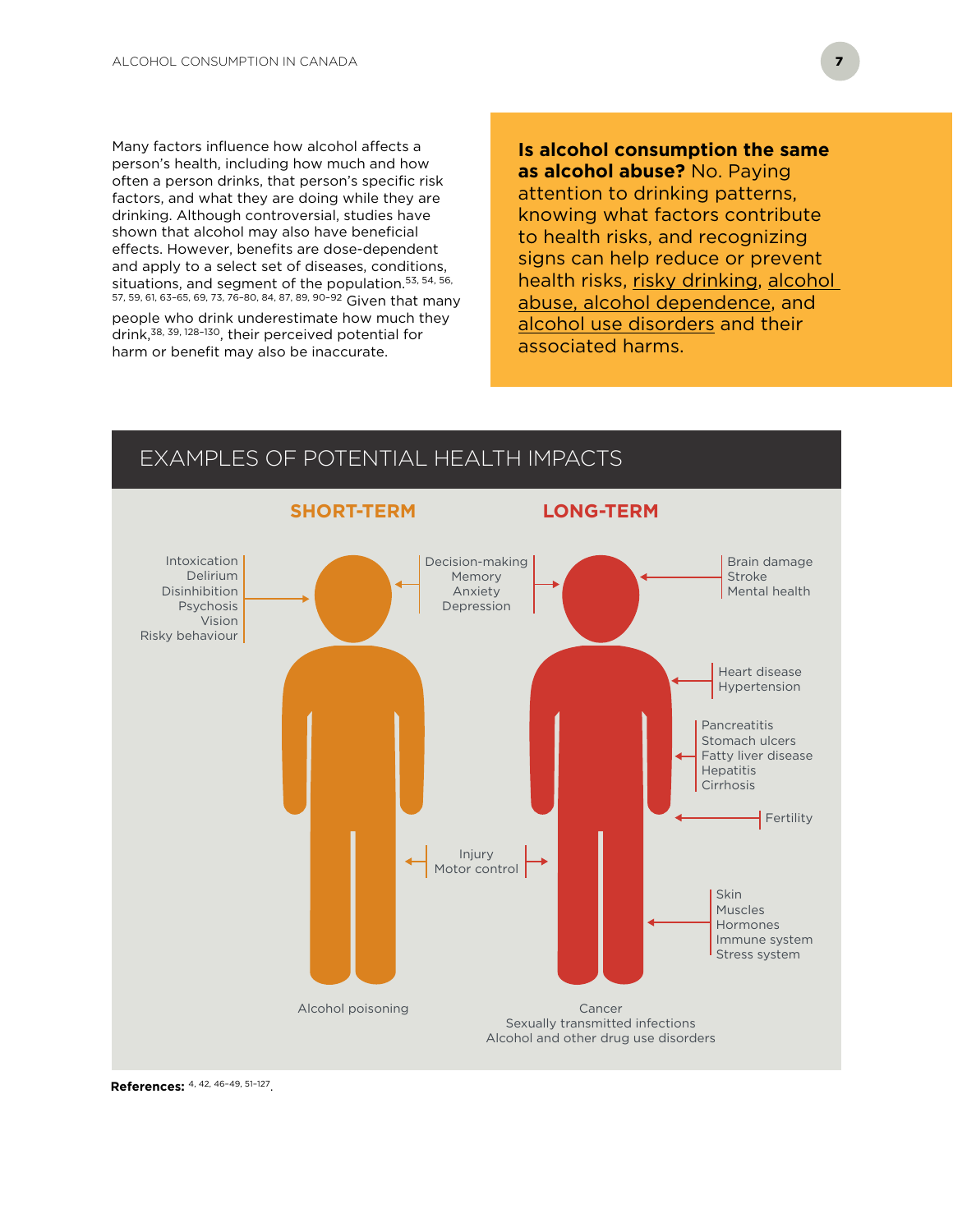Many factors influence how alcohol affects a person's health, including how much and how often a person drinks, that person's specific risk factors, and what they are doing while they are drinking. Although controversial, studies have shown that alcohol may also have beneficial effects. However, benefits are dose-dependent and apply to a select set of diseases, conditions, situations, and segment of the population.<sup>53, 54, 56,</sup> 57, 59, 61, 63–65, 69, 73, 76–80, 84, 87, 89, 90–92 Given that many people who drink underestimate how much they drink,38, 39, 128–130, their perceived potential for

harm or benefit may also be inaccurate.

**Is alcohol consumption the same as alcohol abuse?** No. Paying attention to drinking patterns, knowing what factors contribute to health risks, and recognizing signs can help reduce or prevent health risks, risky drinking, alcohol abuse, alcohol dependence, and alcohol use disorders and their associated harms.



**References:** 4, 42, 46–49, 51–127.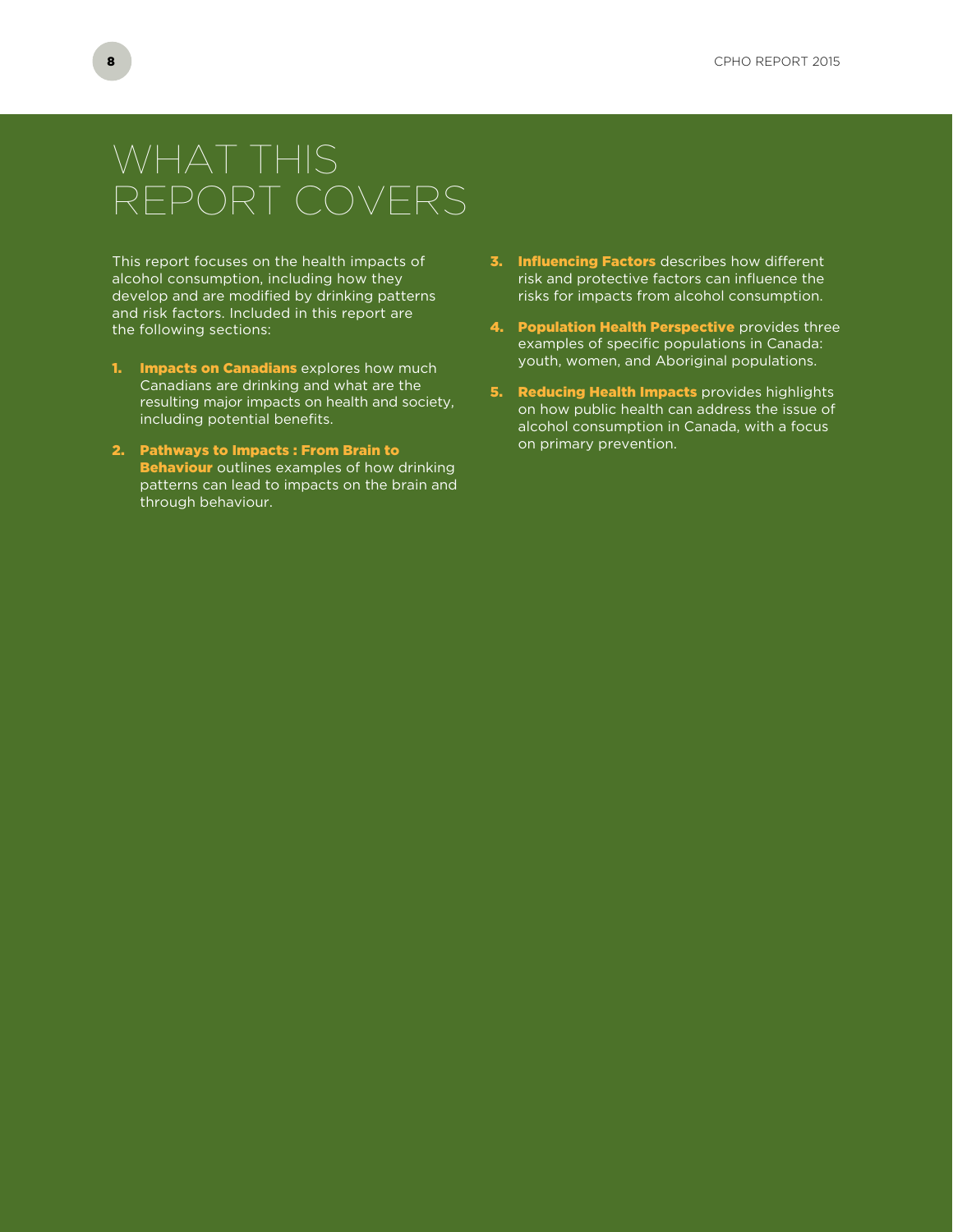# WHAT THIS REPORT COVERS

This report focuses on the health impacts of alcohol consumption, including how they develop and are modified by drinking patterns and risk factors. Included in this report are the following sections:

- 1. Impacts on Canadians explores how much Canadians are drinking and what are the resulting major impacts on health and society, including potential benefits.
- 2. Pathways to Impacts : From Brain to Behaviour outlines examples of how drinking patterns can lead to impacts on the brain and through behaviour.
- **3. Influencing Factors** describes how different risk and protective factors can influence the risks for impacts from alcohol consumption.
- 4. Population Health Perspective provides three examples of specific populations in Canada: youth, women, and Aboriginal populations.
- 5. Reducing Health Impacts provides highlights on how public health can address the issue of alcohol consumption in Canada, with a focus on primary prevention.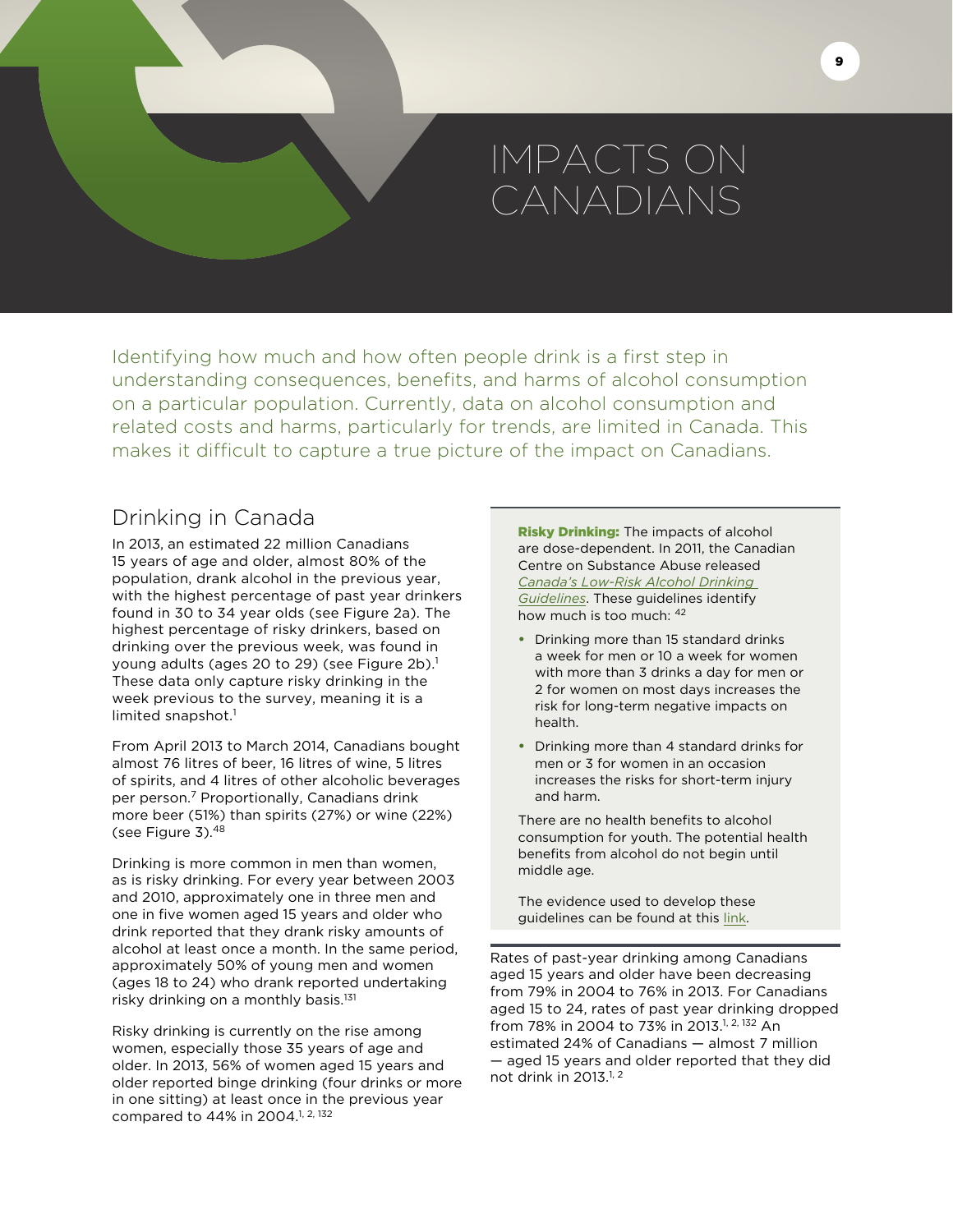## IMPACTS ON CANADIANS

Identifying how much and how often people drink is a first step in understanding consequences, benefits, and harms of alcohol consumption on a particular population. Currently, data on alcohol consumption and related costs and harms, particularly for trends, are limited in Canada. This makes it difficult to capture a true picture of the impact on Canadians.

## Drinking in Canada

In 2013, an estimated 22 million Canadians 15 years of age and older, almost 80% of the population, drank alcohol in the previous year, with the highest percentage of past year drinkers found in 30 to 34 year olds (see Figure 2a). The highest percentage of risky drinkers, based on drinking over the previous week, was found in young adults (ages 20 to 29) (see Figure 2b).<sup>1</sup> These data only capture risky drinking in the week previous to the survey, meaning it is a limited snapshot. $<sup>1</sup>$ </sup>

From April 2013 to March 2014, Canadians bought almost 76 litres of beer, 16 litres of wine, 5 litres of spirits, and 4 litres of other alcoholic beverages per person.7 Proportionally, Canadians drink more beer (51%) than spirits (27%) or wine (22%) (see Figure 3).48

Drinking is more common in men than women, as is risky drinking. For every year between 2003 and 2010, approximately one in three men and one in five women aged 15 years and older who drink reported that they drank risky amounts of alcohol at least once a month. In the same period, approximately 50% of young men and women (ages 18 to 24) who drank reported undertaking risky drinking on a monthly basis.<sup>131</sup>

Risky drinking is currently on the rise among women, especially those 35 years of age and older. In 2013, 56% of women aged 15 years and older reported binge drinking (four drinks or more in one sitting) at least once in the previous year compared to 44% in 2004.<sup>1, 2, 132</sup>

Risky Drinking: The impacts of alcohol are dose-dependent. In 2011, the Canadian Centre on Substance Abuse released *Canada's Low-Risk Alcohol Drinking Guidelines*. These guidelines identify how much is too much: 42

- **•** Drinking more than 15 standard drinks a week for men or 10 a week for women with more than 3 drinks a day for men or 2 for women on most days increases the risk for long-term negative impacts on health.
- **•** Drinking more than 4 standard drinks for men or 3 for women in an occasion increases the risks for short-term injury and harm.

There are no health benefits to alcohol consumption for youth. The potential health benefits from alcohol do not begin until middle age.

The evidence used to develop these guidelines can be found at this link.

Rates of past-year drinking among Canadians aged 15 years and older have been decreasing from 79% in 2004 to 76% in 2013. For Canadians aged 15 to 24, rates of past year drinking dropped from 78% in 2004 to 73% in 2013.<sup>1, 2, 132</sup> An estimated 24% of Canadians — almost 7 million — aged 15 years and older reported that they did not drink in 2013.<sup>1, 2</sup>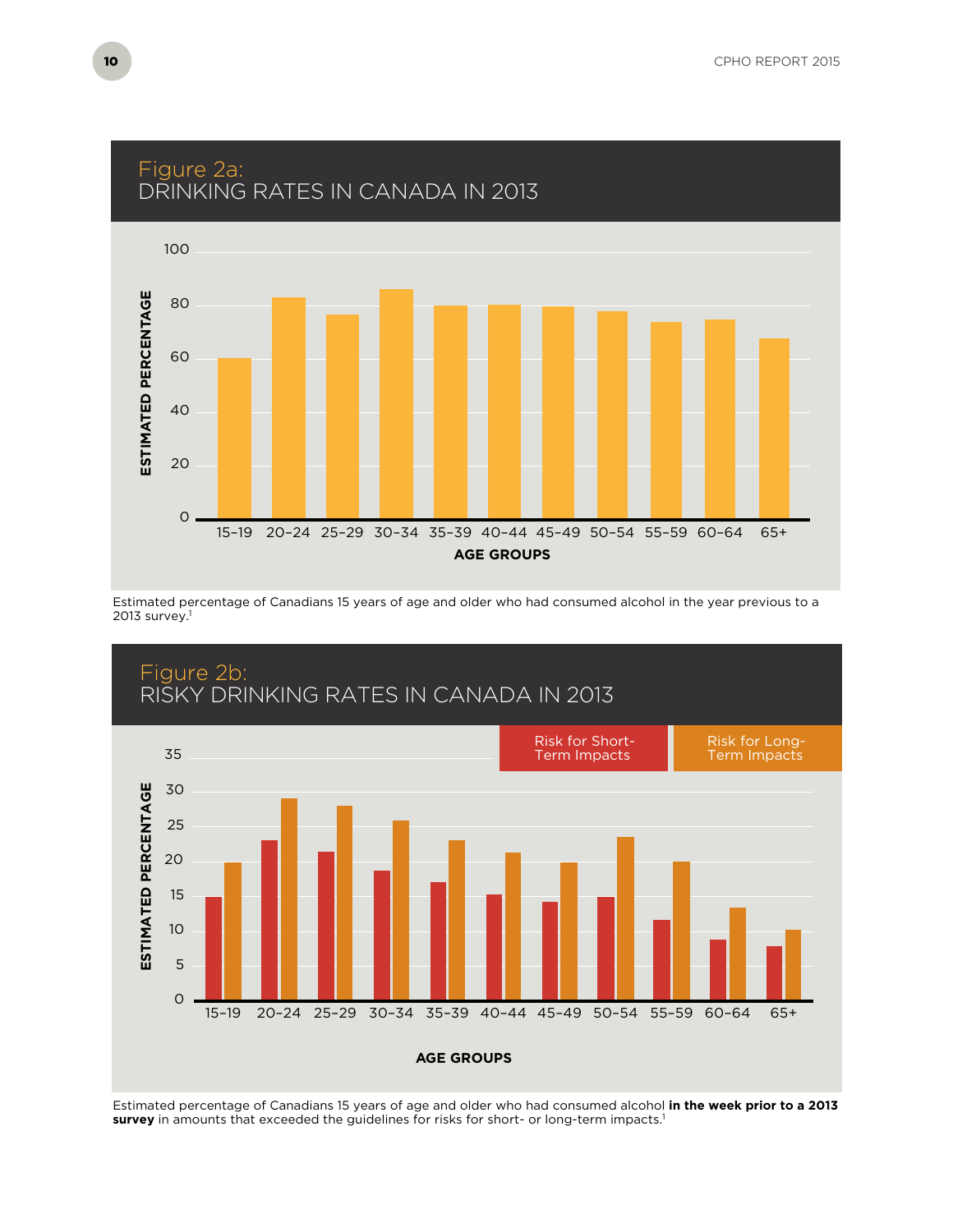

Estimated percentage of Canadians 15 years of age and older who had consumed alcohol in the year previous to a 2013 survey.1



Estimated percentage of Canadians 15 years of age and older who had consumed alcohol **in the week prior to a 2013 survey** in amounts that exceeded the guidelines for risks for short- or long-term impacts.1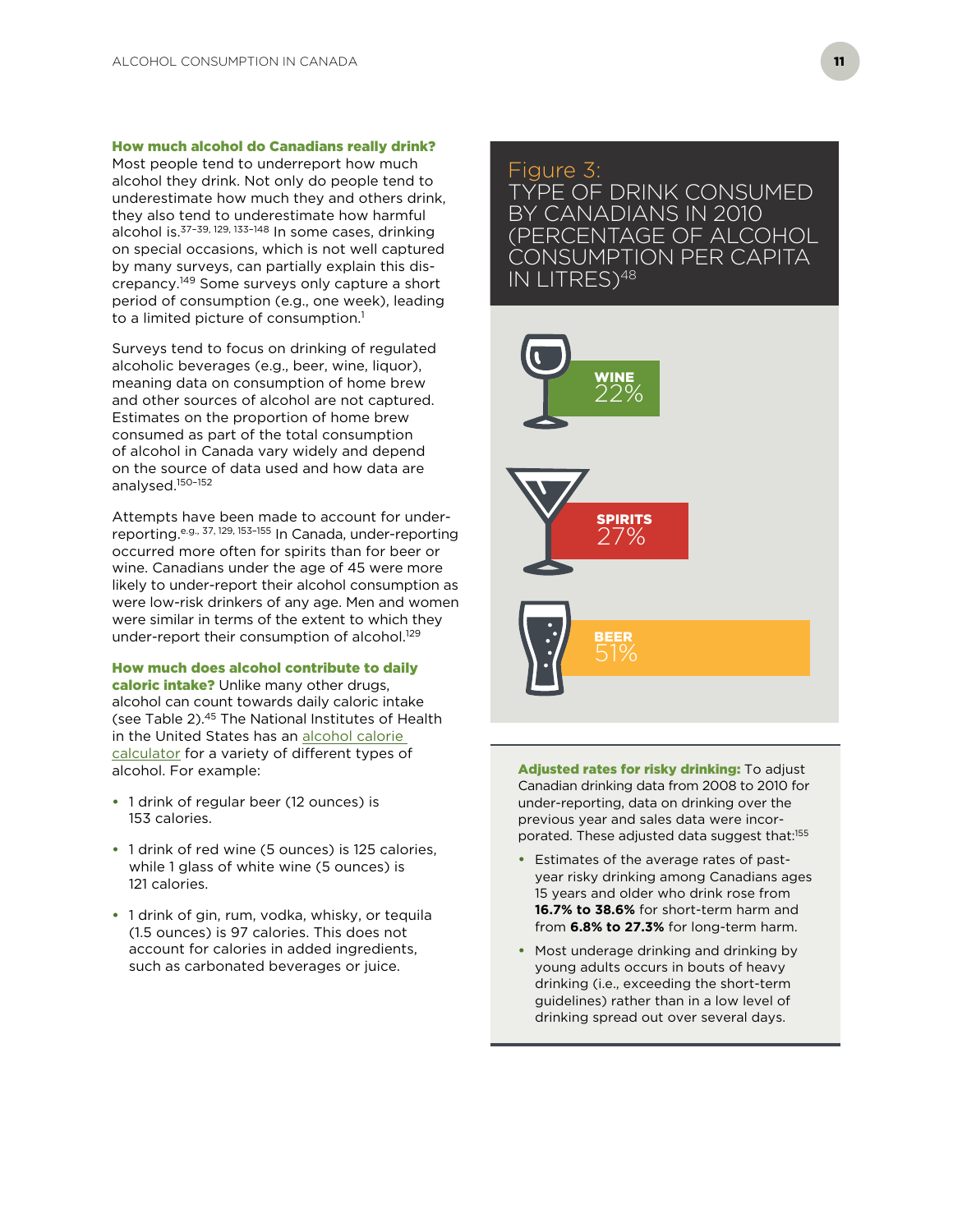#### How much alcohol do Canadians really drink?

Most people tend to underreport how much alcohol they drink. Not only do people tend to underestimate how much they and others drink, they also tend to underestimate how harmful alcohol is.37–39, 129, 133–148 In some cases, drinking on special occasions, which is not well captured by many surveys, can partially explain this discrepancy.149 Some surveys only capture a short period of consumption (e.g., one week), leading to a limited picture of consumption.<sup>1</sup>

Surveys tend to focus on drinking of regulated alcoholic beverages (e.g., beer, wine, liquor), meaning data on consumption of home brew and other sources of alcohol are not captured. Estimates on the proportion of home brew consumed as part of the total consumption of alcohol in Canada vary widely and depend on the source of data used and how data are analysed.150–152

Attempts have been made to account for underreporting.e.g., 37, 129, 153–155 In Canada, under-reporting occurred more often for spirits than for beer or wine. Canadians under the age of 45 were more likely to under-report their alcohol consumption as were low-risk drinkers of any age. Men and women were similar in terms of the extent to which they under-report their consumption of alcohol.<sup>129</sup>

#### How much does alcohol contribute to daily

caloric intake? Unlike many other drugs, alcohol can count towards daily caloric intake (see Table 2).<sup>45</sup> The National Institutes of Health in the United States has an alcohol calorie calculator for a variety of different types of alcohol. For example:

- **•** 1 drink of regular beer (12 ounces) is 153 calories.
- **•** 1 drink of red wine (5 ounces) is 125 calories, while 1 glass of white wine (5 ounces) is 121 calories.
- **•** 1 drink of gin, rum, vodka, whisky, or tequila (1.5 ounces) is 97 calories. This does not account for calories in added ingredients, such as carbonated beverages or juice.

### Figure 3:

TYPE OF DRINK CONSUMED BY CANADIANS IN 2010 (PERCENTAGE OF ALCOHOL CONSUMPTION PER CAPITA IN LITRES)48



Adjusted rates for risky drinking: To adjust Canadian drinking data from 2008 to 2010 for under-reporting, data on drinking over the previous year and sales data were incorporated. These adjusted data suggest that:<sup>155</sup>

- **•** Estimates of the average rates of pastyear risky drinking among Canadians ages 15 years and older who drink rose from **16.7% to 38.6%** for short-term harm and from **6.8% to 27.3%** for long-term harm.
- **•** Most underage drinking and drinking by young adults occurs in bouts of heavy drinking (i.e., exceeding the short-term guidelines) rather than in a low level of drinking spread out over several days.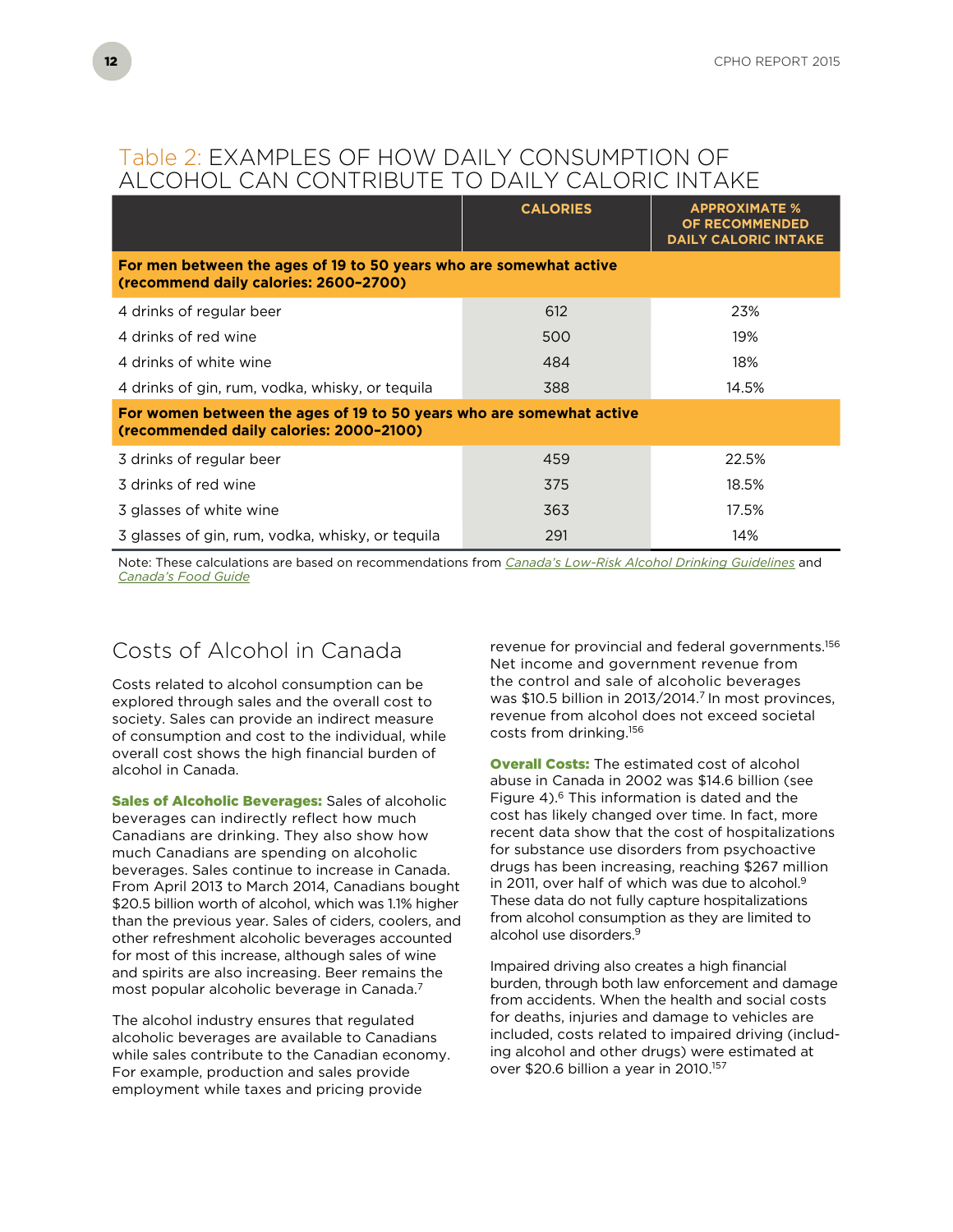## Table 2: EXAMPLES OF HOW DAILY CONSUMPTION OF ALCOHOL CAN CONTRIBUTE TO DAILY CALORIC INTAKE

|                                                                                                                 | <b>CALORIES</b> | <b>APPROXIMATE %</b><br><b>OF RECOMMENDED</b><br><b>DAILY CALORIC INTAKE</b> |  |  |  |  |
|-----------------------------------------------------------------------------------------------------------------|-----------------|------------------------------------------------------------------------------|--|--|--|--|
| For men between the ages of 19 to 50 years who are somewhat active<br>(recommend daily calories: 2600-2700)     |                 |                                                                              |  |  |  |  |
| 4 drinks of regular beer                                                                                        | 612             | 23%                                                                          |  |  |  |  |
| 4 drinks of red wine                                                                                            | 500             | 19%                                                                          |  |  |  |  |
| 4 drinks of white wine                                                                                          | 484             | 18%                                                                          |  |  |  |  |
| 4 drinks of gin, rum, vodka, whisky, or tequila                                                                 | 388             | 14.5%                                                                        |  |  |  |  |
| For women between the ages of 19 to 50 years who are somewhat active<br>(recommended daily calories: 2000-2100) |                 |                                                                              |  |  |  |  |
| 3 drinks of regular beer                                                                                        | 459             | 22.5%                                                                        |  |  |  |  |
| 3 drinks of red wine                                                                                            | 375             | 18.5%                                                                        |  |  |  |  |
| 3 glasses of white wine                                                                                         | 363             | 17.5%                                                                        |  |  |  |  |
| 3 glasses of gin, rum, vodka, whisky, or tequila                                                                | 291             | 14%                                                                          |  |  |  |  |

Note: These calculations are based on recommendations from *Canada's Low-Risk Alcohol Drinking Guidelines* and *Canada's Food Guide*

## Costs of Alcohol in Canada

Costs related to alcohol consumption can be explored through sales and the overall cost to society. Sales can provide an indirect measure of consumption and cost to the individual, while overall cost shows the high financial burden of alcohol in Canada.

Sales of Alcoholic Beverages: Sales of alcoholic beverages can indirectly reflect how much Canadians are drinking. They also show how much Canadians are spending on alcoholic beverages. Sales continue to increase in Canada. From April 2013 to March 2014, Canadians bought \$20.5 billion worth of alcohol, which was 1.1% higher than the previous year. Sales of ciders, coolers, and other refreshment alcoholic beverages accounted for most of this increase, although sales of wine and spirits are also increasing. Beer remains the most popular alcoholic beverage in Canada.7

The alcohol industry ensures that regulated alcoholic beverages are available to Canadians while sales contribute to the Canadian economy. For example, production and sales provide employment while taxes and pricing provide

revenue for provincial and federal governments.156 Net income and government revenue from the control and sale of alcoholic beverages was \$10.5 billion in 2013/2014.<sup>7</sup> In most provinces, revenue from alcohol does not exceed societal costs from drinking.156

**Overall Costs:** The estimated cost of alcohol abuse in Canada in 2002 was \$14.6 billion (see Figure 4).6 This information is dated and the cost has likely changed over time. In fact, more recent data show that the cost of hospitalizations for substance use disorders from psychoactive drugs has been increasing, reaching \$267 million in 2011, over half of which was due to alcohol.<sup>9</sup> These data do not fully capture hospitalizations from alcohol consumption as they are limited to alcohol use disorders.9

Impaired driving also creates a high financial burden, through both law enforcement and damage from accidents. When the health and social costs for deaths, injuries and damage to vehicles are included, costs related to impaired driving (including alcohol and other drugs) were estimated at over \$20.6 billion a year in 2010.<sup>157</sup>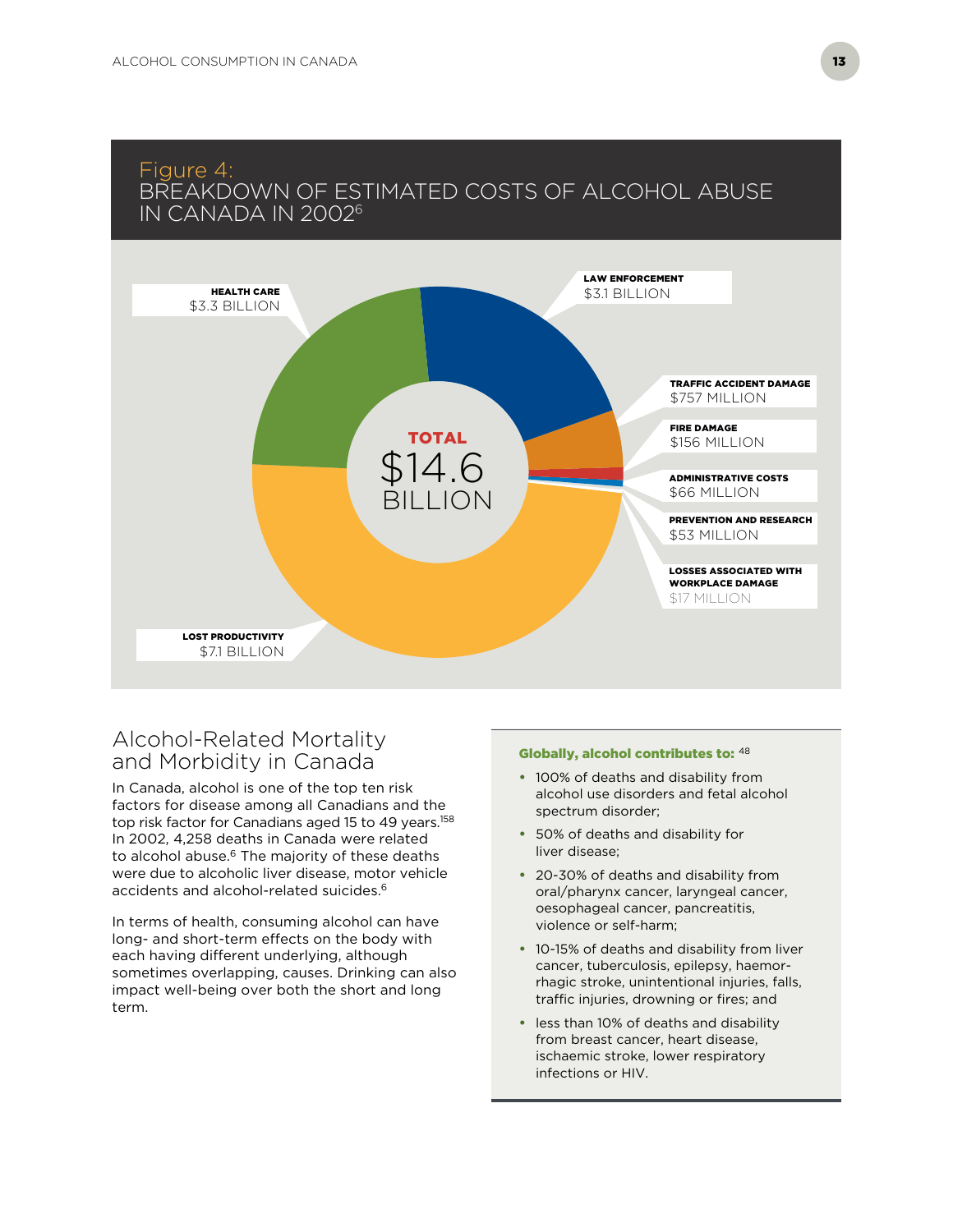## Figure 4: BREAKDOWN OF ESTIMATED COSTS OF ALCOHOL ABUSE IN CANADA IN 20026



## Alcohol-Related Mortality and Morbidity in Canada

In Canada, alcohol is one of the top ten risk factors for disease among all Canadians and the top risk factor for Canadians aged 15 to 49 years.<sup>158</sup> In 2002, 4,258 deaths in Canada were related to alcohol abuse.<sup>6</sup> The majority of these deaths were due to alcoholic liver disease, motor vehicle accidents and alcohol-related suicides.6

In terms of health, consuming alcohol can have long- and short-term effects on the body with each having different underlying, although sometimes overlapping, causes. Drinking can also impact well-being over both the short and long term.

#### Globally, alcohol contributes to: <sup>48</sup>

- **•** 100% of deaths and disability from alcohol use disorders and fetal alcohol spectrum disorder;
- **•** 50% of deaths and disability for liver disease;
- **•** 20-30% of deaths and disability from oral/pharynx cancer, laryngeal cancer, oesophageal cancer, pancreatitis, violence or self-harm;
- **•** 10-15% of deaths and disability from liver cancer, tuberculosis, epilepsy, haemorrhagic stroke, unintentional injuries, falls, traffic injuries, drowning or fires; and
- **•** less than 10% of deaths and disability from breast cancer, heart disease, ischaemic stroke, lower respiratory infections or HIV.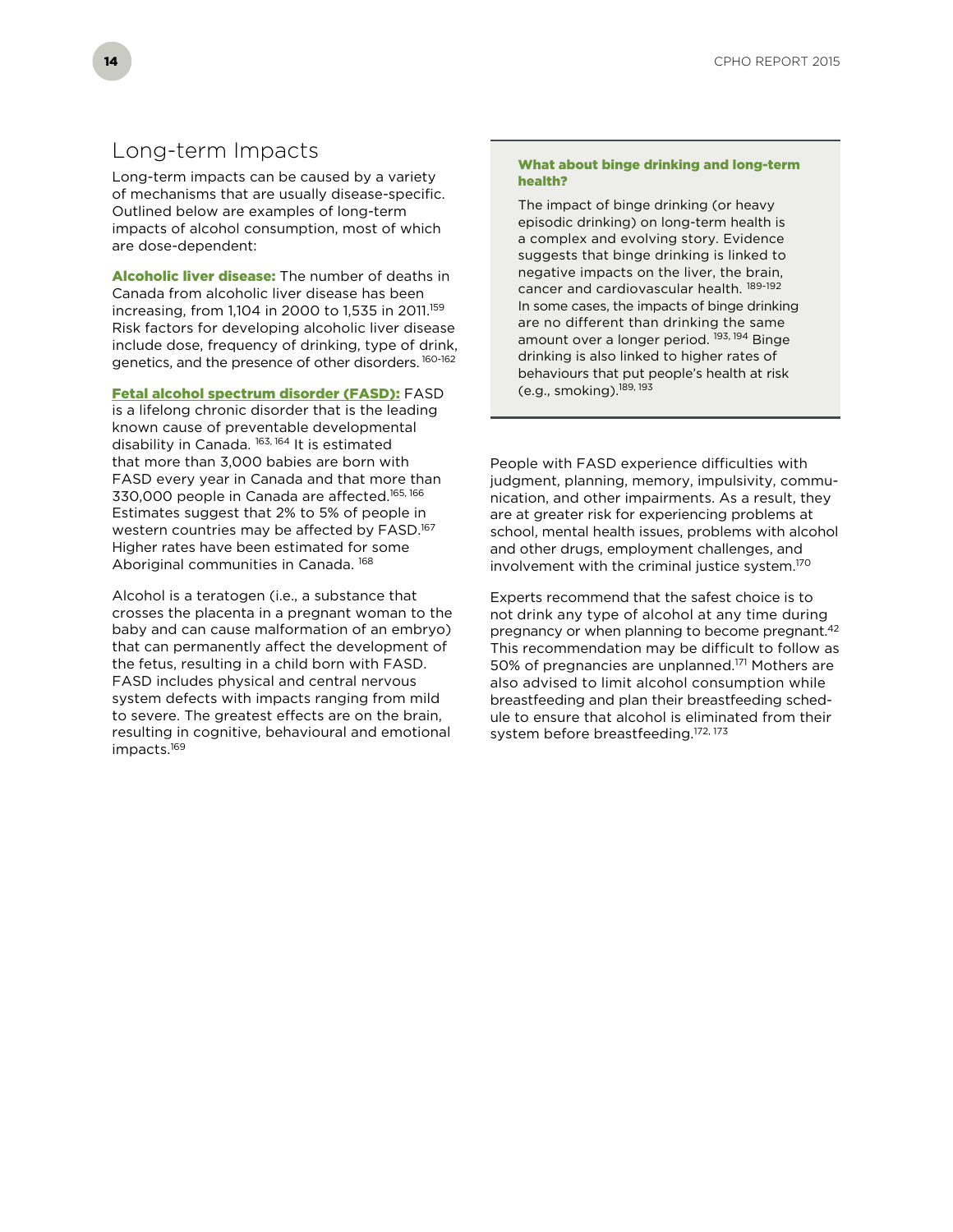### Long-term Impacts

Long-term impacts can be caused by a variety of mechanisms that are usually disease-specific. Outlined below are examples of long-term impacts of alcohol consumption, most of which are dose-dependent:

Alcoholic liver disease: The number of deaths in Canada from alcoholic liver disease has been increasing, from 1,104 in 2000 to 1,535 in 2011.159 Risk factors for developing alcoholic liver disease include dose, frequency of drinking, type of drink, genetics, and the presence of other disorders. 160-162

#### Fetal alcohol spectrum disorder (FASD): FASD

is a lifelong chronic disorder that is the leading known cause of preventable developmental disability in Canada. 163, 164 It is estimated that more than 3,000 babies are born with FASD every year in Canada and that more than 330,000 people in Canada are affected.165, 166 Estimates suggest that 2% to 5% of people in western countries may be affected by FASD.<sup>167</sup> Higher rates have been estimated for some Aboriginal communities in Canada. <sup>168</sup>

Alcohol is a teratogen (i.e., a substance that crosses the placenta in a pregnant woman to the baby and can cause malformation of an embryo) that can permanently affect the development of the fetus, resulting in a child born with FASD. FASD includes physical and central nervous system defects with impacts ranging from mild to severe. The greatest effects are on the brain, resulting in cognitive, behavioural and emotional impacts.169

#### What about binge drinking and long-term health?

The impact of binge drinking (or heavy episodic drinking) on long-term health is a complex and evolving story. Evidence suggests that binge drinking is linked to negative impacts on the liver, the brain, cancer and cardiovascular health. 189-192 In some cases, the impacts of binge drinking are no different than drinking the same amount over a longer period. 193, 194 Binge drinking is also linked to higher rates of behaviours that put people's health at risk (e.g., smoking).189, 193

People with FASD experience difficulties with judgment, planning, memory, impulsivity, communication, and other impairments. As a result, they are at greater risk for experiencing problems at school, mental health issues, problems with alcohol and other drugs, employment challenges, and involvement with the criminal justice system.170

Experts recommend that the safest choice is to not drink any type of alcohol at any time during pregnancy or when planning to become pregnant.<sup>42</sup> This recommendation may be difficult to follow as 50% of pregnancies are unplanned.171 Mothers are also advised to limit alcohol consumption while breastfeeding and plan their breastfeeding schedule to ensure that alcohol is eliminated from their system before breastfeeding.<sup>172, 173</sup>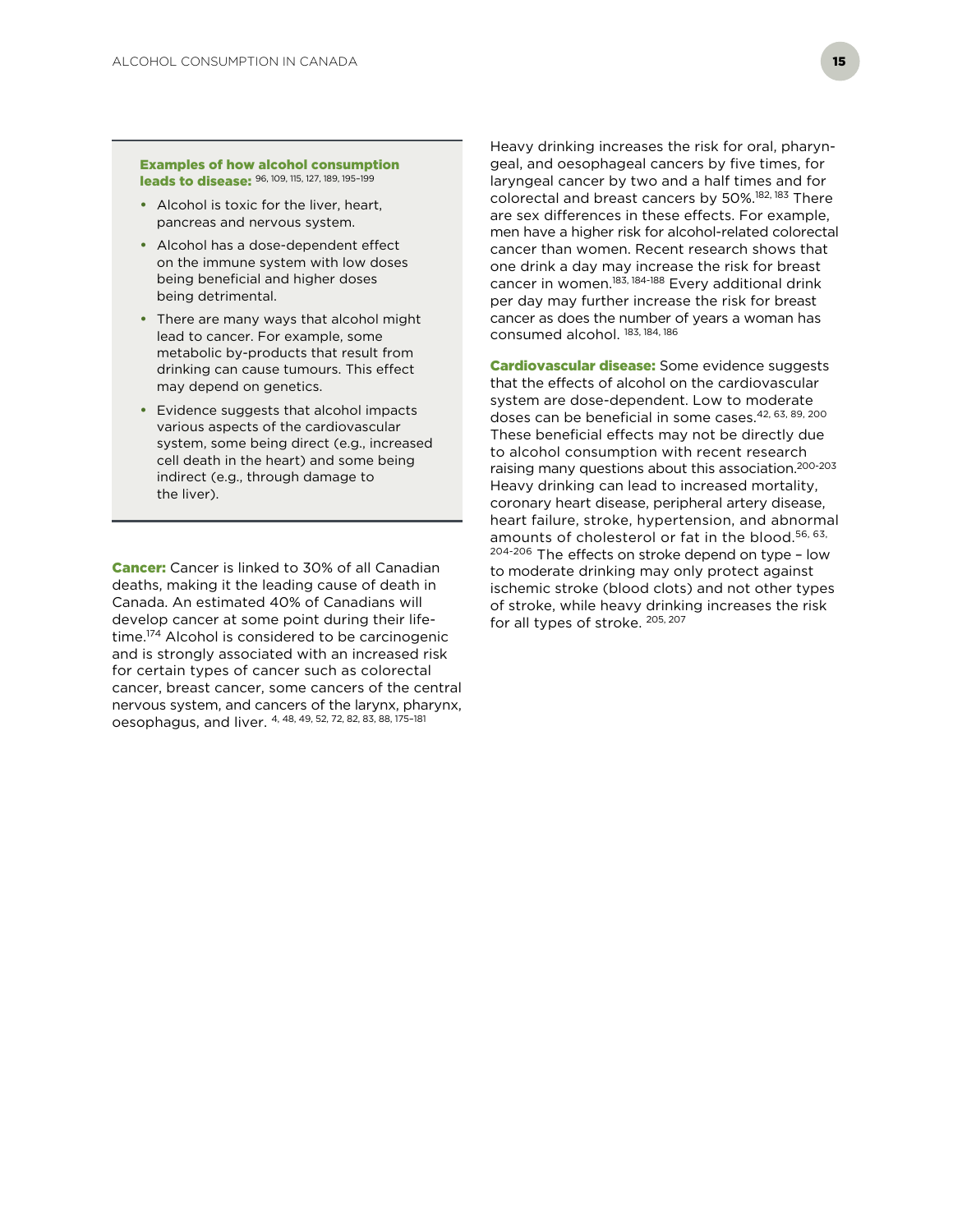Examples of how alcohol consumption leads to disease: 96, 109, 115, 127, 189, 195-199

- **•** Alcohol is toxic for the liver, heart, pancreas and nervous system.
- **•** Alcohol has a dose-dependent effect on the immune system with low doses being beneficial and higher doses being detrimental.
- **•** There are many ways that alcohol might lead to cancer. For example, some metabolic by-products that result from drinking can cause tumours. This effect may depend on genetics.
- **•** Evidence suggests that alcohol impacts various aspects of the cardiovascular system, some being direct (e.g., increased cell death in the heart) and some being indirect (e.g., through damage to the liver).

**Cancer:** Cancer is linked to 30% of all Canadian deaths, making it the leading cause of death in Canada. An estimated 40% of Canadians will develop cancer at some point during their lifetime.174 Alcohol is considered to be carcinogenic and is strongly associated with an increased risk for certain types of cancer such as colorectal cancer, breast cancer, some cancers of the central nervous system, and cancers of the larynx, pharynx, oesophagus, and liver. 4, 48, 49, 52, 72, 82, 83, 88, 175–181

Heavy drinking increases the risk for oral, pharyngeal, and oesophageal cancers by five times, for laryngeal cancer by two and a half times and for colorectal and breast cancers by 50%.182, 183 There are sex differences in these effects. For example, men have a higher risk for alcohol-related colorectal cancer than women. Recent research shows that one drink a day may increase the risk for breast cancer in women.183, 184-188 Every additional drink per day may further increase the risk for breast cancer as does the number of years a woman has consumed alcohol. 183, 184, 186

Cardiovascular disease: Some evidence suggests that the effects of alcohol on the cardiovascular system are dose-dependent. Low to moderate doses can be beneficial in some cases.42, 63, 89, 200 These beneficial effects may not be directly due to alcohol consumption with recent research raising many questions about this association.200-203 Heavy drinking can lead to increased mortality, coronary heart disease, peripheral artery disease, heart failure, stroke, hypertension, and abnormal amounts of cholesterol or fat in the blood.56, 63, 204-206 The effects on stroke depend on type – low to moderate drinking may only protect against ischemic stroke (blood clots) and not other types of stroke, while heavy drinking increases the risk for all types of stroke. 205, 207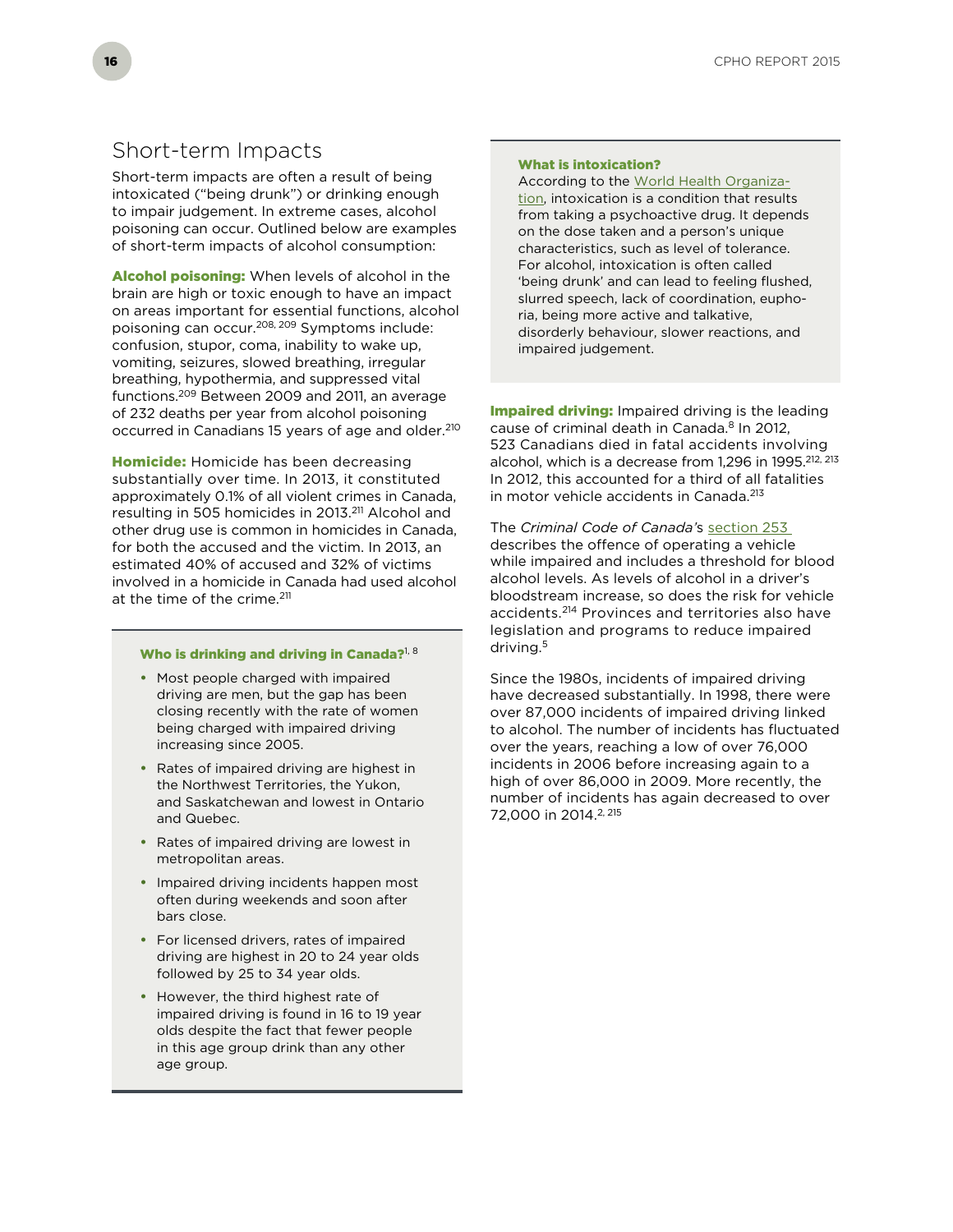## Short-term Impacts

Short-term impacts are often a result of being intoxicated ("being drunk") or drinking enough to impair judgement. In extreme cases, alcohol poisoning can occur. Outlined below are examples of short-term impacts of alcohol consumption:

Alcohol poisoning: When levels of alcohol in the brain are high or toxic enough to have an impact on areas important for essential functions, alcohol poisoning can occur.208, 209 Symptoms include: confusion, stupor, coma, inability to wake up, vomiting, seizures, slowed breathing, irregular breathing, hypothermia, and suppressed vital functions.209 Between 2009 and 2011, an average of 232 deaths per year from alcohol poisoning occurred in Canadians 15 years of age and older.210

**Homicide:** Homicide has been decreasing substantially over time. In 2013, it constituted approximately 0.1% of all violent crimes in Canada, resulting in 505 homicides in 2013.211 Alcohol and other drug use is common in homicides in Canada, for both the accused and the victim. In 2013, an estimated 40% of accused and 32% of victims involved in a homicide in Canada had used alcohol at the time of the crime.<sup>211</sup>

#### Who is drinking and driving in Canada?<sup>1, 8</sup>

- **•** Most people charged with impaired driving are men, but the gap has been closing recently with the rate of women being charged with impaired driving increasing since 2005.
- **•** Rates of impaired driving are highest in the Northwest Territories, the Yukon, and Saskatchewan and lowest in Ontario and Quebec.
- **•** Rates of impaired driving are lowest in metropolitan areas.
- **•** Impaired driving incidents happen most often during weekends and soon after bars close.
- **•** For licensed drivers, rates of impaired driving are highest in 20 to 24 year olds followed by 25 to 34 year olds.
- **•** However, the third highest rate of impaired driving is found in 16 to 19 year olds despite the fact that fewer people in this age group drink than any other age group.

#### What is intoxication?

According to the World Health Organization, intoxication is a condition that results from taking a psychoactive drug. It depends on the dose taken and a person's unique characteristics, such as level of tolerance. For alcohol, intoxication is often called 'being drunk' and can lead to feeling flushed, slurred speech, lack of coordination, euphoria, being more active and talkative, disorderly behaviour, slower reactions, and impaired judgement.

**Impaired driving:** Impaired driving is the leading cause of criminal death in Canada.<sup>8</sup> In 2012, 523 Canadians died in fatal accidents involving alcohol, which is a decrease from 1,296 in 1995.<sup>212, 213</sup> In 2012, this accounted for a third of all fatalities in motor vehicle accidents in Canada.213

The *Criminal Code of Canada'*s section 253 describes the offence of operating a vehicle while impaired and includes a threshold for blood alcohol levels. As levels of alcohol in a driver's bloodstream increase, so does the risk for vehicle accidents.214 Provinces and territories also have legislation and programs to reduce impaired driving.5

Since the 1980s, incidents of impaired driving have decreased substantially. In 1998, there were over 87,000 incidents of impaired driving linked to alcohol. The number of incidents has fluctuated over the years, reaching a low of over 76,000 incidents in 2006 before increasing again to a high of over 86,000 in 2009. More recently, the number of incidents has again decreased to over 72,000 in 2014.<sup>2, 215</sup>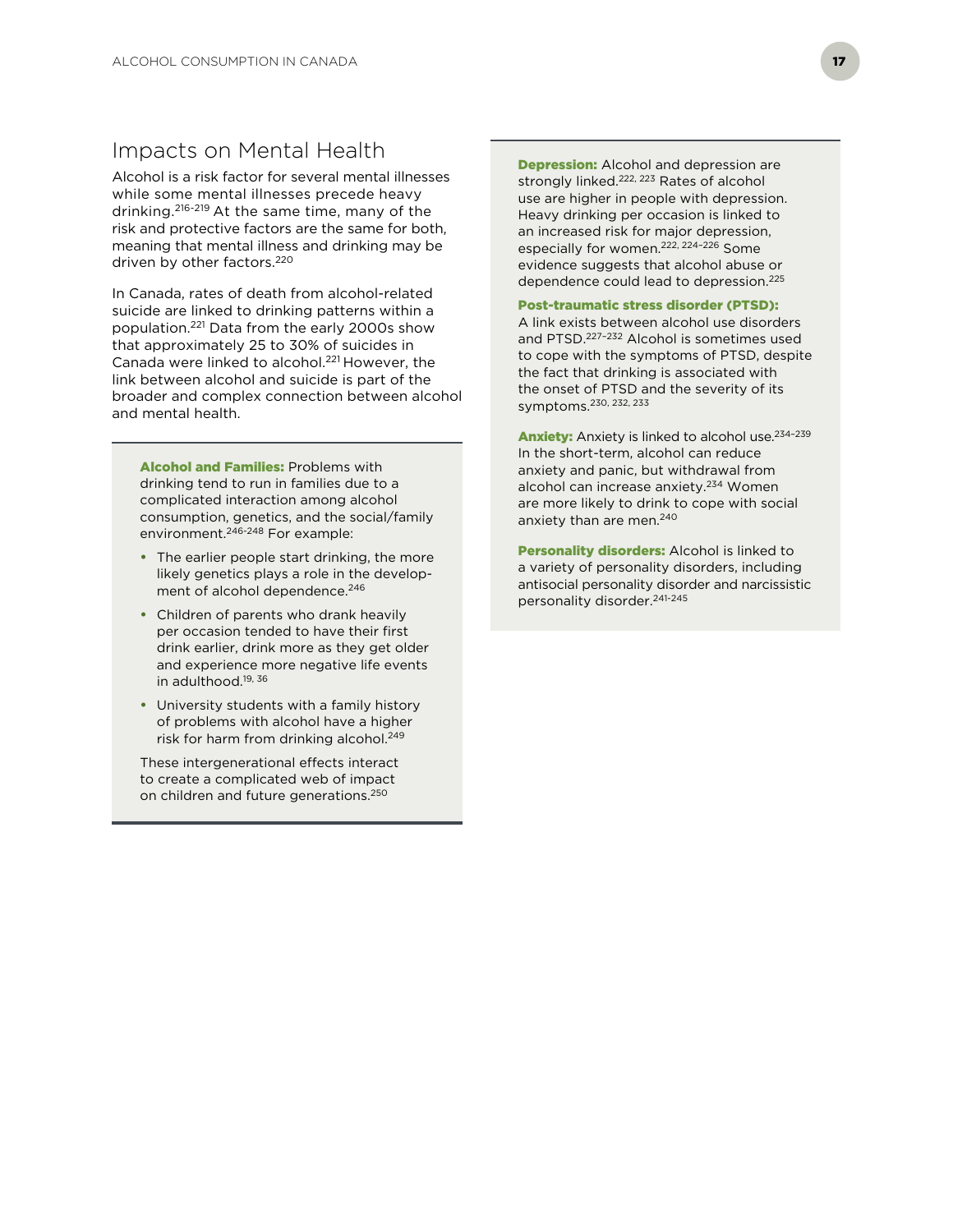### Impacts on Mental Health

Alcohol is a risk factor for several mental illnesses while some mental illnesses precede heavy drinking.216-219 At the same time, many of the risk and protective factors are the same for both, meaning that mental illness and drinking may be driven by other factors.<sup>220</sup>

In Canada, rates of death from alcohol-related suicide are linked to drinking patterns within a population.221 Data from the early 2000s show that approximately 25 to 30% of suicides in Canada were linked to alcohol.<sup>221</sup> However, the link between alcohol and suicide is part of the broader and complex connection between alcohol and mental health.

Alcohol and Families: Problems with drinking tend to run in families due to a complicated interaction among alcohol consumption, genetics, and the social/family environment.246-248 For example:

- **•** The earlier people start drinking, the more likely genetics plays a role in the development of alcohol dependence.<sup>246</sup>
- **•** Children of parents who drank heavily per occasion tended to have their first drink earlier, drink more as they get older and experience more negative life events in adulthood.19, 36
- **•** University students with a family history of problems with alcohol have a higher risk for harm from drinking alcohol.<sup>249</sup>

These intergenerational effects interact to create a complicated web of impact on children and future generations.250

**Depression:** Alcohol and depression are strongly linked.222, 223 Rates of alcohol use are higher in people with depression. Heavy drinking per occasion is linked to an increased risk for major depression, especially for women.222, 224–226 Some evidence suggests that alcohol abuse or dependence could lead to depression.225

Post-traumatic stress disorder (PTSD):

A link exists between alcohol use disorders and PTSD.227–232 Alcohol is sometimes used to cope with the symptoms of PTSD, despite the fact that drinking is associated with the onset of PTSD and the severity of its symptoms.230, 232, 233

Anxiety: Anxiety is linked to alcohol use.<sup>234-239</sup> In the short-term, alcohol can reduce anxiety and panic, but withdrawal from alcohol can increase anxiety.<sup>234</sup> Women are more likely to drink to cope with social anxiety than are men.<sup>240</sup>

Personality disorders: Alcohol is linked to a variety of personality disorders, including antisocial personality disorder and narcissistic personality disorder.241-245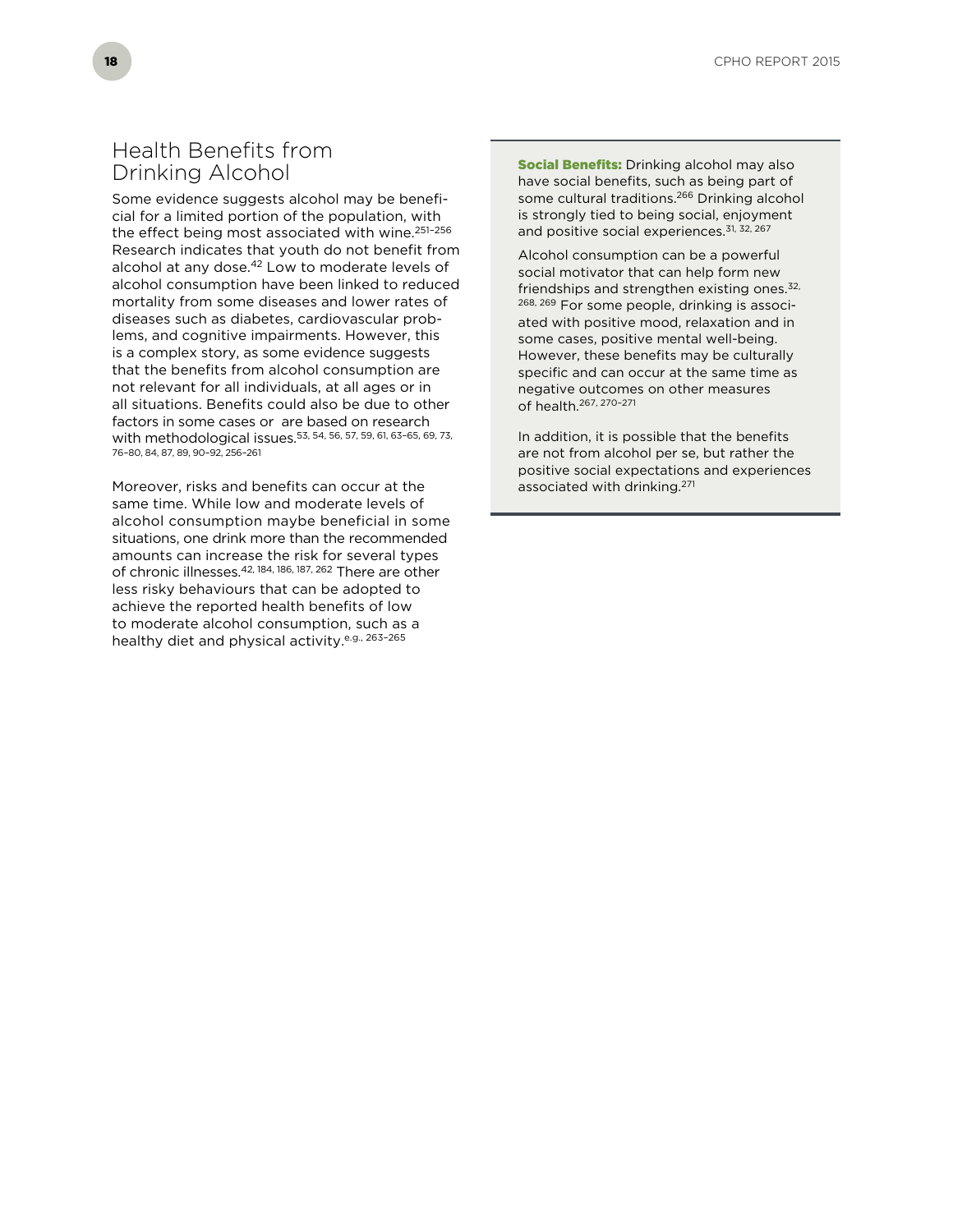### Health Benefits from Drinking Alcohol

Some evidence suggests alcohol may be beneficial for a limited portion of the population, with the effect being most associated with wine.<sup>251-256</sup> Research indicates that youth do not benefit from alcohol at any dose.<sup>42</sup> Low to moderate levels of alcohol consumption have been linked to reduced mortality from some diseases and lower rates of diseases such as diabetes, cardiovascular problems, and cognitive impairments. However, this is a complex story, as some evidence suggests that the benefits from alcohol consumption are not relevant for all individuals, at all ages or in all situations. Benefits could also be due to other factors in some cases or are based on research with methodological issues.53, 54, 56, 57, 59, 61, 63–65, 69, 73, 76–80, 84, 87, 89, 90–92, 256–261

Moreover, risks and benefits can occur at the same time. While low and moderate levels of alcohol consumption maybe beneficial in some situations, one drink more than the recommended amounts can increase the risk for several types of chronic illnesses.42, 184, 186, 187, 262 There are other less risky behaviours that can be adopted to achieve the reported health benefits of low to moderate alcohol consumption, such as a healthy diet and physical activity.e.g., 263–265

**Social Benefits:** Drinking alcohol may also have social benefits, such as being part of some cultural traditions.266 Drinking alcohol is strongly tied to being social, enjoyment and positive social experiences.<sup>31, 32, 267</sup>

Alcohol consumption can be a powerful social motivator that can help form new friendships and strengthen existing ones.<sup>32,</sup> 268, 269 For some people, drinking is associated with positive mood, relaxation and in some cases, positive mental well-being. However, these benefits may be culturally specific and can occur at the same time as negative outcomes on other measures of health.267, 270–271

In addition, it is possible that the benefits are not from alcohol per se, but rather the positive social expectations and experiences associated with drinking.271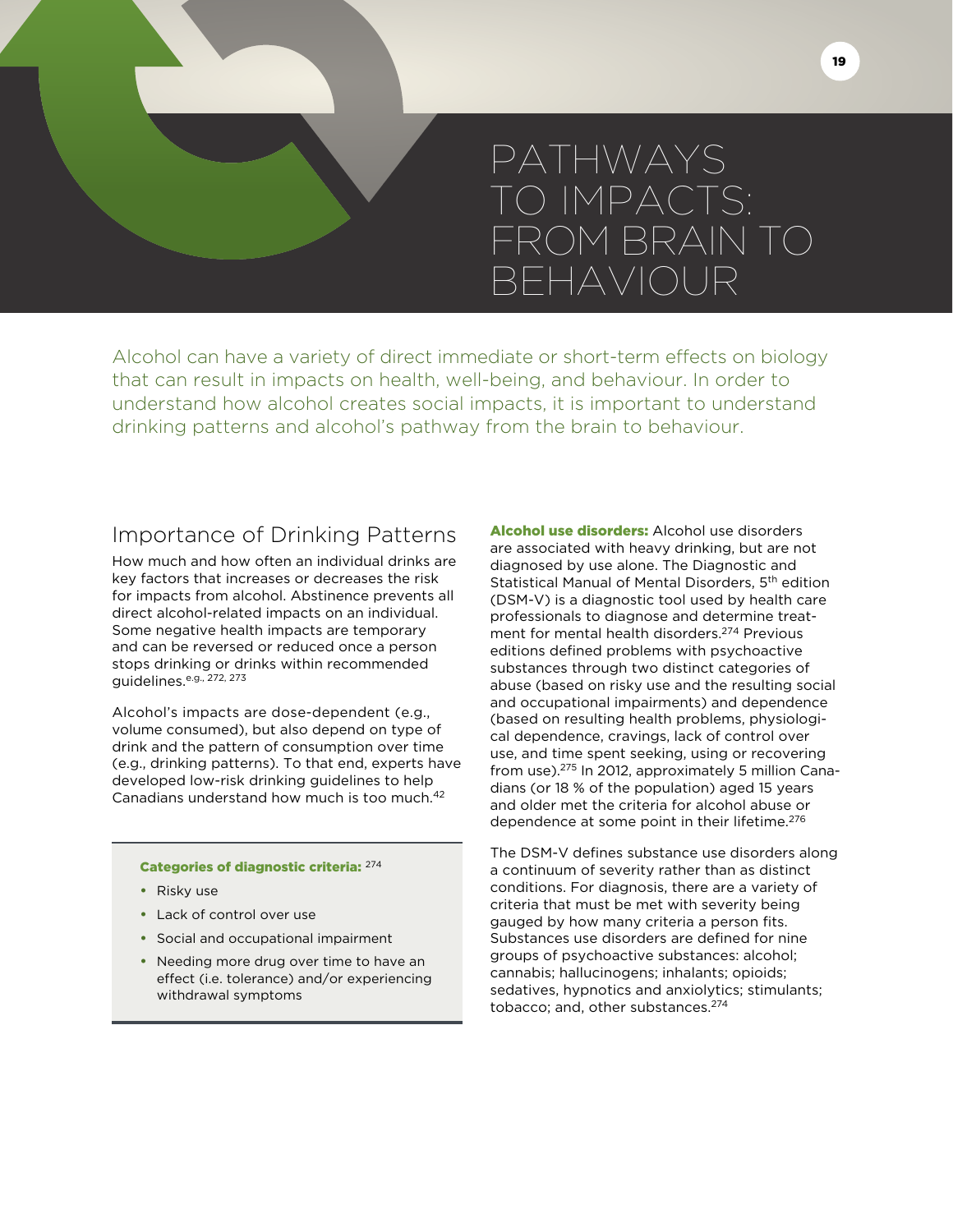

Alcohol can have a variety of direct immediate or short-term effects on biology that can result in impacts on health, well-being, and behaviour. In order to understand how alcohol creates social impacts, it is important to understand drinking patterns and alcohol's pathway from the brain to behaviour.

## Importance of Drinking Patterns

How much and how often an individual drinks are key factors that increases or decreases the risk for impacts from alcohol. Abstinence prevents all direct alcohol-related impacts on an individual. Some negative health impacts are temporary and can be reversed or reduced once a person stops drinking or drinks within recommended guidelines.e.g., 272, 273

Alcohol's impacts are dose-dependent (e.g., volume consumed), but also depend on type of drink and the pattern of consumption over time (e.g., drinking patterns). To that end, experts have developed low-risk drinking guidelines to help Canadians understand how much is too much.42

#### Categories of diagnostic criteria: <sup>274</sup>

- **•** Risky use
- **•** Lack of control over use
- **•** Social and occupational impairment
- **•** Needing more drug over time to have an effect (i.e. tolerance) and/or experiencing withdrawal symptoms

Alcohol use disorders: Alcohol use disorders are associated with heavy drinking, but are not diagnosed by use alone. The Diagnostic and Statistical Manual of Mental Disorders, 5<sup>th</sup> edition (DSM-V) is a diagnostic tool used by health care professionals to diagnose and determine treatment for mental health disorders.274 Previous editions defined problems with psychoactive substances through two distinct categories of abuse (based on risky use and the resulting social and occupational impairments) and dependence (based on resulting health problems, physiological dependence, cravings, lack of control over use, and time spent seeking, using or recovering from use).275 In 2012, approximately 5 million Canadians (or 18 % of the population) aged 15 years and older met the criteria for alcohol abuse or dependence at some point in their lifetime.<sup>276</sup>

The DSM-V defines substance use disorders along a continuum of severity rather than as distinct conditions. For diagnosis, there are a variety of criteria that must be met with severity being gauged by how many criteria a person fits. Substances use disorders are defined for nine groups of psychoactive substances: alcohol; cannabis; hallucinogens; inhalants; opioids; sedatives, hypnotics and anxiolytics; stimulants; tobacco; and, other substances.274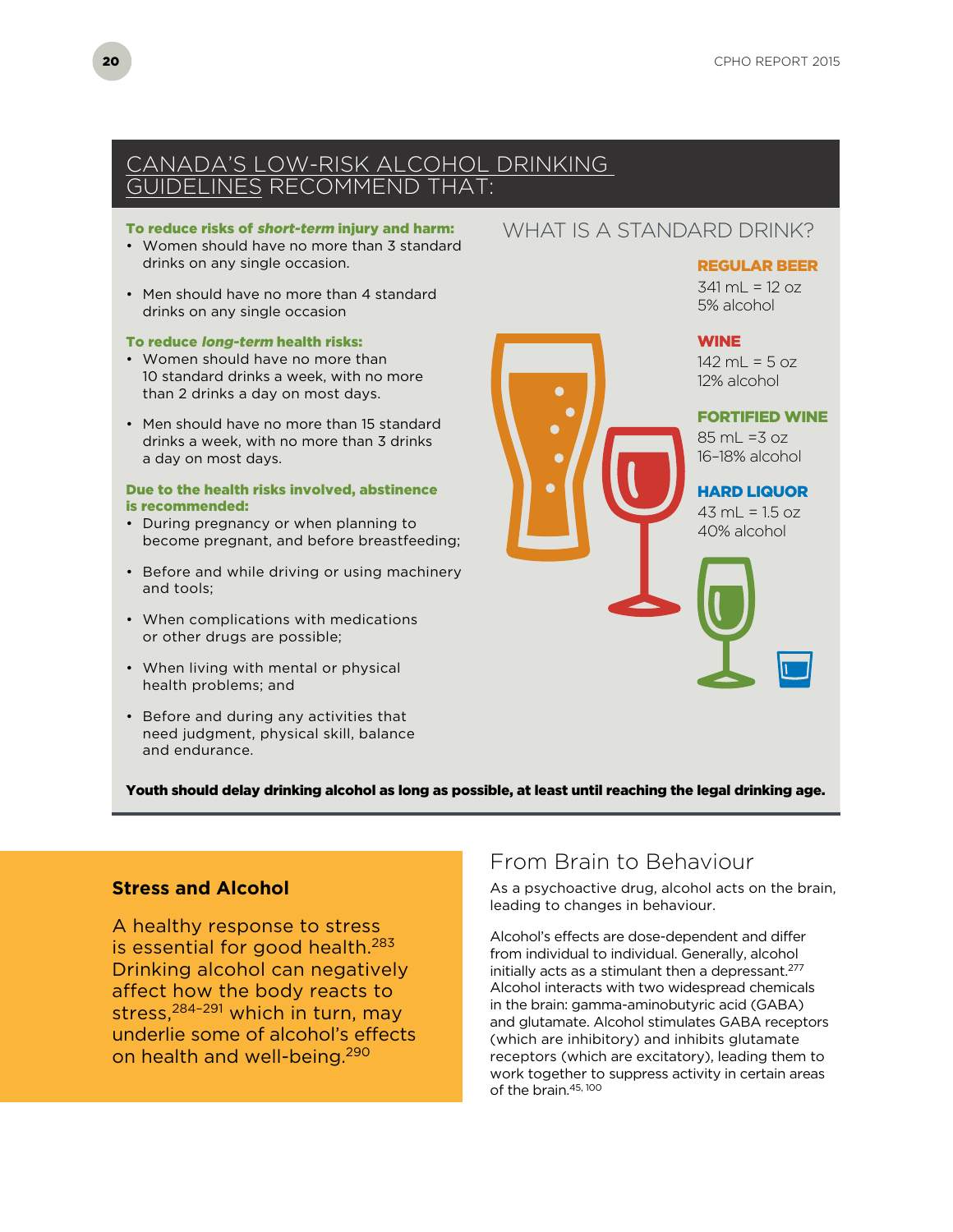### CANADA'S LOW-RISK ALCOHOL DRINKING GUIDELINES RECOMMEND THAT:

#### To reduce risks of short-term injury and harm:

- Women should have no more than 3 standard drinks on any single occasion.
- Men should have no more than 4 standard drinks on any single occasion

#### To reduce long-term health risks:

- Women should have no more than 10 standard drinks a week, with no more than 2 drinks a day on most days.
- Men should have no more than 15 standard drinks a week, with no more than 3 drinks a day on most days.

#### Due to the health risks involved, abstinence is recommended:

- During pregnancy or when planning to become pregnant, and before breastfeeding;
- Before and while driving or using machinery and tools;
- When complications with medications or other drugs are possible;
- When living with mental or physical health problems; and
- Before and during any activities that need judgment, physical skill, balance and endurance.

## WHAT IS A STANDARD DRINK?

#### REGULAR BEER

341 mL = 12 oz 5% alcohol

#### WINE

 $142$  mL = 5 oz 12% alcohol

#### FORTIFIED WINE

85 mL =3 oz 16–18% alcohol

#### HARD LIQUOR

 $43$  mL =  $1.5$  oz 40% alcohol



Youth should delay drinking alcohol as long as possible, at least until reaching the legal drinking age.

#### **Stress and Alcohol**

A healthy response to stress is essential for good health.<sup>283</sup> Drinking alcohol can negatively affect how the body reacts to stress,284–291 which in turn, may underlie some of alcohol's effects on health and well-being.290

## From Brain to Behaviour

As a psychoactive drug, alcohol acts on the brain, leading to changes in behaviour.

Alcohol's effects are dose-dependent and differ from individual to individual. Generally, alcohol initially acts as a stimulant then a depressant.<sup>277</sup> Alcohol interacts with two widespread chemicals in the brain: gamma-aminobutyric acid (GABA) and glutamate. Alcohol stimulates GABA receptors (which are inhibitory) and inhibits glutamate receptors (which are excitatory), leading them to work together to suppress activity in certain areas of the brain.45, 100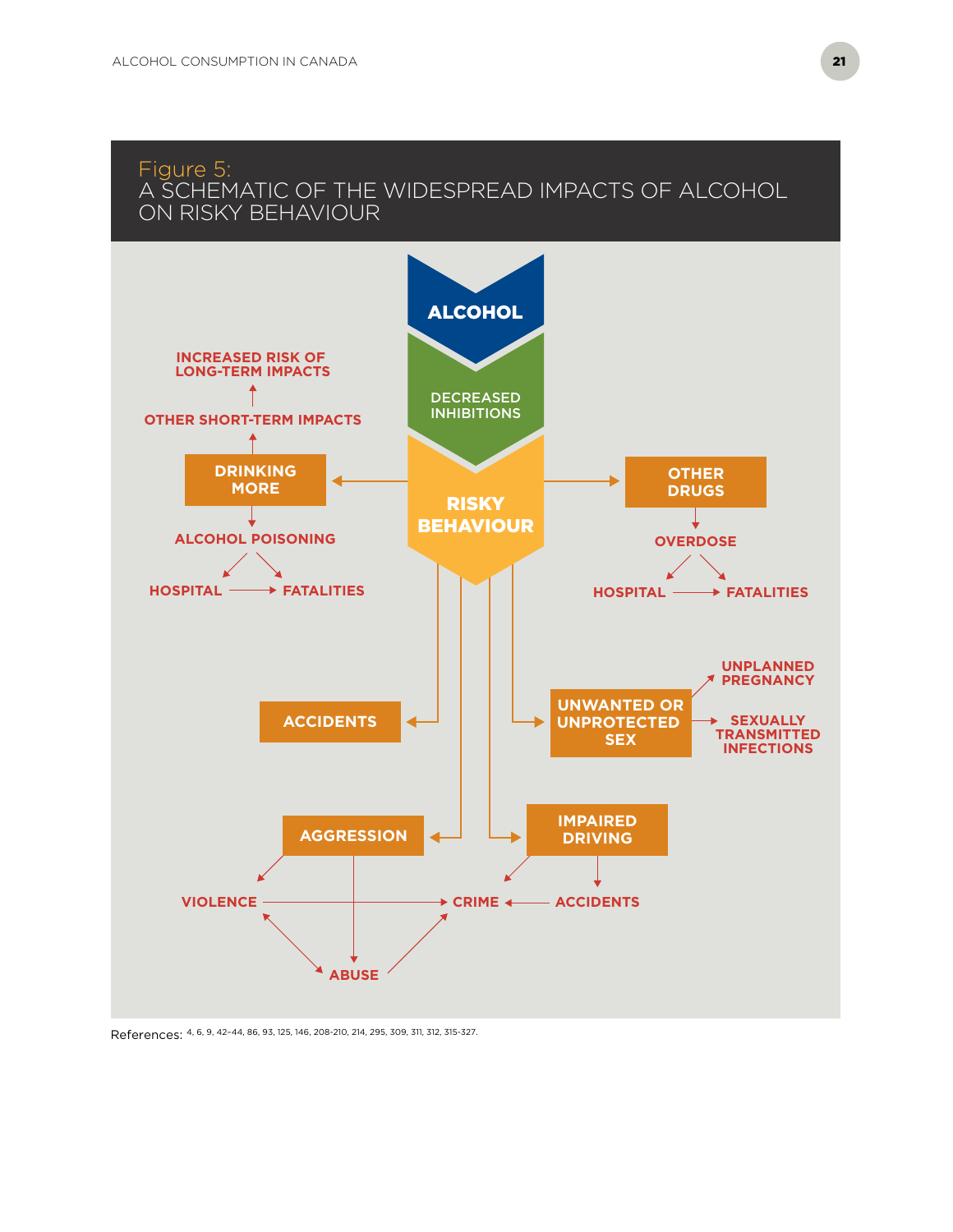## Figure 5: A SCHEMATIC OF THE WIDESPREAD IMPACTS OF ALCOHOL ON RISKY BEHAVIOUR



References: 4, 6, 9, 42–44, 86, 93, 125, 146, 208-210, 214, 295, 309, 311, 312, 315-327.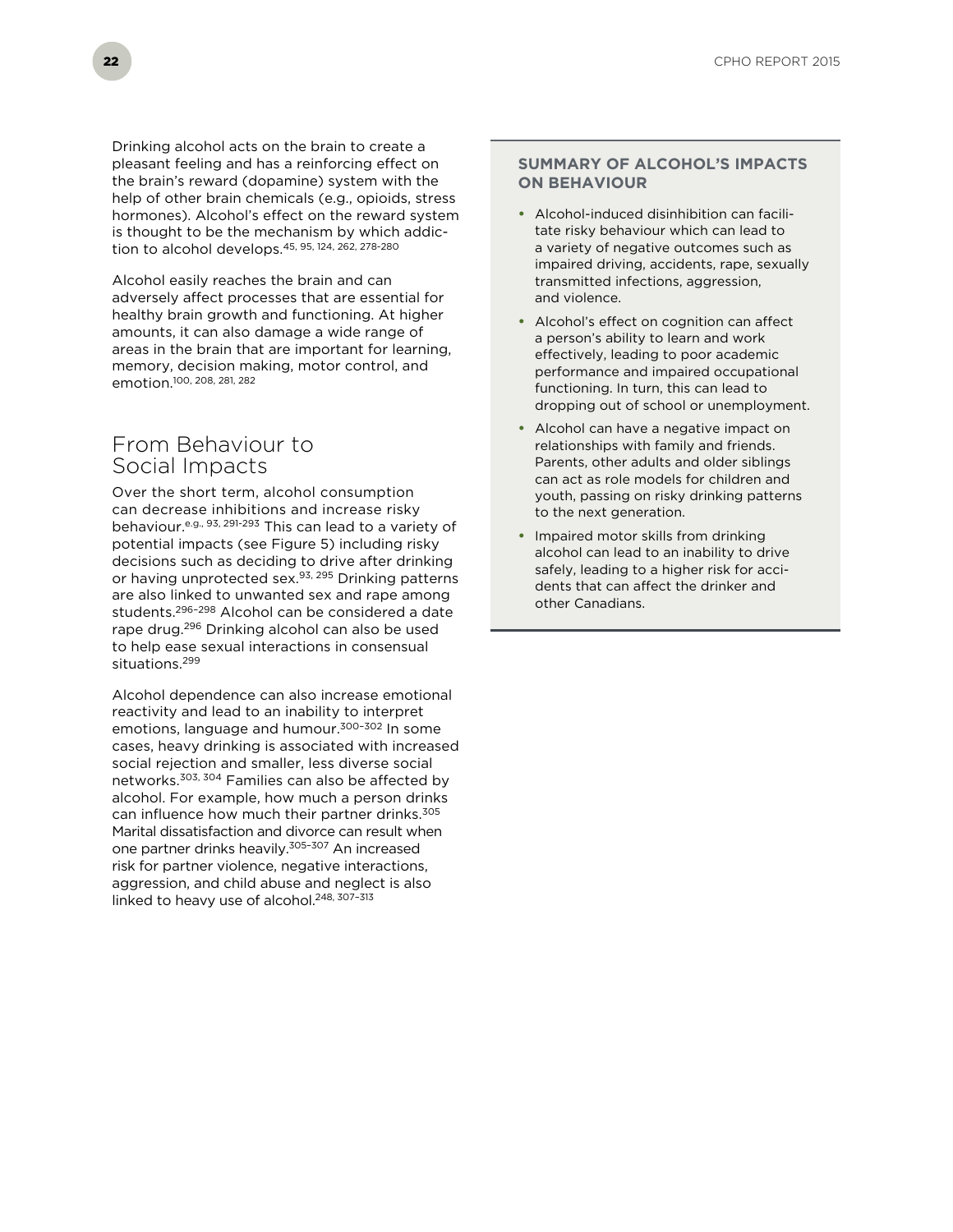Drinking alcohol acts on the brain to create a pleasant feeling and has a reinforcing effect on the brain's reward (dopamine) system with the help of other brain chemicals (e.g., opioids, stress hormones). Alcohol's effect on the reward system is thought to be the mechanism by which addiction to alcohol develops.45, 95, 124, 262, 278-280

Alcohol easily reaches the brain and can adversely affect processes that are essential for healthy brain growth and functioning. At higher amounts, it can also damage a wide range of areas in the brain that are important for learning, memory, decision making, motor control, and emotion.100, 208, 281, 282

### From Behaviour to Social Impacts

Over the short term, alcohol consumption can decrease inhibitions and increase risky behaviour.e.g., 93, 291-293 This can lead to a variety of potential impacts (see Figure 5) including risky decisions such as deciding to drive after drinking or having unprotected sex.93, 295 Drinking patterns are also linked to unwanted sex and rape among students.296–298 Alcohol can be considered a date rape drug.296 Drinking alcohol can also be used to help ease sexual interactions in consensual situations.299

Alcohol dependence can also increase emotional reactivity and lead to an inability to interpret emotions, language and humour.300–302 In some cases, heavy drinking is associated with increased social rejection and smaller, less diverse social networks.303, 304 Families can also be affected by alcohol. For example, how much a person drinks can influence how much their partner drinks.<sup>305</sup> Marital dissatisfaction and divorce can result when one partner drinks heavily.305–307 An increased risk for partner violence, negative interactions, aggression, and child abuse and neglect is also linked to heavy use of alcohol.<sup>248, 307-313</sup>

#### **SUMMARY OF ALCOHOL'S IMPACTS ON BEHAVIOUR**

- **•** Alcohol-induced disinhibition can facilitate risky behaviour which can lead to a variety of negative outcomes such as impaired driving, accidents, rape, sexually transmitted infections, aggression, and violence.
- **•** Alcohol's effect on cognition can affect a person's ability to learn and work effectively, leading to poor academic performance and impaired occupational functioning. In turn, this can lead to dropping out of school or unemployment.
- **•** Alcohol can have a negative impact on relationships with family and friends. Parents, other adults and older siblings can act as role models for children and youth, passing on risky drinking patterns to the next generation.
- **•** Impaired motor skills from drinking alcohol can lead to an inability to drive safely, leading to a higher risk for accidents that can affect the drinker and other Canadians.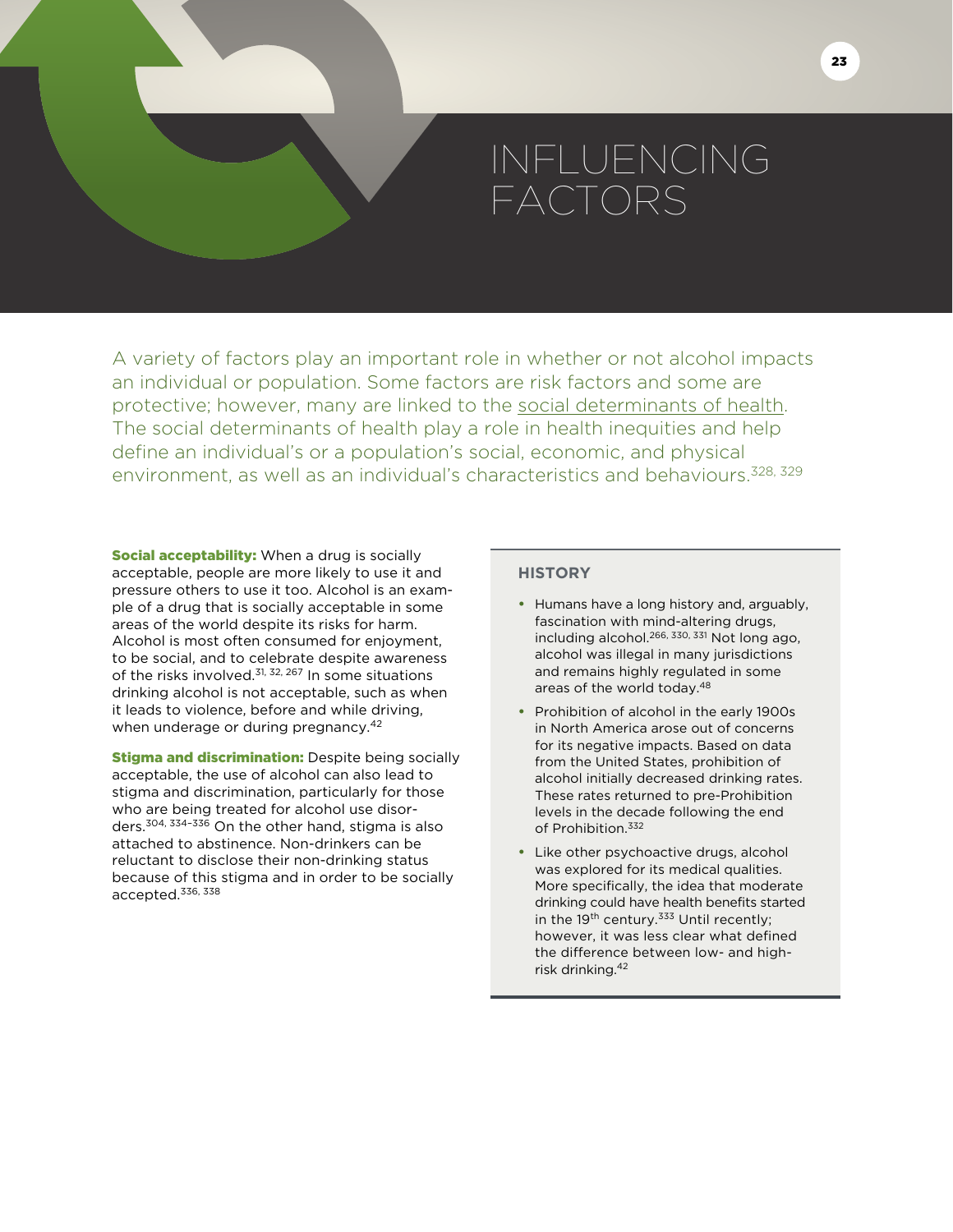# INFLUENCING **FACTORS**

A variety of factors play an important role in whether or not alcohol impacts an individual or population. Some factors are risk factors and some are protective; however, many are linked to the social determinants of health. The social determinants of health play a role in health inequities and help define an individual's or a population's social, economic, and physical environment, as well as an individual's characteristics and behaviours.<sup>328, 329</sup>

**Social acceptability:** When a drug is socially acceptable, people are more likely to use it and pressure others to use it too. Alcohol is an example of a drug that is socially acceptable in some areas of the world despite its risks for harm. Alcohol is most often consumed for enjoyment, to be social, and to celebrate despite awareness of the risks involved.<sup>31, 32, 267</sup> In some situations drinking alcohol is not acceptable, such as when it leads to violence, before and while driving, when underage or during pregnancy.<sup>42</sup>

**Stigma and discrimination:** Despite being socially acceptable, the use of alcohol can also lead to stigma and discrimination, particularly for those who are being treated for alcohol use disorders.304, 334–336 On the other hand, stigma is also attached to abstinence. Non-drinkers can be reluctant to disclose their non-drinking status because of this stigma and in order to be socially accepted.336, 338

#### **HISTORY**

- **•** Humans have a long history and, arguably, fascination with mind-altering drugs, including alcohol.266, 330, 331 Not long ago, alcohol was illegal in many jurisdictions and remains highly regulated in some areas of the world today.48
- **•** Prohibition of alcohol in the early 1900s in North America arose out of concerns for its negative impacts. Based on data from the United States, prohibition of alcohol initially decreased drinking rates. These rates returned to pre-Prohibition levels in the decade following the end of Prohibition.<sup>332</sup>
- **•** Like other psychoactive drugs, alcohol was explored for its medical qualities. More specifically, the idea that moderate drinking could have health benefits started in the  $19<sup>th</sup>$  century.<sup>333</sup> Until recently; however, it was less clear what defined the difference between low- and highrisk drinking.42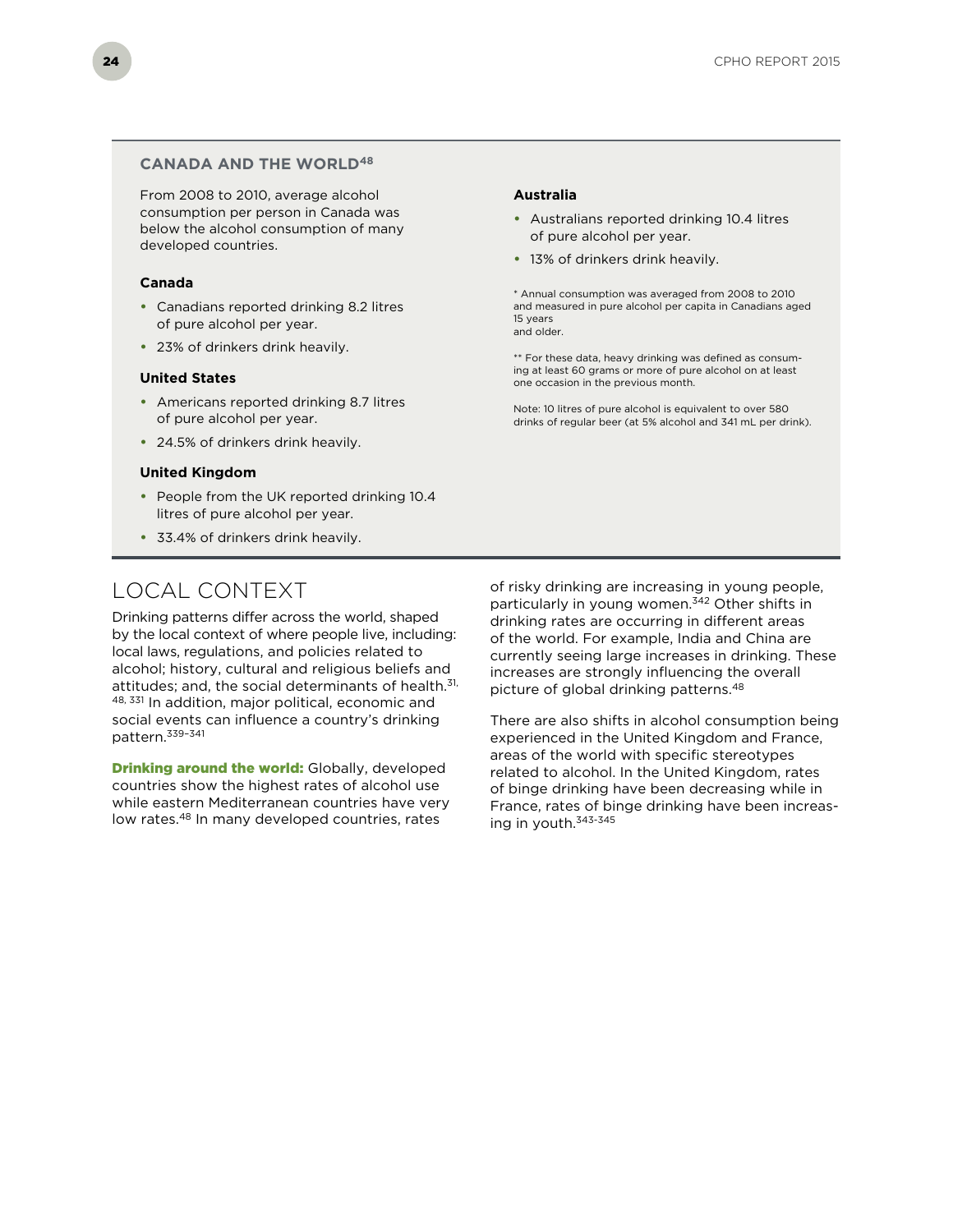#### **CANADA AND THE WORLD48**

From 2008 to 2010, average alcohol consumption per person in Canada was below the alcohol consumption of many developed countries.

#### **Canada**

- **•** Canadians reported drinking 8.2 litres of pure alcohol per year.
- **•** 23% of drinkers drink heavily.

#### **United States**

- **•** Americans reported drinking 8.7 litres of pure alcohol per year.
- **•** 24.5% of drinkers drink heavily.

#### **United Kingdom**

- **•** People from the UK reported drinking 10.4 litres of pure alcohol per year.
- **•** 33.4% of drinkers drink heavily.

## LOCAL CONTEXT

Drinking patterns differ across the world, shaped by the local context of where people live, including: local laws, regulations, and policies related to alcohol; history, cultural and religious beliefs and attitudes; and, the social determinants of health.<sup>31,</sup> 48, 331 In addition, major political, economic and social events can influence a country's drinking pattern.339–341

**Drinking around the world:** Globally, developed countries show the highest rates of alcohol use while eastern Mediterranean countries have very low rates.48 In many developed countries, rates

#### **Australia**

- **•** Australians reported drinking 10.4 litres of pure alcohol per year.
- **•** 13% of drinkers drink heavily.

\* Annual consumption was averaged from 2008 to 2010 and measured in pure alcohol per capita in Canadians aged 15 years and older.

\*\* For these data, heavy drinking was defined as consuming at least 60 grams or more of pure alcohol on at least one occasion in the previous month.

Note: 10 litres of pure alcohol is equivalent to over 580 drinks of regular beer (at 5% alcohol and 341 mL per drink).

of risky drinking are increasing in young people, particularly in young women.342 Other shifts in drinking rates are occurring in different areas of the world. For example, India and China are currently seeing large increases in drinking. These increases are strongly influencing the overall picture of global drinking patterns.48

There are also shifts in alcohol consumption being experienced in the United Kingdom and France, areas of the world with specific stereotypes related to alcohol. In the United Kingdom, rates of binge drinking have been decreasing while in France, rates of binge drinking have been increasing in youth.343-345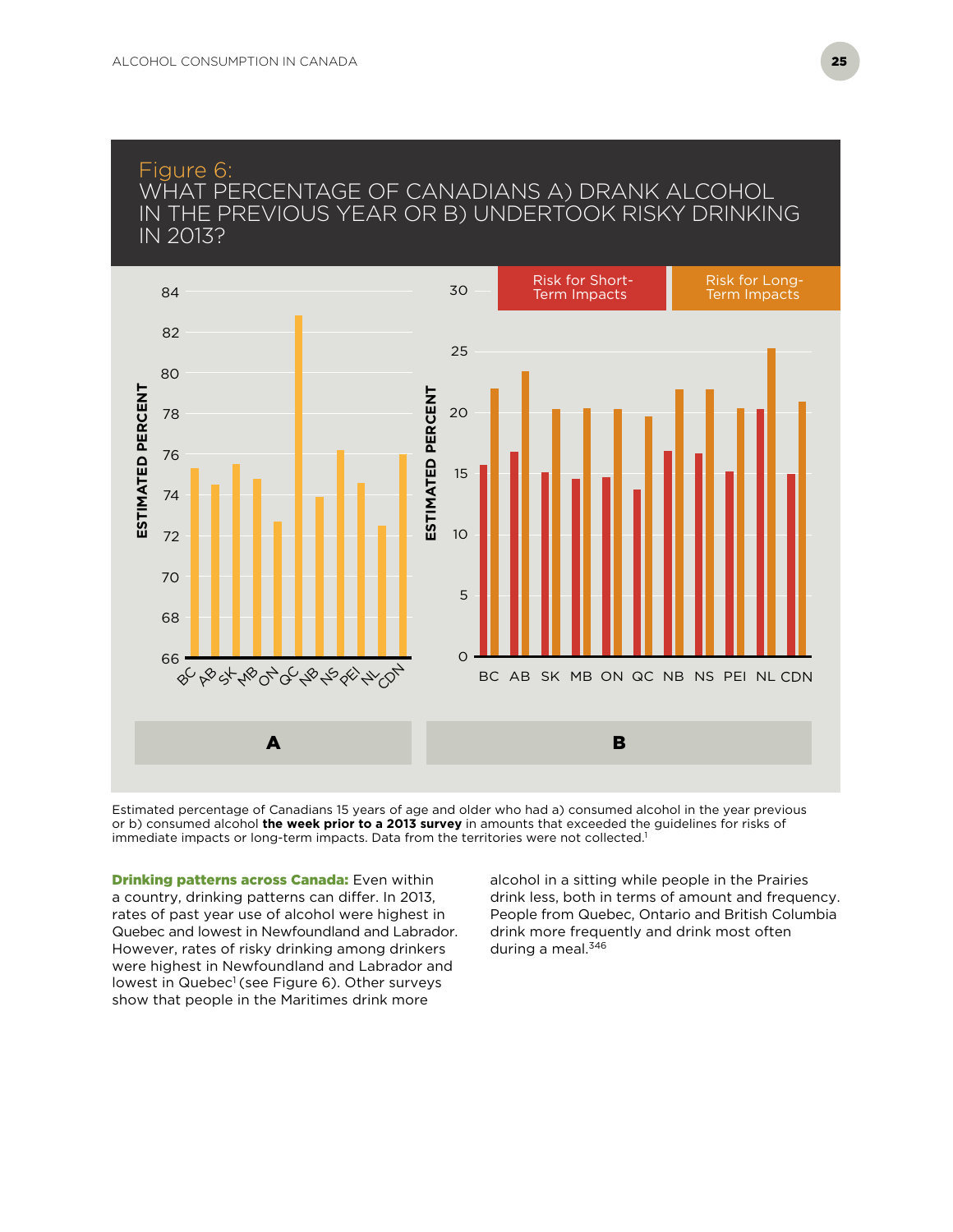## Figure 6:

WHAT PERCENTAGE OF CANADIANS A) DRANK ALCOHOL IN THE PREVIOUS YEAR OR B) UNDERTOOK RISKY DRINKING IN 2013?



Estimated percentage of Canadians 15 years of age and older who had a) consumed alcohol in the year previous or b) consumed alcohol **the week prior to a 2013 survey** in amounts that exceeded the guidelines for risks of immediate impacts or long-term impacts. Data from the territories were not collected.<sup>1</sup>

**Drinking patterns across Canada:** Even within a country, drinking patterns can differ. In 2013, rates of past year use of alcohol were highest in Quebec and lowest in Newfoundland and Labrador. However, rates of risky drinking among drinkers were highest in Newfoundland and Labrador and lowest in Quebec<sup>1</sup> (see Figure 6). Other surveys show that people in the Maritimes drink more

alcohol in a sitting while people in the Prairies drink less, both in terms of amount and frequency. People from Quebec, Ontario and British Columbia drink more frequently and drink most often during a meal.<sup>346</sup>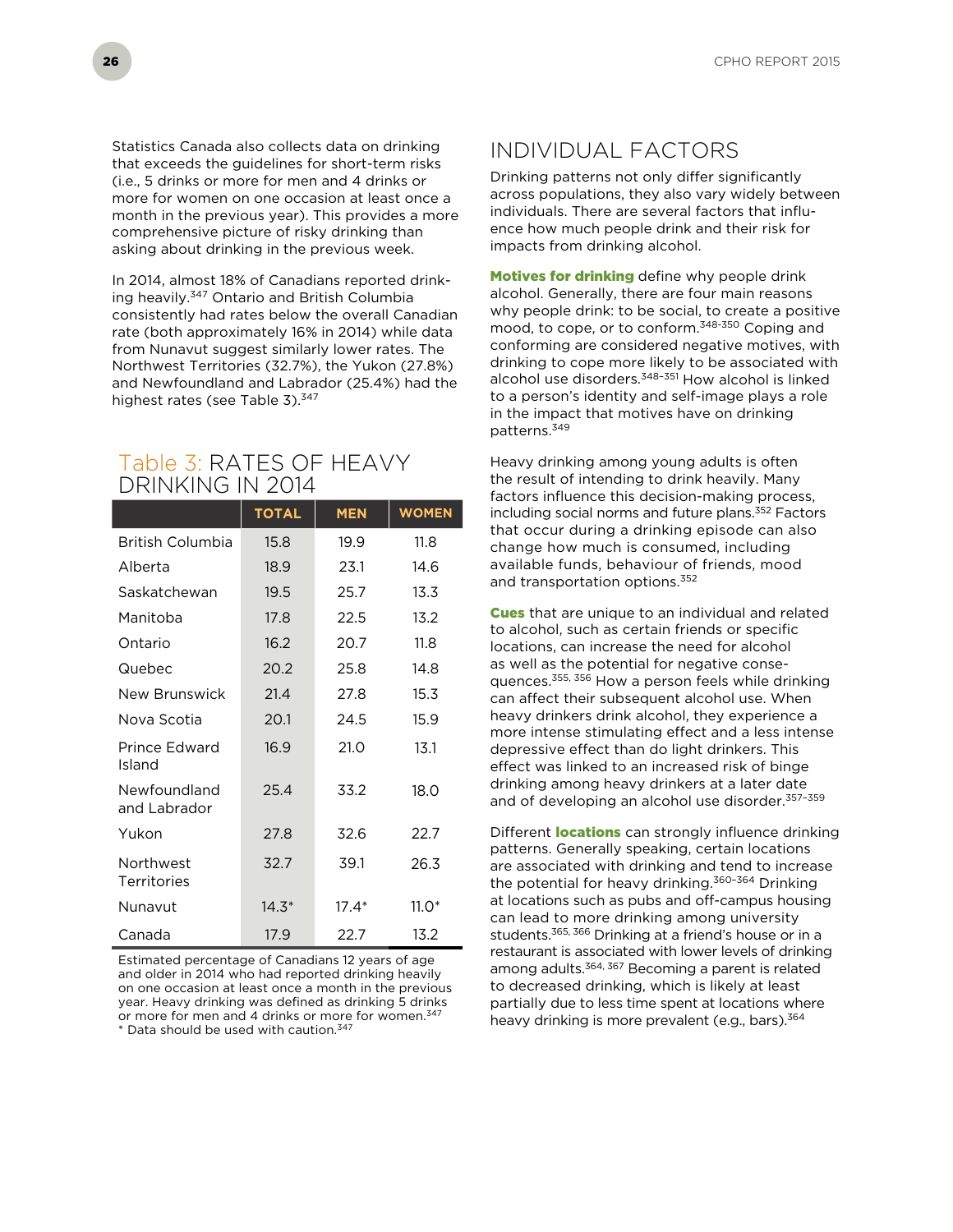Statistics Canada also collects data on drinking that exceeds the guidelines for short-term risks (i.e., 5 drinks or more for men and 4 drinks or more for women on one occasion at least once a month in the previous year). This provides a more comprehensive picture of risky drinking than asking about drinking in the previous week.

In 2014, almost 18% of Canadians reported drinking heavily.347 Ontario and British Columbia consistently had rates below the overall Canadian rate (both approximately 16% in 2014) while data from Nunavut suggest similarly lower rates. The Northwest Territories (32.7%), the Yukon (27.8%) and Newfoundland and Labrador (25.4%) had the highest rates (see Table 3).<sup>347</sup>

### Table 3: RATES OF HEAVY DRINKING IN 2014

|                              | <b>TOTAL</b> | <b>MEN</b> | <b>WOMEN</b> |
|------------------------------|--------------|------------|--------------|
| <b>British Columbia</b>      | 15.8         | 19.9       | 11.8         |
| Alberta                      | 18.9         | 23.1       | 14.6         |
| Saskatchewan                 | 19.5         | 25.7       | 13.3         |
| Manitoba                     | 17.8         | 22.5       | 13.2         |
| Ontario                      | 16.2         | 20.7       | 11.8         |
| Quebec                       | 20.2         | 25.8       | 14.8         |
| New Brunswick                | 21.4         | 27.8       | 15.3         |
| Nova Scotia                  | 20.1         | 24.5       | 15.9         |
| Prince Edward<br>Island      | 16.9         | 21.0       | 13.1         |
| Newfoundland<br>and Labrador | 25.4         | 33.2       | 18.0         |
| Yukon                        | 27.8         | 32.6       | 22.7         |
| Northwest<br>Territories     | 32.7         | 39.1       | 26.3         |
| Nunavut                      | $14.3*$      | $17.4*$    | $11.0*$      |
| Canada                       | 17.9         | 22.7       | 13.2         |

Estimated percentage of Canadians 12 years of age and older in 2014 who had reported drinking heavily on one occasion at least once a month in the previous year. Heavy drinking was defined as drinking 5 drinks or more for men and 4 drinks or more for women.<sup>347</sup> \* Data should be used with caution.<sup>347</sup>

## INDIVIDUAL FACTORS

Drinking patterns not only differ significantly across populations, they also vary widely between individuals. There are several factors that influence how much people drink and their risk for impacts from drinking alcohol.

Motives for drinking define why people drink alcohol. Generally, there are four main reasons why people drink: to be social, to create a positive mood, to cope, or to conform.348-350 Coping and conforming are considered negative motives, with drinking to cope more likely to be associated with alcohol use disorders.<sup>348-351</sup> How alcohol is linked to a person's identity and self-image plays a role in the impact that motives have on drinking patterns.349

Heavy drinking among young adults is often the result of intending to drink heavily. Many factors influence this decision-making process, including social norms and future plans.<sup>352</sup> Factors that occur during a drinking episode can also change how much is consumed, including available funds, behaviour of friends, mood and transportation options.<sup>352</sup>

**Cues** that are unique to an individual and related to alcohol, such as certain friends or specific locations, can increase the need for alcohol as well as the potential for negative consequences.355, 356 How a person feels while drinking can affect their subsequent alcohol use. When heavy drinkers drink alcohol, they experience a more intense stimulating effect and a less intense depressive effect than do light drinkers. This effect was linked to an increased risk of binge drinking among heavy drinkers at a later date and of developing an alcohol use disorder.<sup>357-359</sup>

Different **locations** can strongly influence drinking patterns. Generally speaking, certain locations are associated with drinking and tend to increase the potential for heavy drinking.<sup>360-364</sup> Drinking at locations such as pubs and off-campus housing can lead to more drinking among university students.365, 366 Drinking at a friend's house or in a restaurant is associated with lower levels of drinking among adults.<sup>364, 367</sup> Becoming a parent is related to decreased drinking, which is likely at least partially due to less time spent at locations where heavy drinking is more prevalent (e.g., bars).<sup>364</sup>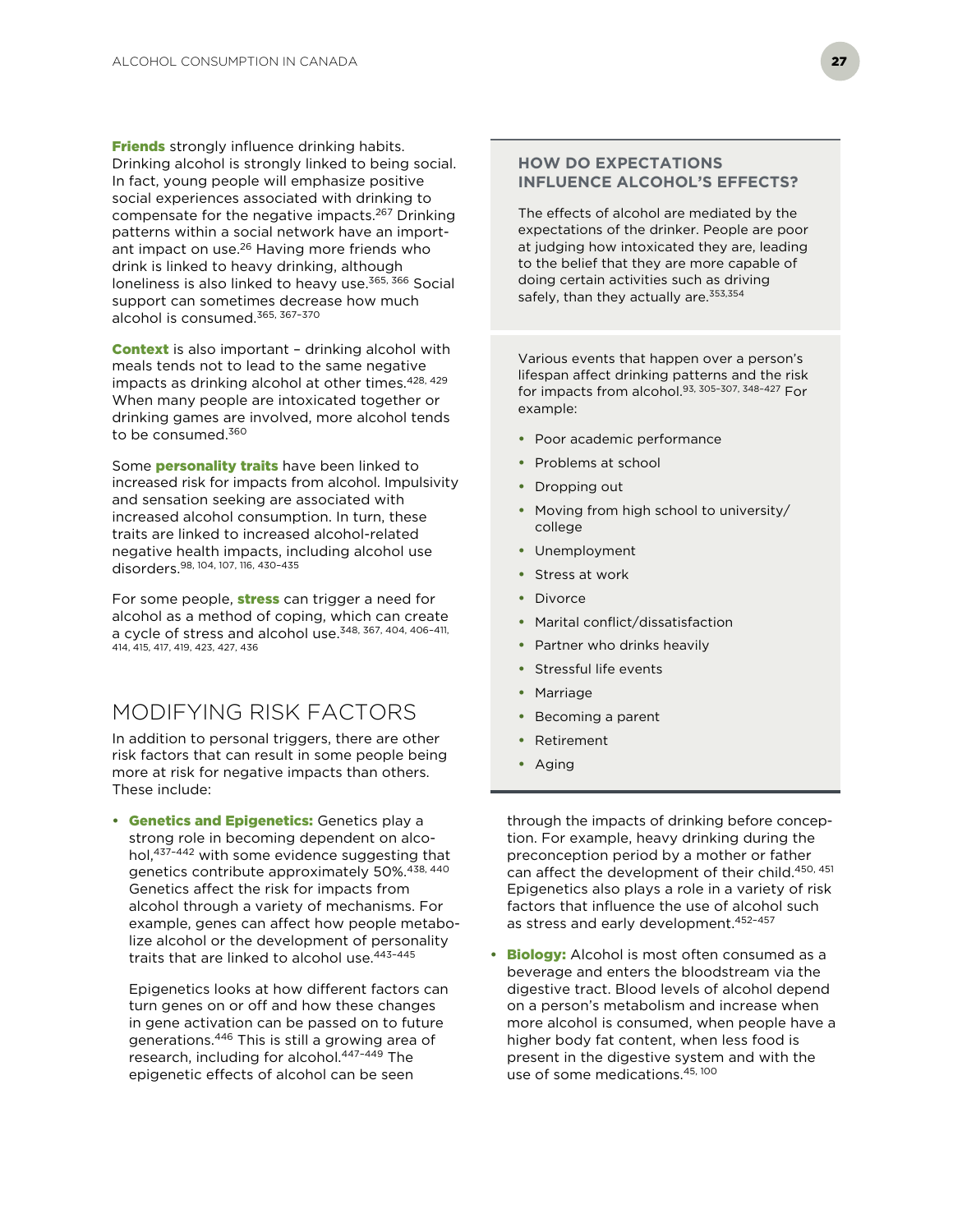**Friends** strongly influence drinking habits. Drinking alcohol is strongly linked to being social. In fact, young people will emphasize positive social experiences associated with drinking to compensate for the negative impacts.267 Drinking patterns within a social network have an important impact on use.26 Having more friends who drink is linked to heavy drinking, although loneliness is also linked to heavy use.<sup>365, 366</sup> Social support can sometimes decrease how much alcohol is consumed.365, 367–370

**Context** is also important - drinking alcohol with meals tends not to lead to the same negative impacts as drinking alcohol at other times.<sup>428, 429</sup> When many people are intoxicated together or drinking games are involved, more alcohol tends to be consumed.<sup>360</sup>

Some **personality traits** have been linked to increased risk for impacts from alcohol. Impulsivity and sensation seeking are associated with increased alcohol consumption. In turn, these traits are linked to increased alcohol-related negative health impacts, including alcohol use disorders.98, 104, 107, 116, 430–435

For some people, **stress** can trigger a need for alcohol as a method of coping, which can create a cycle of stress and alcohol use.<sup>348, 367, 404, 406-411,</sup> 414, 415, 417, 419, 423, 427, 436

## MODIFYING RISK FACTORS

In addition to personal triggers, there are other risk factors that can result in some people being more at risk for negative impacts than others. These include:

**•** Genetics and Epigenetics: Genetics play a strong role in becoming dependent on alcohol,437–442 with some evidence suggesting that genetics contribute approximately 50%.438, 440 Genetics affect the risk for impacts from alcohol through a variety of mechanisms. For example, genes can affect how people metabolize alcohol or the development of personality traits that are linked to alcohol use.<sup>443-445</sup>

Epigenetics looks at how different factors can turn genes on or off and how these changes in gene activation can be passed on to future generations.446 This is still a growing area of research, including for alcohol.447–449 The epigenetic effects of alcohol can be seen

#### **HOW DO EXPECTATIONS INFLUENCE ALCOHOL'S EFFECTS?**

The effects of alcohol are mediated by the expectations of the drinker. People are poor at judging how intoxicated they are, leading to the belief that they are more capable of doing certain activities such as driving safely, than they actually are.<sup>353,354</sup>

Various events that happen over a person's lifespan affect drinking patterns and the risk for impacts from alcohol.93, 305–307, 348–427 For example:

- **•** Poor academic performance
- **•** Problems at school
- **•** Dropping out
- **•** Moving from high school to university/ college
- **•** Unemployment
- **•** Stress at work
- **•** Divorce
- **•** Marital conflict/dissatisfaction
- **•** Partner who drinks heavily
- **•** Stressful life events
- **•** Marriage
- **•** Becoming a parent
- **•** Retirement
- **•** Aging

through the impacts of drinking before conception. For example, heavy drinking during the preconception period by a mother or father can affect the development of their child.<sup>450, 451</sup> Epigenetics also plays a role in a variety of risk factors that influence the use of alcohol such as stress and early development.452–457

**•** Biology: Alcohol is most often consumed as a beverage and enters the bloodstream via the digestive tract. Blood levels of alcohol depend on a person's metabolism and increase when more alcohol is consumed, when people have a higher body fat content, when less food is present in the digestive system and with the use of some medications.45, 100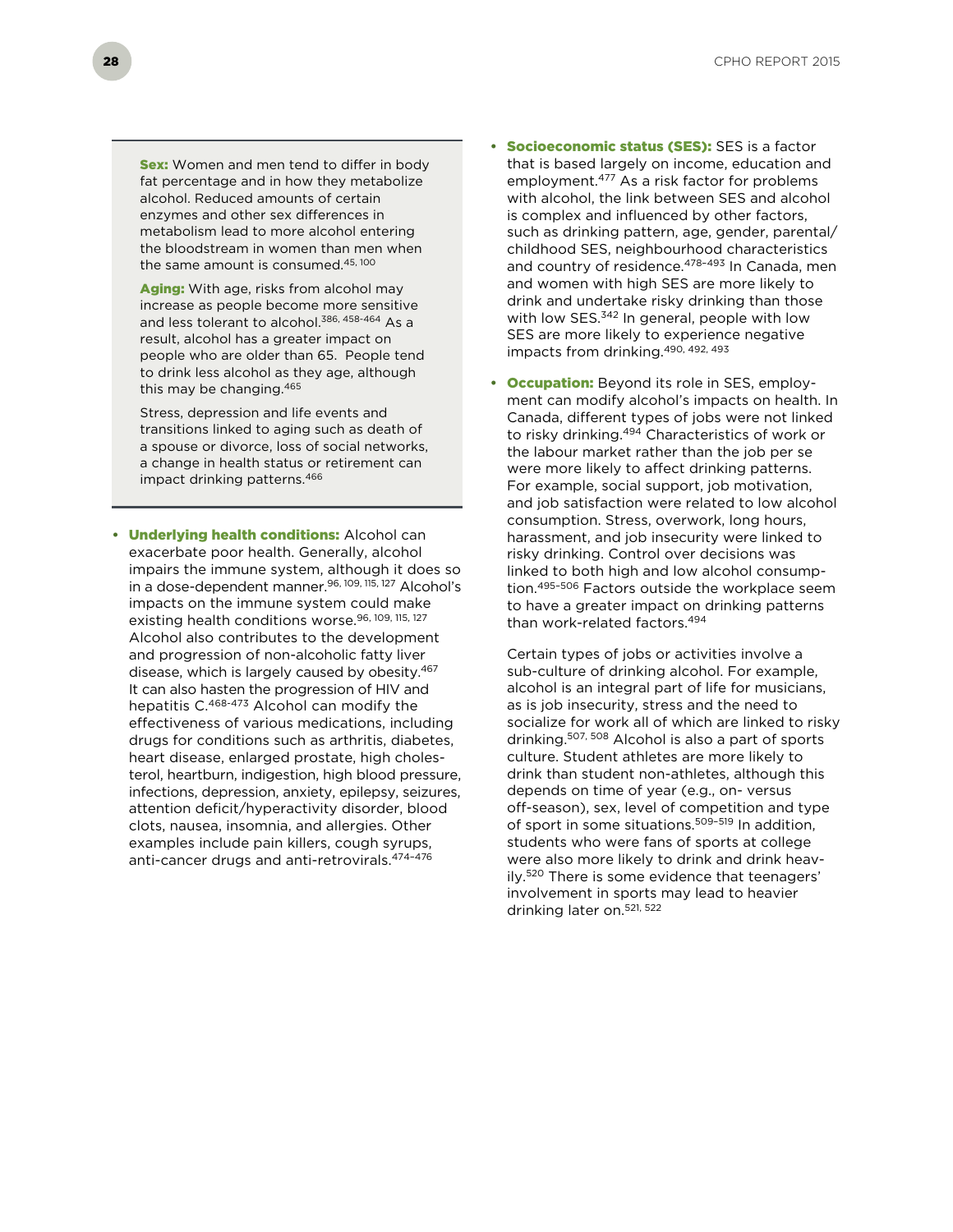**Sex:** Women and men tend to differ in body fat percentage and in how they metabolize alcohol. Reduced amounts of certain enzymes and other sex differences in metabolism lead to more alcohol entering the bloodstream in women than men when the same amount is consumed.<sup>45, 100</sup>

Aging: With age, risks from alcohol may increase as people become more sensitive and less tolerant to alcohol.386, 458-464 As a result, alcohol has a greater impact on people who are older than 65. People tend to drink less alcohol as they age, although this may be changing.465

Stress, depression and life events and transitions linked to aging such as death of a spouse or divorce, loss of social networks, a change in health status or retirement can impact drinking patterns.<sup>466</sup>

**•** Underlying health conditions: Alcohol can exacerbate poor health. Generally, alcohol impairs the immune system, although it does so in a dose-dependent manner.96, 109, 115, 127 Alcohol's impacts on the immune system could make existing health conditions worse.<sup>96, 109, 115, 127</sup> Alcohol also contributes to the development and progression of non-alcoholic fatty liver disease, which is largely caused by obesity.467 It can also hasten the progression of HIV and hepatitis C.<sup>468-473</sup> Alcohol can modify the effectiveness of various medications, including drugs for conditions such as arthritis, diabetes, heart disease, enlarged prostate, high cholesterol, heartburn, indigestion, high blood pressure, infections, depression, anxiety, epilepsy, seizures, attention deficit/hyperactivity disorder, blood clots, nausea, insomnia, and allergies. Other examples include pain killers, cough syrups, anti-cancer drugs and anti-retrovirals.474–476

- **Socioeconomic status (SES):** SES is a factor that is based largely on income, education and employment.477 As a risk factor for problems with alcohol, the link between SES and alcohol is complex and influenced by other factors, such as drinking pattern, age, gender, parental/ childhood SES, neighbourhood characteristics and country of residence.<sup>478-493</sup> In Canada, men and women with high SES are more likely to drink and undertake risky drinking than those with low SES.<sup>342</sup> In general, people with low SES are more likely to experience negative impacts from drinking.490, 492, 493
- **•** Occupation: Beyond its role in SES, employment can modify alcohol's impacts on health. In Canada, different types of jobs were not linked to risky drinking.494 Characteristics of work or the labour market rather than the job per se were more likely to affect drinking patterns. For example, social support, job motivation, and job satisfaction were related to low alcohol consumption. Stress, overwork, long hours, harassment, and job insecurity were linked to risky drinking. Control over decisions was linked to both high and low alcohol consumption.495–506 Factors outside the workplace seem to have a greater impact on drinking patterns than work-related factors.<sup>494</sup>

Certain types of jobs or activities involve a sub-culture of drinking alcohol. For example, alcohol is an integral part of life for musicians, as is job insecurity, stress and the need to socialize for work all of which are linked to risky drinking.507, 508 Alcohol is also a part of sports culture. Student athletes are more likely to drink than student non-athletes, although this depends on time of year (e.g., on- versus off-season), sex, level of competition and type of sport in some situations.<sup>509-519</sup> In addition. students who were fans of sports at college were also more likely to drink and drink heavily.520 There is some evidence that teenagers' involvement in sports may lead to heavier drinking later on.521, 522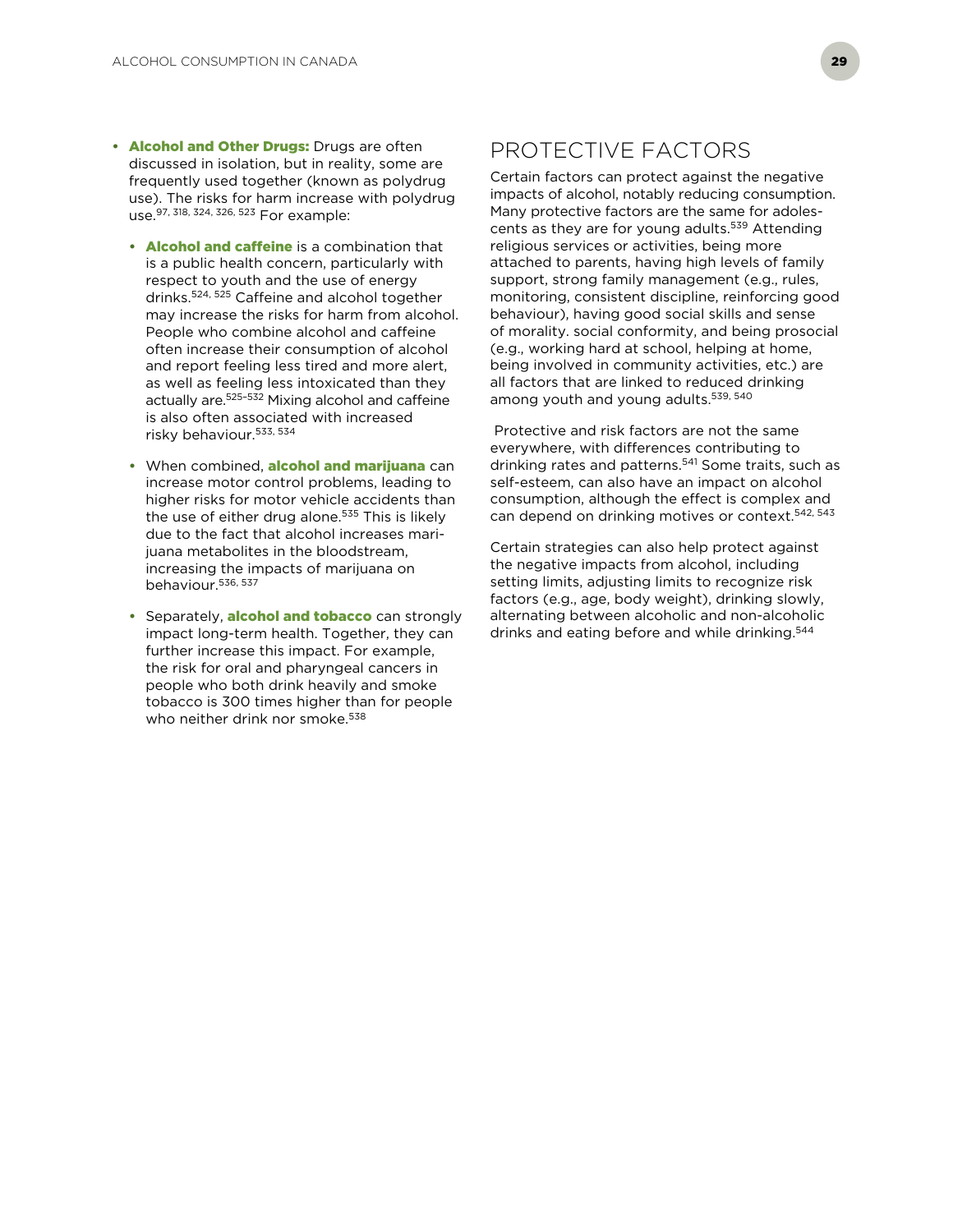- **•** Alcohol and Other Drugs: Drugs are often discussed in isolation, but in reality, some are frequently used together (known as polydrug use). The risks for harm increase with polydrug use.97, 318, 324, 326, 523 For example:
	- **•** Alcohol and caffeine is a combination that is a public health concern, particularly with respect to youth and the use of energy drinks.524, 525 Caffeine and alcohol together may increase the risks for harm from alcohol. People who combine alcohol and caffeine often increase their consumption of alcohol and report feeling less tired and more alert, as well as feeling less intoxicated than they actually are.525–532 Mixing alcohol and caffeine is also often associated with increased risky behaviour.533, 534
	- **•** When combined, alcohol and marijuana can increase motor control problems, leading to higher risks for motor vehicle accidents than the use of either drug alone.<sup>535</sup> This is likely due to the fact that alcohol increases marijuana metabolites in the bloodstream, increasing the impacts of marijuana on behaviour.536, 537
	- **•** Separately, alcohol and tobacco can strongly impact long-term health. Together, they can further increase this impact. For example, the risk for oral and pharyngeal cancers in people who both drink heavily and smoke tobacco is 300 times higher than for people who neither drink nor smoke.<sup>538</sup>

## PROTECTIVE FACTORS

Certain factors can protect against the negative impacts of alcohol, notably reducing consumption. Many protective factors are the same for adolescents as they are for young adults.<sup>539</sup> Attending religious services or activities, being more attached to parents, having high levels of family support, strong family management (e.g., rules, monitoring, consistent discipline, reinforcing good behaviour), having good social skills and sense of morality. social conformity, and being prosocial (e.g., working hard at school, helping at home, being involved in community activities, etc.) are all factors that are linked to reduced drinking among youth and young adults.<sup>539, 540</sup>

 Protective and risk factors are not the same everywhere, with differences contributing to drinking rates and patterns.<sup>541</sup> Some traits, such as self-esteem, can also have an impact on alcohol consumption, although the effect is complex and can depend on drinking motives or context.542, 543

Certain strategies can also help protect against the negative impacts from alcohol, including setting limits, adjusting limits to recognize risk factors (e.g., age, body weight), drinking slowly, alternating between alcoholic and non-alcoholic drinks and eating before and while drinking.544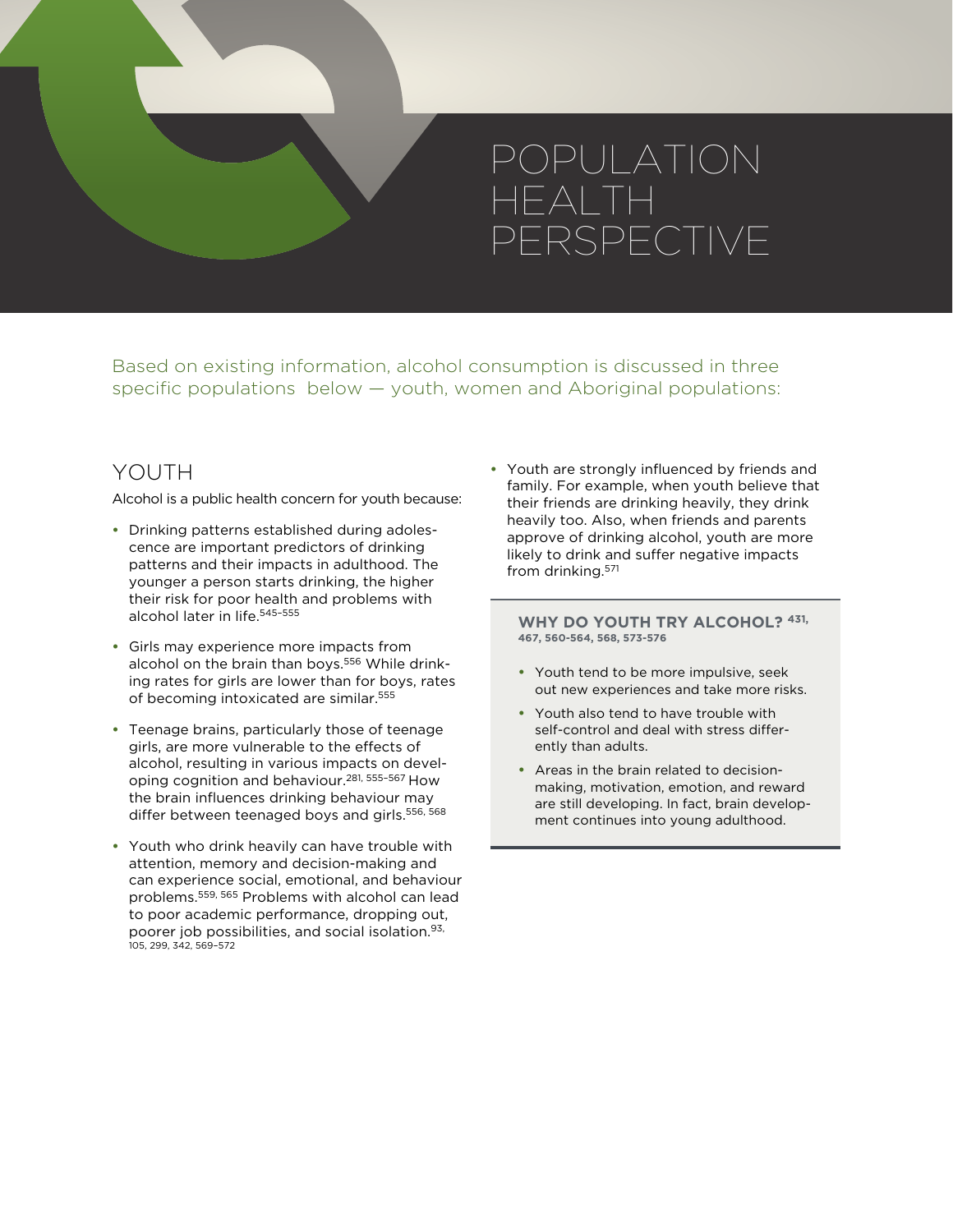

Based on existing information, alcohol consumption is discussed in three specific populations below — youth, women and Aboriginal populations:

## YOUTH

Alcohol is a public health concern for youth because:

- **•** Drinking patterns established during adolescence are important predictors of drinking patterns and their impacts in adulthood. The younger a person starts drinking, the higher their risk for poor health and problems with alcohol later in life.545–555
- **•** Girls may experience more impacts from alcohol on the brain than boys.<sup>556</sup> While drinking rates for girls are lower than for boys, rates of becoming intoxicated are similar.555
- **•** Teenage brains, particularly those of teenage girls, are more vulnerable to the effects of alcohol, resulting in various impacts on developing cognition and behaviour.281, 555–567 How the brain influences drinking behaviour may differ between teenaged boys and girls.<sup>556, 568</sup>
- **•** Youth who drink heavily can have trouble with attention, memory and decision-making and can experience social, emotional, and behaviour problems.559, 565 Problems with alcohol can lead to poor academic performance, dropping out, poorer job possibilities, and social isolation.93, 105, 299, 342, 569–572

**•** Youth are strongly influenced by friends and family. For example, when youth believe that their friends are drinking heavily, they drink heavily too. Also, when friends and parents approve of drinking alcohol, youth are more likely to drink and suffer negative impacts from drinking.571

**WHY DO YOUTH TRY ALCOHOL? 431, 467, 560-564, 568, 573-576**

- **•** Youth tend to be more impulsive, seek out new experiences and take more risks.
- **•** Youth also tend to have trouble with self-control and deal with stress differently than adults.
- **•** Areas in the brain related to decisionmaking, motivation, emotion, and reward are still developing. In fact, brain development continues into young adulthood.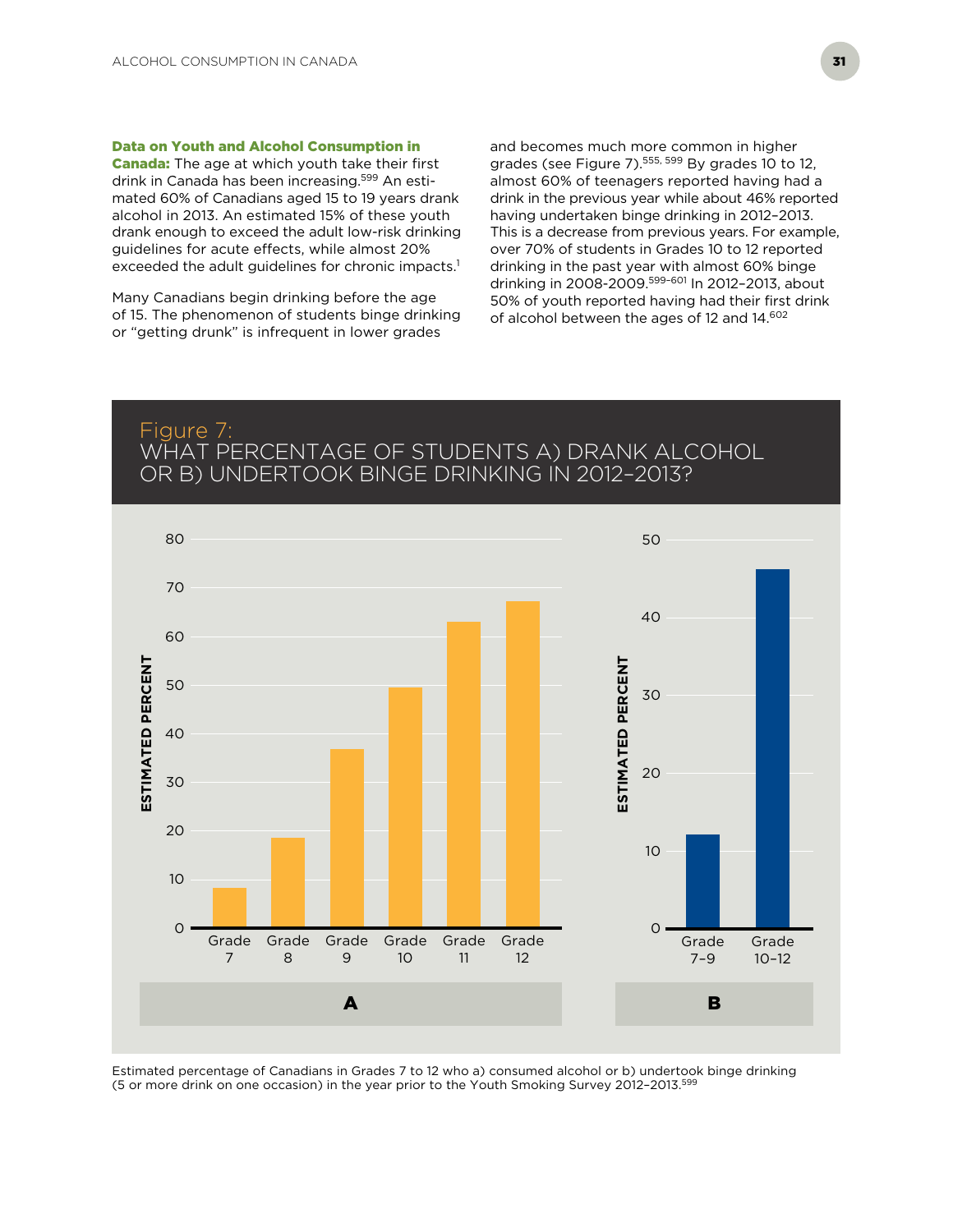Data on Youth and Alcohol Consumption in

**Canada:** The age at which youth take their first drink in Canada has been increasing.599 An estimated 60% of Canadians aged 15 to 19 years drank alcohol in 2013. An estimated 15% of these youth drank enough to exceed the adult low-risk drinking guidelines for acute effects, while almost 20% exceeded the adult guidelines for chronic impacts.<sup>1</sup>

Many Canadians begin drinking before the age of 15. The phenomenon of students binge drinking or "getting drunk" is infrequent in lower grades

and becomes much more common in higher grades (see Figure 7).<sup>555, 599</sup> By grades 10 to 12, almost 60% of teenagers reported having had a drink in the previous year while about 46% reported having undertaken binge drinking in 2012–2013. This is a decrease from previous years. For example, over 70% of students in Grades 10 to 12 reported drinking in the past year with almost 60% binge drinking in 2008-2009.599–601 In 2012–2013, about 50% of youth reported having had their first drink of alcohol between the ages of 12 and 14.602

## Figure 7:

WHAT PERCENTAGE OF STUDENTS A) DRANK ALCOHOL OR B) UNDERTOOK BINGE DRINKING IN 2012–2013?



Estimated percentage of Canadians in Grades 7 to 12 who a) consumed alcohol or b) undertook binge drinking (5 or more drink on one occasion) in the year prior to the Youth Smoking Survey 2012–2013.599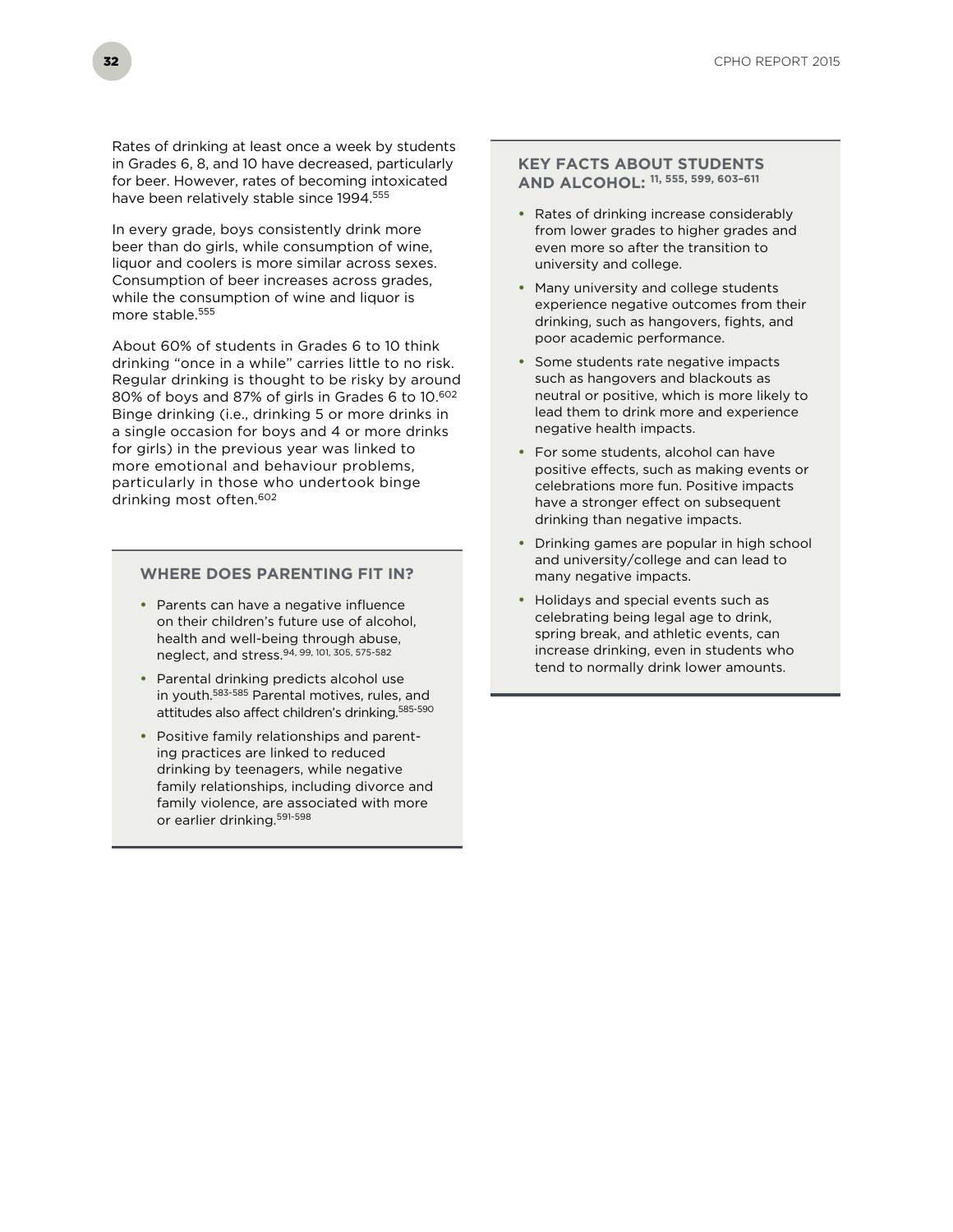Rates of drinking at least once a week by students in Grades 6, 8, and 10 have decreased, particularly for beer. However, rates of becoming intoxicated have been relatively stable since 1994.<sup>555</sup>

In every grade, boys consistently drink more beer than do girls, while consumption of wine, liquor and coolers is more similar across sexes. Consumption of beer increases across grades, while the consumption of wine and liquor is more stable.<sup>555</sup>

About 60% of students in Grades 6 to 10 think drinking "once in a while" carries little to no risk. Regular drinking is thought to be risky by around 80% of boys and 87% of girls in Grades 6 to 10.602 Binge drinking (i.e., drinking 5 or more drinks in a single occasion for boys and 4 or more drinks for girls) in the previous year was linked to more emotional and behaviour problems, particularly in those who undertook binge drinking most often.602

#### **WHERE DOES PARENTING FIT IN?**

- **•** Parents can have a negative influence on their children's future use of alcohol, health and well-being through abuse, neglect, and stress.94, 99, 101, 305, 575-582
- **•** Parental drinking predicts alcohol use in youth.583-585 Parental motives, rules, and attitudes also affect children's drinking.585-590
- **•** Positive family relationships and parenting practices are linked to reduced drinking by teenagers, while negative family relationships, including divorce and family violence, are associated with more or earlier drinking.591-598

#### **KEY FACTS ABOUT STUDENTS AND ALCOHOL: 11, 555, 599, 603–611**

- **•** Rates of drinking increase considerably from lower grades to higher grades and even more so after the transition to university and college.
- **•** Many university and college students experience negative outcomes from their drinking, such as hangovers, fights, and poor academic performance.
- **•** Some students rate negative impacts such as hangovers and blackouts as neutral or positive, which is more likely to lead them to drink more and experience negative health impacts.
- **•** For some students, alcohol can have positive effects, such as making events or celebrations more fun. Positive impacts have a stronger effect on subsequent drinking than negative impacts.
- **•** Drinking games are popular in high school and university/college and can lead to many negative impacts.
- **•** Holidays and special events such as celebrating being legal age to drink, spring break, and athletic events, can increase drinking, even in students who tend to normally drink lower amounts.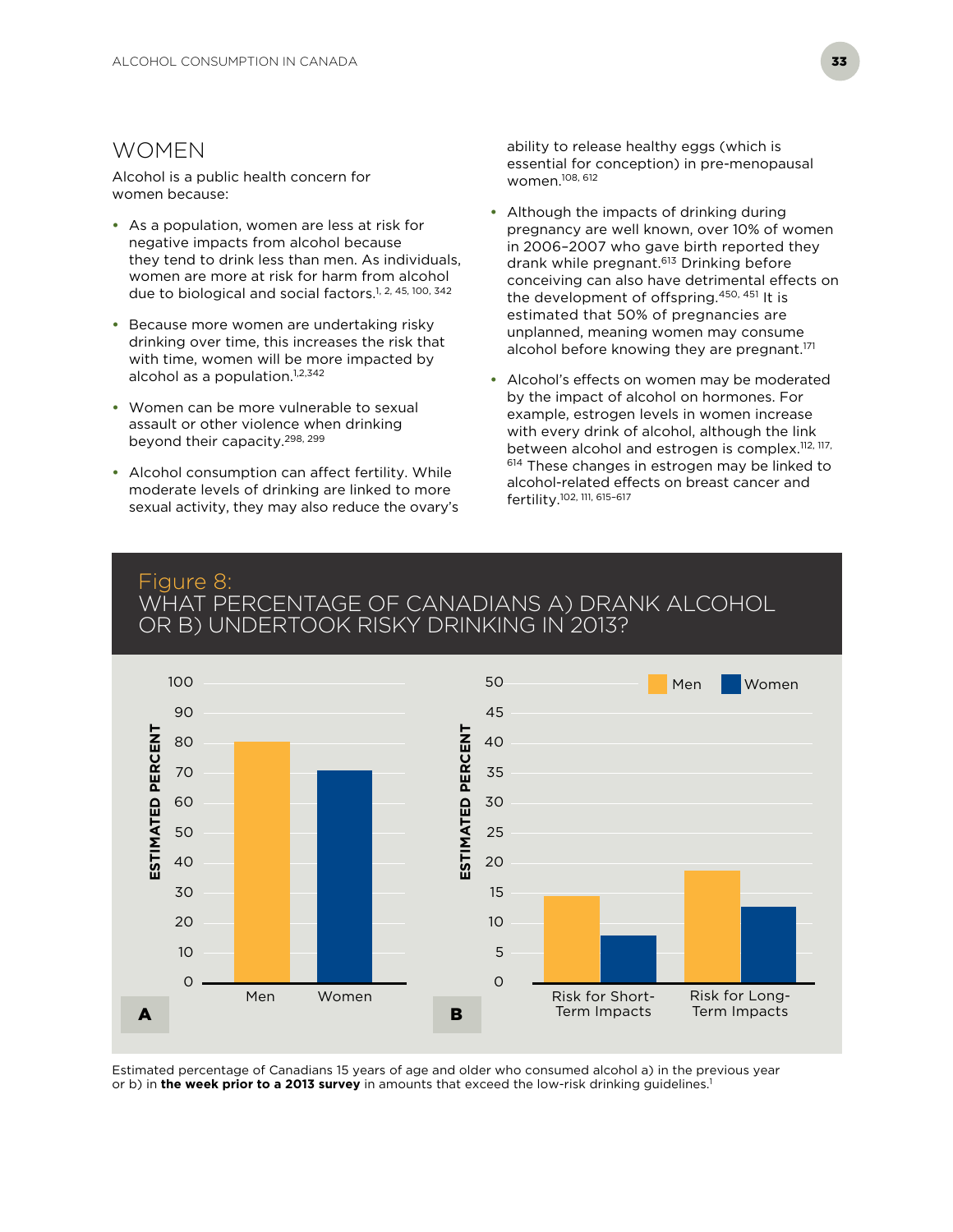## WOMEN

Alcohol is a public health concern for women because:

- **•** As a population, women are less at risk for negative impacts from alcohol because they tend to drink less than men. As individuals, women are more at risk for harm from alcohol due to biological and social factors.<sup>1, 2, 45, 100, 342</sup>
- **•** Because more women are undertaking risky drinking over time, this increases the risk that with time, women will be more impacted by alcohol as a population.<sup>1,2,342</sup>
- **•** Women can be more vulnerable to sexual assault or other violence when drinking beyond their capacity.298, 299
- **•** Alcohol consumption can affect fertility. While moderate levels of drinking are linked to more sexual activity, they may also reduce the ovary's

ability to release healthy eggs (which is essential for conception) in pre-menopausal women.108, 612

- **•** Although the impacts of drinking during pregnancy are well known, over 10% of women in 2006–2007 who gave birth reported they drank while pregnant.<sup>613</sup> Drinking before conceiving can also have detrimental effects on the development of offspring.<sup>450, 451</sup> It is estimated that 50% of pregnancies are unplanned, meaning women may consume alcohol before knowing they are pregnant.<sup>171</sup>
- **•** Alcohol's effects on women may be moderated by the impact of alcohol on hormones. For example, estrogen levels in women increase with every drink of alcohol, although the link between alcohol and estrogen is complex.<sup>112, 117,</sup> <sup>614</sup> These changes in estrogen may be linked to alcohol-related effects on breast cancer and fertility.102, 111, 615–617

# Figure 8: WHAT PERCENTAGE OF CANADIANS A) DRANK ALCOHOL OR B) UNDERTOOK RISKY DRINKING IN 2013?



Estimated percentage of Canadians 15 years of age and older who consumed alcohol a) in the previous year or b) in **the week prior to a 2013 survey** in amounts that exceed the low-risk drinking guidelines.1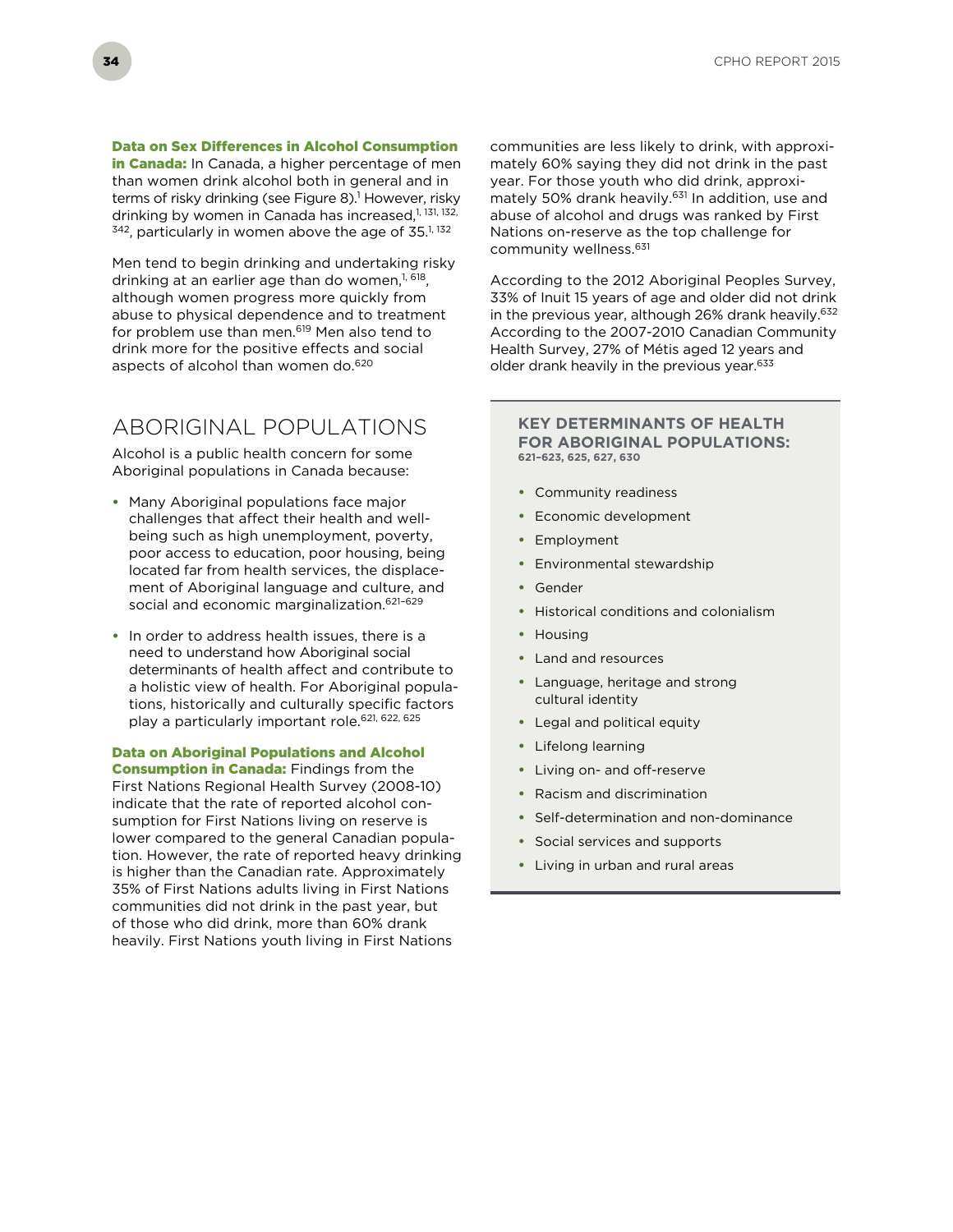#### Data on Sex Differences in Alcohol Consumption

in Canada: In Canada, a higher percentage of men than women drink alcohol both in general and in terms of risky drinking (see Figure 8).<sup>1</sup> However, risky drinking by women in Canada has increased,<sup>1, 131, 132,</sup>  $342$ , particularly in women above the age of 35.<sup>1, 132</sup>

Men tend to begin drinking and undertaking risky drinking at an earlier age than do women,<sup>1, 618</sup>, although women progress more quickly from abuse to physical dependence and to treatment for problem use than men.<sup>619</sup> Men also tend to drink more for the positive effects and social aspects of alcohol than women do.<sup>620</sup>

# ABORIGINAL POPULATIONS

Alcohol is a public health concern for some Aboriginal populations in Canada because:

- **•** Many Aboriginal populations face major challenges that affect their health and wellbeing such as high unemployment, poverty, poor access to education, poor housing, being located far from health services, the displacement of Aboriginal language and culture, and social and economic marginalization.621–629
- **•** In order to address health issues, there is a need to understand how Aboriginal social determinants of health affect and contribute to a holistic view of health. For Aboriginal populations, historically and culturally specific factors play a particularly important role.621, 622, 625

Data on Aboriginal Populations and Alcohol Consumption in Canada: Findings from the First Nations Regional Health Survey (2008-10) indicate that the rate of reported alcohol consumption for First Nations living on reserve is lower compared to the general Canadian population. However, the rate of reported heavy drinking is higher than the Canadian rate. Approximately 35% of First Nations adults living in First Nations communities did not drink in the past year, but of those who did drink, more than 60% drank heavily. First Nations youth living in First Nations

communities are less likely to drink, with approximately 60% saying they did not drink in the past year. For those youth who did drink, approximately 50% drank heavily.<sup>631</sup> In addition, use and abuse of alcohol and drugs was ranked by First Nations on-reserve as the top challenge for community wellness.631

According to the 2012 Aboriginal Peoples Survey, 33% of Inuit 15 years of age and older did not drink in the previous year, although 26% drank heavily.<sup>632</sup> According to the 2007-2010 Canadian Community Health Survey, 27% of Métis aged 12 years and older drank heavily in the previous year.<sup>633</sup>

#### **KEY DETERMINANTS OF HEALTH FOR ABORIGINAL POPULATIONS: 621–623, 625, 627, 630**

- **•** Community readiness
- **•** Economic development
- **•** Employment
- **•** Environmental stewardship
- **•** Gender
- **•** Historical conditions and colonialism
- **•** Housing
- **•** Land and resources
- **•** Language, heritage and strong cultural identity
- **•** Legal and political equity
- **•** Lifelong learning
- **•** Living on- and off-reserve
- **•** Racism and discrimination
- **•** Self-determination and non-dominance
- **•** Social services and supports
- **•** Living in urban and rural areas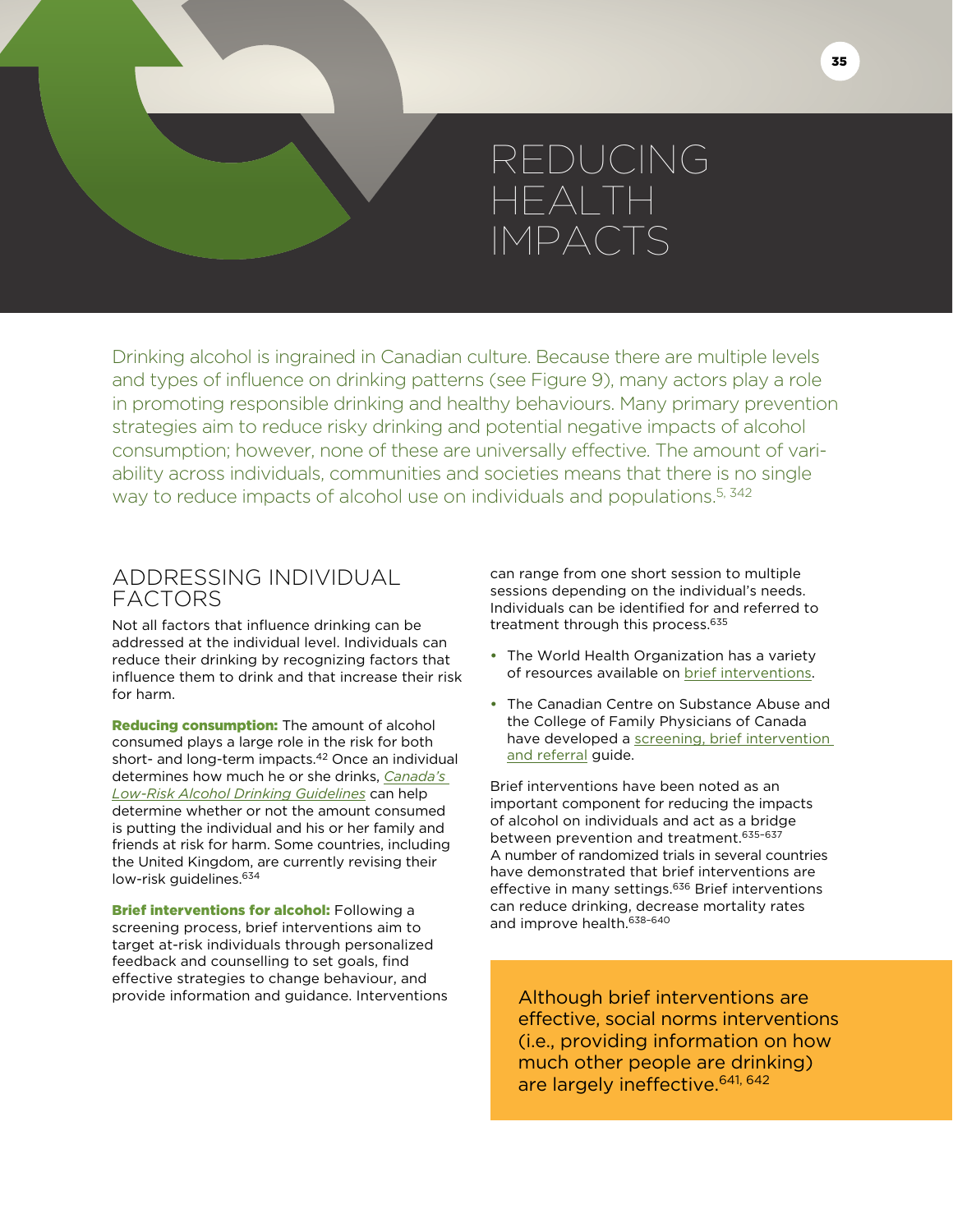# REDUCING HEALTH IMPACTS

Drinking alcohol is ingrained in Canadian culture. Because there are multiple levels and types of influence on drinking patterns (see Figure 9), many actors play a role in promoting responsible drinking and healthy behaviours. Many primary prevention strategies aim to reduce risky drinking and potential negative impacts of alcohol consumption; however, none of these are universally effective. The amount of variability across individuals, communities and societies means that there is no single way to reduce impacts of alcohol use on individuals and populations.<sup>5, 342</sup>

# ADDRESSING INDIVIDUAL FACTORS

Not all factors that influence drinking can be addressed at the individual level. Individuals can reduce their drinking by recognizing factors that influence them to drink and that increase their risk for harm.

Reducing consumption: The amount of alcohol consumed plays a large role in the risk for both short- and long-term impacts.<sup>42</sup> Once an individual determines how much he or she drinks, *Canada's Low-Risk Alcohol Drinking Guidelines* can help determine whether or not the amount consumed is putting the individual and his or her family and friends at risk for harm. Some countries, including the United Kingdom, are currently revising their low-risk guidelines.<sup>634</sup>

Brief interventions for alcohol: Following a screening process, brief interventions aim to target at-risk individuals through personalized feedback and counselling to set goals, find effective strategies to change behaviour, and provide information and guidance. Interventions can range from one short session to multiple sessions depending on the individual's needs. Individuals can be identified for and referred to treatment through this process.635

- **•** The World Health Organization has a variety of resources available on brief interventions.
- **•** The Canadian Centre on Substance Abuse and the College of Family Physicians of Canada have developed a screening, brief intervention and referral guide.

Brief interventions have been noted as an important component for reducing the impacts of alcohol on individuals and act as a bridge between prevention and treatment.635–637 A number of randomized trials in several countries have demonstrated that brief interventions are effective in many settings.<sup>636</sup> Brief interventions can reduce drinking, decrease mortality rates and improve health.638–640

Although brief interventions are effective, social norms interventions (i.e., providing information on how much other people are drinking) are largely ineffective.641, 642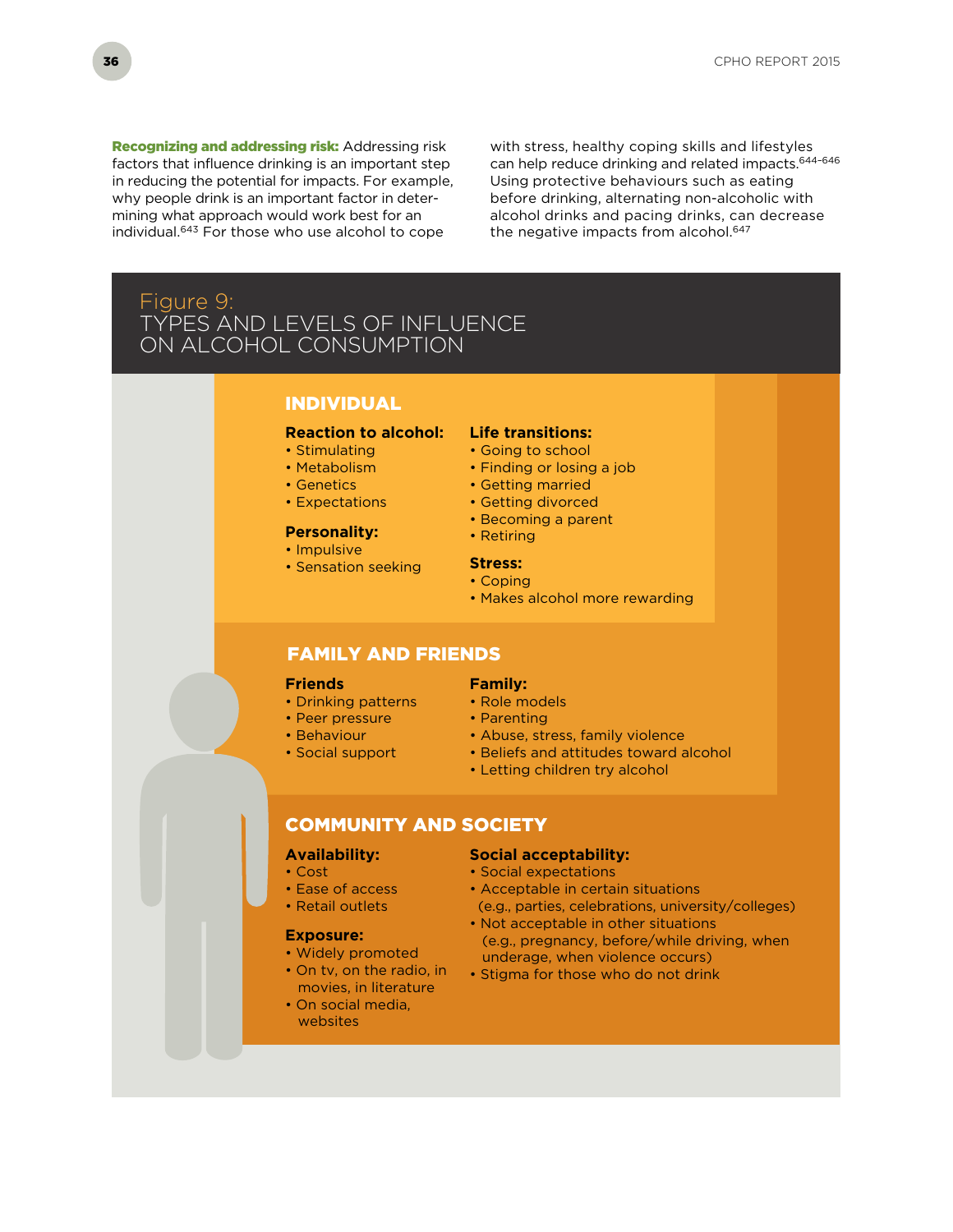Recognizing and addressing risk: Addressing risk factors that influence drinking is an important step in reducing the potential for impacts. For example, why people drink is an important factor in determining what approach would work best for an individual.643 For those who use alcohol to cope

with stress, healthy coping skills and lifestyles can help reduce drinking and related impacts.644–646 Using protective behaviours such as eating before drinking, alternating non-alcoholic with alcohol drinks and pacing drinks, can decrease the negative impacts from alcohol.<sup>647</sup>

## Figure 9: TYPES AND LEVELS OF INFLUENCE ON ALCOHOL CONSUMPTION

#### INDIVIDUAL

#### **Reaction to alcohol:**

- Stimulating
- Metabolism
- Genetics
- Expectations

# **Personality:** • Retiring • Impulsive

- 
- **Sensation seeking**

#### **Life transitions:**

- Going to school
- Finding or losing a job
- Getting married
- Getting divorced
- Becoming a parent
- 
- 
- Coping
- Makes alcohol more rewarding

#### FAMILY AND FRIENDS

#### **Friends**

- Drinking patterns
- Peer pressure
- Behaviour
- Social support

#### **Family:**

- Role models
- Parenting
- Abuse, stress, family violence
- Beliefs and attitudes toward alcohol
- Letting children try alcohol

#### COMMUNITY AND SOCIETY

#### **Availability:**

- Cost
- Ease of access
- Retail outlets

#### **Exposure:**

- Widely promoted
- On tv, on the radio, in movies, in literature
- On social media, websites

#### **Social acceptability:**

- Social expectations
- Acceptable in certain situations
- (e.g., parties, celebrations, university/colleges) • Not acceptable in other situations
- (e.g., pregnancy, before/while driving, when underage, when violence occurs)
- Stigma for those who do not drink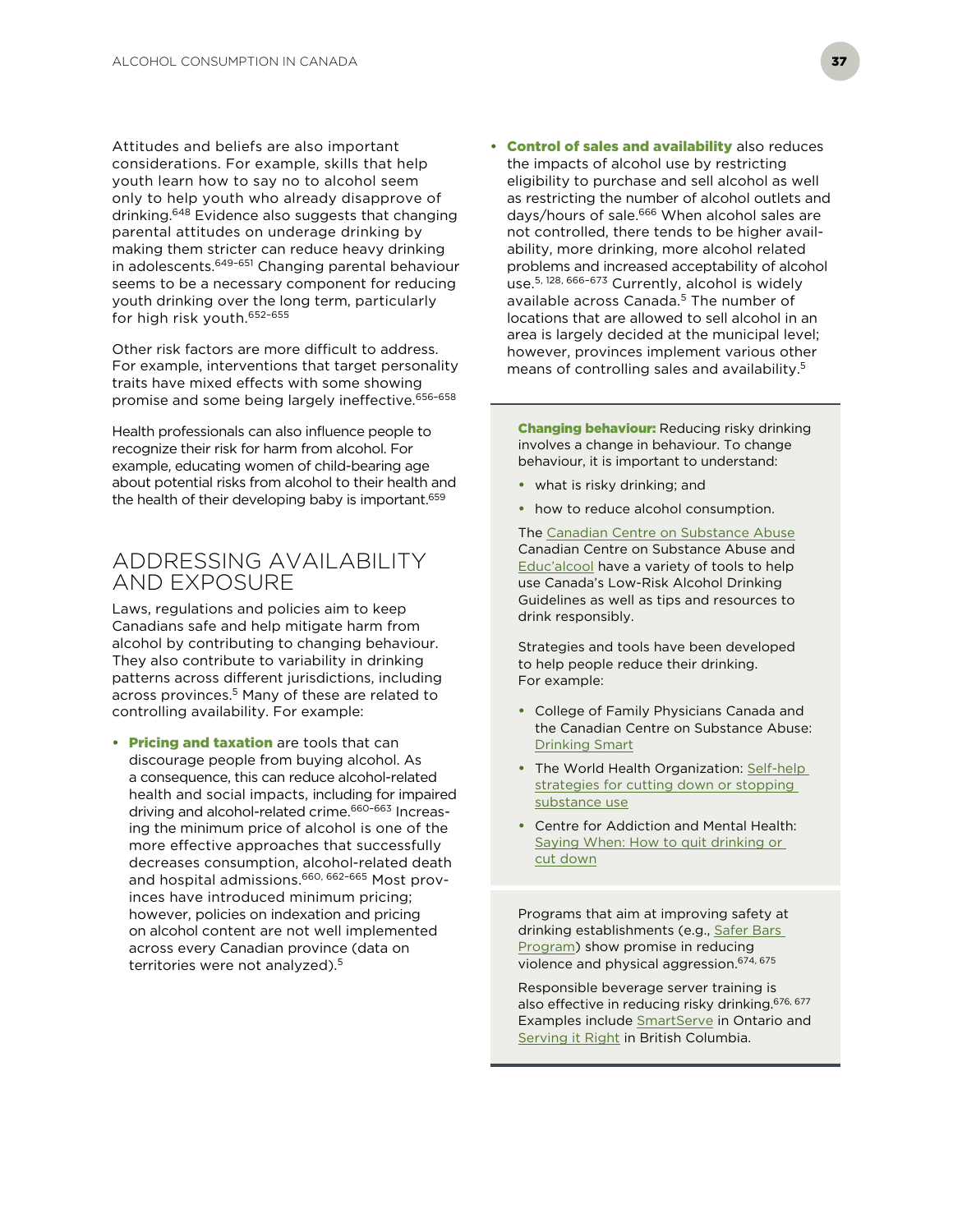Attitudes and beliefs are also important considerations. For example, skills that help youth learn how to say no to alcohol seem only to help youth who already disapprove of drinking.648 Evidence also suggests that changing parental attitudes on underage drinking by making them stricter can reduce heavy drinking in adolescents.649–651 Changing parental behaviour seems to be a necessary component for reducing youth drinking over the long term, particularly for high risk youth.652–655

Other risk factors are more difficult to address. For example, interventions that target personality traits have mixed effects with some showing promise and some being largely ineffective. $656-658$ 

Health professionals can also influence people to recognize their risk for harm from alcohol. For example, educating women of child-bearing age about potential risks from alcohol to their health and the health of their developing baby is important.<sup>659</sup>

### ADDRESSING AVAILABILITY AND EXPOSURE

Laws, regulations and policies aim to keep Canadians safe and help mitigate harm from alcohol by contributing to changing behaviour. They also contribute to variability in drinking patterns across different jurisdictions, including across provinces.<sup>5</sup> Many of these are related to controlling availability. For example:

**•** Pricing and taxation are tools that can discourage people from buying alcohol. As a consequence, this can reduce alcohol-related health and social impacts, including for impaired driving and alcohol-related crime.660–663 Increasing the minimum price of alcohol is one of the more effective approaches that successfully decreases consumption, alcohol-related death and hospital admissions.660, 662–665 Most provinces have introduced minimum pricing; however, policies on indexation and pricing on alcohol content are not well implemented across every Canadian province (data on territories were not analyzed).<sup>5</sup>

**•** Control of sales and availability also reduces the impacts of alcohol use by restricting eligibility to purchase and sell alcohol as well as restricting the number of alcohol outlets and days/hours of sale.666 When alcohol sales are not controlled, there tends to be higher availability, more drinking, more alcohol related problems and increased acceptability of alcohol use.5, 128, 666–673 Currently, alcohol is widely available across Canada.<sup>5</sup> The number of locations that are allowed to sell alcohol in an area is largely decided at the municipal level; however, provinces implement various other means of controlling sales and availability.<sup>5</sup>

**Changing behaviour:** Reducing risky drinking involves a change in behaviour. To change behaviour, it is important to understand:

- **•** what is risky drinking; and
- **•** how to reduce alcohol consumption.

The Canadian Centre on Substance Abuse Canadian Centre on Substance Abuse and Educ'alcool have a variety of tools to help use Canada's Low-Risk Alcohol Drinking Guidelines as well as tips and resources to drink responsibly.

Strategies and tools have been developed to help people reduce their drinking. For example:

- **•** College of Family Physicians Canada and the Canadian Centre on Substance Abuse: Drinking Smart
- **•** The World Health Organization: Self-help strategies for cutting down or stopping substance use
- **•** Centre for Addiction and Mental Health: Saying When: How to quit drinking or cut down

Programs that aim at improving safety at drinking establishments (e.g., Safer Bars Program) show promise in reducing violence and physical aggression.674, 675

Responsible beverage server training is also effective in reducing risky drinking. 676, 677 Examples include SmartServe in Ontario and Serving it Right in British Columbia.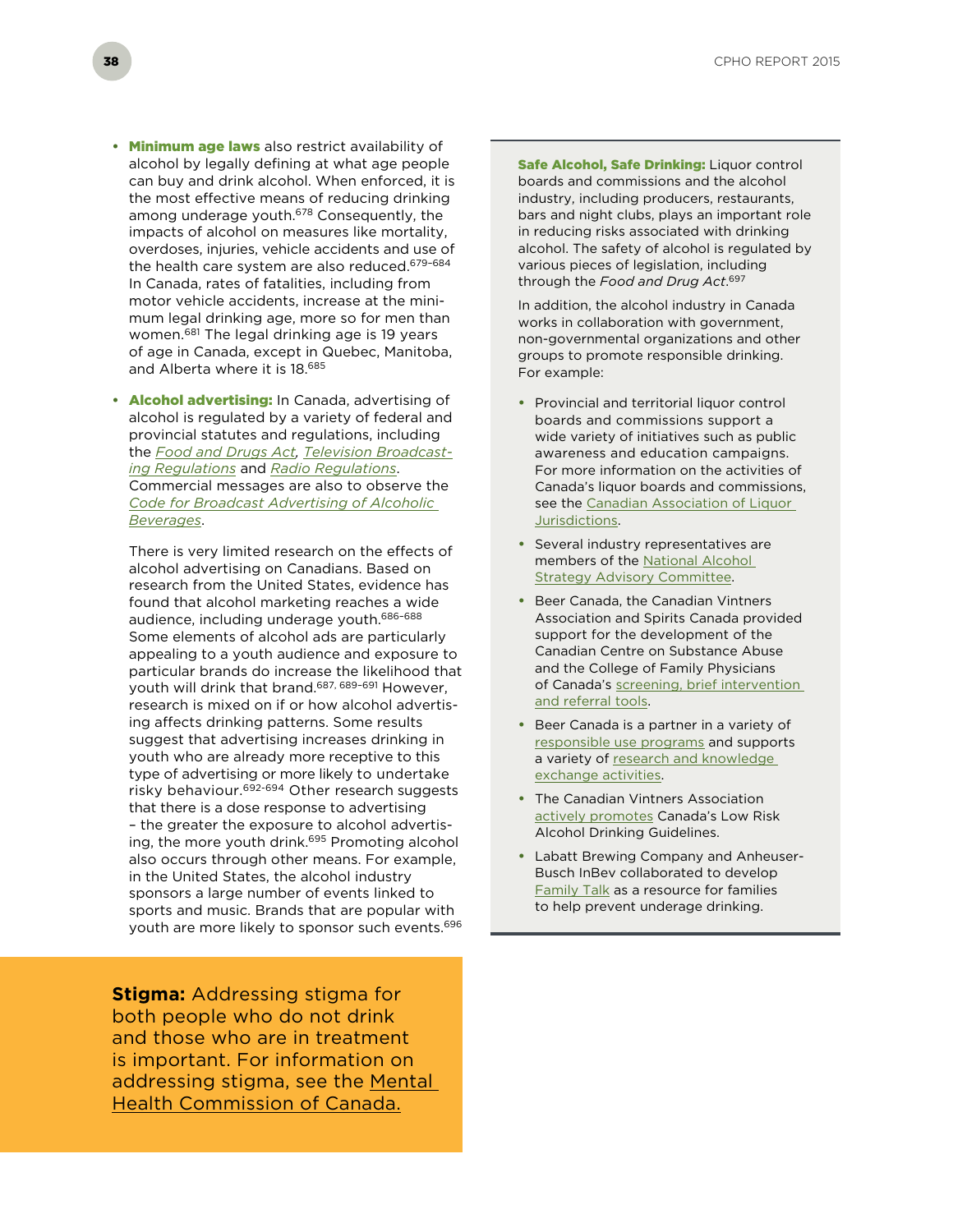- **•** Minimum age laws also restrict availability of alcohol by legally defining at what age people can buy and drink alcohol. When enforced, it is the most effective means of reducing drinking among underage youth.678 Consequently, the impacts of alcohol on measures like mortality, overdoses, injuries, vehicle accidents and use of the health care system are also reduced.679–684 In Canada, rates of fatalities, including from motor vehicle accidents, increase at the minimum legal drinking age, more so for men than women.681 The legal drinking age is 19 years of age in Canada, except in Quebec, Manitoba, and Alberta where it is 18.685
- **•** Alcohol advertising: In Canada, advertising of alcohol is regulated by a variety of federal and provincial statutes and regulations, including the *Food and Drugs Act, Television Broadcasting Regulations* and *Radio Regulations*. Commercial messages are also to observe the *Code for Broadcast Advertising of Alcoholic Beverages*.

There is very limited research on the effects of alcohol advertising on Canadians. Based on research from the United States, evidence has found that alcohol marketing reaches a wide audience, including underage youth.<sup>686-688</sup> Some elements of alcohol ads are particularly appealing to a youth audience and exposure to particular brands do increase the likelihood that youth will drink that brand.687, 689–691 However, research is mixed on if or how alcohol advertising affects drinking patterns. Some results suggest that advertising increases drinking in youth who are already more receptive to this type of advertising or more likely to undertake risky behaviour.<sup>692-694</sup> Other research suggests that there is a dose response to advertising – the greater the exposure to alcohol advertising, the more youth drink.<sup>695</sup> Promoting alcohol also occurs through other means. For example, in the United States, the alcohol industry sponsors a large number of events linked to sports and music. Brands that are popular with youth are more likely to sponsor such events.<sup>696</sup>

**Stigma:** Addressing stigma for both people who do not drink and those who are in treatment is important. For information on addressing stigma, see the Mental Health Commission of Canada.

Safe Alcohol, Safe Drinking: Liquor control boards and commissions and the alcohol industry, including producers, restaurants, bars and night clubs, plays an important role in reducing risks associated with drinking alcohol. The safety of alcohol is regulated by various pieces of legislation, including through the *Food and Drug Act*. 697

In addition, the alcohol industry in Canada works in collaboration with government, non-governmental organizations and other groups to promote responsible drinking. For example:

- **•** Provincial and territorial liquor control boards and commissions support a wide variety of initiatives such as public awareness and education campaigns. For more information on the activities of Canada's liquor boards and commissions, see the Canadian Association of Liquor Jurisdictions.
- **•** Several industry representatives are members of the National Alcohol Strategy Advisory Committee.
- **•** Beer Canada, the Canadian Vintners Association and Spirits Canada provided support for the development of the Canadian Centre on Substance Abuse and the College of Family Physicians of Canada's screening, brief intervention and referral tools.
- **•** Beer Canada is a partner in a variety of responsible use programs and supports a variety of research and knowledge exchange activities.
- **•** The Canadian Vintners Association actively promotes Canada's Low Risk Alcohol Drinking Guidelines.
- **•** Labatt Brewing Company and Anheuser-Busch InBev collaborated to develop Family Talk as a resource for families to help prevent underage drinking.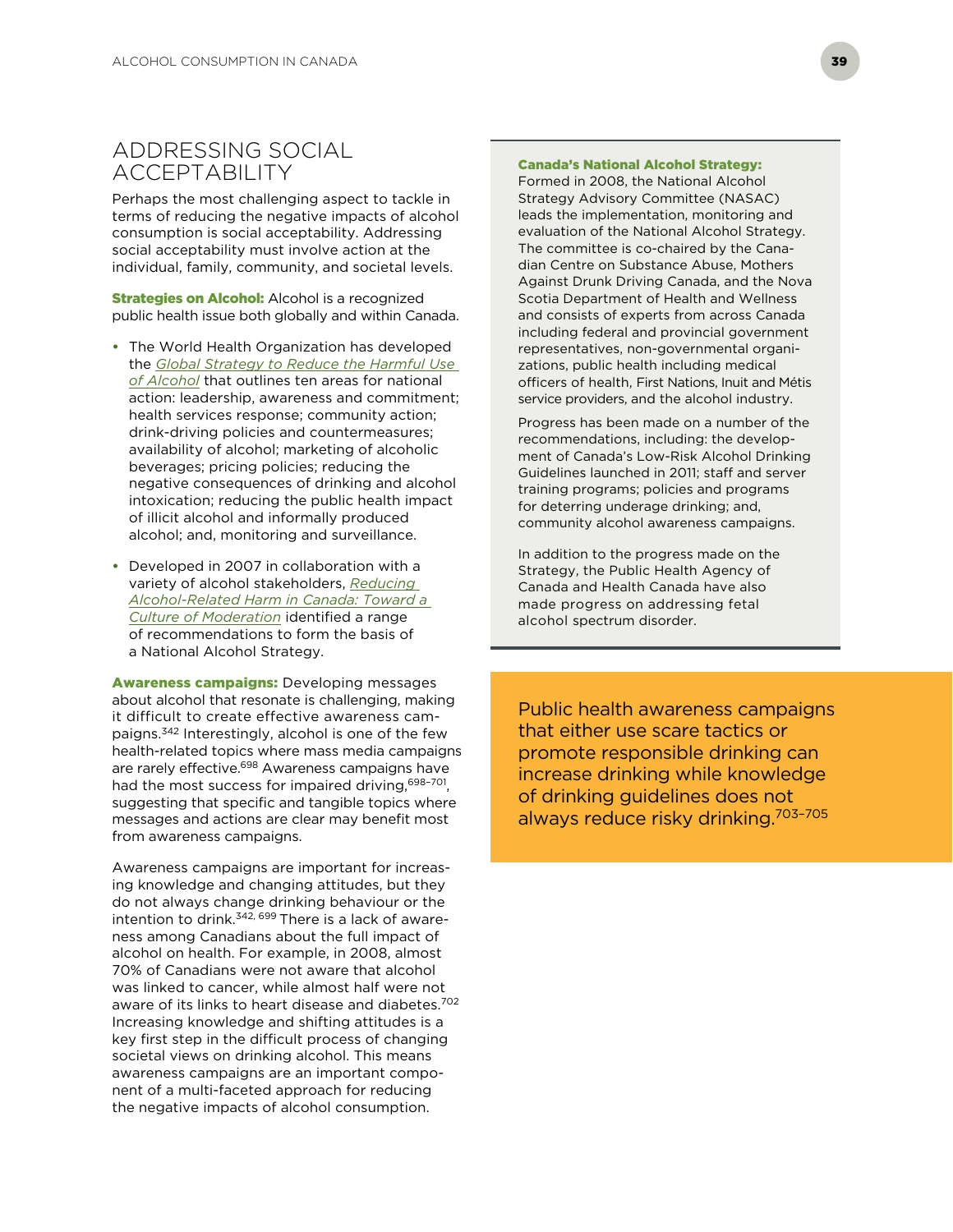# ADDRESSING SOCIAL **ACCEPTABILITY**

Perhaps the most challenging aspect to tackle in terms of reducing the negative impacts of alcohol consumption is social acceptability. Addressing social acceptability must involve action at the individual, family, community, and societal levels.

**Strategies on Alcohol:** Alcohol is a recognized public health issue both globally and within Canada.

- **•** The World Health Organization has developed the *Global Strategy to Reduce the Harmful Use of Alcohol* that outlines ten areas for national action: leadership, awareness and commitment; health services response; community action; drink-driving policies and countermeasures; availability of alcohol; marketing of alcoholic beverages; pricing policies; reducing the negative consequences of drinking and alcohol intoxication; reducing the public health impact of illicit alcohol and informally produced alcohol; and, monitoring and surveillance.
- **•** Developed in 2007 in collaboration with a variety of alcohol stakeholders, *Reducing Alcohol-Related Harm in Canada: Toward a Culture of Moderation* identified a range of recommendations to form the basis of a National Alcohol Strategy.

Awareness campaigns: Developing messages about alcohol that resonate is challenging, making it difficult to create effective awareness campaigns.342 Interestingly, alcohol is one of the few health-related topics where mass media campaigns are rarely effective.<sup>698</sup> Awareness campaigns have had the most success for impaired driving, 698-701, suggesting that specific and tangible topics where messages and actions are clear may benefit most from awareness campaigns.

Awareness campaigns are important for increasing knowledge and changing attitudes, but they do not always change drinking behaviour or the intention to drink.<sup>342, 699</sup> There is a lack of awareness among Canadians about the full impact of alcohol on health. For example, in 2008, almost 70% of Canadians were not aware that alcohol was linked to cancer, while almost half were not aware of its links to heart disease and diabetes.702 Increasing knowledge and shifting attitudes is a key first step in the difficult process of changing societal views on drinking alcohol. This means awareness campaigns are an important component of a multi-faceted approach for reducing the negative impacts of alcohol consumption.

#### Canada's National Alcohol Strategy:

Formed in 2008, the National Alcohol Strategy Advisory Committee (NASAC) leads the implementation, monitoring and evaluation of the National Alcohol Strategy. The committee is co-chaired by the Canadian Centre on Substance Abuse, Mothers Against Drunk Driving Canada, and the Nova Scotia Department of Health and Wellness and consists of experts from across Canada including federal and provincial government representatives, non-governmental organizations, public health including medical officers of health, First Nations, Inuit and Métis service providers, and the alcohol industry.

Progress has been made on a number of the recommendations, including: the development of Canada's Low-Risk Alcohol Drinking Guidelines launched in 2011; staff and server training programs; policies and programs for deterring underage drinking; and, community alcohol awareness campaigns.

In addition to the progress made on the Strategy, the Public Health Agency of Canada and Health Canada have also made progress on addressing fetal alcohol spectrum disorder.

Public health awareness campaigns that either use scare tactics or promote responsible drinking can increase drinking while knowledge of drinking guidelines does not always reduce risky drinking.703–705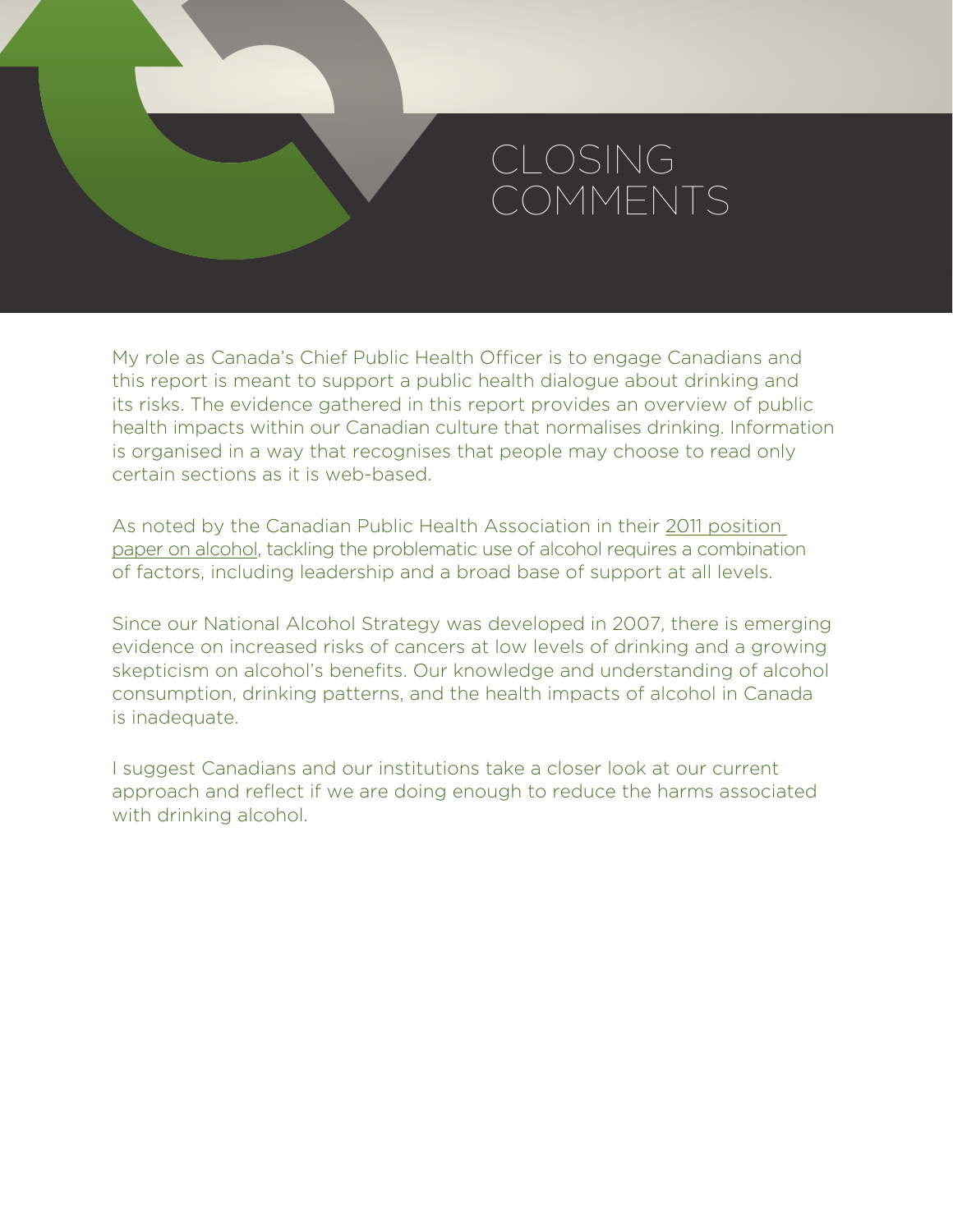

My role as Canada's Chief Public Health Officer is to engage Canadians and this report is meant to support a public health dialogue about drinking and its risks. The evidence gathered in this report provides an overview of public health impacts within our Canadian culture that normalises drinking. Information is organised in a way that recognises that people may choose to read only certain sections as it is web-based.

As noted by the Canadian Public Health Association in their 2011 position paper on alcohol, tackling the problematic use of alcohol requires a combination of factors, including leadership and a broad base of support at all levels.

Since our National Alcohol Strategy was developed in 2007, there is emerging evidence on increased risks of cancers at low levels of drinking and a growing skepticism on alcohol's benefits. Our knowledge and understanding of alcohol consumption, drinking patterns, and the health impacts of alcohol in Canada is inadequate.

I suggest Canadians and our institutions take a closer look at our current approach and reflect if we are doing enough to reduce the harms associated with drinking alcohol.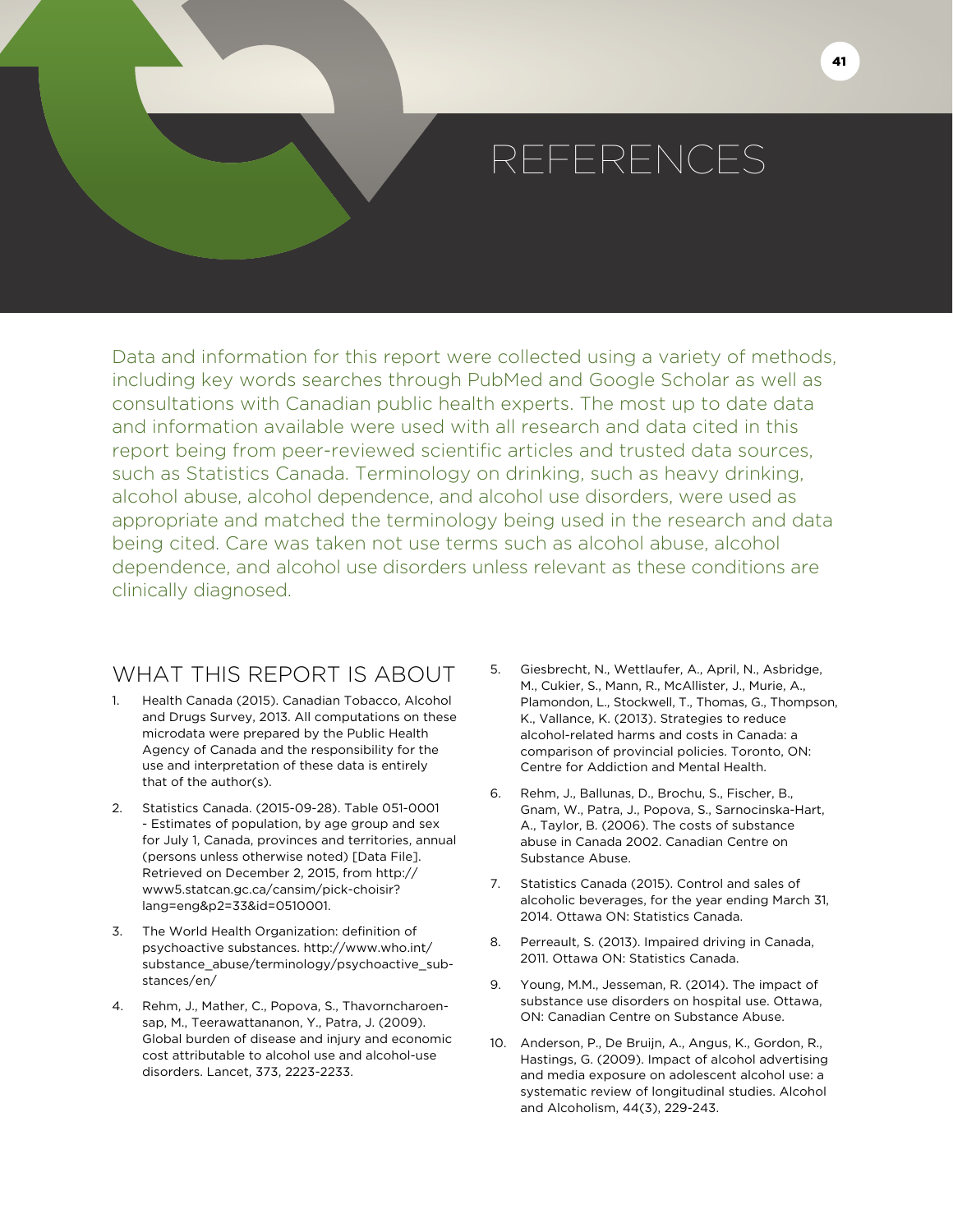# REFERENCES

Data and information for this report were collected using a variety of methods, including key words searches through PubMed and Google Scholar as well as consultations with Canadian public health experts. The most up to date data and information available were used with all research and data cited in this report being from peer-reviewed scientific articles and trusted data sources, such as Statistics Canada. Terminology on drinking, such as heavy drinking, alcohol abuse, alcohol dependence, and alcohol use disorders, were used as appropriate and matched the terminology being used in the research and data being cited. Care was taken not use terms such as alcohol abuse, alcohol dependence, and alcohol use disorders unless relevant as these conditions are clinically diagnosed.

# WHAT THIS REPORT IS ABOUT

- 1. Health Canada (2015). Canadian Tobacco, Alcohol and Drugs Survey, 2013. All computations on these microdata were prepared by the Public Health Agency of Canada and the responsibility for the use and interpretation of these data is entirely that of the author(s).
- 2. Statistics Canada. (2015-09-28). Table 051-0001 - Estimates of population, by age group and sex for July 1, Canada, provinces and territories, annual (persons unless otherwise noted) [Data File]. Retrieved on December 2, 2015, from http:// www5.statcan.gc.ca/cansim/pick-choisir? lang=eng&p2=33&id=0510001.
- 3. The World Health Organization: definition of psychoactive substances. http://www.who.int/ substance\_abuse/terminology/psychoactive\_substances/en/
- 4. Rehm, J., Mather, C., Popova, S., Thavorncharoensap, M., Teerawattananon, Y., Patra, J. (2009). Global burden of disease and injury and economic cost attributable to alcohol use and alcohol-use disorders. Lancet, 373, 2223-2233.
- 5. Giesbrecht, N., Wettlaufer, A., April, N., Asbridge, M., Cukier, S., Mann, R., McAllister, J., Murie, A., Plamondon, L., Stockwell, T., Thomas, G., Thompson, K., Vallance, K. (2013). Strategies to reduce alcohol-related harms and costs in Canada: a comparison of provincial policies. Toronto, ON: Centre for Addiction and Mental Health.
- 6. Rehm, J., Ballunas, D., Brochu, S., Fischer, B., Gnam, W., Patra, J., Popova, S., Sarnocinska-Hart, A., Taylor, B. (2006). The costs of substance abuse in Canada 2002. Canadian Centre on Substance Abuse.
- 7. Statistics Canada (2015). Control and sales of alcoholic beverages, for the year ending March 31, 2014. Ottawa ON: Statistics Canada.
- 8. Perreault, S. (2013). Impaired driving in Canada, 2011. Ottawa ON: Statistics Canada.
- 9. Young, M.M., Jesseman, R. (2014). The impact of substance use disorders on hospital use. Ottawa, ON: Canadian Centre on Substance Abuse.
- 10. Anderson, P., De Bruijn, A., Angus, K., Gordon, R., Hastings, G. (2009). Impact of alcohol advertising and media exposure on adolescent alcohol use: a systematic review of longitudinal studies. Alcohol and Alcoholism, 44(3), 229-243.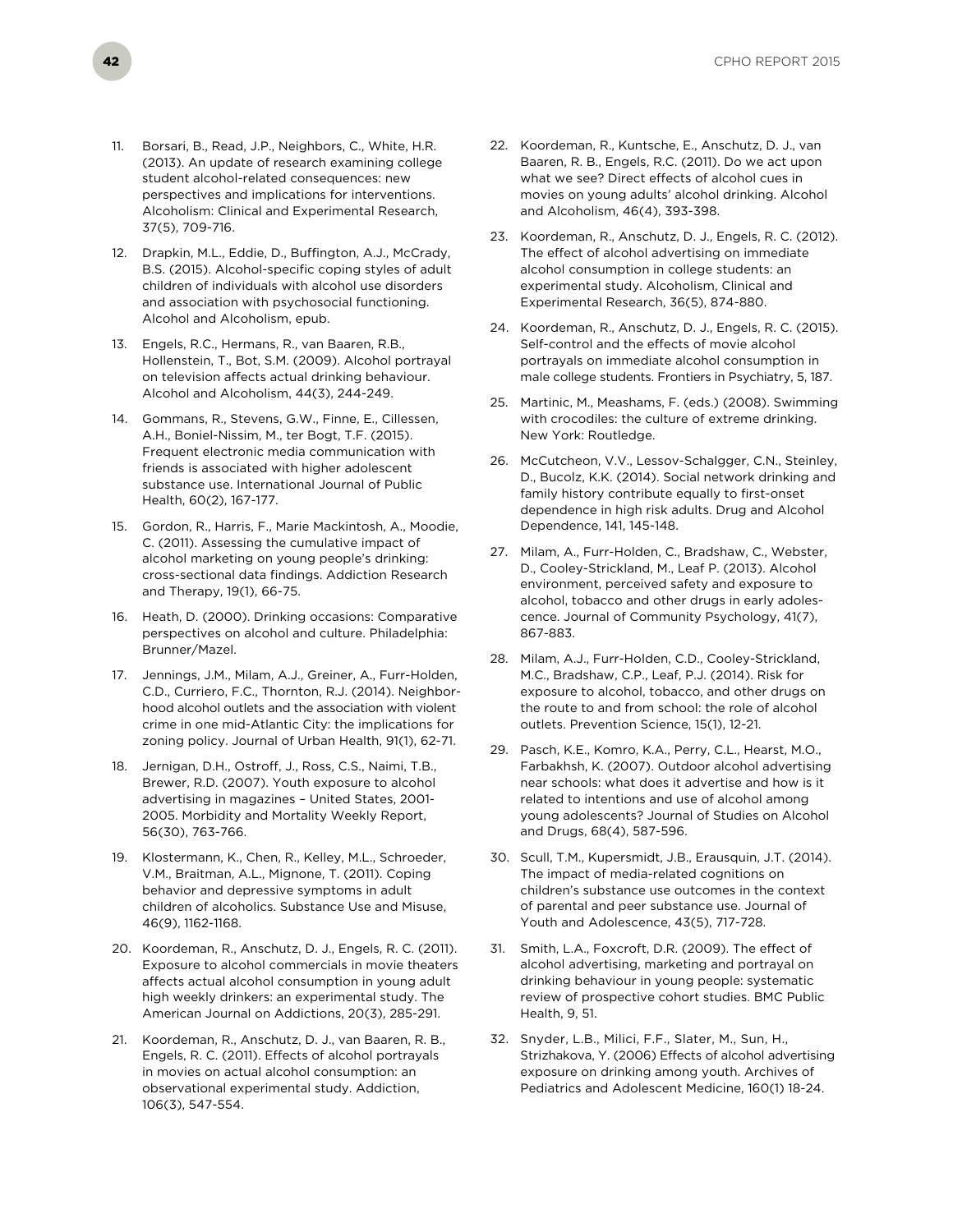- 11. Borsari, B., Read, J.P., Neighbors, C., White, H.R. (2013). An update of research examining college student alcohol-related consequences: new perspectives and implications for interventions. Alcoholism: Clinical and Experimental Research, 37(5), 709-716.
- 12. Drapkin, M.L., Eddie, D., Buffington, A.J., McCrady, B.S. (2015). Alcohol-specific coping styles of adult children of individuals with alcohol use disorders and association with psychosocial functioning. Alcohol and Alcoholism, epub.
- 13. Engels, R.C., Hermans, R., van Baaren, R.B., Hollenstein, T., Bot, S.M. (2009). Alcohol portrayal on television affects actual drinking behaviour. Alcohol and Alcoholism, 44(3), 244-249.
- 14. Gommans, R., Stevens, G.W., Finne, E., Cillessen, A.H., Boniel-Nissim, M., ter Bogt, T.F. (2015). Frequent electronic media communication with friends is associated with higher adolescent substance use. International Journal of Public Health, 60(2), 167-177.
- 15. Gordon, R., Harris, F., Marie Mackintosh, A., Moodie, C. (2011). Assessing the cumulative impact of alcohol marketing on young people's drinking: cross-sectional data findings. Addiction Research and Therapy, 19(1), 66-75.
- 16. Heath, D. (2000). Drinking occasions: Comparative perspectives on alcohol and culture. Philadelphia: Brunner/Mazel.
- 17. Jennings, J.M., Milam, A.J., Greiner, A., Furr-Holden, C.D., Curriero, F.C., Thornton, R.J. (2014). Neighborhood alcohol outlets and the association with violent crime in one mid-Atlantic City: the implications for zoning policy. Journal of Urban Health, 91(1), 62-71.
- 18. Jernigan, D.H., Ostroff, J., Ross, C.S., Naimi, T.B., Brewer, R.D. (2007). Youth exposure to alcohol advertising in magazines – United States, 2001- 2005. Morbidity and Mortality Weekly Report, 56(30), 763-766.
- 19. Klostermann, K., Chen, R., Kelley, M.L., Schroeder, V.M., Braitman, A.L., Mignone, T. (2011). Coping behavior and depressive symptoms in adult children of alcoholics. Substance Use and Misuse, 46(9), 1162-1168.
- 20. Koordeman, R., Anschutz, D. J., Engels, R. C. (2011). Exposure to alcohol commercials in movie theaters affects actual alcohol consumption in young adult high weekly drinkers: an experimental study. The American Journal on Addictions, 20(3), 285-291.
- 21. Koordeman, R., Anschutz, D. J., van Baaren, R. B., Engels, R. C. (2011). Effects of alcohol portrayals in movies on actual alcohol consumption: an observational experimental study. Addiction, 106(3), 547-554.
- 22. Koordeman, R., Kuntsche, E., Anschutz, D. J., van Baaren, R. B., Engels, R.C. (2011). Do we act upon what we see? Direct effects of alcohol cues in movies on young adults' alcohol drinking. Alcohol and Alcoholism, 46(4), 393-398.
- 23. Koordeman, R., Anschutz, D. J., Engels, R. C. (2012). The effect of alcohol advertising on immediate alcohol consumption in college students: an experimental study. Alcoholism, Clinical and Experimental Research, 36(5), 874-880.
- 24. Koordeman, R., Anschutz, D. J., Engels, R. C. (2015). Self-control and the effects of movie alcohol portrayals on immediate alcohol consumption in male college students. Frontiers in Psychiatry, 5, 187.
- 25. Martinic, M., Meashams, F. (eds.) (2008). Swimming with crocodiles: the culture of extreme drinking. New York: Routledge.
- 26. McCutcheon, V.V., Lessov-Schalgger, C.N., Steinley, D., Bucolz, K.K. (2014). Social network drinking and family history contribute equally to first-onset dependence in high risk adults. Drug and Alcohol Dependence, 141, 145-148.
- 27. Milam, A., Furr-Holden, C., Bradshaw, C., Webster, D., Cooley-Strickland, M., Leaf P. (2013). Alcohol environment, perceived safety and exposure to alcohol, tobacco and other drugs in early adolescence. Journal of Community Psychology, 41(7), 867-883.
- 28. Milam, A.J., Furr-Holden, C.D., Cooley-Strickland, M.C., Bradshaw, C.P., Leaf, P.J. (2014). Risk for exposure to alcohol, tobacco, and other drugs on the route to and from school: the role of alcohol outlets. Prevention Science, 15(1), 12-21.
- 29. Pasch, K.E., Komro, K.A., Perry, C.L., Hearst, M.O., Farbakhsh, K. (2007). Outdoor alcohol advertising near schools: what does it advertise and how is it related to intentions and use of alcohol among young adolescents? Journal of Studies on Alcohol and Drugs, 68(4), 587-596.
- 30. Scull, T.M., Kupersmidt, J.B., Erausquin, J.T. (2014). The impact of media-related cognitions on children's substance use outcomes in the context of parental and peer substance use. Journal of Youth and Adolescence, 43(5), 717-728.
- 31. Smith, L.A., Foxcroft, D.R. (2009). The effect of alcohol advertising, marketing and portrayal on drinking behaviour in young people: systematic review of prospective cohort studies. BMC Public Health, 9, 51.
- 32. Snyder, L.B., Milici, F.F., Slater, M., Sun, H., Strizhakova, Y. (2006) Effects of alcohol advertising exposure on drinking among youth. Archives of Pediatrics and Adolescent Medicine, 160(1) 18-24.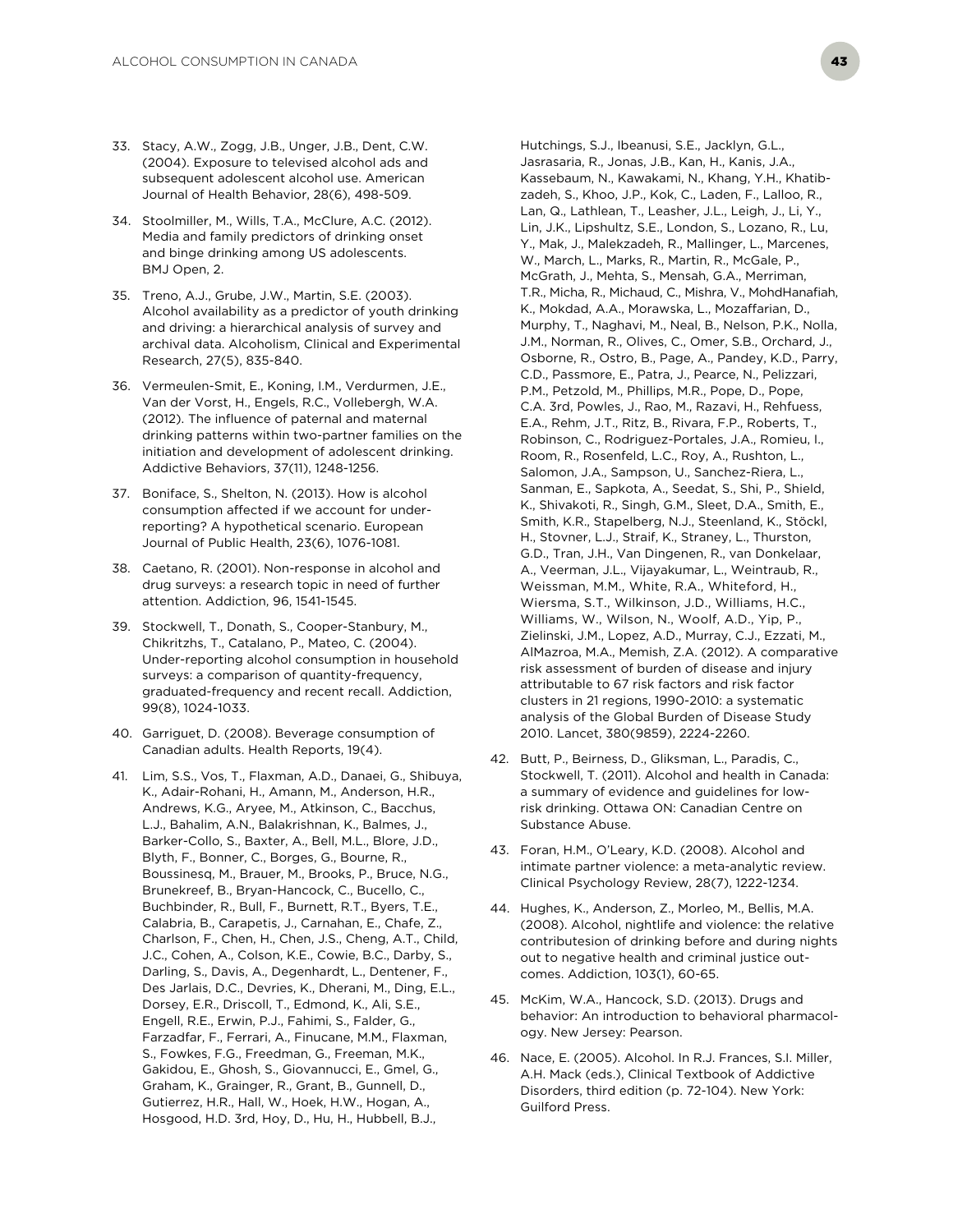- 33. Stacy, A.W., Zogg, J.B., Unger, J.B., Dent, C.W. (2004). Exposure to televised alcohol ads and subsequent adolescent alcohol use. American Journal of Health Behavior, 28(6), 498-509.
- 34. Stoolmiller, M., Wills, T.A., McClure, A.C. (2012). Media and family predictors of drinking onset and binge drinking among US adolescents. BMJ Open, 2.
- 35. Treno, A.J., Grube, J.W., Martin, S.E. (2003). Alcohol availability as a predictor of youth drinking and driving: a hierarchical analysis of survey and archival data. Alcoholism, Clinical and Experimental Research, 27(5), 835-840.
- 36. Vermeulen-Smit, E., Koning, I.M., Verdurmen, J.E., Van der Vorst, H., Engels, R.C., Vollebergh, W.A. (2012). The influence of paternal and maternal drinking patterns within two-partner families on the initiation and development of adolescent drinking. Addictive Behaviors, 37(11), 1248-1256.
- 37. Boniface, S., Shelton, N. (2013). How is alcohol consumption affected if we account for underreporting? A hypothetical scenario. European Journal of Public Health, 23(6), 1076-1081.
- 38. Caetano, R. (2001). Non-response in alcohol and drug surveys: a research topic in need of further attention. Addiction, 96, 1541-1545.
- 39. Stockwell, T., Donath, S., Cooper-Stanbury, M., Chikritzhs, T., Catalano, P., Mateo, C. (2004). Under-reporting alcohol consumption in household surveys: a comparison of quantity-frequency, graduated-frequency and recent recall. Addiction, 99(8), 1024-1033.
- 40. Garriguet, D. (2008). Beverage consumption of Canadian adults. Health Reports, 19(4).
- 41. Lim, S.S., Vos, T., Flaxman, A.D., Danaei, G., Shibuya, K., Adair-Rohani, H., Amann, M., Anderson, H.R., Andrews, K.G., Aryee, M., Atkinson, C., Bacchus, L.J., Bahalim, A.N., Balakrishnan, K., Balmes, J., Barker-Collo, S., Baxter, A., Bell, M.L., Blore, J.D., Blyth, F., Bonner, C., Borges, G., Bourne, R., Boussinesq, M., Brauer, M., Brooks, P., Bruce, N.G., Brunekreef, B., Bryan-Hancock, C., Bucello, C., Buchbinder, R., Bull, F., Burnett, R.T., Byers, T.E., Calabria, B., Carapetis, J., Carnahan, E., Chafe, Z., Charlson, F., Chen, H., Chen, J.S., Cheng, A.T., Child, J.C., Cohen, A., Colson, K.E., Cowie, B.C., Darby, S., Darling, S., Davis, A., Degenhardt, L., Dentener, F., Des Jarlais, D.C., Devries, K., Dherani, M., Ding, E.L., Dorsey, E.R., Driscoll, T., Edmond, K., Ali, S.E., Engell, R.E., Erwin, P.J., Fahimi, S., Falder, G., Farzadfar, F., Ferrari, A., Finucane, M.M., Flaxman, S., Fowkes, F.G., Freedman, G., Freeman, M.K., Gakidou, E., Ghosh, S., Giovannucci, E., Gmel, G., Graham, K., Grainger, R., Grant, B., Gunnell, D., Gutierrez, H.R., Hall, W., Hoek, H.W., Hogan, A., Hosgood, H.D. 3rd, Hoy, D., Hu, H., Hubbell, B.J.,

Hutchings, S.J., Ibeanusi, S.E., Jacklyn, G.L., Jasrasaria, R., Jonas, J.B., Kan, H., Kanis, J.A., Kassebaum, N., Kawakami, N., Khang, Y.H., Khatibzadeh, S., Khoo, J.P., Kok, C., Laden, F., Lalloo, R., Lan, Q., Lathlean, T., Leasher, J.L., Leigh, J., Li, Y., Lin, J.K., Lipshultz, S.E., London, S., Lozano, R., Lu, Y., Mak, J., Malekzadeh, R., Mallinger, L., Marcenes, W., March, L., Marks, R., Martin, R., McGale, P., McGrath, J., Mehta, S., Mensah, G.A., Merriman, T.R., Micha, R., Michaud, C., Mishra, V., MohdHanafiah, K., Mokdad, A.A., Morawska, L., Mozaffarian, D., Murphy, T., Naghavi, M., Neal, B., Nelson, P.K., Nolla, J.M., Norman, R., Olives, C., Omer, S.B., Orchard, J., Osborne, R., Ostro, B., Page, A., Pandey, K.D., Parry, C.D., Passmore, E., Patra, J., Pearce, N., Pelizzari, P.M., Petzold, M., Phillips, M.R., Pope, D., Pope, C.A. 3rd, Powles, J., Rao, M., Razavi, H., Rehfuess, E.A., Rehm, J.T., Ritz, B., Rivara, F.P., Roberts, T., Robinson, C., Rodriguez-Portales, J.A., Romieu, I., Room, R., Rosenfeld, L.C., Roy, A., Rushton, L., Salomon, J.A., Sampson, U., Sanchez-Riera, L., Sanman, E., Sapkota, A., Seedat, S., Shi, P., Shield, K., Shivakoti, R., Singh, G.M., Sleet, D.A., Smith, E., Smith, K.R., Stapelberg, N.J., Steenland, K., Stöckl, H., Stovner, L.J., Straif, K., Straney, L., Thurston, G.D., Tran, J.H., Van Dingenen, R., van Donkelaar, A., Veerman, J.L., Vijayakumar, L., Weintraub, R., Weissman, M.M., White, R.A., Whiteford, H., Wiersma, S.T., Wilkinson, J.D., Williams, H.C., Williams, W., Wilson, N., Woolf, A.D., Yip, P., Zielinski, J.M., Lopez, A.D., Murray, C.J., Ezzati, M., AlMazroa, M.A., Memish, Z.A. (2012). A comparative risk assessment of burden of disease and injury attributable to 67 risk factors and risk factor clusters in 21 regions, 1990-2010: a systematic analysis of the Global Burden of Disease Study 2010. Lancet, 380(9859), 2224-2260.

- 42. Butt, P., Beirness, D., Gliksman, L., Paradis, C., Stockwell, T. (2011). Alcohol and health in Canada: a summary of evidence and guidelines for lowrisk drinking. Ottawa ON: Canadian Centre on Substance Abuse.
- 43. Foran, H.M., O'Leary, K.D. (2008). Alcohol and intimate partner violence: a meta-analytic review. Clinical Psychology Review, 28(7), 1222-1234.
- 44. Hughes, K., Anderson, Z., Morleo, M., Bellis, M.A. (2008). Alcohol, nightlife and violence: the relative contributesion of drinking before and during nights out to negative health and criminal justice outcomes. Addiction, 103(1), 60-65.
- 45. McKim, W.A., Hancock, S.D. (2013). Drugs and behavior: An introduction to behavioral pharmacology. New Jersey: Pearson.
- 46. Nace, E. (2005). Alcohol. In R.J. Frances, S.I. Miller, A.H. Mack (eds.), Clinical Textbook of Addictive Disorders, third edition (p. 72-104). New York: Guilford Press.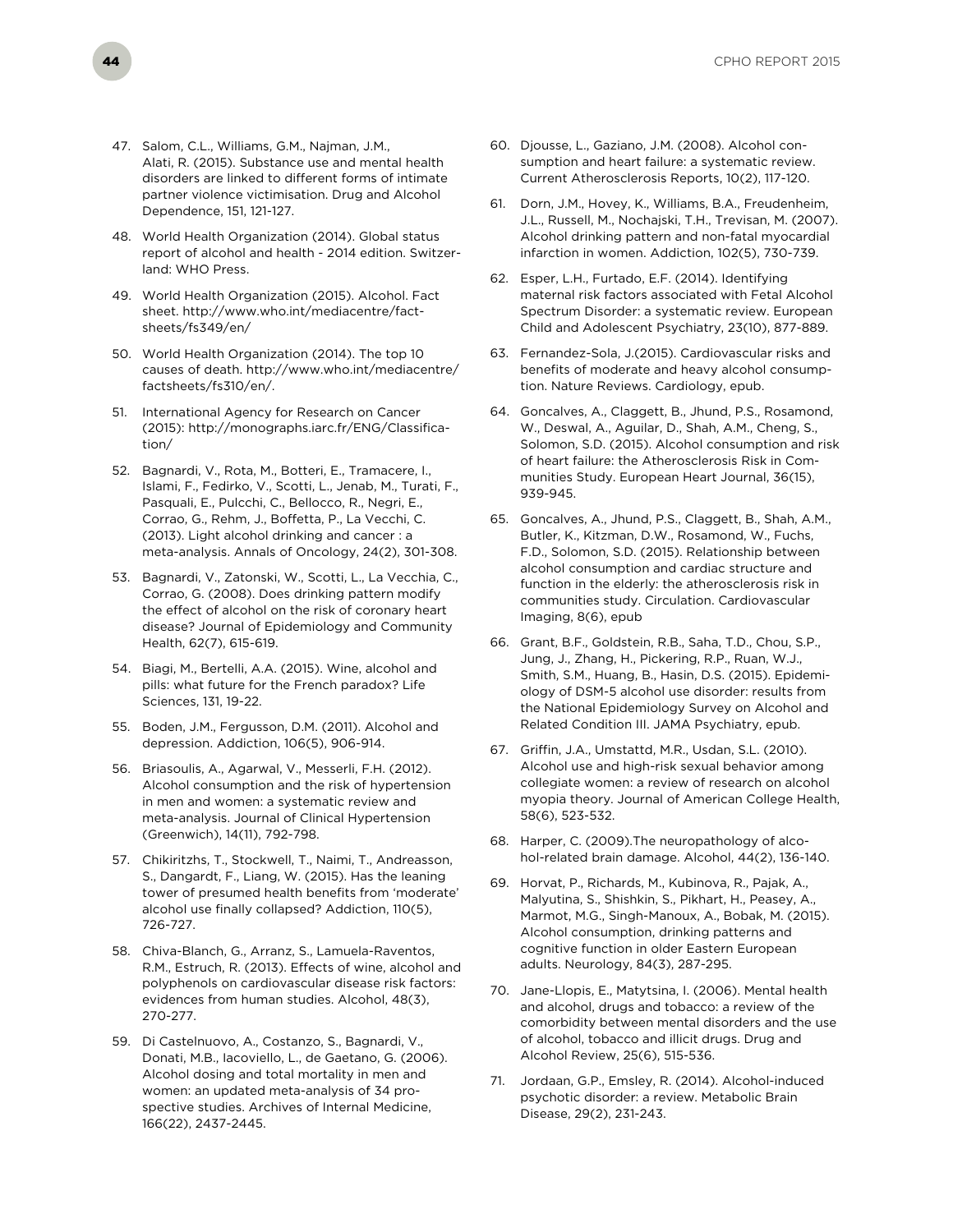- 47. Salom, C.L., Williams, G.M., Najman, J.M., Alati, R. (2015). Substance use and mental health disorders are linked to different forms of intimate partner violence victimisation. Drug and Alcohol Dependence, 151, 121-127.
- 48. World Health Organization (2014). Global status report of alcohol and health - 2014 edition. Switzerland: WHO Press.
- 49. World Health Organization (2015). Alcohol. Fact sheet. http://www.who.int/mediacentre/factsheets/fs349/en/
- 50. World Health Organization (2014). The top 10 causes of death. http://www.who.int/mediacentre/ factsheets/fs310/en/.
- 51. International Agency for Research on Cancer (2015): http://monographs.iarc.fr/ENG/Classification/
- 52. Bagnardi, V., Rota, M., Botteri, E., Tramacere, I., Islami, F., Fedirko, V., Scotti, L., Jenab, M., Turati, F., Pasquali, E., Pulcchi, C., Bellocco, R., Negri, E., Corrao, G., Rehm, J., Boffetta, P., La Vecchi, C. (2013). Light alcohol drinking and cancer : a meta-analysis. Annals of Oncology, 24(2), 301-308.
- 53. Bagnardi, V., Zatonski, W., Scotti, L., La Vecchia, C., Corrao, G. (2008). Does drinking pattern modify the effect of alcohol on the risk of coronary heart disease? Journal of Epidemiology and Community Health, 62(7), 615-619.
- 54. Biagi, M., Bertelli, A.A. (2015). Wine, alcohol and pills: what future for the French paradox? Life Sciences, 131, 19-22.
- 55. Boden, J.M., Fergusson, D.M. (2011). Alcohol and depression. Addiction, 106(5), 906-914.
- 56. Briasoulis, A., Agarwal, V., Messerli, F.H. (2012). Alcohol consumption and the risk of hypertension in men and women: a systematic review and meta-analysis. Journal of Clinical Hypertension (Greenwich), 14(11), 792-798.
- 57. Chikiritzhs, T., Stockwell, T., Naimi, T., Andreasson, S., Dangardt, F., Liang, W. (2015). Has the leaning tower of presumed health benefits from 'moderate' alcohol use finally collapsed? Addiction, 110(5), 726-727.
- 58. Chiva-Blanch, G., Arranz, S., Lamuela-Raventos, R.M., Estruch, R. (2013). Effects of wine, alcohol and polyphenols on cardiovascular disease risk factors: evidences from human studies. Alcohol, 48(3), 270-277.
- 59. Di Castelnuovo, A., Costanzo, S., Bagnardi, V., Donati, M.B., Iacoviello, L., de Gaetano, G. (2006). Alcohol dosing and total mortality in men and women: an updated meta-analysis of 34 prospective studies. Archives of Internal Medicine, 166(22), 2437-2445.
- 60. Djousse, L., Gaziano, J.M. (2008). Alcohol consumption and heart failure: a systematic review. Current Atherosclerosis Reports, 10(2), 117-120.
- 61. Dorn, J.M., Hovey, K., Williams, B.A., Freudenheim, J.L., Russell, M., Nochajski, T.H., Trevisan, M. (2007). Alcohol drinking pattern and non-fatal myocardial infarction in women. Addiction, 102(5), 730-739.
- 62. Esper, L.H., Furtado, E.F. (2014). Identifying maternal risk factors associated with Fetal Alcohol Spectrum Disorder: a systematic review. European Child and Adolescent Psychiatry, 23(10), 877-889.
- 63. Fernandez-Sola, J.(2015). Cardiovascular risks and benefits of moderate and heavy alcohol consumption. Nature Reviews. Cardiology, epub.
- 64. Goncalves, A., Claggett, B., Jhund, P.S., Rosamond, W., Deswal, A., Aguilar, D., Shah, A.M., Cheng, S., Solomon, S.D. (2015). Alcohol consumption and risk of heart failure: the Atherosclerosis Risk in Communities Study. European Heart Journal, 36(15), 939-945.
- 65. Goncalves, A., Jhund, P.S., Claggett, B., Shah, A.M., Butler, K., Kitzman, D.W., Rosamond, W., Fuchs, F.D., Solomon, S.D. (2015). Relationship between alcohol consumption and cardiac structure and function in the elderly: the atherosclerosis risk in communities study. Circulation. Cardiovascular Imaging, 8(6), epub
- 66. Grant, B.F., Goldstein, R.B., Saha, T.D., Chou, S.P., Jung, J., Zhang, H., Pickering, R.P., Ruan, W.J., Smith, S.M., Huang, B., Hasin, D.S. (2015). Epidemiology of DSM-5 alcohol use disorder: results from the National Epidemiology Survey on Alcohol and Related Condition III. JAMA Psychiatry, epub.
- 67. Griffin, J.A., Umstattd, M.R., Usdan, S.L. (2010). Alcohol use and high-risk sexual behavior among collegiate women: a review of research on alcohol myopia theory. Journal of American College Health, 58(6), 523-532.
- 68. Harper, C. (2009).The neuropathology of alcohol-related brain damage. Alcohol, 44(2), 136-140.
- 69. Horvat, P., Richards, M., Kubinova, R., Pajak, A., Malyutina, S., Shishkin, S., Pikhart, H., Peasey, A., Marmot, M.G., Singh-Manoux, A., Bobak, M. (2015). Alcohol consumption, drinking patterns and cognitive function in older Eastern European adults. Neurology, 84(3), 287-295.
- 70. Jane-Llopis, E., Matytsina, I. (2006). Mental health and alcohol, drugs and tobacco: a review of the comorbidity between mental disorders and the use of alcohol, tobacco and illicit drugs. Drug and Alcohol Review, 25(6), 515-536.
- 71. Jordaan, G.P., Emsley, R. (2014). Alcohol-induced psychotic disorder: a review. Metabolic Brain Disease, 29(2), 231-243.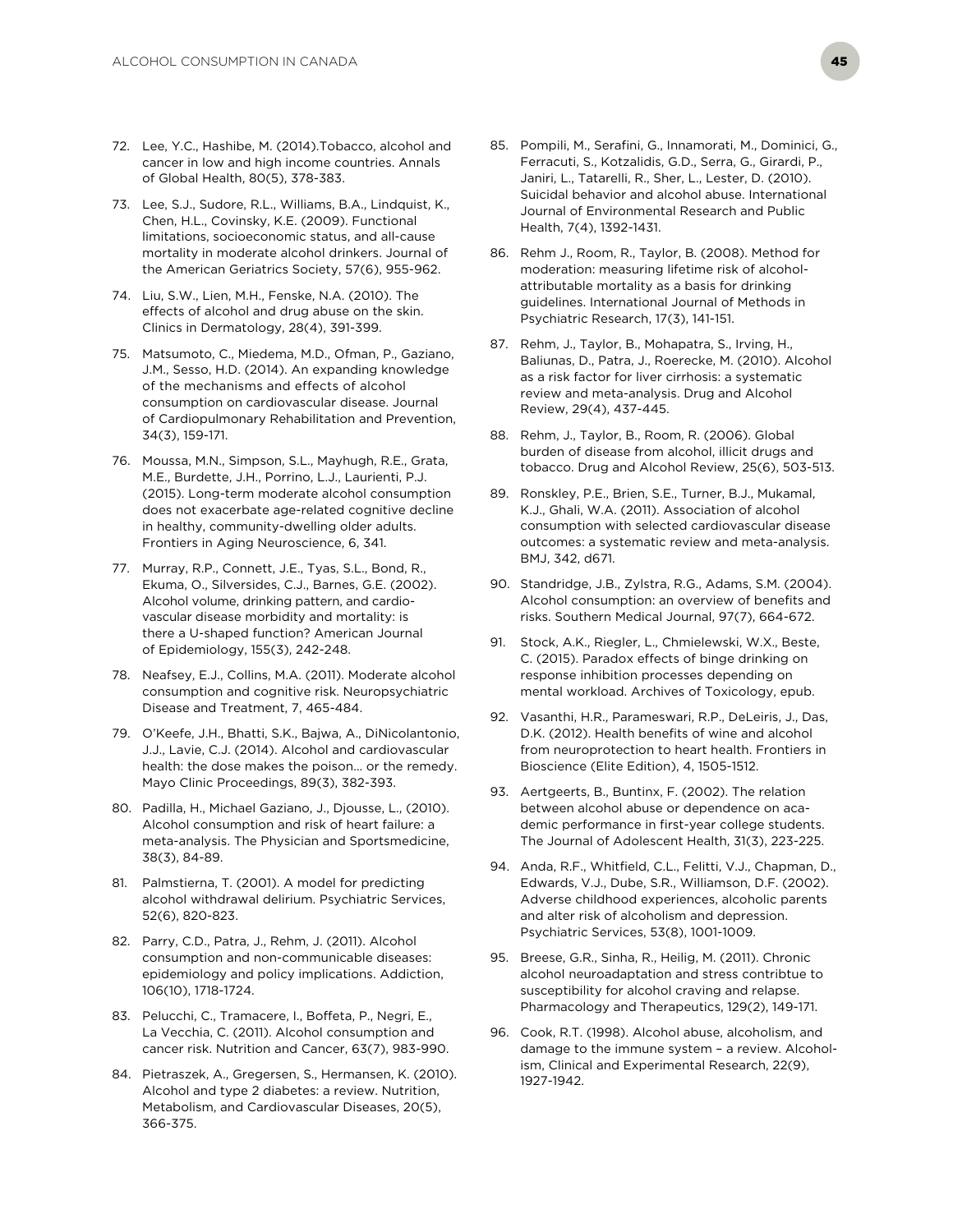- 72. Lee, Y.C., Hashibe, M. (2014).Tobacco, alcohol and cancer in low and high income countries. Annals of Global Health, 80(5), 378-383.
- 73. Lee, S.J., Sudore, R.L., Williams, B.A., Lindquist, K., Chen, H.L., Covinsky, K.E. (2009). Functional limitations, socioeconomic status, and all-cause mortality in moderate alcohol drinkers. Journal of the American Geriatrics Society, 57(6), 955-962.
- 74. Liu, S.W., Lien, M.H., Fenske, N.A. (2010). The effects of alcohol and drug abuse on the skin. Clinics in Dermatology, 28(4), 391-399.
- 75. Matsumoto, C., Miedema, M.D., Ofman, P., Gaziano, J.M., Sesso, H.D. (2014). An expanding knowledge of the mechanisms and effects of alcohol consumption on cardiovascular disease. Journal of Cardiopulmonary Rehabilitation and Prevention, 34(3), 159-171.
- 76. Moussa, M.N., Simpson, S.L., Mayhugh, R.E., Grata, M.E., Burdette, J.H., Porrino, L.J., Laurienti, P.J. (2015). Long-term moderate alcohol consumption does not exacerbate age-related cognitive decline in healthy, community-dwelling older adults. Frontiers in Aging Neuroscience, 6, 341.
- 77. Murray, R.P., Connett, J.E., Tyas, S.L., Bond, R., Ekuma, O., Silversides, C.J., Barnes, G.E. (2002). Alcohol volume, drinking pattern, and cardiovascular disease morbidity and mortality: is there a U-shaped function? American Journal of Epidemiology, 155(3), 242-248.
- 78. Neafsey, E.J., Collins, M.A. (2011). Moderate alcohol consumption and cognitive risk. Neuropsychiatric Disease and Treatment, 7, 465-484.
- 79. O'Keefe, J.H., Bhatti, S.K., Bajwa, A., DiNicolantonio, J.J., Lavie, C.J. (2014). Alcohol and cardiovascular health: the dose makes the poison… or the remedy. Mayo Clinic Proceedings, 89(3), 382-393.
- 80. Padilla, H., Michael Gaziano, J., Djousse, L., (2010). Alcohol consumption and risk of heart failure: a meta-analysis. The Physician and Sportsmedicine, 38(3), 84-89.
- 81. Palmstierna, T. (2001). A model for predicting alcohol withdrawal delirium. Psychiatric Services, 52(6), 820-823.
- 82. Parry, C.D., Patra, J., Rehm, J. (2011). Alcohol consumption and non-communicable diseases: epidemiology and policy implications. Addiction, 106(10), 1718-1724.
- 83. Pelucchi, C., Tramacere, I., Boffeta, P., Negri, E., La Vecchia, C. (2011). Alcohol consumption and cancer risk. Nutrition and Cancer, 63(7), 983-990.
- 84. Pietraszek, A., Gregersen, S., Hermansen, K. (2010). Alcohol and type 2 diabetes: a review. Nutrition, Metabolism, and Cardiovascular Diseases, 20(5), 366-375.
- 85. Pompili, M., Serafini, G., Innamorati, M., Dominici, G., Ferracuti, S., Kotzalidis, G.D., Serra, G., Girardi, P., Janiri, L., Tatarelli, R., Sher, L., Lester, D. (2010). Suicidal behavior and alcohol abuse. International Journal of Environmental Research and Public Health, 7(4), 1392-1431.
- 86. Rehm J., Room, R., Taylor, B. (2008). Method for moderation: measuring lifetime risk of alcoholattributable mortality as a basis for drinking guidelines. International Journal of Methods in Psychiatric Research, 17(3), 141-151.
- 87. Rehm, J., Taylor, B., Mohapatra, S., Irving, H., Baliunas, D., Patra, J., Roerecke, M. (2010). Alcohol as a risk factor for liver cirrhosis: a systematic review and meta-analysis. Drug and Alcohol Review, 29(4), 437-445.
- 88. Rehm, J., Taylor, B., Room, R. (2006). Global burden of disease from alcohol, illicit drugs and tobacco. Drug and Alcohol Review, 25(6), 503-513.
- 89. Ronskley, P.E., Brien, S.E., Turner, B.J., Mukamal, K.J., Ghali, W.A. (2011). Association of alcohol consumption with selected cardiovascular disease outcomes: a systematic review and meta-analysis. BMJ, 342, d671.
- 90. Standridge, J.B., Zylstra, R.G., Adams, S.M. (2004). Alcohol consumption: an overview of benefits and risks. Southern Medical Journal, 97(7), 664-672.
- 91. Stock, A.K., Riegler, L., Chmielewski, W.X., Beste, C. (2015). Paradox effects of binge drinking on response inhibition processes depending on mental workload. Archives of Toxicology, epub.
- 92. Vasanthi, H.R., Parameswari, R.P., DeLeiris, J., Das, D.K. (2012). Health benefits of wine and alcohol from neuroprotection to heart health. Frontiers in Bioscience (Elite Edition), 4, 1505-1512.
- 93. Aertgeerts, B., Buntinx, F. (2002). The relation between alcohol abuse or dependence on academic performance in first-year college students. The Journal of Adolescent Health, 31(3), 223-225.
- 94. Anda, R.F., Whitfield, C.L., Felitti, V.J., Chapman, D., Edwards, V.J., Dube, S.R., Williamson, D.F. (2002). Adverse childhood experiences, alcoholic parents and alter risk of alcoholism and depression. Psychiatric Services, 53(8), 1001-1009.
- 95. Breese, G.R., Sinha, R., Heilig, M. (2011). Chronic alcohol neuroadaptation and stress contribtue to susceptibility for alcohol craving and relapse. Pharmacology and Therapeutics, 129(2), 149-171.
- 96. Cook, R.T. (1998). Alcohol abuse, alcoholism, and damage to the immune system – a review. Alcoholism, Clinical and Experimental Research, 22(9), 1927-1942.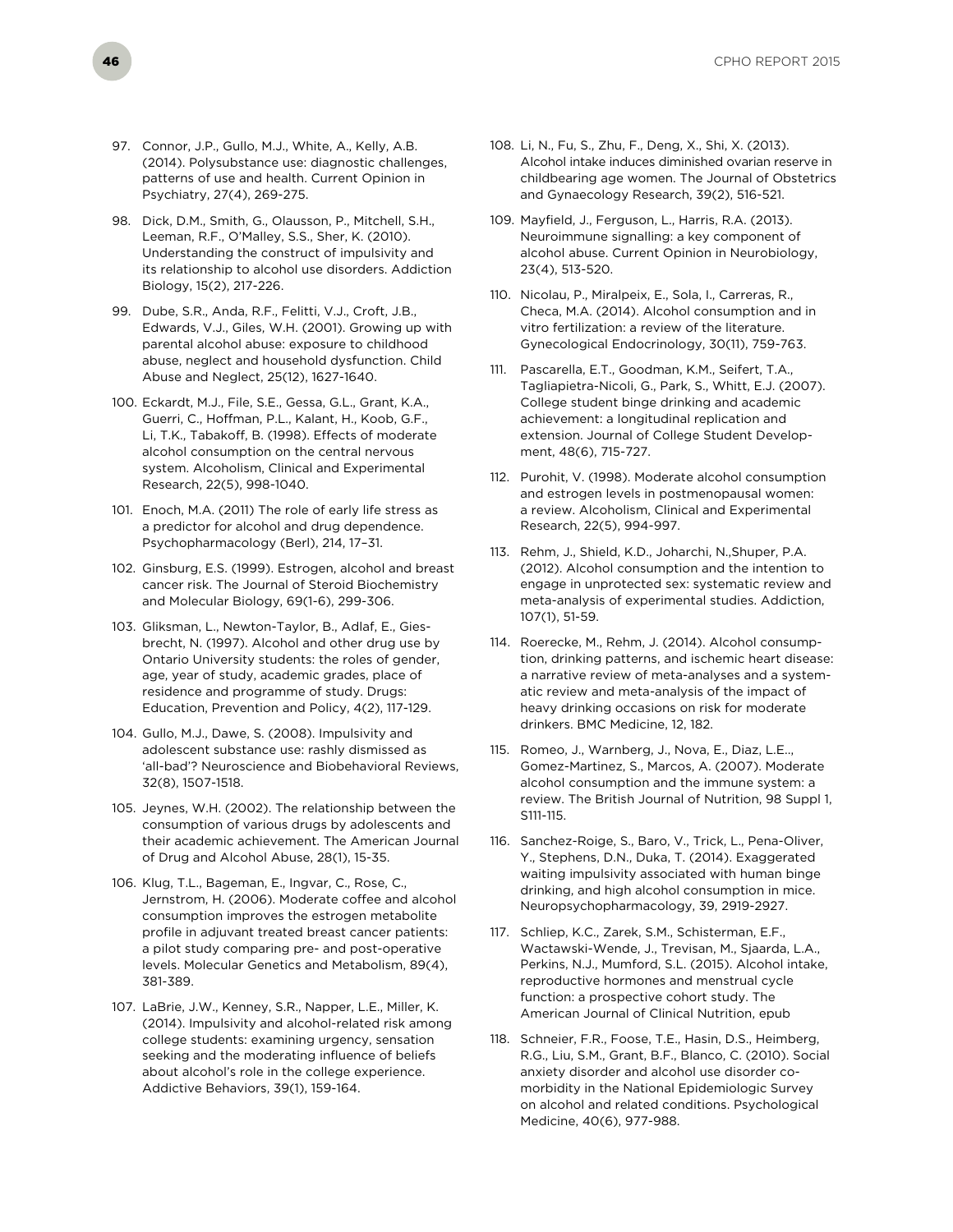- 97. Connor, J.P., Gullo, M.J., White, A., Kelly, A.B. (2014). Polysubstance use: diagnostic challenges, patterns of use and health. Current Opinion in Psychiatry, 27(4), 269-275.
- 98. Dick, D.M., Smith, G., Olausson, P., Mitchell, S.H., Leeman, R.F., O'Malley, S.S., Sher, K. (2010). Understanding the construct of impulsivity and its relationship to alcohol use disorders. Addiction Biology, 15(2), 217-226.
- 99. Dube, S.R., Anda, R.F., Felitti, V.J., Croft, J.B., Edwards, V.J., Giles, W.H. (2001). Growing up with parental alcohol abuse: exposure to childhood abuse, neglect and household dysfunction. Child Abuse and Neglect, 25(12), 1627-1640.
- 100. Eckardt, M.J., File, S.E., Gessa, G.L., Grant, K.A., Guerri, C., Hoffman, P.L., Kalant, H., Koob, G.F., Li, T.K., Tabakoff, B. (1998). Effects of moderate alcohol consumption on the central nervous system. Alcoholism, Clinical and Experimental Research, 22(5), 998-1040.
- 101. Enoch, M.A. (2011) The role of early life stress as a predictor for alcohol and drug dependence. Psychopharmacology (Berl), 214, 17–31.
- 102. Ginsburg, E.S. (1999). Estrogen, alcohol and breast cancer risk. The Journal of Steroid Biochemistry and Molecular Biology, 69(1-6), 299-306.
- 103. Gliksman, L., Newton-Taylor, B., Adlaf, E., Giesbrecht, N. (1997). Alcohol and other drug use by Ontario University students: the roles of gender, age, year of study, academic grades, place of residence and programme of study. Drugs: Education, Prevention and Policy, 4(2), 117-129.
- 104. Gullo, M.J., Dawe, S. (2008). Impulsivity and adolescent substance use: rashly dismissed as 'all-bad'? Neuroscience and Biobehavioral Reviews, 32(8), 1507-1518.
- 105. Jeynes, W.H. (2002). The relationship between the consumption of various drugs by adolescents and their academic achievement. The American Journal of Drug and Alcohol Abuse, 28(1), 15-35.
- 106. Klug, T.L., Bageman, E., Ingvar, C., Rose, C., Jernstrom, H. (2006). Moderate coffee and alcohol consumption improves the estrogen metabolite profile in adjuvant treated breast cancer patients: a pilot study comparing pre- and post-operative levels. Molecular Genetics and Metabolism, 89(4), 381-389.
- 107. LaBrie, J.W., Kenney, S.R., Napper, L.E., Miller, K. (2014). Impulsivity and alcohol-related risk among college students: examining urgency, sensation seeking and the moderating influence of beliefs about alcohol's role in the college experience. Addictive Behaviors, 39(1), 159-164.
- 108. Li, N., Fu, S., Zhu, F., Deng, X., Shi, X. (2013). Alcohol intake induces diminished ovarian reserve in childbearing age women. The Journal of Obstetrics and Gynaecology Research, 39(2), 516-521.
- 109. Mayfield, J., Ferguson, L., Harris, R.A. (2013). Neuroimmune signalling: a key component of alcohol abuse. Current Opinion in Neurobiology, 23(4), 513-520.
- 110. Nicolau, P., Miralpeix, E., Sola, I., Carreras, R., Checa, M.A. (2014). Alcohol consumption and in vitro fertilization: a review of the literature. Gynecological Endocrinology, 30(11), 759-763.
- 111. Pascarella, E.T., Goodman, K.M., Seifert, T.A., Tagliapietra-Nicoli, G., Park, S., Whitt, E.J. (2007). College student binge drinking and academic achievement: a longitudinal replication and extension. Journal of College Student Development, 48(6), 715-727.
- 112. Purohit, V. (1998). Moderate alcohol consumption and estrogen levels in postmenopausal women: a review. Alcoholism, Clinical and Experimental Research, 22(5), 994-997.
- 113. Rehm, J., Shield, K.D., Joharchi, N.,Shuper, P.A. (2012). Alcohol consumption and the intention to engage in unprotected sex: systematic review and meta-analysis of experimental studies. Addiction, 107(1), 51-59.
- 114. Roerecke, M., Rehm, J. (2014). Alcohol consumption, drinking patterns, and ischemic heart disease: a narrative review of meta-analyses and a systematic review and meta-analysis of the impact of heavy drinking occasions on risk for moderate drinkers. BMC Medicine, 12, 182.
- 115. Romeo, J., Warnberg, J., Nova, E., Diaz, L.E.., Gomez-Martinez, S., Marcos, A. (2007). Moderate alcohol consumption and the immune system: a review. The British Journal of Nutrition, 98 Suppl 1, S111-115.
- 116. Sanchez-Roige, S., Baro, V., Trick, L., Pena-Oliver, Y., Stephens, D.N., Duka, T. (2014). Exaggerated waiting impulsivity associated with human binge drinking, and high alcohol consumption in mice. Neuropsychopharmacology, 39, 2919-2927.
- 117. Schliep, K.C., Zarek, S.M., Schisterman, E.F., Wactawski-Wende, J., Trevisan, M., Sjaarda, L.A., Perkins, N.J., Mumford, S.L. (2015). Alcohol intake, reproductive hormones and menstrual cycle function: a prospective cohort study. The American Journal of Clinical Nutrition, epub
- 118. Schneier, F.R., Foose, T.E., Hasin, D.S., Heimberg, R.G., Liu, S.M., Grant, B.F., Blanco, C. (2010). Social anxiety disorder and alcohol use disorder comorbidity in the National Epidemiologic Survey on alcohol and related conditions. Psychological Medicine, 40(6), 977-988.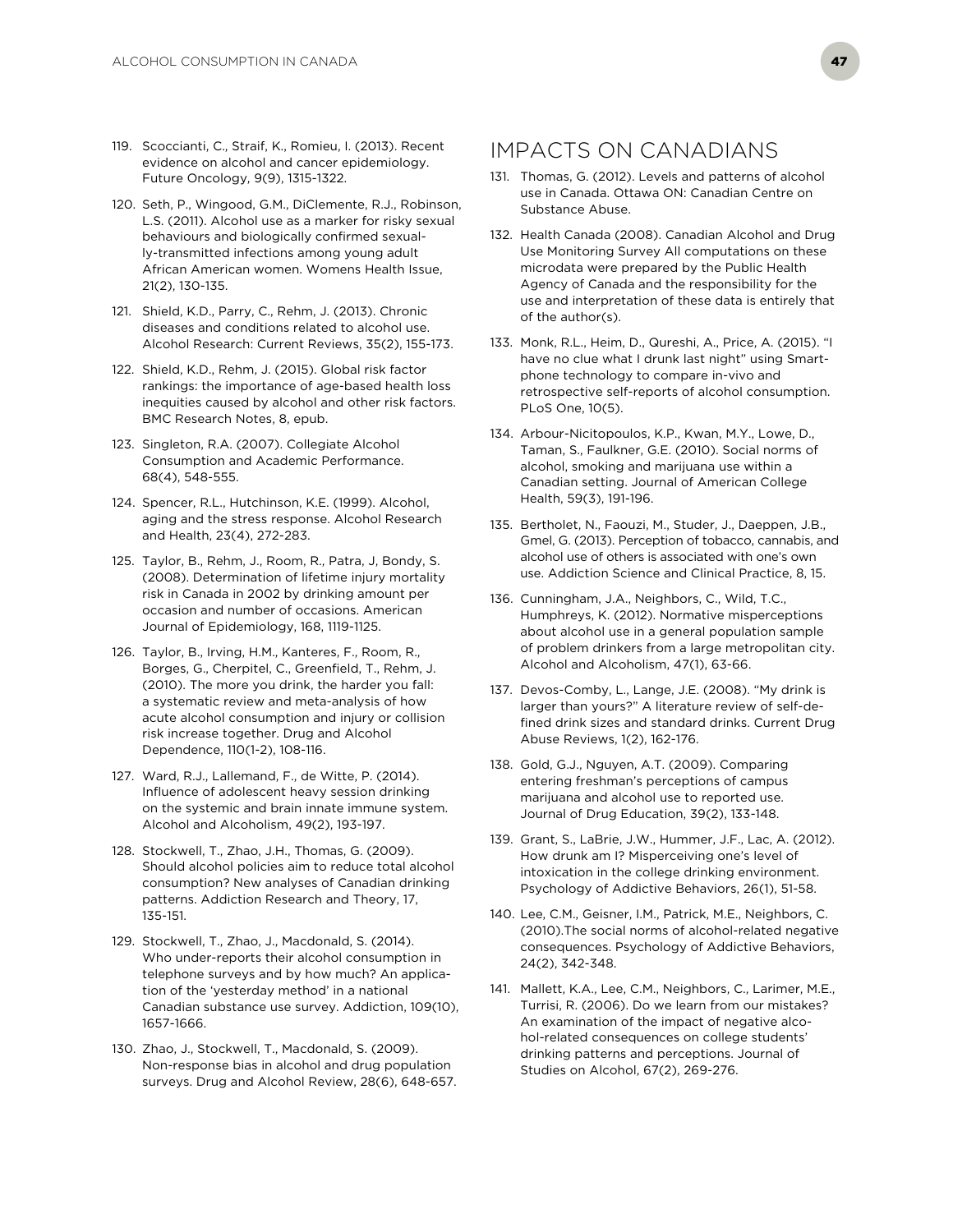- 119. Scoccianti, C., Straif, K., Romieu, I. (2013). Recent evidence on alcohol and cancer epidemiology. Future Oncology, 9(9), 1315-1322.
- 120. Seth, P., Wingood, G.M., DiClemente, R.J., Robinson, L.S. (2011). Alcohol use as a marker for risky sexual behaviours and biologically confirmed sexually-transmitted infections among young adult African American women. Womens Health Issue, 21(2), 130-135.
- 121. Shield, K.D., Parry, C., Rehm, J. (2013). Chronic diseases and conditions related to alcohol use. Alcohol Research: Current Reviews, 35(2), 155-173.
- 122. Shield, K.D., Rehm, J. (2015). Global risk factor rankings: the importance of age-based health loss inequities caused by alcohol and other risk factors. BMC Research Notes, 8, epub.
- 123. Singleton, R.A. (2007). Collegiate Alcohol Consumption and Academic Performance. 68(4), 548-555.
- 124. Spencer, R.L., Hutchinson, K.E. (1999). Alcohol, aging and the stress response. Alcohol Research and Health, 23(4), 272-283.
- 125. Taylor, B., Rehm, J., Room, R., Patra, J, Bondy, S. (2008). Determination of lifetime injury mortality risk in Canada in 2002 by drinking amount per occasion and number of occasions. American Journal of Epidemiology, 168, 1119-1125.
- 126. Taylor, B., Irving, H.M., Kanteres, F., Room, R., Borges, G., Cherpitel, C., Greenfield, T., Rehm, J. (2010). The more you drink, the harder you fall: a systematic review and meta-analysis of how acute alcohol consumption and injury or collision risk increase together. Drug and Alcohol Dependence, 110(1-2), 108-116.
- 127. Ward, R.J., Lallemand, F., de Witte, P. (2014). Influence of adolescent heavy session drinking on the systemic and brain innate immune system. Alcohol and Alcoholism, 49(2), 193-197.
- 128. Stockwell, T., Zhao, J.H., Thomas, G. (2009). Should alcohol policies aim to reduce total alcohol consumption? New analyses of Canadian drinking patterns. Addiction Research and Theory, 17, 135-151.
- 129. Stockwell, T., Zhao, J., Macdonald, S. (2014). Who under-reports their alcohol consumption in telephone surveys and by how much? An application of the 'yesterday method' in a national Canadian substance use survey. Addiction, 109(10), 1657-1666.
- 130. Zhao, J., Stockwell, T., Macdonald, S. (2009). Non-response bias in alcohol and drug population surveys. Drug and Alcohol Review, 28(6), 648-657.

# IMPACTS ON CANADIANS

- 131. Thomas, G. (2012). Levels and patterns of alcohol use in Canada. Ottawa ON: Canadian Centre on Substance Abuse.
- 132. Health Canada (2008). Canadian Alcohol and Drug Use Monitoring Survey All computations on these microdata were prepared by the Public Health Agency of Canada and the responsibility for the use and interpretation of these data is entirely that of the author(s).
- 133. Monk, R.L., Heim, D., Qureshi, A., Price, A. (2015). "I have no clue what I drunk last night" using Smartphone technology to compare in-vivo and retrospective self-reports of alcohol consumption. PLoS One, 10(5).
- 134. Arbour-Nicitopoulos, K.P., Kwan, M.Y., Lowe, D., Taman, S., Faulkner, G.E. (2010). Social norms of alcohol, smoking and marijuana use within a Canadian setting. Journal of American College Health, 59(3), 191-196.
- 135. Bertholet, N., Faouzi, M., Studer, J., Daeppen, J.B., Gmel, G. (2013). Perception of tobacco, cannabis, and alcohol use of others is associated with one's own use. Addiction Science and Clinical Practice, 8, 15.
- 136. Cunningham, J.A., Neighbors, C., Wild, T.C., Humphreys, K. (2012). Normative misperceptions about alcohol use in a general population sample of problem drinkers from a large metropolitan city. Alcohol and Alcoholism, 47(1), 63-66.
- 137. Devos-Comby, L., Lange, J.E. (2008). "My drink is larger than yours?" A literature review of self-defined drink sizes and standard drinks. Current Drug Abuse Reviews, 1(2), 162-176.
- 138. Gold, G.J., Nguyen, A.T. (2009). Comparing entering freshman's perceptions of campus marijuana and alcohol use to reported use. Journal of Drug Education, 39(2), 133-148.
- 139. Grant, S., LaBrie, J.W., Hummer, J.F., Lac, A. (2012). How drunk am I? Misperceiving one's level of intoxication in the college drinking environment. Psychology of Addictive Behaviors, 26(1), 51-58.
- 140. Lee, C.M., Geisner, I.M., Patrick, M.E., Neighbors, C. (2010).The social norms of alcohol-related negative consequences. Psychology of Addictive Behaviors, 24(2), 342-348.
- 141. Mallett, K.A., Lee, C.M., Neighbors, C., Larimer, M.E., Turrisi, R. (2006). Do we learn from our mistakes? An examination of the impact of negative alcohol-related consequences on college students' drinking patterns and perceptions. Journal of Studies on Alcohol, 67(2), 269-276.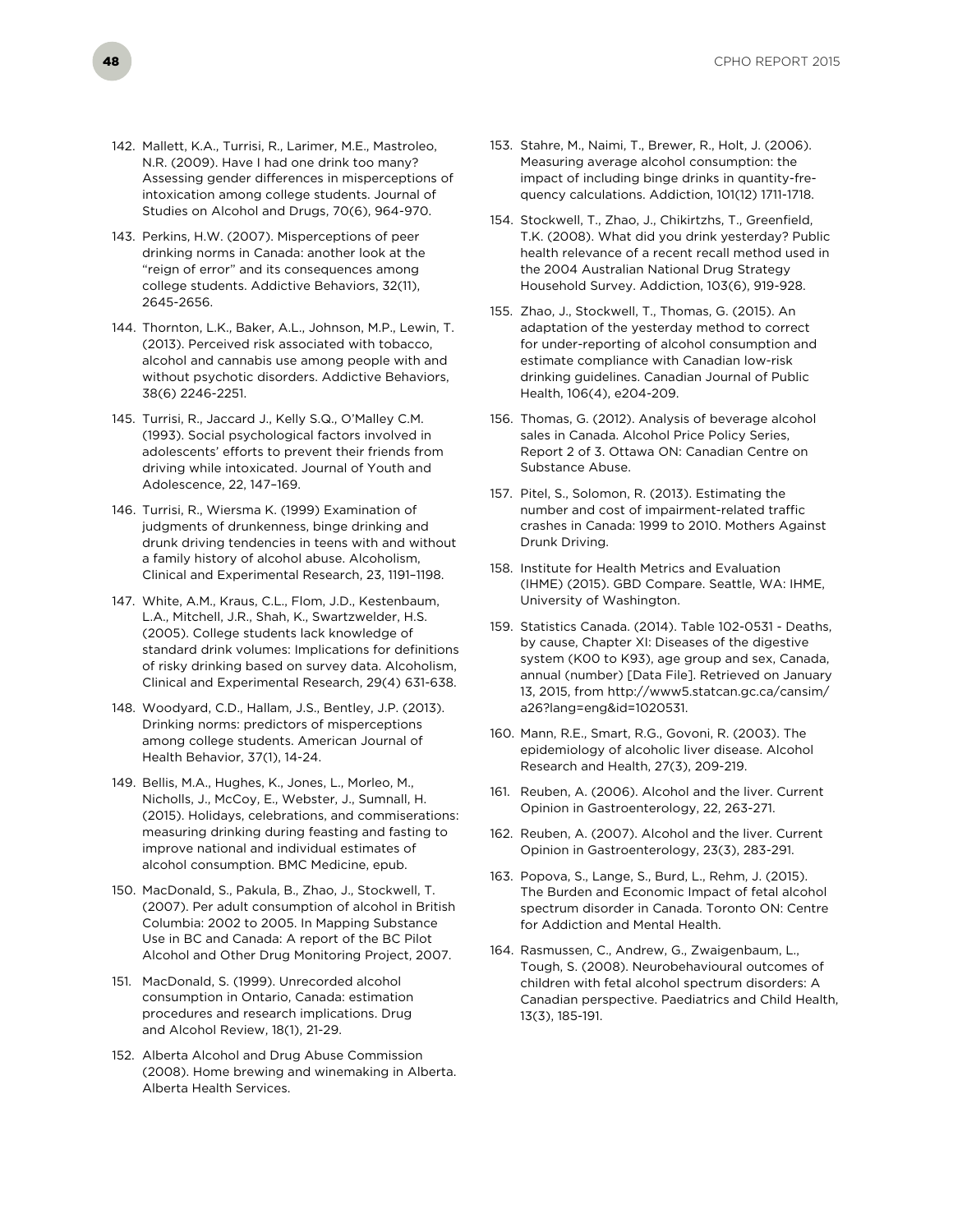- 142. Mallett, K.A., Turrisi, R., Larimer, M.E., Mastroleo, N.R. (2009). Have I had one drink too many? Assessing gender differences in misperceptions of intoxication among college students. Journal of Studies on Alcohol and Drugs, 70(6), 964-970.
- 143. Perkins, H.W. (2007). Misperceptions of peer drinking norms in Canada: another look at the "reign of error" and its consequences among college students. Addictive Behaviors, 32(11), 2645-2656.
- 144. Thornton, L.K., Baker, A.L., Johnson, M.P., Lewin, T. (2013). Perceived risk associated with tobacco, alcohol and cannabis use among people with and without psychotic disorders. Addictive Behaviors, 38(6) 2246-2251.
- 145. Turrisi, R., Jaccard J., Kelly S.Q., O'Malley C.M. (1993). Social psychological factors involved in adolescents' efforts to prevent their friends from driving while intoxicated. Journal of Youth and Adolescence, 22, 147–169.
- 146. Turrisi, R., Wiersma K. (1999) Examination of judgments of drunkenness, binge drinking and drunk driving tendencies in teens with and without a family history of alcohol abuse. Alcoholism, Clinical and Experimental Research, 23, 1191–1198.
- 147. White, A.M., Kraus, C.L., Flom, J.D., Kestenbaum, L.A., Mitchell, J.R., Shah, K., Swartzwelder, H.S. (2005). College students lack knowledge of standard drink volumes: Implications for definitions of risky drinking based on survey data. Alcoholism, Clinical and Experimental Research, 29(4) 631-638.
- 148. Woodyard, C.D., Hallam, J.S., Bentley, J.P. (2013). Drinking norms: predictors of misperceptions among college students. American Journal of Health Behavior, 37(1), 14-24.
- 149. Bellis, M.A., Hughes, K., Jones, L., Morleo, M., Nicholls, J., McCoy, E., Webster, J., Sumnall, H. (2015). Holidays, celebrations, and commiserations: measuring drinking during feasting and fasting to improve national and individual estimates of alcohol consumption. BMC Medicine, epub.
- 150. MacDonald, S., Pakula, B., Zhao, J., Stockwell, T. (2007). Per adult consumption of alcohol in British Columbia: 2002 to 2005. In Mapping Substance Use in BC and Canada: A report of the BC Pilot Alcohol and Other Drug Monitoring Project, 2007.
- 151. MacDonald, S. (1999). Unrecorded alcohol consumption in Ontario, Canada: estimation procedures and research implications. Drug and Alcohol Review, 18(1), 21-29.
- 152. Alberta Alcohol and Drug Abuse Commission (2008). Home brewing and winemaking in Alberta. Alberta Health Services.
- 153. Stahre, M., Naimi, T., Brewer, R., Holt, J. (2006). Measuring average alcohol consumption: the impact of including binge drinks in quantity-frequency calculations. Addiction, 101(12) 1711-1718.
- 154. Stockwell, T., Zhao, J., Chikirtzhs, T., Greenfield, T.K. (2008). What did you drink yesterday? Public health relevance of a recent recall method used in the 2004 Australian National Drug Strategy Household Survey. Addiction, 103(6), 919-928.
- 155. Zhao, J., Stockwell, T., Thomas, G. (2015). An adaptation of the yesterday method to correct for under-reporting of alcohol consumption and estimate compliance with Canadian low-risk drinking guidelines. Canadian Journal of Public Health, 106(4), e204-209.
- 156. Thomas, G. (2012). Analysis of beverage alcohol sales in Canada. Alcohol Price Policy Series, Report 2 of 3. Ottawa ON: Canadian Centre on Substance Abuse.
- 157. Pitel, S., Solomon, R. (2013). Estimating the number and cost of impairment-related traffic crashes in Canada: 1999 to 2010. Mothers Against Drunk Driving.
- 158. Institute for Health Metrics and Evaluation (IHME) (2015). GBD Compare. Seattle, WA: IHME, University of Washington.
- 159. Statistics Canada. (2014). Table 102-0531 Deaths, by cause, Chapter XI: Diseases of the digestive system (K00 to K93), age group and sex, Canada, annual (number) [Data File]. Retrieved on January 13, 2015, from http://www5.statcan.gc.ca/cansim/ a26?lang=eng&id=1020531.
- 160. Mann, R.E., Smart, R.G., Govoni, R. (2003). The epidemiology of alcoholic liver disease. Alcohol Research and Health, 27(3), 209-219.
- 161. Reuben, A. (2006). Alcohol and the liver. Current Opinion in Gastroenterology, 22, 263-271.
- 162. Reuben, A. (2007). Alcohol and the liver. Current Opinion in Gastroenterology, 23(3), 283-291.
- 163. Popova, S., Lange, S., Burd, L., Rehm, J. (2015). The Burden and Economic Impact of fetal alcohol spectrum disorder in Canada. Toronto ON: Centre for Addiction and Mental Health.
- 164. Rasmussen, C., Andrew, G., Zwaigenbaum, L., Tough, S. (2008). Neurobehavioural outcomes of children with fetal alcohol spectrum disorders: A Canadian perspective. Paediatrics and Child Health, 13(3), 185-191.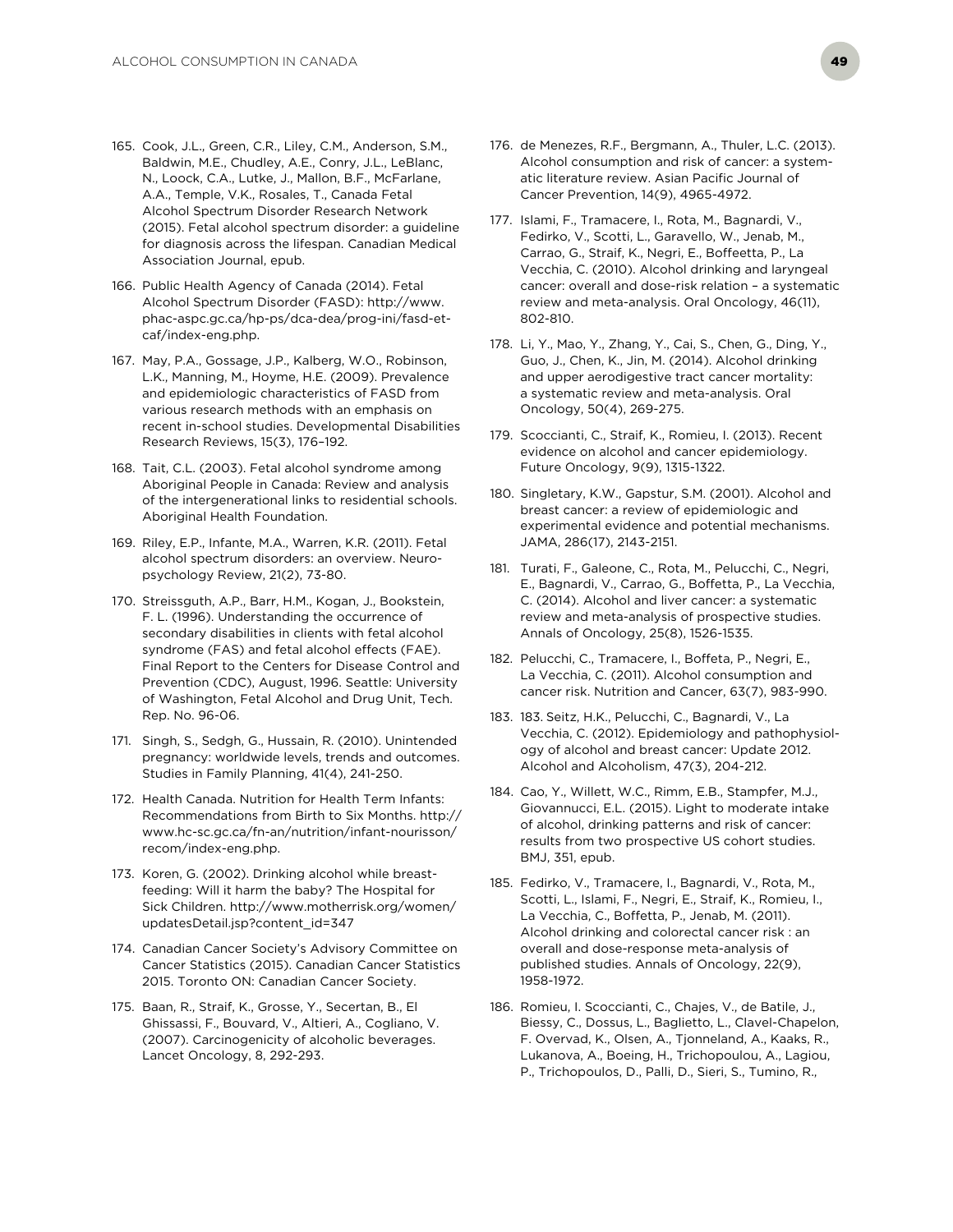- 165. Cook, J.L., Green, C.R., Liley, C.M., Anderson, S.M., Baldwin, M.E., Chudley, A.E., Conry, J.L., LeBlanc, N., Loock, C.A., Lutke, J., Mallon, B.F., McFarlane, A.A., Temple, V.K., Rosales, T., Canada Fetal Alcohol Spectrum Disorder Research Network (2015). Fetal alcohol spectrum disorder: a guideline for diagnosis across the lifespan. Canadian Medical Association Journal, epub.
- 166. Public Health Agency of Canada (2014). Fetal Alcohol Spectrum Disorder (FASD): http://www. phac-aspc.gc.ca/hp-ps/dca-dea/prog-ini/fasd-etcaf/index-eng.php.
- 167. May, P.A., Gossage, J.P., Kalberg, W.O., Robinson, L.K., Manning, M., Hoyme, H.E. (2009). Prevalence and epidemiologic characteristics of FASD from various research methods with an emphasis on recent in-school studies. Developmental Disabilities Research Reviews, 15(3), 176–192.
- 168. Tait, C.L. (2003). Fetal alcohol syndrome among Aboriginal People in Canada: Review and analysis of the intergenerational links to residential schools. Aboriginal Health Foundation.
- 169. Riley, E.P., Infante, M.A., Warren, K.R. (2011). Fetal alcohol spectrum disorders: an overview. Neuropsychology Review, 21(2), 73-80.
- 170. Streissguth, A.P., Barr, H.M., Kogan, J., Bookstein, F. L. (1996). Understanding the occurrence of secondary disabilities in clients with fetal alcohol syndrome (FAS) and fetal alcohol effects (FAE). Final Report to the Centers for Disease Control and Prevention (CDC), August, 1996. Seattle: University of Washington, Fetal Alcohol and Drug Unit, Tech. Rep. No. 96-06.
- 171. Singh, S., Sedgh, G., Hussain, R. (2010). Unintended pregnancy: worldwide levels, trends and outcomes. Studies in Family Planning, 41(4), 241-250.
- 172. Health Canada. Nutrition for Health Term Infants: Recommendations from Birth to Six Months. http:// www.hc-sc.gc.ca/fn-an/nutrition/infant-nourisson/ recom/index-eng.php.
- 173. Koren, G. (2002). Drinking alcohol while breastfeeding: Will it harm the baby? The Hospital for Sick Children. http://www.motherrisk.org/women/ updatesDetail.jsp?content\_id=347
- 174. Canadian Cancer Society's Advisory Committee on Cancer Statistics (2015). Canadian Cancer Statistics 2015. Toronto ON: Canadian Cancer Society.
- 175. Baan, R., Straif, K., Grosse, Y., Secertan, B., El Ghissassi, F., Bouvard, V., Altieri, A., Cogliano, V. (2007). Carcinogenicity of alcoholic beverages. Lancet Oncology, 8, 292-293.
- 176. de Menezes, R.F., Bergmann, A., Thuler, L.C. (2013). Alcohol consumption and risk of cancer: a systematic literature review. Asian Pacific Journal of Cancer Prevention, 14(9), 4965-4972.
- 177. Islami, F., Tramacere, I., Rota, M., Bagnardi, V., Fedirko, V., Scotti, L., Garavello, W., Jenab, M., Carrao, G., Straif, K., Negri, E., Boffeetta, P., La Vecchia, C. (2010). Alcohol drinking and laryngeal cancer: overall and dose-risk relation – a systematic review and meta-analysis. Oral Oncology, 46(11), 802-810.
- 178. Li, Y., Mao, Y., Zhang, Y., Cai, S., Chen, G., Ding, Y., Guo, J., Chen, K., Jin, M. (2014). Alcohol drinking and upper aerodigestive tract cancer mortality: a systematic review and meta-analysis. Oral Oncology, 50(4), 269-275.
- 179. Scoccianti, C., Straif, K., Romieu, I. (2013). Recent evidence on alcohol and cancer epidemiology. Future Oncology, 9(9), 1315-1322.
- 180. Singletary, K.W., Gapstur, S.M. (2001). Alcohol and breast cancer: a review of epidemiologic and experimental evidence and potential mechanisms. JAMA, 286(17), 2143-2151.
- 181. Turati, F., Galeone, C., Rota, M., Pelucchi, C., Negri, E., Bagnardi, V., Carrao, G., Boffetta, P., La Vecchia, C. (2014). Alcohol and liver cancer: a systematic review and meta-analysis of prospective studies. Annals of Oncology, 25(8), 1526-1535.
- 182. Pelucchi, C., Tramacere, I., Boffeta, P., Negri, E., La Vecchia, C. (2011). Alcohol consumption and cancer risk. Nutrition and Cancer, 63(7), 983-990.
- 183. 183. Seitz, H.K., Pelucchi, C., Bagnardi, V., La Vecchia, C. (2012). Epidemiology and pathophysiology of alcohol and breast cancer: Update 2012. Alcohol and Alcoholism, 47(3), 204-212.
- 184. Cao, Y., Willett, W.C., Rimm, E.B., Stampfer, M.J., Giovannucci, E.L. (2015). Light to moderate intake of alcohol, drinking patterns and risk of cancer: results from two prospective US cohort studies. BMJ, 351, epub.
- 185. Fedirko, V., Tramacere, I., Bagnardi, V., Rota, M., Scotti, L., Islami, F., Negri, E., Straif, K., Romieu, I., La Vecchia, C., Boffetta, P., Jenab, M. (2011). Alcohol drinking and colorectal cancer risk : an overall and dose-response meta-analysis of published studies. Annals of Oncology, 22(9), 1958-1972.
- 186. Romieu, I. Scoccianti, C., Chajes, V., de Batile, J., Biessy, C., Dossus, L., Baglietto, L., Clavel-Chapelon, F. Overvad, K., Olsen, A., Tjonneland, A., Kaaks, R., Lukanova, A., Boeing, H., Trichopoulou, A., Lagiou, P., Trichopoulos, D., Palli, D., Sieri, S., Tumino, R.,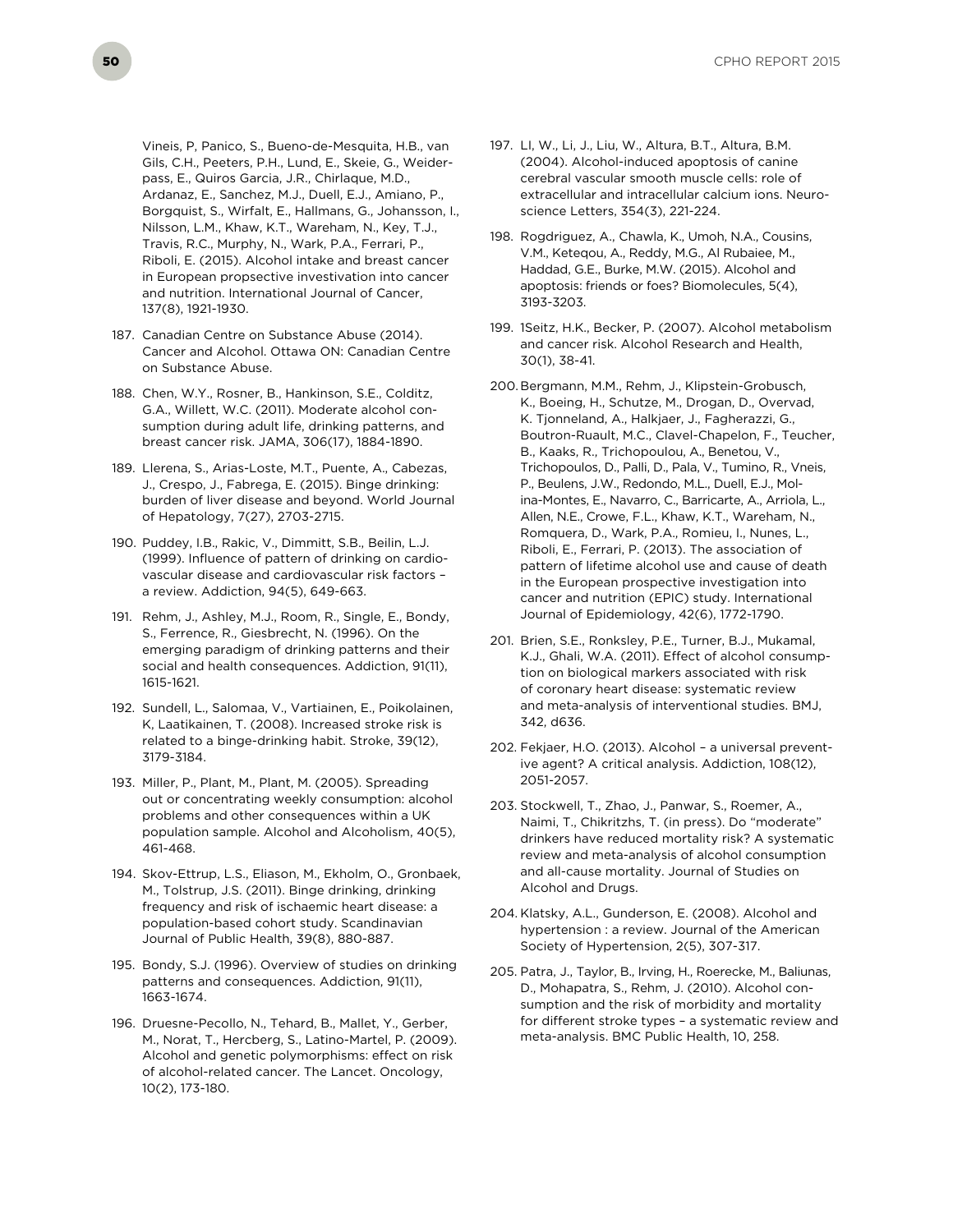Vineis, P, Panico, S., Bueno-de-Mesquita, H.B., van Gils, C.H., Peeters, P.H., Lund, E., Skeie, G., Weiderpass, E., Quiros Garcia, J.R., Chirlaque, M.D., Ardanaz, E., Sanchez, M.J., Duell, E.J., Amiano, P., Borgquist, S., Wirfalt, E., Hallmans, G., Johansson, I., Nilsson, L.M., Khaw, K.T., Wareham, N., Key, T.J., Travis, R.C., Murphy, N., Wark, P.A., Ferrari, P., Riboli, E. (2015). Alcohol intake and breast cancer in European propsective investivation into cancer and nutrition. International Journal of Cancer, 137(8), 1921-1930.

- 187. Canadian Centre on Substance Abuse (2014). Cancer and Alcohol. Ottawa ON: Canadian Centre on Substance Abuse.
- 188. Chen, W.Y., Rosner, B., Hankinson, S.E., Colditz, G.A., Willett, W.C. (2011). Moderate alcohol consumption during adult life, drinking patterns, and breast cancer risk. JAMA, 306(17), 1884-1890.
- 189. Llerena, S., Arias-Loste, M.T., Puente, A., Cabezas, J., Crespo, J., Fabrega, E. (2015). Binge drinking: burden of liver disease and beyond. World Journal of Hepatology, 7(27), 2703-2715.
- 190. Puddey, I.B., Rakic, V., Dimmitt, S.B., Beilin, L.J. (1999). Influence of pattern of drinking on cardiovascular disease and cardiovascular risk factors – a review. Addiction, 94(5), 649-663.
- 191. Rehm, J., Ashley, M.J., Room, R., Single, E., Bondy, S., Ferrence, R., Giesbrecht, N. (1996). On the emerging paradigm of drinking patterns and their social and health consequences. Addiction, 91(11), 1615-1621.
- 192. Sundell, L., Salomaa, V., Vartiainen, E., Poikolainen, K, Laatikainen, T. (2008). Increased stroke risk is related to a binge-drinking habit. Stroke, 39(12), 3179-3184.
- 193. Miller, P., Plant, M., Plant, M. (2005). Spreading out or concentrating weekly consumption: alcohol problems and other consequences within a UK population sample. Alcohol and Alcoholism, 40(5), 461-468.
- 194. Skov-Ettrup, L.S., Eliason, M., Ekholm, O., Gronbaek, M., Tolstrup, J.S. (2011). Binge drinking, drinking frequency and risk of ischaemic heart disease: a population-based cohort study. Scandinavian Journal of Public Health, 39(8), 880-887.
- 195. Bondy, S.J. (1996). Overview of studies on drinking patterns and consequences. Addiction, 91(11), 1663-1674.
- 196. Druesne-Pecollo, N., Tehard, B., Mallet, Y., Gerber, M., Norat, T., Hercberg, S., Latino-Martel, P. (2009). Alcohol and genetic polymorphisms: effect on risk of alcohol-related cancer. The Lancet. Oncology, 10(2), 173-180.
- 197. LI, W., Li, J., Liu, W., Altura, B.T., Altura, B.M. (2004). Alcohol-induced apoptosis of canine cerebral vascular smooth muscle cells: role of extracellular and intracellular calcium ions. Neuroscience Letters, 354(3), 221-224.
- 198. Rogdriguez, A., Chawla, K., Umoh, N.A., Cousins, V.M., Keteqou, A., Reddy, M.G., Al Rubaiee, M., Haddad, G.E., Burke, M.W. (2015). Alcohol and apoptosis: friends or foes? Biomolecules, 5(4), 3193-3203.
- 199. 1Seitz, H.K., Becker, P. (2007). Alcohol metabolism and cancer risk. Alcohol Research and Health, 30(1), 38-41.
- 200. Bergmann, M.M., Rehm, J., Klipstein-Grobusch, K., Boeing, H., Schutze, M., Drogan, D., Overvad, K. Tjonneland, A., Halkjaer, J., Fagherazzi, G., Boutron-Ruault, M.C., Clavel-Chapelon, F., Teucher, B., Kaaks, R., Trichopoulou, A., Benetou, V., Trichopoulos, D., Palli, D., Pala, V., Tumino, R., Vneis, P., Beulens, J.W., Redondo, M.L., Duell, E.J., Molina-Montes, E., Navarro, C., Barricarte, A., Arriola, L., Allen, N.E., Crowe, F.L., Khaw, K.T., Wareham, N., Romquera, D., Wark, P.A., Romieu, I., Nunes, L., Riboli, E., Ferrari, P. (2013). The association of pattern of lifetime alcohol use and cause of death in the European prospective investigation into cancer and nutrition (EPIC) study. International Journal of Epidemiology, 42(6), 1772-1790.
- 201. Brien, S.E., Ronksley, P.E., Turner, B.J., Mukamal, K.J., Ghali, W.A. (2011). Effect of alcohol consumption on biological markers associated with risk of coronary heart disease: systematic review and meta-analysis of interventional studies. BMJ, 342, d636.
- 202. Fekjaer, H.O. (2013). Alcohol a universal preventive agent? A critical analysis. Addiction, 108(12), 2051-2057.
- 203. Stockwell, T., Zhao, J., Panwar, S., Roemer, A., Naimi, T., Chikritzhs, T. (in press). Do "moderate" drinkers have reduced mortality risk? A systematic review and meta-analysis of alcohol consumption and all-cause mortality. Journal of Studies on Alcohol and Drugs.
- 204. Klatsky, A.L., Gunderson, E. (2008). Alcohol and hypertension : a review. Journal of the American Society of Hypertension, 2(5), 307-317.
- 205. Patra, J., Taylor, B., Irving, H., Roerecke, M., Baliunas, D., Mohapatra, S., Rehm, J. (2010). Alcohol consumption and the risk of morbidity and mortality for different stroke types – a systematic review and meta-analysis. BMC Public Health, 10, 258.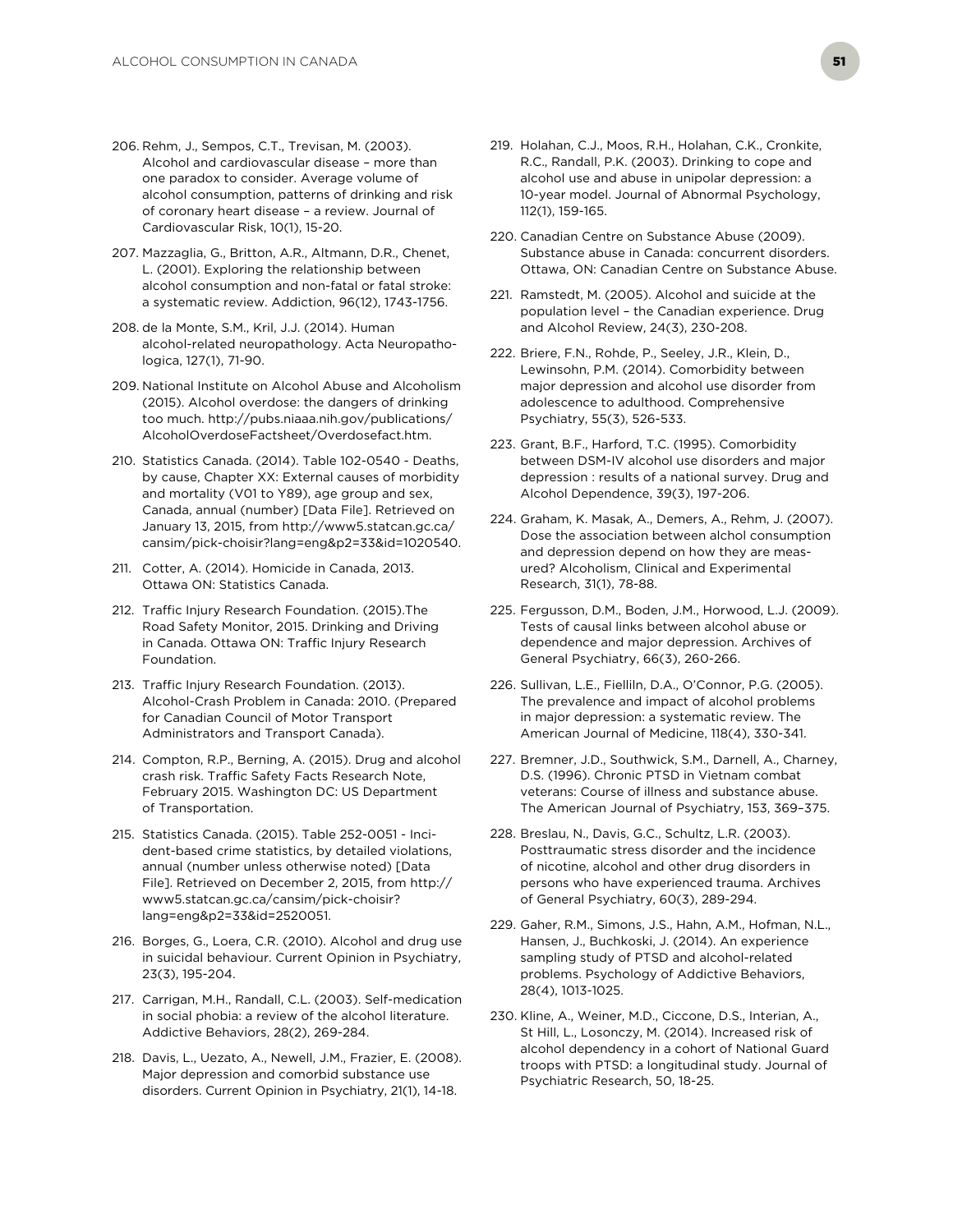- 206. Rehm, J., Sempos, C.T., Trevisan, M. (2003). Alcohol and cardiovascular disease – more than one paradox to consider. Average volume of alcohol consumption, patterns of drinking and risk of coronary heart disease – a review. Journal of Cardiovascular Risk, 10(1), 15-20.
- 207. Mazzaglia, G., Britton, A.R., Altmann, D.R., Chenet, L. (2001). Exploring the relationship between alcohol consumption and non-fatal or fatal stroke: a systematic review. Addiction, 96(12), 1743-1756.
- 208. de la Monte, S.M., Kril, J.J. (2014). Human alcohol-related neuropathology. Acta Neuropathologica, 127(1), 71-90.
- 209. National Institute on Alcohol Abuse and Alcoholism (2015). Alcohol overdose: the dangers of drinking too much. http://pubs.niaaa.nih.gov/publications/ AlcoholOverdoseFactsheet/Overdosefact.htm.
- 210. Statistics Canada. (2014). Table 102-0540 Deaths, by cause, Chapter XX: External causes of morbidity and mortality (V01 to Y89), age group and sex, Canada, annual (number) [Data File]. Retrieved on January 13, 2015, from http://www5.statcan.gc.ca/ cansim/pick-choisir?lang=eng&p2=33&id=1020540.
- 211. Cotter, A. (2014). Homicide in Canada, 2013. Ottawa ON: Statistics Canada.
- 212. Traffic Injury Research Foundation. (2015).The Road Safety Monitor, 2015. Drinking and Driving in Canada. Ottawa ON: Traffic Injury Research Foundation.
- 213. Traffic Injury Research Foundation. (2013). Alcohol-Crash Problem in Canada: 2010. (Prepared for Canadian Council of Motor Transport Administrators and Transport Canada).
- 214. Compton, R.P., Berning, A. (2015). Drug and alcohol crash risk. Traffic Safety Facts Research Note, February 2015. Washington DC: US Department of Transportation.
- 215. Statistics Canada. (2015). Table 252-0051 Incident-based crime statistics, by detailed violations, annual (number unless otherwise noted) [Data File]. Retrieved on December 2, 2015, from http:// www5.statcan.gc.ca/cansim/pick-choisir? lang=eng&p2=33&id=2520051.
- 216. Borges, G., Loera, C.R. (2010). Alcohol and drug use in suicidal behaviour. Current Opinion in Psychiatry, 23(3), 195-204.
- 217. Carrigan, M.H., Randall, C.L. (2003). Self-medication in social phobia: a review of the alcohol literature. Addictive Behaviors, 28(2), 269-284.
- 218. Davis, L., Uezato, A., Newell, J.M., Frazier, E. (2008). Major depression and comorbid substance use disorders. Current Opinion in Psychiatry, 21(1), 14-18.
- 219. Holahan, C.J., Moos, R.H., Holahan, C.K., Cronkite, R.C., Randall, P.K. (2003). Drinking to cope and alcohol use and abuse in unipolar depression: a 10-year model. Journal of Abnormal Psychology, 112(1), 159-165.
- 220. Canadian Centre on Substance Abuse (2009). Substance abuse in Canada: concurrent disorders. Ottawa, ON: Canadian Centre on Substance Abuse.
- 221. Ramstedt, M. (2005). Alcohol and suicide at the population level – the Canadian experience. Drug and Alcohol Review, 24(3), 230-208.
- 222. Briere, F.N., Rohde, P., Seeley, J.R., Klein, D., Lewinsohn, P.M. (2014). Comorbidity between major depression and alcohol use disorder from adolescence to adulthood. Comprehensive Psychiatry, 55(3), 526-533.
- 223. Grant, B.F., Harford, T.C. (1995). Comorbidity between DSM-IV alcohol use disorders and major depression : results of a national survey. Drug and Alcohol Dependence, 39(3), 197-206.
- 224. Graham, K. Masak, A., Demers, A., Rehm, J. (2007). Dose the association between alchol consumption and depression depend on how they are measured? Alcoholism, Clinical and Experimental Research, 31(1), 78-88.
- 225. Fergusson, D.M., Boden, J.M., Horwood, L.J. (2009). Tests of causal links between alcohol abuse or dependence and major depression. Archives of General Psychiatry, 66(3), 260-266.
- 226. Sullivan, L.E., Fielliln, D.A., O'Connor, P.G. (2005). The prevalence and impact of alcohol problems in major depression: a systematic review. The American Journal of Medicine, 118(4), 330-341.
- 227. Bremner, J.D., Southwick, S.M., Darnell, A., Charney, D.S. (1996). Chronic PTSD in Vietnam combat veterans: Course of illness and substance abuse. The American Journal of Psychiatry, 153, 369–375.
- 228. Breslau, N., Davis, G.C., Schultz, L.R. (2003). Posttraumatic stress disorder and the incidence of nicotine, alcohol and other drug disorders in persons who have experienced trauma. Archives of General Psychiatry, 60(3), 289-294.
- 229. Gaher, R.M., Simons, J.S., Hahn, A.M., Hofman, N.L., Hansen, J., Buchkoski, J. (2014). An experience sampling study of PTSD and alcohol-related problems. Psychology of Addictive Behaviors, 28(4), 1013-1025.
- 230. Kline, A., Weiner, M.D., Ciccone, D.S., Interian, A., St Hill, L., Losonczy, M. (2014). Increased risk of alcohol dependency in a cohort of National Guard troops with PTSD: a longitudinal study. Journal of Psychiatric Research, 50, 18-25.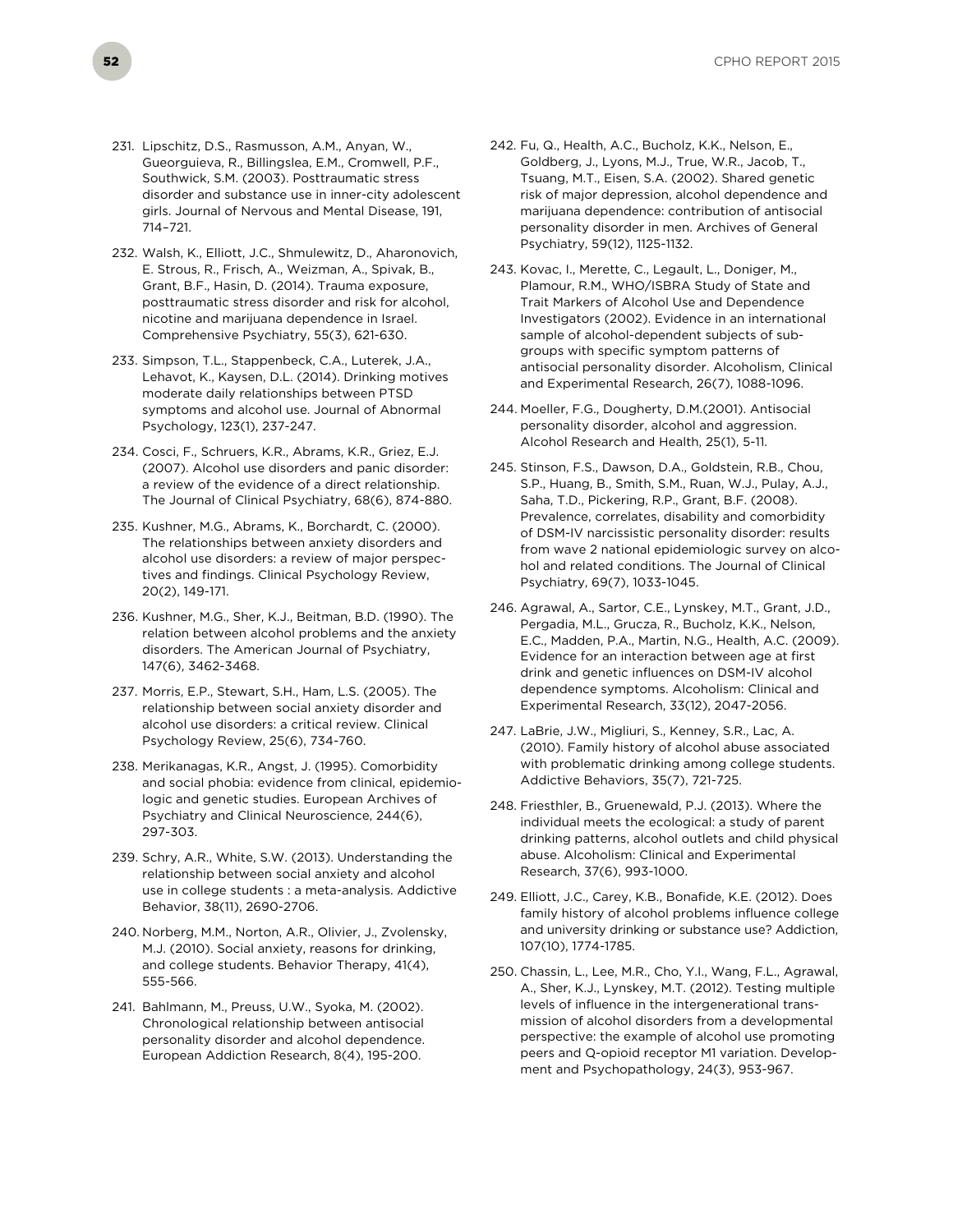- 231. Lipschitz, D.S., Rasmusson, A.M., Anyan, W., Gueorguieva, R., Billingslea, E.M., Cromwell, P.F., Southwick, S.M. (2003). Posttraumatic stress disorder and substance use in inner-city adolescent girls. Journal of Nervous and Mental Disease, 191, 714–721.
- 232. Walsh, K., Elliott, J.C., Shmulewitz, D., Aharonovich, E. Strous, R., Frisch, A., Weizman, A., Spivak, B., Grant, B.F., Hasin, D. (2014). Trauma exposure, posttraumatic stress disorder and risk for alcohol, nicotine and marijuana dependence in Israel. Comprehensive Psychiatry, 55(3), 621-630.
- 233. Simpson, T.L., Stappenbeck, C.A., Luterek, J.A., Lehavot, K., Kaysen, D.L. (2014). Drinking motives moderate daily relationships between PTSD symptoms and alcohol use. Journal of Abnormal Psychology, 123(1), 237-247.
- 234. Cosci, F., Schruers, K.R., Abrams, K.R., Griez, E.J. (2007). Alcohol use disorders and panic disorder: a review of the evidence of a direct relationship. The Journal of Clinical Psychiatry, 68(6), 874-880.
- 235. Kushner, M.G., Abrams, K., Borchardt, C. (2000). The relationships between anxiety disorders and alcohol use disorders: a review of major perspectives and findings. Clinical Psychology Review, 20(2), 149-171.
- 236. Kushner, M.G., Sher, K.J., Beitman, B.D. (1990). The relation between alcohol problems and the anxiety disorders. The American Journal of Psychiatry, 147(6), 3462-3468.
- 237. Morris, E.P., Stewart, S.H., Ham, L.S. (2005). The relationship between social anxiety disorder and alcohol use disorders: a critical review. Clinical Psychology Review, 25(6), 734-760.
- 238. Merikanagas, K.R., Angst, J. (1995). Comorbidity and social phobia: evidence from clinical, epidemiologic and genetic studies. European Archives of Psychiatry and Clinical Neuroscience, 244(6), 297-303.
- 239. Schry, A.R., White, S.W. (2013). Understanding the relationship between social anxiety and alcohol use in college students : a meta-analysis. Addictive Behavior, 38(11), 2690-2706.
- 240. Norberg, M.M., Norton, A.R., Olivier, J., Zvolensky, M.J. (2010). Social anxiety, reasons for drinking, and college students. Behavior Therapy, 41(4), 555-566.
- 241. Bahlmann, M., Preuss, U.W., Syoka, M. (2002). Chronological relationship between antisocial personality disorder and alcohol dependence. European Addiction Research, 8(4), 195-200.
- 242. Fu, Q., Health, A.C., Bucholz, K.K., Nelson, E., Goldberg, J., Lyons, M.J., True, W.R., Jacob, T., Tsuang, M.T., Eisen, S.A. (2002). Shared genetic risk of major depression, alcohol dependence and marijuana dependence: contribution of antisocial personality disorder in men. Archives of General Psychiatry, 59(12), 1125-1132.
- 243. Kovac, I., Merette, C., Legault, L., Doniger, M., Plamour, R.M., WHO/ISBRA Study of State and Trait Markers of Alcohol Use and Dependence Investigators (2002). Evidence in an international sample of alcohol-dependent subjects of subgroups with specific symptom patterns of antisocial personality disorder. Alcoholism, Clinical and Experimental Research, 26(7), 1088-1096.
- 244. Moeller, F.G., Dougherty, D.M.(2001). Antisocial personality disorder, alcohol and aggression. Alcohol Research and Health, 25(1), 5-11.
- 245. Stinson, F.S., Dawson, D.A., Goldstein, R.B., Chou, S.P., Huang, B., Smith, S.M., Ruan, W.J., Pulay, A.J., Saha, T.D., Pickering, R.P., Grant, B.F. (2008). Prevalence, correlates, disability and comorbidity of DSM-IV narcissistic personality disorder: results from wave 2 national epidemiologic survey on alcohol and related conditions. The Journal of Clinical Psychiatry, 69(7), 1033-1045.
- 246. Agrawal, A., Sartor, C.E., Lynskey, M.T., Grant, J.D., Pergadia, M.L., Grucza, R., Bucholz, K.K., Nelson, E.C., Madden, P.A., Martin, N.G., Health, A.C. (2009). Evidence for an interaction between age at first drink and genetic influences on DSM-IV alcohol dependence symptoms. Alcoholism: Clinical and Experimental Research, 33(12), 2047-2056.
- 247. LaBrie, J.W., Migliuri, S., Kenney, S.R., Lac, A. (2010). Family history of alcohol abuse associated with problematic drinking among college students. Addictive Behaviors, 35(7), 721-725.
- 248. Friesthler, B., Gruenewald, P.J. (2013). Where the individual meets the ecological: a study of parent drinking patterns, alcohol outlets and child physical abuse. Alcoholism: Clinical and Experimental Research, 37(6), 993-1000.
- 249. Elliott, J.C., Carey, K.B., Bonafide, K.E. (2012). Does family history of alcohol problems influence college and university drinking or substance use? Addiction, 107(10), 1774-1785.
- 250. Chassin, L., Lee, M.R., Cho, Y.I., Wang, F.L., Agrawal, A., Sher, K.J., Lynskey, M.T. (2012). Testing multiple levels of influence in the intergenerational transmission of alcohol disorders from a developmental perspective: the example of alcohol use promoting peers and Q-opioid receptor M1 variation. Development and Psychopathology, 24(3), 953-967.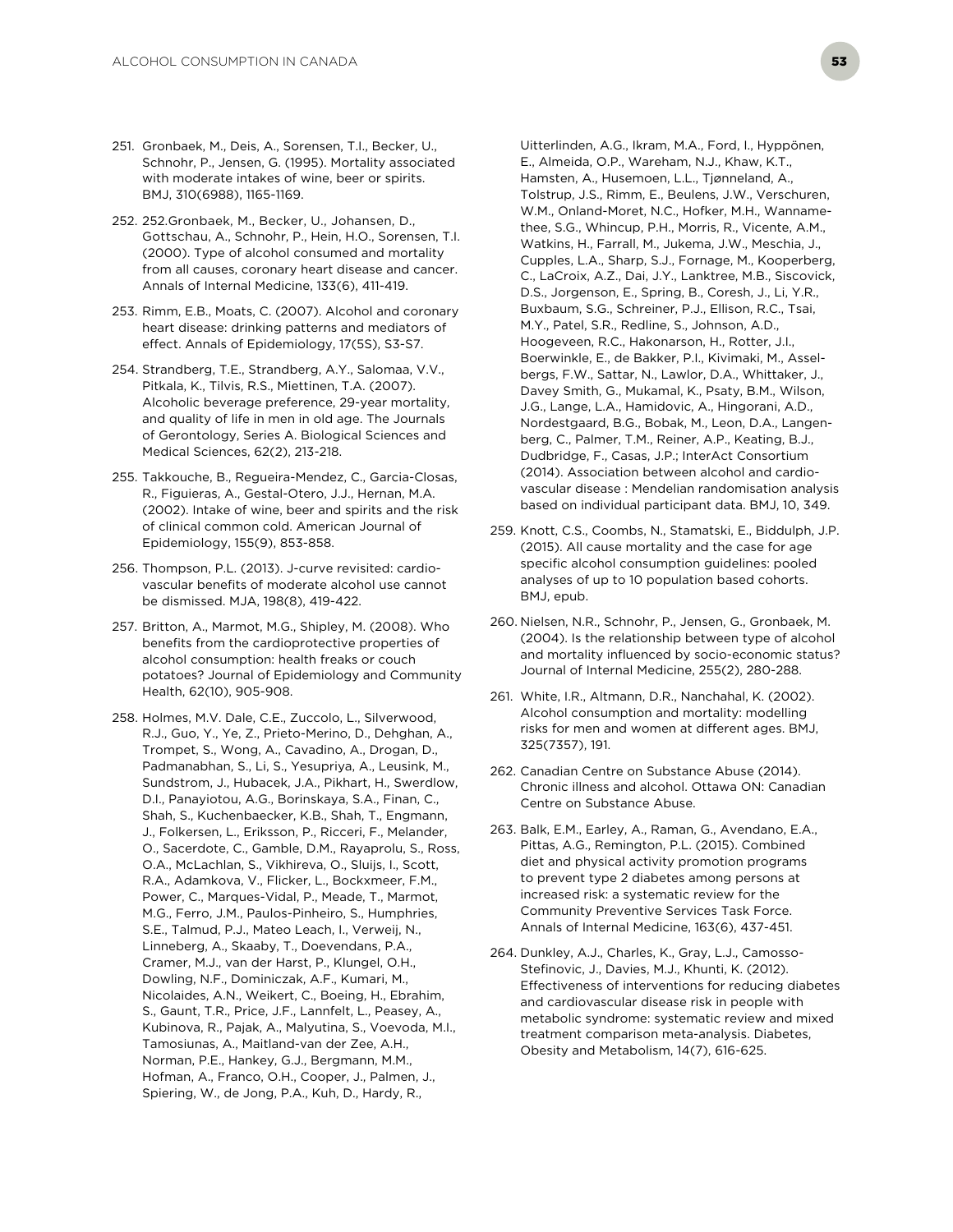- 251. Gronbaek, M., Deis, A., Sorensen, T.I., Becker, U., Schnohr, P., Jensen, G. (1995). Mortality associated with moderate intakes of wine, beer or spirits. BMJ, 310(6988), 1165-1169.
- 252. 252.Gronbaek, M., Becker, U., Johansen, D., Gottschau, A., Schnohr, P., Hein, H.O., Sorensen, T.I. (2000). Type of alcohol consumed and mortality from all causes, coronary heart disease and cancer. Annals of Internal Medicine, 133(6), 411-419.
- 253. Rimm, E.B., Moats, C. (2007). Alcohol and coronary heart disease: drinking patterns and mediators of effect. Annals of Epidemiology, 17(5S), S3-S7.
- 254. Strandberg, T.E., Strandberg, A.Y., Salomaa, V.V., Pitkala, K., Tilvis, R.S., Miettinen, T.A. (2007). Alcoholic beverage preference, 29-year mortality, and quality of life in men in old age. The Journals of Gerontology, Series A. Biological Sciences and Medical Sciences, 62(2), 213-218.
- 255. Takkouche, B., Regueira-Mendez, C., Garcia-Closas, R., Figuieras, A., Gestal-Otero, J.J., Hernan, M.A. (2002). Intake of wine, beer and spirits and the risk of clinical common cold. American Journal of Epidemiology, 155(9), 853-858.
- 256. Thompson, P.L. (2013). J-curve revisited: cardiovascular benefits of moderate alcohol use cannot be dismissed. MJA, 198(8), 419-422.
- 257. Britton, A., Marmot, M.G., Shipley, M. (2008). Who benefits from the cardioprotective properties of alcohol consumption: health freaks or couch potatoes? Journal of Epidemiology and Community Health, 62(10), 905-908.
- 258. Holmes, M.V. Dale, C.E., Zuccolo, L., Silverwood, R.J., Guo, Y., Ye, Z., Prieto-Merino, D., Dehghan, A., Trompet, S., Wong, A., Cavadino, A., Drogan, D., Padmanabhan, S., Li, S., Yesupriya, A., Leusink, M., Sundstrom, J., Hubacek, J.A., Pikhart, H., Swerdlow, D.I., Panayiotou, A.G., Borinskaya, S.A., Finan, C., Shah, S., Kuchenbaecker, K.B., Shah, T., Engmann, J., Folkersen, L., Eriksson, P., Ricceri, F., Melander, O., Sacerdote, C., Gamble, D.M., Rayaprolu, S., Ross, O.A., McLachlan, S., Vikhireva, O., Sluijs, I., Scott, R.A., Adamkova, V., Flicker, L., Bockxmeer, F.M., Power, C., Marques-Vidal, P., Meade, T., Marmot, M.G., Ferro, J.M., Paulos-Pinheiro, S., Humphries, S.E., Talmud, P.J., Mateo Leach, I., Verweij, N., Linneberg, A., Skaaby, T., Doevendans, P.A., Cramer, M.J., van der Harst, P., Klungel, O.H., Dowling, N.F., Dominiczak, A.F., Kumari, M., Nicolaides, A.N., Weikert, C., Boeing, H., Ebrahim, S., Gaunt, T.R., Price, J.F., Lannfelt, L., Peasey, A., Kubinova, R., Pajak, A., Malyutina, S., Voevoda, M.I., Tamosiunas, A., Maitland-van der Zee, A.H., Norman, P.E., Hankey, G.J., Bergmann, M.M., Hofman, A., Franco, O.H., Cooper, J., Palmen, J., Spiering, W., de Jong, P.A., Kuh, D., Hardy, R.,

Uitterlinden, A.G., Ikram, M.A., Ford, I., Hyppönen, E., Almeida, O.P., Wareham, N.J., Khaw, K.T., Hamsten, A., Husemoen, L.L., Tjønneland, A., Tolstrup, J.S., Rimm, E., Beulens, J.W., Verschuren, W.M., Onland-Moret, N.C., Hofker, M.H., Wannamethee, S.G., Whincup, P.H., Morris, R., Vicente, A.M., Watkins, H., Farrall, M., Jukema, J.W., Meschia, J., Cupples, L.A., Sharp, S.J., Fornage, M., Kooperberg, C., LaCroix, A.Z., Dai, J.Y., Lanktree, M.B., Siscovick, D.S., Jorgenson, E., Spring, B., Coresh, J., Li, Y.R., Buxbaum, S.G., Schreiner, P.J., Ellison, R.C., Tsai, M.Y., Patel, S.R., Redline, S., Johnson, A.D., Hoogeveen, R.C., Hakonarson, H., Rotter, J.I., Boerwinkle, E., de Bakker, P.I., Kivimaki, M., Asselbergs, F.W., Sattar, N., Lawlor, D.A., Whittaker, J., Davey Smith, G., Mukamal, K., Psaty, B.M., Wilson, J.G., Lange, L.A., Hamidovic, A., Hingorani, A.D., Nordestgaard, B.G., Bobak, M., Leon, D.A., Langenberg, C., Palmer, T.M., Reiner, A.P., Keating, B.J., Dudbridge, F., Casas, J.P.; InterAct Consortium (2014). Association between alcohol and cardiovascular disease : Mendelian randomisation analysis based on individual participant data. BMJ, 10, 349.

- 259. Knott, C.S., Coombs, N., Stamatski, E., Biddulph, J.P. (2015). All cause mortality and the case for age specific alcohol consumption guidelines: pooled analyses of up to 10 population based cohorts. BMJ, epub.
- 260. Nielsen, N.R., Schnohr, P., Jensen, G., Gronbaek, M. (2004). Is the relationship between type of alcohol and mortality influenced by socio-economic status? Journal of Internal Medicine, 255(2), 280-288.
- 261. White, I.R., Altmann, D.R., Nanchahal, K. (2002). Alcohol consumption and mortality: modelling risks for men and women at different ages. BMJ, 325(7357), 191.
- 262. Canadian Centre on Substance Abuse (2014). Chronic illness and alcohol. Ottawa ON: Canadian Centre on Substance Abuse.
- 263. Balk, E.M., Earley, A., Raman, G., Avendano, E.A., Pittas, A.G., Remington, P.L. (2015). Combined diet and physical activity promotion programs to prevent type 2 diabetes among persons at increased risk: a systematic review for the Community Preventive Services Task Force. Annals of Internal Medicine, 163(6), 437-451.
- 264. Dunkley, A.J., Charles, K., Gray, L.J., Camosso-Stefinovic, J., Davies, M.J., Khunti, K. (2012). Effectiveness of interventions for reducing diabetes and cardiovascular disease risk in people with metabolic syndrome: systematic review and mixed treatment comparison meta-analysis. Diabetes, Obesity and Metabolism, 14(7), 616-625.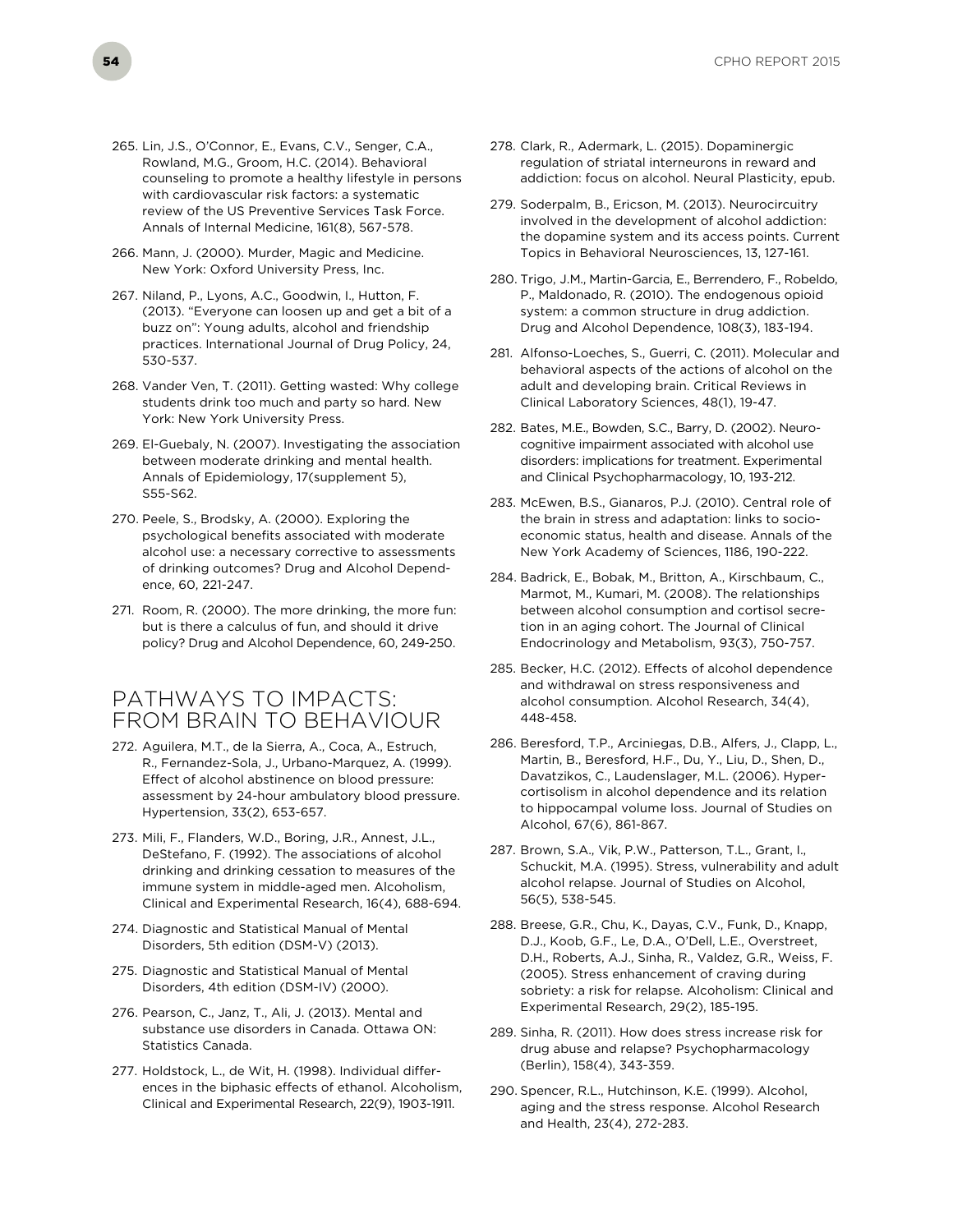- 265. Lin, J.S., O'Connor, E., Evans, C.V., Senger, C.A., Rowland, M.G., Groom, H.C. (2014). Behavioral counseling to promote a healthy lifestyle in persons with cardiovascular risk factors: a systematic review of the US Preventive Services Task Force. Annals of Internal Medicine, 161(8), 567-578.
- 266. Mann, J. (2000). Murder, Magic and Medicine. New York: Oxford University Press, Inc.
- 267. Niland, P., Lyons, A.C., Goodwin, I., Hutton, F. (2013). "Everyone can loosen up and get a bit of a buzz on": Young adults, alcohol and friendship practices. International Journal of Drug Policy, 24, 530-537.
- 268. Vander Ven, T. (2011). Getting wasted: Why college students drink too much and party so hard. New York: New York University Press.
- 269. El-Guebaly, N. (2007). Investigating the association between moderate drinking and mental health. Annals of Epidemiology, 17(supplement 5), S55-S62.
- 270. Peele, S., Brodsky, A. (2000). Exploring the psychological benefits associated with moderate alcohol use: a necessary corrective to assessments of drinking outcomes? Drug and Alcohol Dependence, 60, 221-247.
- 271. Room, R. (2000). The more drinking, the more fun: but is there a calculus of fun, and should it drive policy? Drug and Alcohol Dependence, 60, 249-250.

### PATHWAYS TO IMPACTS: FROM BRAIN TO BEHAVIOUR

- 272. Aguilera, M.T., de la Sierra, A., Coca, A., Estruch, R., Fernandez-Sola, J., Urbano-Marquez, A. (1999). Effect of alcohol abstinence on blood pressure: assessment by 24-hour ambulatory blood pressure. Hypertension, 33(2), 653-657.
- 273. Mili, F., Flanders, W.D., Boring, J.R., Annest, J.L., DeStefano, F. (1992). The associations of alcohol drinking and drinking cessation to measures of the immune system in middle-aged men. Alcoholism, Clinical and Experimental Research, 16(4), 688-694.
- 274. Diagnostic and Statistical Manual of Mental Disorders, 5th edition (DSM-V) (2013).
- 275. Diagnostic and Statistical Manual of Mental Disorders, 4th edition (DSM-IV) (2000).
- 276. Pearson, C., Janz, T., Ali, J. (2013). Mental and substance use disorders in Canada. Ottawa ON: Statistics Canada.
- 277. Holdstock, L., de Wit, H. (1998). Individual differences in the biphasic effects of ethanol. Alcoholism, Clinical and Experimental Research, 22(9), 1903-1911.
- 278. Clark, R., Adermark, L. (2015). Dopaminergic regulation of striatal interneurons in reward and addiction: focus on alcohol. Neural Plasticity, epub.
- 279. Soderpalm, B., Ericson, M. (2013). Neurocircuitry involved in the development of alcohol addiction: the dopamine system and its access points. Current Topics in Behavioral Neurosciences, 13, 127-161.
- 280. Trigo, J.M., Martin-Garcia, E., Berrendero, F., Robeldo, P., Maldonado, R. (2010). The endogenous opioid system: a common structure in drug addiction. Drug and Alcohol Dependence, 108(3), 183-194.
- 281. Alfonso-Loeches, S., Guerri, C. (2011). Molecular and behavioral aspects of the actions of alcohol on the adult and developing brain. Critical Reviews in Clinical Laboratory Sciences, 48(1), 19-47.
- 282. Bates, M.E., Bowden, S.C., Barry, D. (2002). Neurocognitive impairment associated with alcohol use disorders: implications for treatment. Experimental and Clinical Psychopharmacology, 10, 193-212.
- 283. McEwen, B.S., Gianaros, P.J. (2010). Central role of the brain in stress and adaptation: links to socioeconomic status, health and disease. Annals of the New York Academy of Sciences, 1186, 190-222.
- 284. Badrick, E., Bobak, M., Britton, A., Kirschbaum, C., Marmot, M., Kumari, M. (2008). The relationships between alcohol consumption and cortisol secretion in an aging cohort. The Journal of Clinical Endocrinology and Metabolism, 93(3), 750-757.
- 285. Becker, H.C. (2012). Effects of alcohol dependence and withdrawal on stress responsiveness and alcohol consumption. Alcohol Research, 34(4), 448-458.
- 286. Beresford, T.P., Arciniegas, D.B., Alfers, J., Clapp, L., Martin, B., Beresford, H.F., Du, Y., Liu, D., Shen, D., Davatzikos, C., Laudenslager, M.L. (2006). Hypercortisolism in alcohol dependence and its relation to hippocampal volume loss. Journal of Studies on Alcohol, 67(6), 861-867.
- 287. Brown, S.A., Vik, P.W., Patterson, T.L., Grant, I., Schuckit, M.A. (1995). Stress, vulnerability and adult alcohol relapse. Journal of Studies on Alcohol, 56(5), 538-545.
- 288. Breese, G.R., Chu, K., Dayas, C.V., Funk, D., Knapp, D.J., Koob, G.F., Le, D.A., O'Dell, L.E., Overstreet, D.H., Roberts, A.J., Sinha, R., Valdez, G.R., Weiss, F. (2005). Stress enhancement of craving during sobriety: a risk for relapse. Alcoholism: Clinical and Experimental Research, 29(2), 185-195.
- 289. Sinha, R. (2011). How does stress increase risk for drug abuse and relapse? Psychopharmacology (Berlin), 158(4), 343-359.
- 290. Spencer, R.L., Hutchinson, K.E. (1999). Alcohol, aging and the stress response. Alcohol Research and Health, 23(4), 272-283.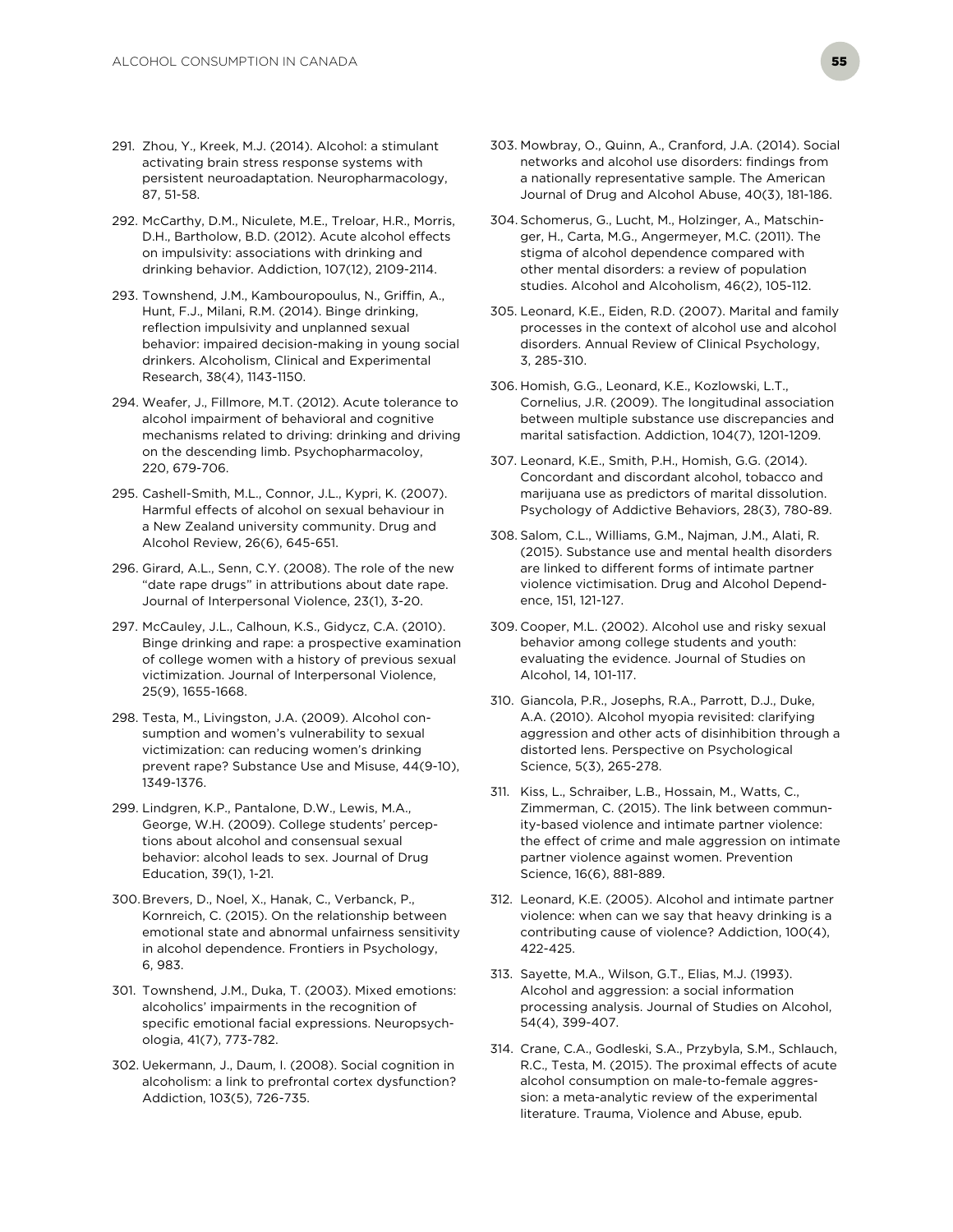- 291. Zhou, Y., Kreek, M.J. (2014). Alcohol: a stimulant activating brain stress response systems with persistent neuroadaptation. Neuropharmacology, 87, 51-58.
- 292. McCarthy, D.M., Niculete, M.E., Treloar, H.R., Morris, D.H., Bartholow, B.D. (2012). Acute alcohol effects on impulsivity: associations with drinking and drinking behavior. Addiction, 107(12), 2109-2114.
- 293. Townshend, J.M., Kambouropoulus, N., Griffin, A., Hunt, F.J., Milani, R.M. (2014). Binge drinking, reflection impulsivity and unplanned sexual behavior: impaired decision-making in young social drinkers. Alcoholism, Clinical and Experimental Research, 38(4), 1143-1150.
- 294. Weafer, J., Fillmore, M.T. (2012). Acute tolerance to alcohol impairment of behavioral and cognitive mechanisms related to driving: drinking and driving on the descending limb. Psychopharmacoloy, 220, 679-706.
- 295. Cashell-Smith, M.L., Connor, J.L., Kypri, K. (2007). Harmful effects of alcohol on sexual behaviour in a New Zealand university community. Drug and Alcohol Review, 26(6), 645-651.
- 296. Girard, A.L., Senn, C.Y. (2008). The role of the new "date rape drugs" in attributions about date rape. Journal of Interpersonal Violence, 23(1), 3-20.
- 297. McCauley, J.L., Calhoun, K.S., Gidycz, C.A. (2010). Binge drinking and rape: a prospective examination of college women with a history of previous sexual victimization. Journal of Interpersonal Violence, 25(9), 1655-1668.
- 298. Testa, M., Livingston, J.A. (2009). Alcohol consumption and women's vulnerability to sexual victimization: can reducing women's drinking prevent rape? Substance Use and Misuse, 44(9-10), 1349-1376.
- 299. Lindgren, K.P., Pantalone, D.W., Lewis, M.A., George, W.H. (2009). College students' perceptions about alcohol and consensual sexual behavior: alcohol leads to sex. Journal of Drug Education, 39(1), 1-21.
- 300.Brevers, D., Noel, X., Hanak, C., Verbanck, P., Kornreich, C. (2015). On the relationship between emotional state and abnormal unfairness sensitivity in alcohol dependence. Frontiers in Psychology, 6, 983.
- 301. Townshend, J.M., Duka, T. (2003). Mixed emotions: alcoholics' impairments in the recognition of specific emotional facial expressions. Neuropsychologia, 41(7), 773-782.
- 302. Uekermann, J., Daum, I. (2008). Social cognition in alcoholism: a link to prefrontal cortex dysfunction? Addiction, 103(5), 726-735.
- 303. Mowbray, O., Quinn, A., Cranford, J.A. (2014). Social networks and alcohol use disorders: findings from a nationally representative sample. The American Journal of Drug and Alcohol Abuse, 40(3), 181-186.
- 304. Schomerus, G., Lucht, M., Holzinger, A., Matschinger, H., Carta, M.G., Angermeyer, M.C. (2011). The stigma of alcohol dependence compared with other mental disorders: a review of population studies. Alcohol and Alcoholism, 46(2), 105-112.
- 305. Leonard, K.E., Eiden, R.D. (2007). Marital and family processes in the context of alcohol use and alcohol disorders. Annual Review of Clinical Psychology, 3, 285-310.
- 306. Homish, G.G., Leonard, K.E., Kozlowski, L.T., Cornelius, J.R. (2009). The longitudinal association between multiple substance use discrepancies and marital satisfaction. Addiction, 104(7), 1201-1209.
- 307. Leonard, K.E., Smith, P.H., Homish, G.G. (2014). Concordant and discordant alcohol, tobacco and marijuana use as predictors of marital dissolution. Psychology of Addictive Behaviors, 28(3), 780-89.
- 308. Salom, C.L., Williams, G.M., Najman, J.M., Alati, R. (2015). Substance use and mental health disorders are linked to different forms of intimate partner violence victimisation. Drug and Alcohol Dependence, 151, 121-127.
- 309. Cooper, M.L. (2002). Alcohol use and risky sexual behavior among college students and youth: evaluating the evidence. Journal of Studies on Alcohol, 14, 101-117.
- 310. Giancola, P.R., Josephs, R.A., Parrott, D.J., Duke, A.A. (2010). Alcohol myopia revisited: clarifying aggression and other acts of disinhibition through a distorted lens. Perspective on Psychological Science, 5(3), 265-278.
- 311. Kiss, L., Schraiber, L.B., Hossain, M., Watts, C., Zimmerman, C. (2015). The link between community-based violence and intimate partner violence: the effect of crime and male aggression on intimate partner violence against women. Prevention Science, 16(6), 881-889.
- 312. Leonard, K.E. (2005). Alcohol and intimate partner violence: when can we say that heavy drinking is a contributing cause of violence? Addiction, 100(4), 422-425.
- 313. Sayette, M.A., Wilson, G.T., Elias, M.J. (1993). Alcohol and aggression: a social information processing analysis. Journal of Studies on Alcohol, 54(4), 399-407.
- 314. Crane, C.A., Godleski, S.A., Przybyla, S.M., Schlauch, R.C., Testa, M. (2015). The proximal effects of acute alcohol consumption on male-to-female aggression: a meta-analytic review of the experimental literature. Trauma, Violence and Abuse, epub.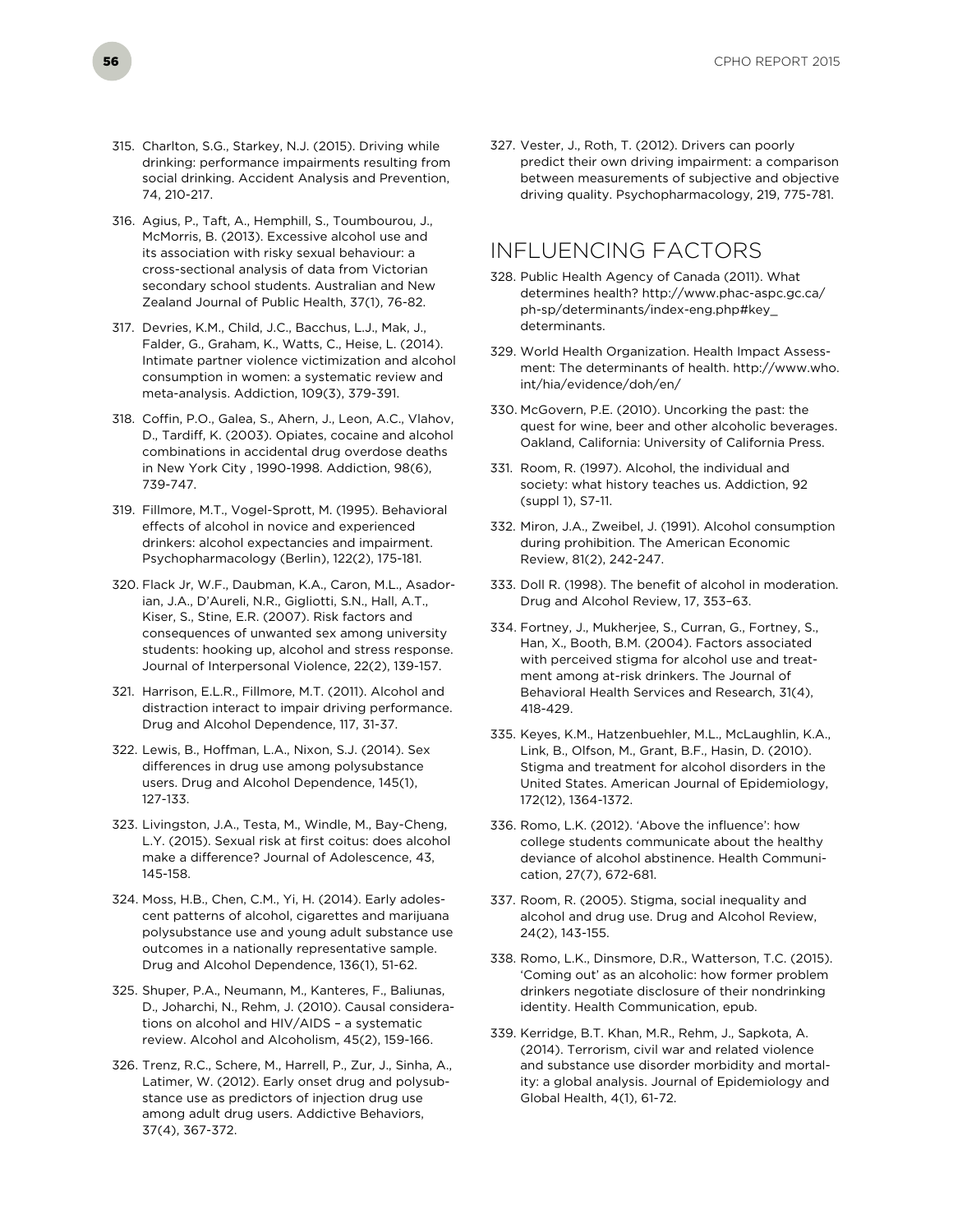315. Charlton, S.G., Starkey, N.J. (2015). Driving while drinking: performance impairments resulting from social drinking. Accident Analysis and Prevention,

74, 210-217.

- 316. Agius, P., Taft, A., Hemphill, S., Toumbourou, J., McMorris, B. (2013). Excessive alcohol use and its association with risky sexual behaviour: a cross-sectional analysis of data from Victorian secondary school students. Australian and New Zealand Journal of Public Health, 37(1), 76-82.
- 317. Devries, K.M., Child, J.C., Bacchus, L.J., Mak, J., Falder, G., Graham, K., Watts, C., Heise, L. (2014). Intimate partner violence victimization and alcohol consumption in women: a systematic review and meta-analysis. Addiction, 109(3), 379-391.
- 318. Coffin, P.O., Galea, S., Ahern, J., Leon, A.C., Vlahov, D., Tardiff, K. (2003). Opiates, cocaine and alcohol combinations in accidental drug overdose deaths in New York City , 1990-1998. Addiction, 98(6), 739-747.
- 319. Fillmore, M.T., Vogel-Sprott, M. (1995). Behavioral effects of alcohol in novice and experienced drinkers: alcohol expectancies and impairment. Psychopharmacology (Berlin), 122(2), 175-181.
- 320. Flack Jr, W.F., Daubman, K.A., Caron, M.L., Asadorian, J.A., D'Aureli, N.R., Gigliotti, S.N., Hall, A.T., Kiser, S., Stine, E.R. (2007). Risk factors and consequences of unwanted sex among university students: hooking up, alcohol and stress response. Journal of Interpersonal Violence, 22(2), 139-157.
- 321. Harrison, E.L.R., Fillmore, M.T. (2011). Alcohol and distraction interact to impair driving performance. Drug and Alcohol Dependence, 117, 31-37.
- 322. Lewis, B., Hoffman, L.A., Nixon, S.J. (2014). Sex differences in drug use among polysubstance users. Drug and Alcohol Dependence, 145(1), 127-133.
- 323. Livingston, J.A., Testa, M., Windle, M., Bay-Cheng, L.Y. (2015). Sexual risk at first coitus: does alcohol make a difference? Journal of Adolescence, 43, 145-158.
- 324. Moss, H.B., Chen, C.M., Yi, H. (2014). Early adolescent patterns of alcohol, cigarettes and marijuana polysubstance use and young adult substance use outcomes in a nationally representative sample. Drug and Alcohol Dependence, 136(1), 51-62.
- 325. Shuper, P.A., Neumann, M., Kanteres, F., Baliunas, D., Joharchi, N., Rehm, J. (2010). Causal considerations on alcohol and HIV/AIDS – a systematic review. Alcohol and Alcoholism, 45(2), 159-166.
- 326. Trenz, R.C., Schere, M., Harrell, P., Zur, J., Sinha, A., Latimer, W. (2012). Early onset drug and polysubstance use as predictors of injection drug use among adult drug users. Addictive Behaviors, 37(4), 367-372.

327. Vester, J., Roth, T. (2012). Drivers can poorly predict their own driving impairment: a comparison between measurements of subjective and objective driving quality. Psychopharmacology, 219, 775-781.

# INFLUENCING FACTORS

- 328. Public Health Agency of Canada (2011). What determines health? http://www.phac-aspc.gc.ca/ ph-sp/determinants/index-eng.php#key\_ determinants.
- 329. World Health Organization. Health Impact Assessment: The determinants of health. http://www.who. int/hia/evidence/doh/en/
- 330. McGovern, P.E. (2010). Uncorking the past: the quest for wine, beer and other alcoholic beverages. Oakland, California: University of California Press.
- 331. Room, R. (1997). Alcohol, the individual and society: what history teaches us. Addiction, 92 (suppl 1), S7-11.
- 332. Miron, J.A., Zweibel, J. (1991). Alcohol consumption during prohibition. The American Economic Review, 81(2), 242-247.
- 333. Doll R. (1998). The benefit of alcohol in moderation. Drug and Alcohol Review, 17, 353–63.
- 334. Fortney, J., Mukherjee, S., Curran, G., Fortney, S., Han, X., Booth, B.M. (2004). Factors associated with perceived stigma for alcohol use and treatment among at-risk drinkers. The Journal of Behavioral Health Services and Research, 31(4), 418-429.
- 335. Keyes, K.M., Hatzenbuehler, M.L., McLaughlin, K.A., Link, B., Olfson, M., Grant, B.F., Hasin, D. (2010). Stigma and treatment for alcohol disorders in the United States. American Journal of Epidemiology, 172(12), 1364-1372.
- 336. Romo, L.K. (2012). 'Above the influence': how college students communicate about the healthy deviance of alcohol abstinence. Health Communication, 27(7), 672-681.
- 337. Room, R. (2005). Stigma, social inequality and alcohol and drug use. Drug and Alcohol Review, 24(2), 143-155.
- 338. Romo, L.K., Dinsmore, D.R., Watterson, T.C. (2015). 'Coming out' as an alcoholic: how former problem drinkers negotiate disclosure of their nondrinking identity. Health Communication, epub.
- 339. Kerridge, B.T. Khan, M.R., Rehm, J., Sapkota, A. (2014). Terrorism, civil war and related violence and substance use disorder morbidity and mortality: a global analysis. Journal of Epidemiology and Global Health, 4(1), 61-72.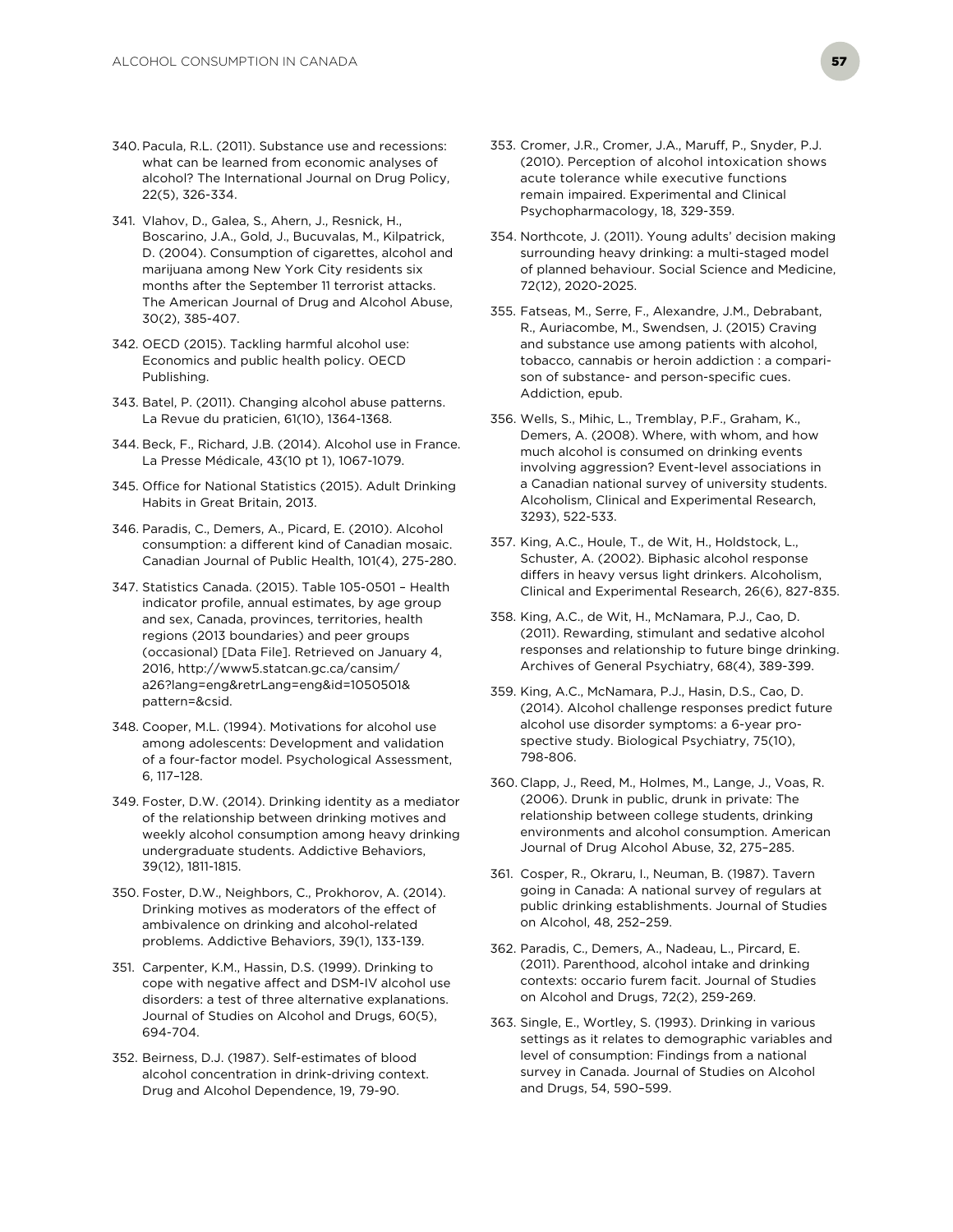- 340. Pacula, R.L. (2011). Substance use and recessions: what can be learned from economic analyses of alcohol? The International Journal on Drug Policy, 22(5), 326-334.
- 341. Vlahov, D., Galea, S., Ahern, J., Resnick, H., Boscarino, J.A., Gold, J., Bucuvalas, M., Kilpatrick, D. (2004). Consumption of cigarettes, alcohol and marijuana among New York City residents six months after the September 11 terrorist attacks. The American Journal of Drug and Alcohol Abuse, 30(2), 385-407.
- 342. OECD (2015). Tackling harmful alcohol use: Economics and public health policy. OECD Publishing.
- 343. Batel, P. (2011). Changing alcohol abuse patterns. La Revue du praticien, 61(10), 1364-1368.
- 344. Beck, F., Richard, J.B. (2014). Alcohol use in France. La Presse Médicale, 43(10 pt 1), 1067-1079.
- 345. Office for National Statistics (2015). Adult Drinking Habits in Great Britain, 2013.
- 346. Paradis, C., Demers, A., Picard, E. (2010). Alcohol consumption: a different kind of Canadian mosaic. Canadian Journal of Public Health, 101(4), 275-280.
- 347. Statistics Canada. (2015). Table 105-0501 Health indicator profile, annual estimates, by age group and sex, Canada, provinces, territories, health regions (2013 boundaries) and peer groups (occasional) [Data File]. Retrieved on January 4, 2016, http://www5.statcan.gc.ca/cansim/ a26?lang=eng&retrLang=eng&id=1050501& pattern=&csid.
- 348. Cooper, M.L. (1994). Motivations for alcohol use among adolescents: Development and validation of a four-factor model. Psychological Assessment, 6, 117–128.
- 349. Foster, D.W. (2014). Drinking identity as a mediator of the relationship between drinking motives and weekly alcohol consumption among heavy drinking undergraduate students. Addictive Behaviors, 39(12), 1811-1815.
- 350. Foster, D.W., Neighbors, C., Prokhorov, A. (2014). Drinking motives as moderators of the effect of ambivalence on drinking and alcohol-related problems. Addictive Behaviors, 39(1), 133-139.
- 351. Carpenter, K.M., Hassin, D.S. (1999). Drinking to cope with negative affect and DSM-IV alcohol use disorders: a test of three alternative explanations. Journal of Studies on Alcohol and Drugs, 60(5), 694-704.
- 352. Beirness, D.J. (1987). Self-estimates of blood alcohol concentration in drink-driving context. Drug and Alcohol Dependence, 19, 79-90.
- 353. Cromer, J.R., Cromer, J.A., Maruff, P., Snyder, P.J. (2010). Perception of alcohol intoxication shows acute tolerance while executive functions remain impaired. Experimental and Clinical Psychopharmacology, 18, 329-359.
- 354. Northcote, J. (2011). Young adults' decision making surrounding heavy drinking: a multi-staged model of planned behaviour. Social Science and Medicine, 72(12), 2020-2025.
- 355. Fatseas, M., Serre, F., Alexandre, J.M., Debrabant, R., Auriacombe, M., Swendsen, J. (2015) Craving and substance use among patients with alcohol, tobacco, cannabis or heroin addiction : a comparison of substance- and person-specific cues. Addiction, epub.
- 356. Wells, S., Mihic, L., Tremblay, P.F., Graham, K., Demers, A. (2008). Where, with whom, and how much alcohol is consumed on drinking events involving aggression? Event-level associations in a Canadian national survey of university students. Alcoholism, Clinical and Experimental Research, 3293), 522-533.
- 357. King, A.C., Houle, T., de Wit, H., Holdstock, L., Schuster, A. (2002). Biphasic alcohol response differs in heavy versus light drinkers. Alcoholism, Clinical and Experimental Research, 26(6), 827-835.
- 358. King, A.C., de Wit, H., McNamara, P.J., Cao, D. (2011). Rewarding, stimulant and sedative alcohol responses and relationship to future binge drinking. Archives of General Psychiatry, 68(4), 389-399.
- 359. King, A.C., McNamara, P.J., Hasin, D.S., Cao, D. (2014). Alcohol challenge responses predict future alcohol use disorder symptoms: a 6-year prospective study. Biological Psychiatry, 75(10), 798-806.
- 360. Clapp, J., Reed, M., Holmes, M., Lange, J., Voas, R. (2006). Drunk in public, drunk in private: The relationship between college students, drinking environments and alcohol consumption. American Journal of Drug Alcohol Abuse, 32, 275–285.
- 361. Cosper, R., Okraru, I., Neuman, B. (1987). Tavern going in Canada: A national survey of regulars at public drinking establishments. Journal of Studies on Alcohol, 48, 252–259.
- 362. Paradis, C., Demers, A., Nadeau, L., Pircard, E. (2011). Parenthood, alcohol intake and drinking contexts: occario furem facit. Journal of Studies on Alcohol and Drugs, 72(2), 259-269.
- 363. Single, E., Wortley, S. (1993). Drinking in various settings as it relates to demographic variables and level of consumption: Findings from a national survey in Canada. Journal of Studies on Alcohol and Drugs, 54, 590–599.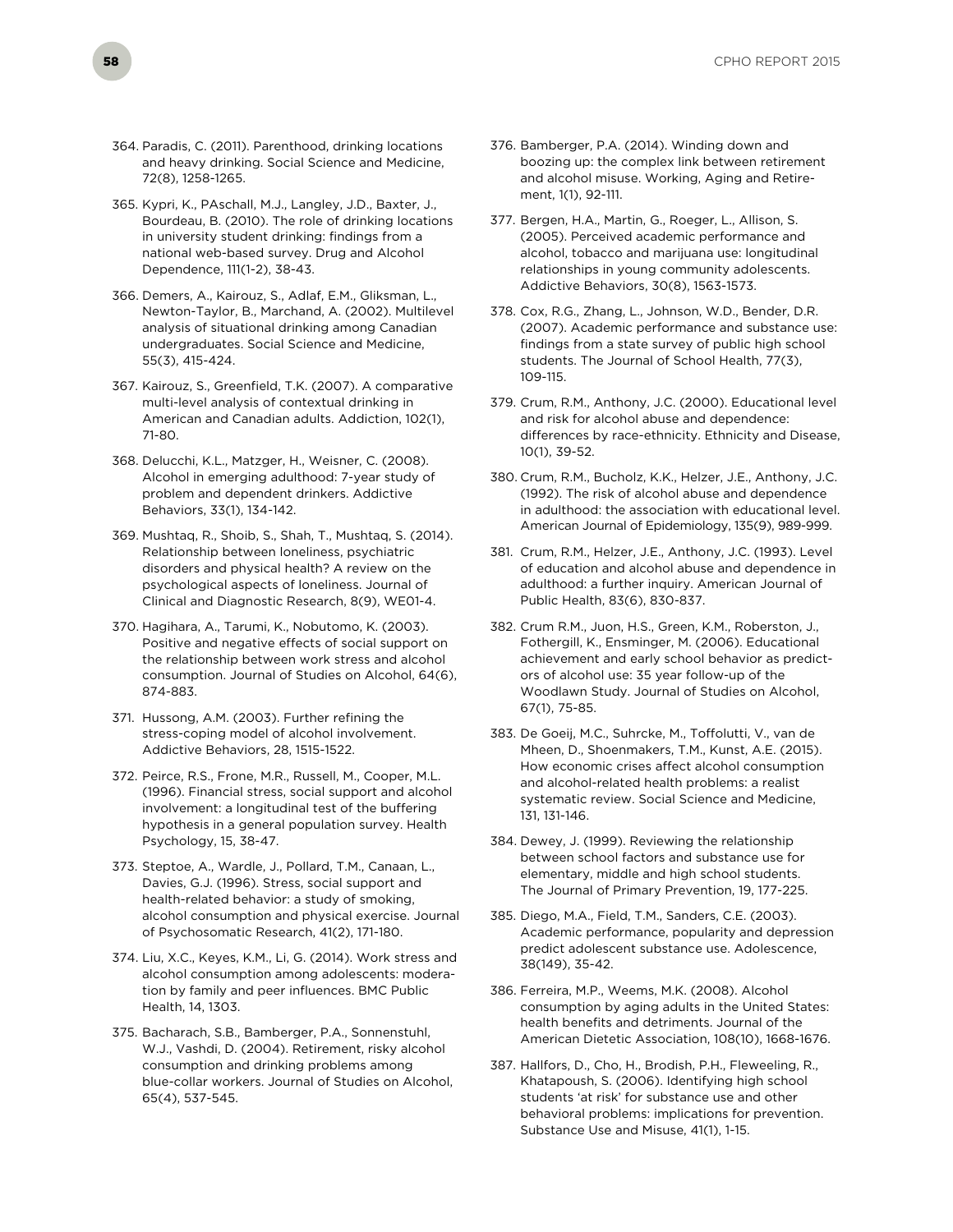- 364. Paradis, C. (2011). Parenthood, drinking locations and heavy drinking. Social Science and Medicine, 72(8), 1258-1265.
- 365. Kypri, K., PAschall, M.J., Langley, J.D., Baxter, J., Bourdeau, B. (2010). The role of drinking locations in university student drinking: findings from a national web-based survey. Drug and Alcohol Dependence, 111(1-2), 38-43.
- 366. Demers, A., Kairouz, S., Adlaf, E.M., Gliksman, L., Newton-Taylor, B., Marchand, A. (2002). Multilevel analysis of situational drinking among Canadian undergraduates. Social Science and Medicine, 55(3), 415-424.
- 367. Kairouz, S., Greenfield, T.K. (2007). A comparative multi-level analysis of contextual drinking in American and Canadian adults. Addiction, 102(1), 71-80.
- 368. Delucchi, K.L., Matzger, H., Weisner, C. (2008). Alcohol in emerging adulthood: 7-year study of problem and dependent drinkers. Addictive Behaviors, 33(1), 134-142.
- 369. Mushtaq, R., Shoib, S., Shah, T., Mushtaq, S. (2014). Relationship between loneliness, psychiatric disorders and physical health? A review on the psychological aspects of loneliness. Journal of Clinical and Diagnostic Research, 8(9), WE01-4.
- 370. Hagihara, A., Tarumi, K., Nobutomo, K. (2003). Positive and negative effects of social support on the relationship between work stress and alcohol consumption. Journal of Studies on Alcohol, 64(6), 874-883.
- 371. Hussong, A.M. (2003). Further refining the stress-coping model of alcohol involvement. Addictive Behaviors, 28, 1515-1522.
- 372. Peirce, R.S., Frone, M.R., Russell, M., Cooper, M.L. (1996). Financial stress, social support and alcohol involvement: a longitudinal test of the buffering hypothesis in a general population survey. Health Psychology, 15, 38-47.
- 373. Steptoe, A., Wardle, J., Pollard, T.M., Canaan, L., Davies, G.J. (1996). Stress, social support and health-related behavior: a study of smoking, alcohol consumption and physical exercise. Journal of Psychosomatic Research, 41(2), 171-180.
- 374. Liu, X.C., Keyes, K.M., Li, G. (2014). Work stress and alcohol consumption among adolescents: moderation by family and peer influences. BMC Public Health, 14, 1303.
- 375. Bacharach, S.B., Bamberger, P.A., Sonnenstuhl, W.J., Vashdi, D. (2004). Retirement, risky alcohol consumption and drinking problems among blue-collar workers. Journal of Studies on Alcohol, 65(4), 537-545.
- 376. Bamberger, P.A. (2014). Winding down and boozing up: the complex link between retirement and alcohol misuse. Working, Aging and Retirement, 1(1), 92-111.
- 377. Bergen, H.A., Martin, G., Roeger, L., Allison, S. (2005). Perceived academic performance and alcohol, tobacco and marijuana use: longitudinal relationships in young community adolescents. Addictive Behaviors, 30(8), 1563-1573.
- 378. Cox, R.G., Zhang, L., Johnson, W.D., Bender, D.R. (2007). Academic performance and substance use: findings from a state survey of public high school students. The Journal of School Health, 77(3), 109-115.
- 379. Crum, R.M., Anthony, J.C. (2000). Educational level and risk for alcohol abuse and dependence: differences by race-ethnicity. Ethnicity and Disease, 10(1), 39-52.
- 380. Crum, R.M., Bucholz, K.K., Helzer, J.E., Anthony, J.C. (1992). The risk of alcohol abuse and dependence in adulthood: the association with educational level. American Journal of Epidemiology, 135(9), 989-999.
- 381. Crum, R.M., Helzer, J.E., Anthony, J.C. (1993). Level of education and alcohol abuse and dependence in adulthood: a further inquiry. American Journal of Public Health, 83(6), 830-837.
- 382. Crum R.M., Juon, H.S., Green, K.M., Roberston, J., Fothergill, K., Ensminger, M. (2006). Educational achievement and early school behavior as predictors of alcohol use: 35 year follow-up of the Woodlawn Study. Journal of Studies on Alcohol, 67(1), 75-85.
- 383. De Goeij, M.C., Suhrcke, M., Toffolutti, V., van de Mheen, D., Shoenmakers, T.M., Kunst, A.E. (2015). How economic crises affect alcohol consumption and alcohol-related health problems: a realist systematic review. Social Science and Medicine, 131, 131-146.
- 384. Dewey, J. (1999). Reviewing the relationship between school factors and substance use for elementary, middle and high school students. The Journal of Primary Prevention, 19, 177-225.
- 385. Diego, M.A., Field, T.M., Sanders, C.E. (2003). Academic performance, popularity and depression predict adolescent substance use. Adolescence, 38(149), 35-42.
- 386. Ferreira, M.P., Weems, M.K. (2008). Alcohol consumption by aging adults in the United States: health benefits and detriments. Journal of the American Dietetic Association, 108(10), 1668-1676.
- 387. Hallfors, D., Cho, H., Brodish, P.H., Fleweeling, R., Khatapoush, S. (2006). Identifying high school students 'at risk' for substance use and other behavioral problems: implications for prevention. Substance Use and Misuse, 41(1), 1-15.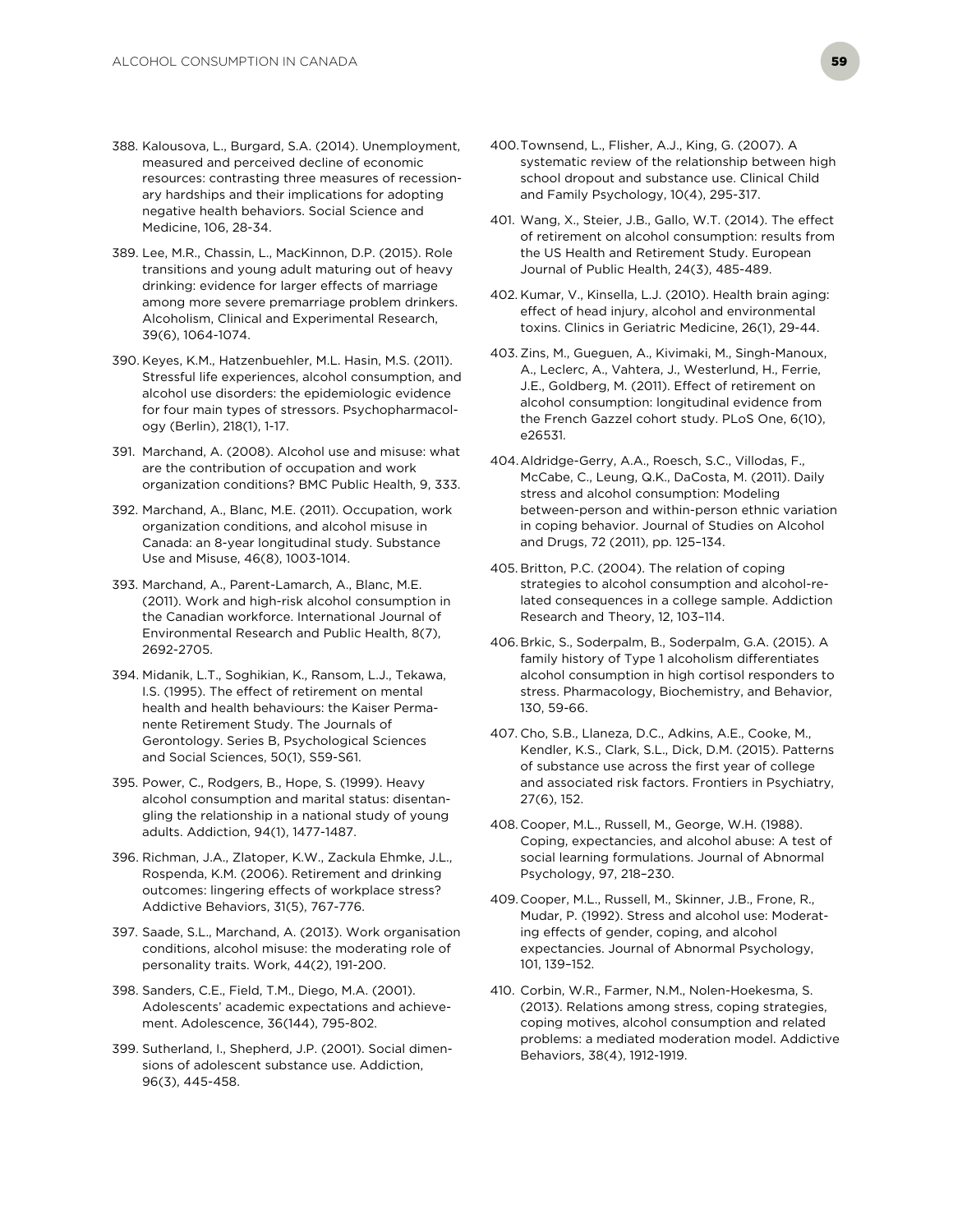- 388. Kalousova, L., Burgard, S.A. (2014). Unemployment, measured and perceived decline of economic resources: contrasting three measures of recessionary hardships and their implications for adopting negative health behaviors. Social Science and Medicine, 106, 28-34.
- 389. Lee, M.R., Chassin, L., MacKinnon, D.P. (2015). Role transitions and young adult maturing out of heavy drinking: evidence for larger effects of marriage among more severe premarriage problem drinkers. Alcoholism, Clinical and Experimental Research, 39(6), 1064-1074.
- 390. Keyes, K.M., Hatzenbuehler, M.L. Hasin, M.S. (2011). Stressful life experiences, alcohol consumption, and alcohol use disorders: the epidemiologic evidence for four main types of stressors. Psychopharmacology (Berlin), 218(1), 1-17.
- 391. Marchand, A. (2008). Alcohol use and misuse: what are the contribution of occupation and work organization conditions? BMC Public Health, 9, 333.
- 392. Marchand, A., Blanc, M.E. (2011). Occupation, work organization conditions, and alcohol misuse in Canada: an 8-year longitudinal study. Substance Use and Misuse, 46(8), 1003-1014.
- 393. Marchand, A., Parent-Lamarch, A., Blanc, M.E. (2011). Work and high-risk alcohol consumption in the Canadian workforce. International Journal of Environmental Research and Public Health, 8(7), 2692-2705.
- 394. Midanik, L.T., Soghikian, K., Ransom, L.J., Tekawa, I.S. (1995). The effect of retirement on mental health and health behaviours: the Kaiser Permanente Retirement Study. The Journals of Gerontology. Series B, Psychological Sciences and Social Sciences, 50(1), S59-S61.
- 395. Power, C., Rodgers, B., Hope, S. (1999). Heavy alcohol consumption and marital status: disentangling the relationship in a national study of young adults. Addiction, 94(1), 1477-1487.
- 396. Richman, J.A., Zlatoper, K.W., Zackula Ehmke, J.L., Rospenda, K.M. (2006). Retirement and drinking outcomes: lingering effects of workplace stress? Addictive Behaviors, 31(5), 767-776.
- 397. Saade, S.L., Marchand, A. (2013). Work organisation conditions, alcohol misuse: the moderating role of personality traits. Work, 44(2), 191-200.
- 398. Sanders, C.E., Field, T.M., Diego, M.A. (2001). Adolescents' academic expectations and achievement. Adolescence, 36(144), 795-802.
- 399. Sutherland, I., Shepherd, J.P. (2001). Social dimensions of adolescent substance use. Addiction, 96(3), 445-458.
- 400.Townsend, L., Flisher, A.J., King, G. (2007). A systematic review of the relationship between high school dropout and substance use. Clinical Child and Family Psychology, 10(4), 295-317.
- 401. Wang, X., Steier, J.B., Gallo, W.T. (2014). The effect of retirement on alcohol consumption: results from the US Health and Retirement Study. European Journal of Public Health, 24(3), 485-489.
- 402. Kumar, V., Kinsella, L.J. (2010). Health brain aging: effect of head injury, alcohol and environmental toxins. Clinics in Geriatric Medicine, 26(1), 29-44.
- 403. Zins, M., Gueguen, A., Kivimaki, M., Singh-Manoux, A., Leclerc, A., Vahtera, J., Westerlund, H., Ferrie, J.E., Goldberg, M. (2011). Effect of retirement on alcohol consumption: longitudinal evidence from the French Gazzel cohort study. PLoS One, 6(10), e26531.
- 404.Aldridge-Gerry, A.A., Roesch, S.C., Villodas, F., McCabe, C., Leung, Q.K., DaCosta, M. (2011). Daily stress and alcohol consumption: Modeling between-person and within-person ethnic variation in coping behavior. Journal of Studies on Alcohol and Drugs, 72 (2011), pp. 125–134.
- 405. Britton, P.C. (2004). The relation of coping strategies to alcohol consumption and alcohol-related consequences in a college sample. Addiction Research and Theory, 12, 103–114.
- 406. Brkic, S., Soderpalm, B., Soderpalm, G.A. (2015). A family history of Type 1 alcoholism differentiates alcohol consumption in high cortisol responders to stress. Pharmacology, Biochemistry, and Behavior, 130, 59-66.
- 407. Cho, S.B., Llaneza, D.C., Adkins, A.E., Cooke, M., Kendler, K.S., Clark, S.L., Dick, D.M. (2015). Patterns of substance use across the first year of college and associated risk factors. Frontiers in Psychiatry, 27(6), 152.
- 408. Cooper, M.L., Russell, M., George, W.H. (1988). Coping, expectancies, and alcohol abuse: A test of social learning formulations. Journal of Abnormal Psychology, 97, 218–230.
- 409. Cooper, M.L., Russell, M., Skinner, J.B., Frone, R., Mudar, P. (1992). Stress and alcohol use: Moderating effects of gender, coping, and alcohol expectancies. Journal of Abnormal Psychology, 101, 139–152.
- 410. Corbin, W.R., Farmer, N.M., Nolen-Hoekesma, S. (2013). Relations among stress, coping strategies, coping motives, alcohol consumption and related problems: a mediated moderation model. Addictive Behaviors, 38(4), 1912-1919.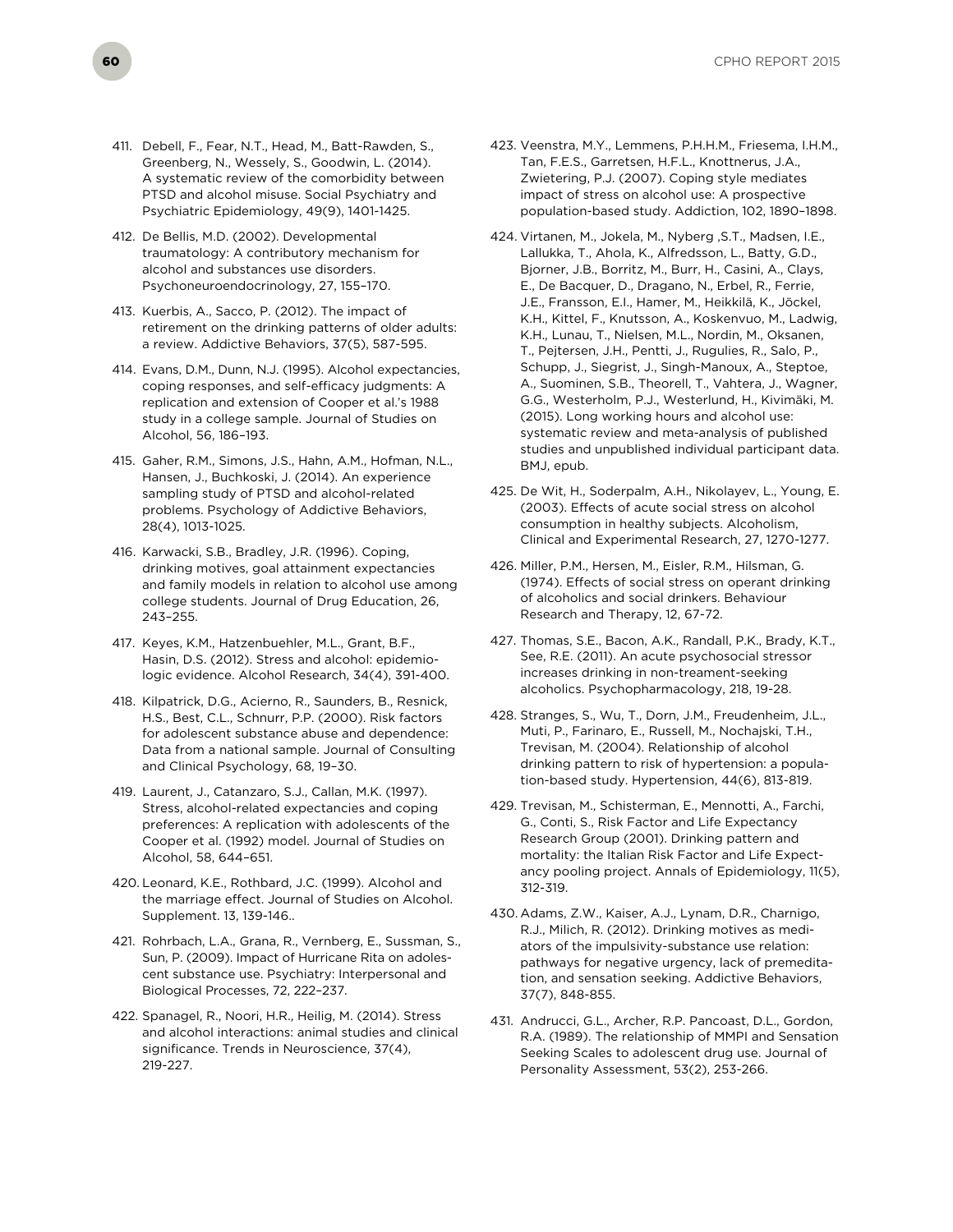- 411. Debell, F., Fear, N.T., Head, M., Batt-Rawden, S., Greenberg, N., Wessely, S., Goodwin, L. (2014). A systematic review of the comorbidity between PTSD and alcohol misuse. Social Psychiatry and Psychiatric Epidemiology, 49(9), 1401-1425.
- 412. De Bellis, M.D. (2002). Developmental traumatology: A contributory mechanism for alcohol and substances use disorders. Psychoneuroendocrinology, 27, 155–170.
- 413. Kuerbis, A., Sacco, P. (2012). The impact of retirement on the drinking patterns of older adults: a review. Addictive Behaviors, 37(5), 587-595.
- 414. Evans, D.M., Dunn, N.J. (1995). Alcohol expectancies, coping responses, and self-efficacy judgments: A replication and extension of Cooper et al.'s 1988 study in a college sample. Journal of Studies on Alcohol, 56, 186–193.
- 415. Gaher, R.M., Simons, J.S., Hahn, A.M., Hofman, N.L., Hansen, J., Buchkoski, J. (2014). An experience sampling study of PTSD and alcohol-related problems. Psychology of Addictive Behaviors, 28(4), 1013-1025.
- 416. Karwacki, S.B., Bradley, J.R. (1996). Coping, drinking motives, goal attainment expectancies and family models in relation to alcohol use among college students. Journal of Drug Education, 26, 243–255.
- 417. Keyes, K.M., Hatzenbuehler, M.L., Grant, B.F., Hasin, D.S. (2012). Stress and alcohol: epidemiologic evidence. Alcohol Research, 34(4), 391-400.
- 418. Kilpatrick, D.G., Acierno, R., Saunders, B., Resnick, H.S., Best, C.L., Schnurr, P.P. (2000). Risk factors for adolescent substance abuse and dependence: Data from a national sample. Journal of Consulting and Clinical Psychology, 68, 19–30.
- 419. Laurent, J., Catanzaro, S.J., Callan, M.K. (1997). Stress, alcohol-related expectancies and coping preferences: A replication with adolescents of the Cooper et al. (1992) model. Journal of Studies on Alcohol, 58, 644–651.
- 420. Leonard, K.E., Rothbard, J.C. (1999). Alcohol and the marriage effect. Journal of Studies on Alcohol. Supplement. 13, 139-146..
- 421. Rohrbach, L.A., Grana, R., Vernberg, E., Sussman, S., Sun, P. (2009). Impact of Hurricane Rita on adolescent substance use. Psychiatry: Interpersonal and Biological Processes, 72, 222–237.
- 422. Spanagel, R., Noori, H.R., Heilig, M. (2014). Stress and alcohol interactions: animal studies and clinical significance. Trends in Neuroscience, 37(4), 219-227.
- 423. Veenstra, M.Y., Lemmens, P.H.H.M., Friesema, I.H.M., Tan, F.E.S., Garretsen, H.F.L., Knottnerus, J.A., Zwietering, P.J. (2007). Coping style mediates impact of stress on alcohol use: A prospective population-based study. Addiction, 102, 1890–1898.
- 424. Virtanen, M., Jokela, M., Nyberg ,S.T., Madsen, I.E., Lallukka, T., Ahola, K., Alfredsson, L., Batty, G.D., Bjorner, J.B., Borritz, M., Burr, H., Casini, A., Clays, E., De Bacquer, D., Dragano, N., Erbel, R., Ferrie, J.E., Fransson, E.I., Hamer, M., Heikkilä, K., Jöckel, K.H., Kittel, F., Knutsson, A., Koskenvuo, M., Ladwig, K.H., Lunau, T., Nielsen, M.L., Nordin, M., Oksanen, T., Pejtersen, J.H., Pentti, J., Rugulies, R., Salo, P., Schupp, J., Siegrist, J., Singh-Manoux, A., Steptoe, A., Suominen, S.B., Theorell, T., Vahtera, J., Wagner, G.G., Westerholm, P.J., Westerlund, H., Kivimäki, M. (2015). Long working hours and alcohol use: systematic review and meta-analysis of published studies and unpublished individual participant data. BMJ, epub.
- 425. De Wit, H., Soderpalm, A.H., Nikolayev, L., Young, E. (2003). Effects of acute social stress on alcohol consumption in healthy subjects. Alcoholism, Clinical and Experimental Research, 27, 1270-1277.
- 426. Miller, P.M., Hersen, M., Eisler, R.M., Hilsman, G. (1974). Effects of social stress on operant drinking of alcoholics and social drinkers. Behaviour Research and Therapy, 12, 67-72.
- 427. Thomas, S.E., Bacon, A.K., Randall, P.K., Brady, K.T., See, R.E. (2011). An acute psychosocial stressor increases drinking in non-treament-seeking alcoholics. Psychopharmacology, 218, 19-28.
- 428. Stranges, S., Wu, T., Dorn, J.M., Freudenheim, J.L., Muti, P., Farinaro, E., Russell, M., Nochajski, T.H., Trevisan, M. (2004). Relationship of alcohol drinking pattern to risk of hypertension: a population-based study. Hypertension, 44(6), 813-819.
- 429. Trevisan, M., Schisterman, E., Mennotti, A., Farchi, G., Conti, S., Risk Factor and Life Expectancy Research Group (2001). Drinking pattern and mortality: the Italian Risk Factor and Life Expectancy pooling project. Annals of Epidemiology, 11(5), 312-319.
- 430. Adams, Z.W., Kaiser, A.J., Lynam, D.R., Charnigo, R.J., Milich, R. (2012). Drinking motives as mediators of the impulsivity-substance use relation: pathways for negative urgency, lack of premeditation, and sensation seeking. Addictive Behaviors, 37(7), 848-855.
- 431. Andrucci, G.L., Archer, R.P. Pancoast, D.L., Gordon, R.A. (1989). The relationship of MMPI and Sensation Seeking Scales to adolescent drug use. Journal of Personality Assessment, 53(2), 253-266.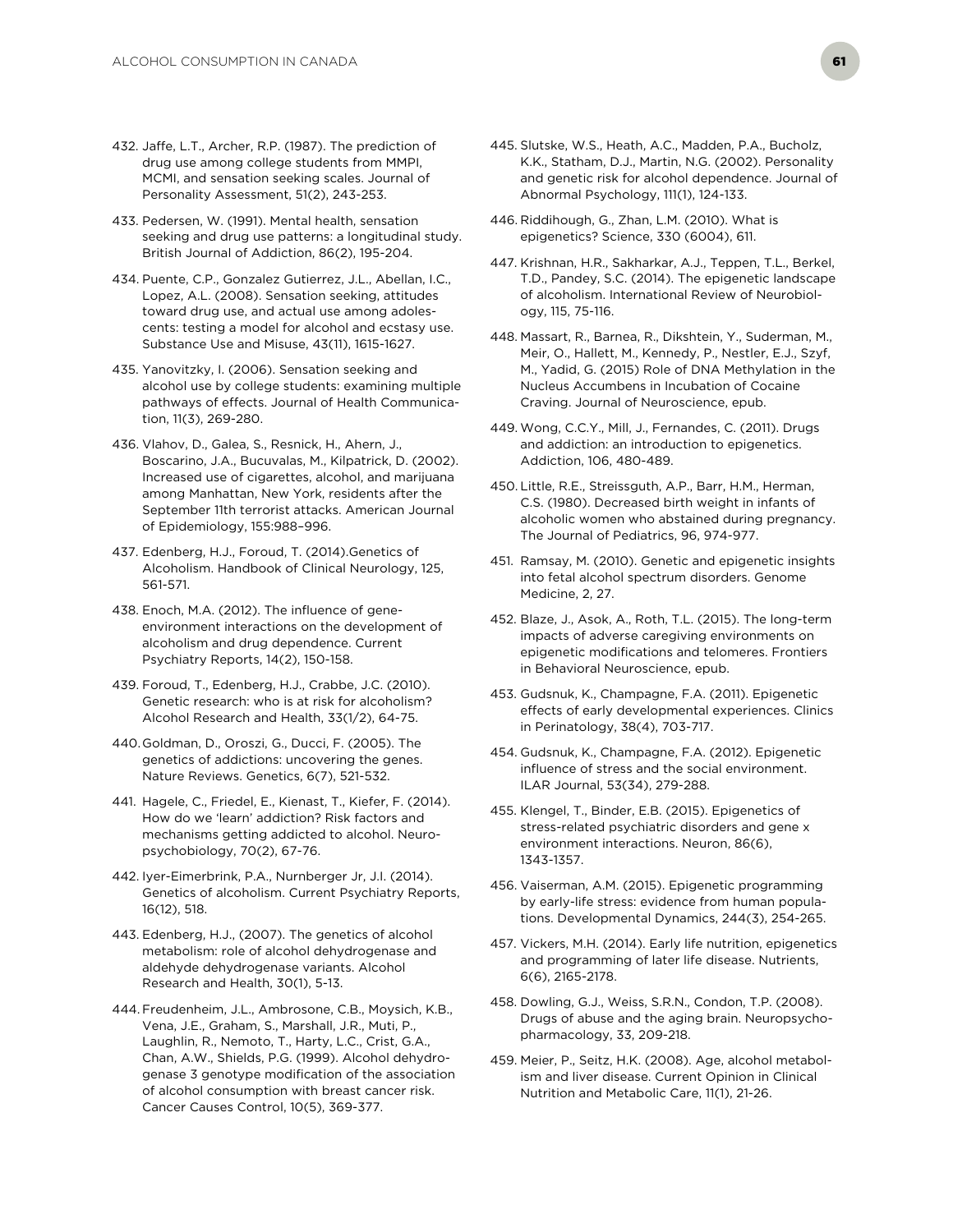- 432. Jaffe, L.T., Archer, R.P. (1987). The prediction of drug use among college students from MMPI, MCMI, and sensation seeking scales. Journal of Personality Assessment, 51(2), 243-253.
- 433. Pedersen, W. (1991). Mental health, sensation seeking and drug use patterns: a longitudinal study. British Journal of Addiction, 86(2), 195-204.
- 434. Puente, C.P., Gonzalez Gutierrez, J.L., Abellan, I.C., Lopez, A.L. (2008). Sensation seeking, attitudes toward drug use, and actual use among adolescents: testing a model for alcohol and ecstasy use. Substance Use and Misuse, 43(11), 1615-1627.
- 435. Yanovitzky, I. (2006). Sensation seeking and alcohol use by college students: examining multiple pathways of effects. Journal of Health Communication, 11(3), 269-280.
- 436. Vlahov, D., Galea, S., Resnick, H., Ahern, J., Boscarino, J.A., Bucuvalas, M., Kilpatrick, D. (2002). Increased use of cigarettes, alcohol, and marijuana among Manhattan, New York, residents after the September 11th terrorist attacks. American Journal of Epidemiology, 155:988–996.
- 437. Edenberg, H.J., Foroud, T. (2014).Genetics of Alcoholism. Handbook of Clinical Neurology, 125, 561-571.
- 438. Enoch, M.A. (2012). The influence of geneenvironment interactions on the development of alcoholism and drug dependence. Current Psychiatry Reports, 14(2), 150-158.
- 439. Foroud, T., Edenberg, H.J., Crabbe, J.C. (2010). Genetic research: who is at risk for alcoholism? Alcohol Research and Health, 33(1/2), 64-75.
- 440.Goldman, D., Oroszi, G., Ducci, F. (2005). The genetics of addictions: uncovering the genes. Nature Reviews. Genetics, 6(7), 521-532.
- 441. Hagele, C., Friedel, E., Kienast, T., Kiefer, F. (2014). How do we 'learn' addiction? Risk factors and mechanisms getting addicted to alcohol. Neuropsychobiology, 70(2), 67-76.
- 442. Iyer-Eimerbrink, P.A., Nurnberger Jr, J.I. (2014). Genetics of alcoholism. Current Psychiatry Reports, 16(12), 518.
- 443. Edenberg, H.J., (2007). The genetics of alcohol metabolism: role of alcohol dehydrogenase and aldehyde dehydrogenase variants. Alcohol Research and Health, 30(1), 5-13.
- 444. Freudenheim, J.L., Ambrosone, C.B., Moysich, K.B., Vena, J.E., Graham, S., Marshall, J.R., Muti, P., Laughlin, R., Nemoto, T., Harty, L.C., Crist, G.A., Chan, A.W., Shields, P.G. (1999). Alcohol dehydrogenase 3 genotype modification of the association of alcohol consumption with breast cancer risk. Cancer Causes Control, 10(5), 369-377.
- 445. Slutske, W.S., Heath, A.C., Madden, P.A., Bucholz, K.K., Statham, D.J., Martin, N.G. (2002). Personality and genetic risk for alcohol dependence. Journal of Abnormal Psychology, 111(1), 124-133.
- 446. Riddihough, G., Zhan, L.M. (2010). What is epigenetics? Science, 330 (6004), 611.
- 447. Krishnan, H.R., Sakharkar, A.J., Teppen, T.L., Berkel, T.D., Pandey, S.C. (2014). The epigenetic landscape of alcoholism. International Review of Neurobiology, 115, 75-116.
- 448. Massart, R., Barnea, R., Dikshtein, Y., Suderman, M., Meir, O., Hallett, M., Kennedy, P., Nestler, E.J., Szyf, M., Yadid, G. (2015) Role of DNA Methylation in the Nucleus Accumbens in Incubation of Cocaine Craving. Journal of Neuroscience, epub.
- 449. Wong, C.C.Y., Mill, J., Fernandes, C. (2011). Drugs and addiction: an introduction to epigenetics. Addiction, 106, 480-489.
- 450. Little, R.E., Streissguth, A.P., Barr, H.M., Herman, C.S. (1980). Decreased birth weight in infants of alcoholic women who abstained during pregnancy. The Journal of Pediatrics, 96, 974-977.
- 451. Ramsay, M. (2010). Genetic and epigenetic insights into fetal alcohol spectrum disorders. Genome Medicine, 2, 27.
- 452. Blaze, J., Asok, A., Roth, T.L. (2015). The long-term impacts of adverse caregiving environments on epigenetic modifications and telomeres. Frontiers in Behavioral Neuroscience, epub.
- 453. Gudsnuk, K., Champagne, F.A. (2011). Epigenetic effects of early developmental experiences. Clinics in Perinatology, 38(4), 703-717.
- 454. Gudsnuk, K., Champagne, F.A. (2012). Epigenetic influence of stress and the social environment. ILAR Journal, 53(34), 279-288.
- 455. Klengel, T., Binder, E.B. (2015). Epigenetics of stress-related psychiatric disorders and gene x environment interactions. Neuron, 86(6), 1343-1357.
- 456. Vaiserman, A.M. (2015). Epigenetic programming by early-life stress: evidence from human populations. Developmental Dynamics, 244(3), 254-265.
- 457. Vickers, M.H. (2014). Early life nutrition, epigenetics and programming of later life disease. Nutrients, 6(6), 2165-2178.
- 458. Dowling, G.J., Weiss, S.R.N., Condon, T.P. (2008). Drugs of abuse and the aging brain. Neuropsychopharmacology, 33, 209-218.
- 459. Meier, P., Seitz, H.K. (2008). Age, alcohol metabolism and liver disease. Current Opinion in Clinical Nutrition and Metabolic Care, 11(1), 21-26.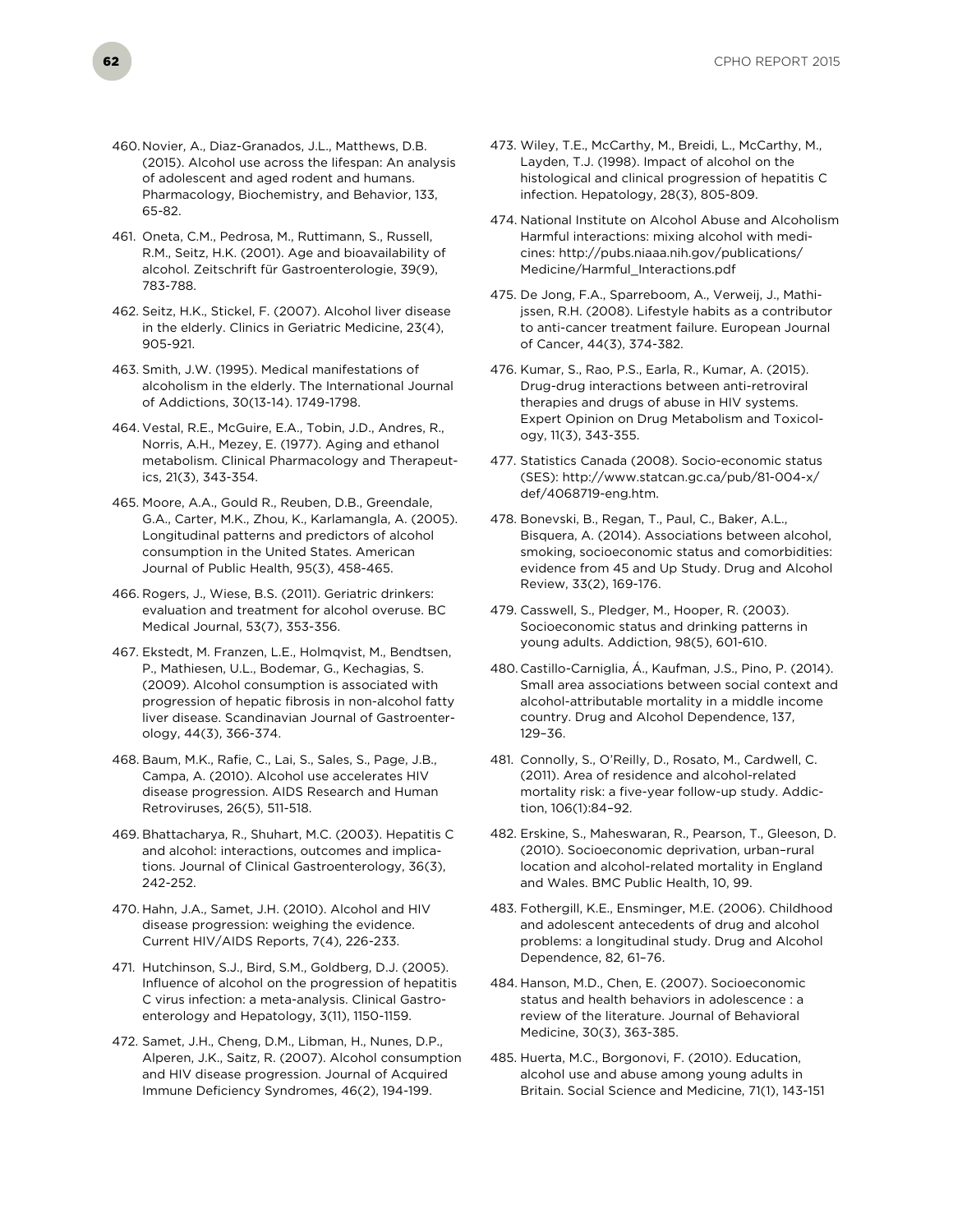- 460.Novier, A., Diaz-Granados, J.L., Matthews, D.B. (2015). Alcohol use across the lifespan: An analysis of adolescent and aged rodent and humans. Pharmacology, Biochemistry, and Behavior, 133, 65-82.
- 461. Oneta, C.M., Pedrosa, M., Ruttimann, S., Russell, R.M., Seitz, H.K. (2001). Age and bioavailability of alcohol. Zeitschrift für Gastroenterologie, 39(9), 783-788.
- 462. Seitz, H.K., Stickel, F. (2007). Alcohol liver disease in the elderly. Clinics in Geriatric Medicine, 23(4), 905-921.
- 463. Smith, J.W. (1995). Medical manifestations of alcoholism in the elderly. The International Journal of Addictions, 30(13-14). 1749-1798.
- 464. Vestal, R.E., McGuire, E.A., Tobin, J.D., Andres, R., Norris, A.H., Mezey, E. (1977). Aging and ethanol metabolism. Clinical Pharmacology and Therapeutics, 21(3), 343-354.
- 465. Moore, A.A., Gould R., Reuben, D.B., Greendale, G.A., Carter, M.K., Zhou, K., Karlamangla, A. (2005). Longitudinal patterns and predictors of alcohol consumption in the United States. American Journal of Public Health, 95(3), 458-465.
- 466. Rogers, J., Wiese, B.S. (2011). Geriatric drinkers: evaluation and treatment for alcohol overuse. BC Medical Journal, 53(7), 353-356.
- 467. Ekstedt, M. Franzen, L.E., Holmqvist, M., Bendtsen, P., Mathiesen, U.L., Bodemar, G., Kechagias, S. (2009). Alcohol consumption is associated with progression of hepatic fibrosis in non-alcohol fatty liver disease. Scandinavian Journal of Gastroenterology, 44(3), 366-374.
- 468. Baum, M.K., Rafie, C., Lai, S., Sales, S., Page, J.B., Campa, A. (2010). Alcohol use accelerates HIV disease progression. AIDS Research and Human Retroviruses, 26(5), 511-518.
- 469. Bhattacharya, R., Shuhart, M.C. (2003). Hepatitis C and alcohol: interactions, outcomes and implications. Journal of Clinical Gastroenterology, 36(3), 242-252.
- 470. Hahn, J.A., Samet, J.H. (2010). Alcohol and HIV disease progression: weighing the evidence. Current HIV/AIDS Reports, 7(4), 226-233.
- 471. Hutchinson, S.J., Bird, S.M., Goldberg, D.J. (2005). Influence of alcohol on the progression of hepatitis C virus infection: a meta-analysis. Clinical Gastroenterology and Hepatology, 3(11), 1150-1159.
- 472. Samet, J.H., Cheng, D.M., Libman, H., Nunes, D.P., Alperen, J.K., Saitz, R. (2007). Alcohol consumption and HIV disease progression. Journal of Acquired Immune Deficiency Syndromes, 46(2), 194-199.
- 473. Wiley, T.E., McCarthy, M., Breidi, L., McCarthy, M., Layden, T.J. (1998). Impact of alcohol on the histological and clinical progression of hepatitis C infection. Hepatology, 28(3), 805-809.
- 474. National Institute on Alcohol Abuse and Alcoholism Harmful interactions: mixing alcohol with medicines: http://pubs.niaaa.nih.gov/publications/ Medicine/Harmful\_Interactions.pdf
- 475. De Jong, F.A., Sparreboom, A., Verweij, J., Mathijssen, R.H. (2008). Lifestyle habits as a contributor to anti-cancer treatment failure. European Journal of Cancer, 44(3), 374-382.
- 476. Kumar, S., Rao, P.S., Earla, R., Kumar, A. (2015). Drug-drug interactions between anti-retroviral therapies and drugs of abuse in HIV systems. Expert Opinion on Drug Metabolism and Toxicology, 11(3), 343-355.
- 477. Statistics Canada (2008). Socio-economic status (SES): http://www.statcan.gc.ca/pub/81-004-x/ def/4068719-eng.htm.
- 478. Bonevski, B., Regan, T., Paul, C., Baker, A.L., Bisquera, A. (2014). Associations between alcohol, smoking, socioeconomic status and comorbidities: evidence from 45 and Up Study. Drug and Alcohol Review, 33(2), 169-176.
- 479. Casswell, S., Pledger, M., Hooper, R. (2003). Socioeconomic status and drinking patterns in young adults. Addiction, 98(5), 601-610.
- 480. Castillo-Carniglia, Á., Kaufman, J.S., Pino, P. (2014). Small area associations between social context and alcohol-attributable mortality in a middle income country. Drug and Alcohol Dependence, 137, 129–36.
- 481. Connolly, S., O'Reilly, D., Rosato, M., Cardwell, C. (2011). Area of residence and alcohol-related mortality risk: a five-year follow-up study. Addiction, 106(1):84–92.
- 482. Erskine, S., Maheswaran, R., Pearson, T., Gleeson, D. (2010). Socioeconomic deprivation, urban–rural location and alcohol-related mortality in England and Wales. BMC Public Health, 10, 99.
- 483. Fothergill, K.E., Ensminger, M.E. (2006). Childhood and adolescent antecedents of drug and alcohol problems: a longitudinal study. Drug and Alcohol Dependence, 82, 61–76.
- 484. Hanson, M.D., Chen, E. (2007). Socioeconomic status and health behaviors in adolescence : a review of the literature. Journal of Behavioral Medicine, 30(3), 363-385.
- 485. Huerta, M.C., Borgonovi, F. (2010). Education, alcohol use and abuse among young adults in Britain. Social Science and Medicine, 71(1), 143-151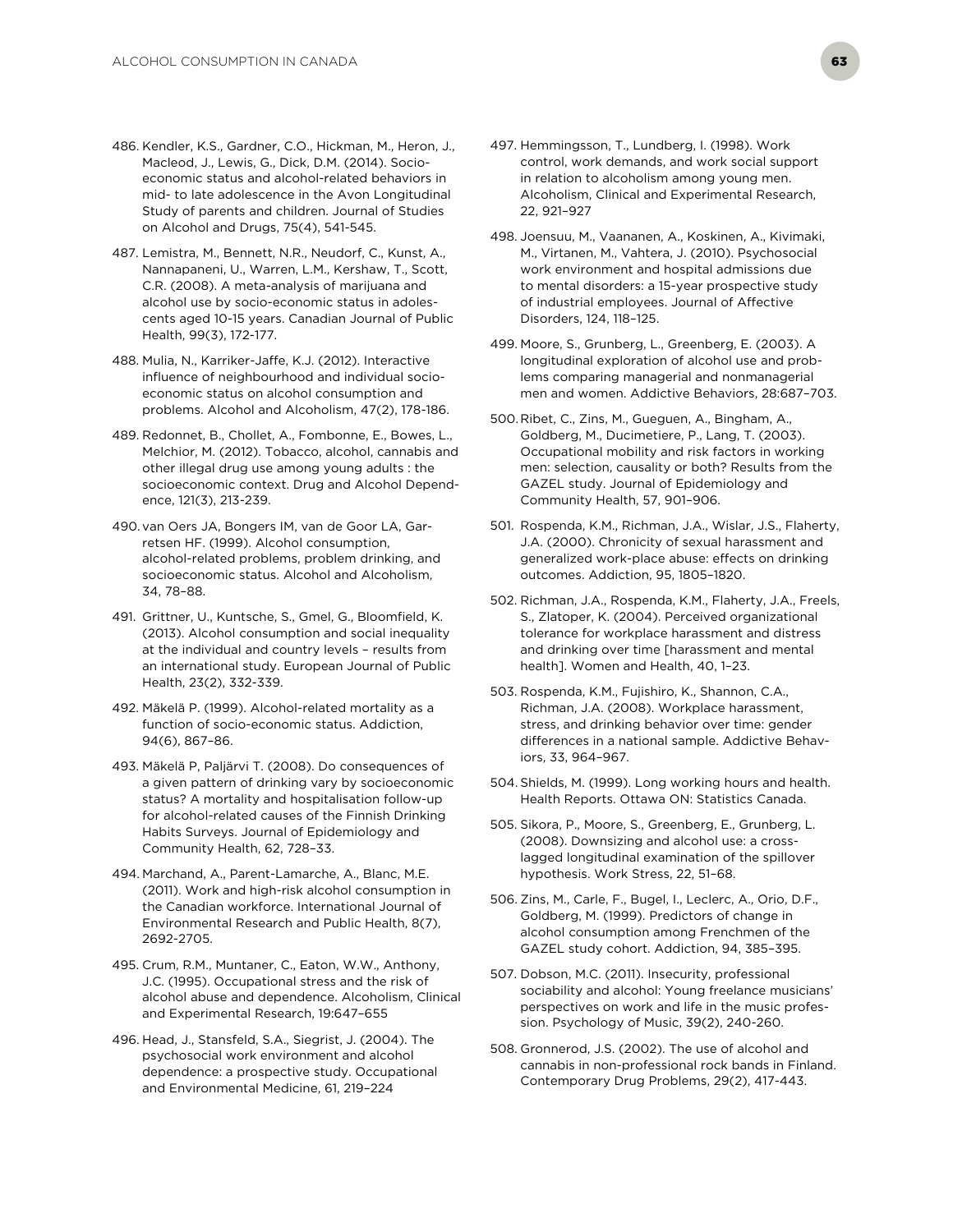- 486. Kendler, K.S., Gardner, C.O., Hickman, M., Heron, J., Macleod, J., Lewis, G., Dick, D.M. (2014). Socioeconomic status and alcohol-related behaviors in mid- to late adolescence in the Avon Longitudinal Study of parents and children. Journal of Studies on Alcohol and Drugs, 75(4), 541-545.
- 487. Lemistra, M., Bennett, N.R., Neudorf, C., Kunst, A., Nannapaneni, U., Warren, L.M., Kershaw, T., Scott, C.R. (2008). A meta-analysis of marijuana and alcohol use by socio-economic status in adolescents aged 10-15 years. Canadian Journal of Public Health, 99(3), 172-177.
- 488. Mulia, N., Karriker-Jaffe, K.J. (2012). Interactive influence of neighbourhood and individual socioeconomic status on alcohol consumption and problems. Alcohol and Alcoholism, 47(2), 178-186.
- 489. Redonnet, B., Chollet, A., Fombonne, E., Bowes, L., Melchior, M. (2012). Tobacco, alcohol, cannabis and other illegal drug use among young adults : the socioeconomic context. Drug and Alcohol Dependence, 121(3), 213-239.
- 490. van Oers JA, Bongers IM, van de Goor LA, Garretsen HF. (1999). Alcohol consumption, alcohol-related problems, problem drinking, and socioeconomic status. Alcohol and Alcoholism, 34, 78–88.
- 491. Grittner, U., Kuntsche, S., Gmel, G., Bloomfield, K. (2013). Alcohol consumption and social inequality at the individual and country levels – results from an international study. European Journal of Public Health, 23(2), 332-339.
- 492. Mäkelä P. (1999). Alcohol-related mortality as a function of socio-economic status. Addiction, 94(6), 867–86.
- 493. Mäkelä P, Paljärvi T. (2008). Do consequences of a given pattern of drinking vary by socioeconomic status? A mortality and hospitalisation follow-up for alcohol-related causes of the Finnish Drinking Habits Surveys. Journal of Epidemiology and Community Health, 62, 728–33.
- 494. Marchand, A., Parent-Lamarche, A., Blanc, M.E. (2011). Work and high-risk alcohol consumption in the Canadian workforce. International Journal of Environmental Research and Public Health, 8(7), 2692-2705.
- 495. Crum, R.M., Muntaner, C., Eaton, W.W., Anthony, J.C. (1995). Occupational stress and the risk of alcohol abuse and dependence. Alcoholism, Clinical and Experimental Research, 19:647–655
- 496. Head, J., Stansfeld, S.A., Siegrist, J. (2004). The psychosocial work environment and alcohol dependence: a prospective study. Occupational and Environmental Medicine, 61, 219–224
- 497. Hemmingsson, T., Lundberg, I. (1998). Work control, work demands, and work social support in relation to alcoholism among young men. Alcoholism, Clinical and Experimental Research, 22, 921–927
- 498. Joensuu, M., Vaananen, A., Koskinen, A., Kivimaki, M., Virtanen, M., Vahtera, J. (2010). Psychosocial work environment and hospital admissions due to mental disorders: a 15-year prospective study of industrial employees. Journal of Affective Disorders, 124, 118–125.
- 499. Moore, S., Grunberg, L., Greenberg, E. (2003). A longitudinal exploration of alcohol use and problems comparing managerial and nonmanagerial men and women. Addictive Behaviors, 28:687–703.
- 500.Ribet, C., Zins, M., Gueguen, A., Bingham, A., Goldberg, M., Ducimetiere, P., Lang, T. (2003). Occupational mobility and risk factors in working men: selection, causality or both? Results from the GAZEL study. Journal of Epidemiology and Community Health, 57, 901–906.
- 501. Rospenda, K.M., Richman, J.A., Wislar, J.S., Flaherty, J.A. (2000). Chronicity of sexual harassment and generalized work-place abuse: effects on drinking outcomes. Addiction, 95, 1805–1820.
- 502. Richman, J.A., Rospenda, K.M., Flaherty, J.A., Freels, S., Zlatoper, K. (2004). Perceived organizational tolerance for workplace harassment and distress and drinking over time [harassment and mental health]. Women and Health, 40, 1–23.
- 503. Rospenda, K.M., Fujishiro, K., Shannon, C.A., Richman, J.A. (2008). Workplace harassment, stress, and drinking behavior over time: gender differences in a national sample. Addictive Behaviors, 33, 964–967.
- 504. Shields, M. (1999). Long working hours and health. Health Reports. Ottawa ON: Statistics Canada.
- 505. Sikora, P., Moore, S., Greenberg, E., Grunberg, L. (2008). Downsizing and alcohol use: a crosslagged longitudinal examination of the spillover hypothesis. Work Stress, 22, 51–68.
- 506. Zins, M., Carle, F., Bugel, I., Leclerc, A., Orio, D.F., Goldberg, M. (1999). Predictors of change in alcohol consumption among Frenchmen of the GAZEL study cohort. Addiction, 94, 385–395.
- 507. Dobson, M.C. (2011). Insecurity, professional sociability and alcohol: Young freelance musicians' perspectives on work and life in the music profession. Psychology of Music, 39(2), 240-260.
- 508. Gronnerod, J.S. (2002). The use of alcohol and cannabis in non-professional rock bands in Finland. Contemporary Drug Problems, 29(2), 417-443.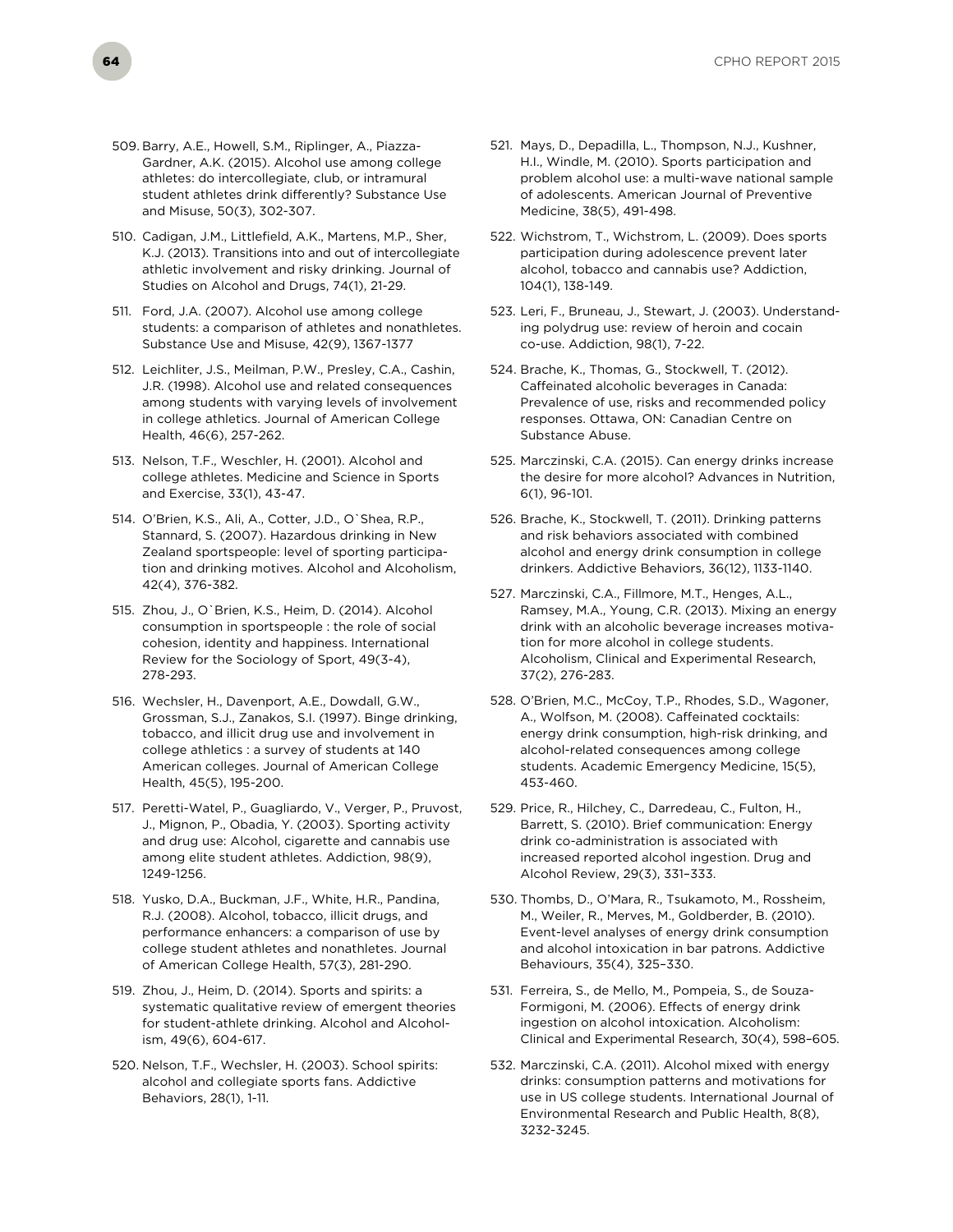- 509. Barry, A.E., Howell, S.M., Riplinger, A., Piazza-Gardner, A.K. (2015). Alcohol use among college athletes: do intercollegiate, club, or intramural student athletes drink differently? Substance Use and Misuse, 50(3), 302-307.
- 510. Cadigan, J.M., Littlefield, A.K., Martens, M.P., Sher, K.J. (2013). Transitions into and out of intercollegiate athletic involvement and risky drinking. Journal of Studies on Alcohol and Drugs, 74(1), 21-29.
- 511. Ford, J.A. (2007). Alcohol use among college students: a comparison of athletes and nonathletes. Substance Use and Misuse, 42(9), 1367-1377
- 512. Leichliter, J.S., Meilman, P.W., Presley, C.A., Cashin, J.R. (1998). Alcohol use and related consequences among students with varying levels of involvement in college athletics. Journal of American College Health, 46(6), 257-262.
- 513. Nelson, T.F., Weschler, H. (2001). Alcohol and college athletes. Medicine and Science in Sports and Exercise, 33(1), 43-47.
- 514. O'Brien, K.S., Ali, A., Cotter, J.D., O`Shea, R.P., Stannard, S. (2007). Hazardous drinking in New Zealand sportspeople: level of sporting participation and drinking motives. Alcohol and Alcoholism, 42(4), 376-382.
- 515. Zhou, J., O`Brien, K.S., Heim, D. (2014). Alcohol consumption in sportspeople : the role of social cohesion, identity and happiness. International Review for the Sociology of Sport, 49(3-4), 278-293.
- 516. Wechsler, H., Davenport, A.E., Dowdall, G.W., Grossman, S.J., Zanakos, S.I. (1997). Binge drinking, tobacco, and illicit drug use and involvement in college athletics : a survey of students at 140 American colleges. Journal of American College Health, 45(5), 195-200.
- 517. Peretti-Watel, P., Guagliardo, V., Verger, P., Pruvost, J., Mignon, P., Obadia, Y. (2003). Sporting activity and drug use: Alcohol, cigarette and cannabis use among elite student athletes. Addiction, 98(9), 1249-1256.
- 518. Yusko, D.A., Buckman, J.F., White, H.R., Pandina, R.J. (2008). Alcohol, tobacco, illicit drugs, and performance enhancers: a comparison of use by college student athletes and nonathletes. Journal of American College Health, 57(3), 281-290.
- 519. Zhou, J., Heim, D. (2014). Sports and spirits: a systematic qualitative review of emergent theories for student-athlete drinking. Alcohol and Alcoholism, 49(6), 604-617.
- 520. Nelson, T.F., Wechsler, H. (2003). School spirits: alcohol and collegiate sports fans. Addictive Behaviors, 28(1), 1-11.
- 521. Mays, D., Depadilla, L., Thompson, N.J., Kushner, H.I., Windle, M. (2010). Sports participation and problem alcohol use: a multi-wave national sample of adolescents. American Journal of Preventive Medicine, 38(5), 491-498.
- 522. Wichstrom, T., Wichstrom, L. (2009). Does sports participation during adolescence prevent later alcohol, tobacco and cannabis use? Addiction, 104(1), 138-149.
- 523. Leri, F., Bruneau, J., Stewart, J. (2003). Understanding polydrug use: review of heroin and cocain co-use. Addiction, 98(1), 7-22.
- 524. Brache, K., Thomas, G., Stockwell, T. (2012). Caffeinated alcoholic beverages in Canada: Prevalence of use, risks and recommended policy responses. Ottawa, ON: Canadian Centre on Substance Abuse.
- 525. Marczinski, C.A. (2015). Can energy drinks increase the desire for more alcohol? Advances in Nutrition, 6(1), 96-101.
- 526. Brache, K., Stockwell, T. (2011). Drinking patterns and risk behaviors associated with combined alcohol and energy drink consumption in college drinkers. Addictive Behaviors, 36(12), 1133-1140.
- 527. Marczinski, C.A., Fillmore, M.T., Henges, A.L., Ramsey, M.A., Young, C.R. (2013). Mixing an energy drink with an alcoholic beverage increases motivation for more alcohol in college students. Alcoholism, Clinical and Experimental Research, 37(2), 276-283.
- 528. O'Brien, M.C., McCoy, T.P., Rhodes, S.D., Wagoner, A., Wolfson, M. (2008). Caffeinated cocktails: energy drink consumption, high-risk drinking, and alcohol-related consequences among college students. Academic Emergency Medicine, 15(5), 453-460.
- 529. Price, R., Hilchey, C., Darredeau, C., Fulton, H., Barrett, S. (2010). Brief communication: Energy drink co-administration is associated with increased reported alcohol ingestion. Drug and Alcohol Review, 29(3), 331–333.
- 530. Thombs, D., O'Mara, R., Tsukamoto, M., Rossheim, M., Weiler, R., Merves, M., Goldberder, B. (2010). Event-level analyses of energy drink consumption and alcohol intoxication in bar patrons. Addictive Behaviours, 35(4), 325–330.
- 531. Ferreira, S., de Mello, M., Pompeia, S., de Souza-Formigoni, M. (2006). Effects of energy drink ingestion on alcohol intoxication. Alcoholism: Clinical and Experimental Research, 30(4), 598–605.
- 532. Marczinski, C.A. (2011). Alcohol mixed with energy drinks: consumption patterns and motivations for use in US college students. International Journal of Environmental Research and Public Health, 8(8), 3232-3245.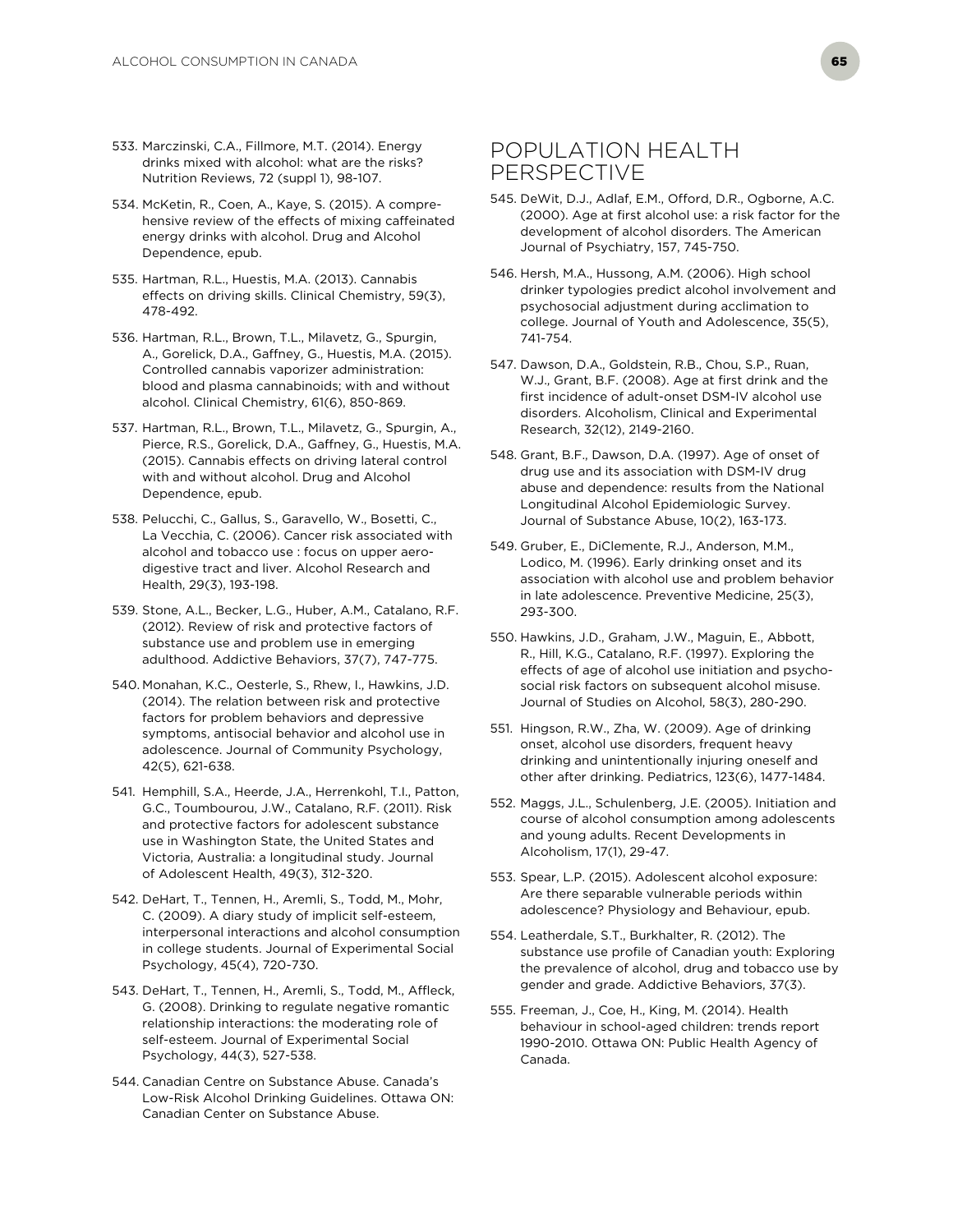- 533. Marczinski, C.A., Fillmore, M.T. (2014). Energy drinks mixed with alcohol: what are the risks? Nutrition Reviews, 72 (suppl 1), 98-107.
- 534. McKetin, R., Coen, A., Kaye, S. (2015). A comprehensive review of the effects of mixing caffeinated energy drinks with alcohol. Drug and Alcohol Dependence, epub.
- 535. Hartman, R.L., Huestis, M.A. (2013). Cannabis effects on driving skills. Clinical Chemistry, 59(3), 478-492.
- 536. Hartman, R.L., Brown, T.L., Milavetz, G., Spurgin, A., Gorelick, D.A., Gaffney, G., Huestis, M.A. (2015). Controlled cannabis vaporizer administration: blood and plasma cannabinoids; with and without alcohol. Clinical Chemistry, 61(6), 850-869.
- 537. Hartman, R.L., Brown, T.L., Milavetz, G., Spurgin, A., Pierce, R.S., Gorelick, D.A., Gaffney, G., Huestis, M.A. (2015). Cannabis effects on driving lateral control with and without alcohol. Drug and Alcohol Dependence, epub.
- 538. Pelucchi, C., Gallus, S., Garavello, W., Bosetti, C., La Vecchia, C. (2006). Cancer risk associated with alcohol and tobacco use : focus on upper aerodigestive tract and liver. Alcohol Research and Health, 29(3), 193-198.
- 539. Stone, A.L., Becker, L.G., Huber, A.M., Catalano, R.F. (2012). Review of risk and protective factors of substance use and problem use in emerging adulthood. Addictive Behaviors, 37(7), 747-775.
- 540. Monahan, K.C., Oesterle, S., Rhew, I., Hawkins, J.D. (2014). The relation between risk and protective factors for problem behaviors and depressive symptoms, antisocial behavior and alcohol use in adolescence. Journal of Community Psychology, 42(5), 621-638.
- 541. Hemphill, S.A., Heerde, J.A., Herrenkohl, T.I., Patton, G.C., Toumbourou, J.W., Catalano, R.F. (2011). Risk and protective factors for adolescent substance use in Washington State, the United States and Victoria, Australia: a longitudinal study. Journal of Adolescent Health, 49(3), 312-320.
- 542. DeHart, T., Tennen, H., Aremli, S., Todd, M., Mohr, C. (2009). A diary study of implicit self-esteem, interpersonal interactions and alcohol consumption in college students. Journal of Experimental Social Psychology, 45(4), 720-730.
- 543. DeHart, T., Tennen, H., Aremli, S., Todd, M., Affleck, G. (2008). Drinking to regulate negative romantic relationship interactions: the moderating role of self-esteem. Journal of Experimental Social Psychology, 44(3), 527-538.
- 544. Canadian Centre on Substance Abuse. Canada's Low-Risk Alcohol Drinking Guidelines. Ottawa ON: Canadian Center on Substance Abuse.

### POPULATION HEALTH PERSPECTIVE

- 545. DeWit, D.J., Adlaf, E.M., Offord, D.R., Ogborne, A.C. (2000). Age at first alcohol use: a risk factor for the development of alcohol disorders. The American Journal of Psychiatry, 157, 745-750.
- 546. Hersh, M.A., Hussong, A.M. (2006). High school drinker typologies predict alcohol involvement and psychosocial adjustment during acclimation to college. Journal of Youth and Adolescence, 35(5), 741-754.
- 547. Dawson, D.A., Goldstein, R.B., Chou, S.P., Ruan, W.J., Grant, B.F. (2008). Age at first drink and the first incidence of adult-onset DSM-IV alcohol use disorders. Alcoholism, Clinical and Experimental Research, 32(12), 2149-2160.
- 548. Grant, B.F., Dawson, D.A. (1997). Age of onset of drug use and its association with DSM-IV drug abuse and dependence: results from the National Longitudinal Alcohol Epidemiologic Survey. Journal of Substance Abuse, 10(2), 163-173.
- 549. Gruber, E., DiClemente, R.J., Anderson, M.M., Lodico, M. (1996). Early drinking onset and its association with alcohol use and problem behavior in late adolescence. Preventive Medicine, 25(3), 293-300.
- 550. Hawkins, J.D., Graham, J.W., Maguin, E., Abbott, R., Hill, K.G., Catalano, R.F. (1997). Exploring the effects of age of alcohol use initiation and psychosocial risk factors on subsequent alcohol misuse. Journal of Studies on Alcohol, 58(3), 280-290.
- 551. Hingson, R.W., Zha, W. (2009). Age of drinking onset, alcohol use disorders, frequent heavy drinking and unintentionally injuring oneself and other after drinking. Pediatrics, 123(6), 1477-1484.
- 552. Maggs, J.L., Schulenberg, J.E. (2005). Initiation and course of alcohol consumption among adolescents and young adults. Recent Developments in Alcoholism, 17(1), 29-47.
- 553. Spear, L.P. (2015). Adolescent alcohol exposure: Are there separable vulnerable periods within adolescence? Physiology and Behaviour, epub.
- 554. Leatherdale, S.T., Burkhalter, R. (2012). The substance use profile of Canadian youth: Exploring the prevalence of alcohol, drug and tobacco use by gender and grade. Addictive Behaviors, 37(3).
- 555. Freeman, J., Coe, H., King, M. (2014). Health behaviour in school-aged children: trends report 1990-2010. Ottawa ON: Public Health Agency of Canada.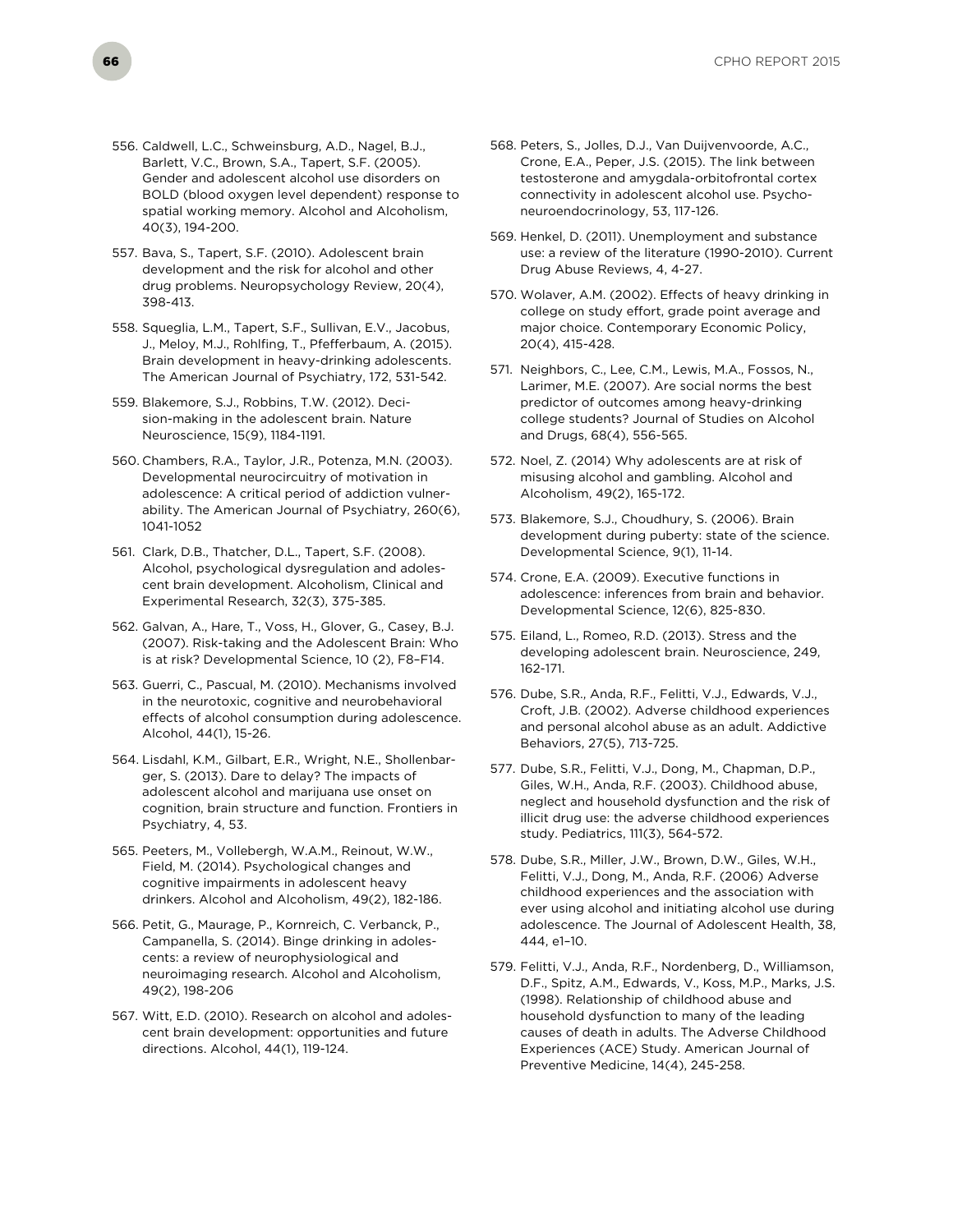- 556. Caldwell, L.C., Schweinsburg, A.D., Nagel, B.J., Barlett, V.C., Brown, S.A., Tapert, S.F. (2005). Gender and adolescent alcohol use disorders on BOLD (blood oxygen level dependent) response to spatial working memory. Alcohol and Alcoholism, 40(3), 194-200.
- 557. Bava, S., Tapert, S.F. (2010). Adolescent brain development and the risk for alcohol and other drug problems. Neuropsychology Review, 20(4), 398-413.
- 558. Squeglia, L.M., Tapert, S.F., Sullivan, E.V., Jacobus, J., Meloy, M.J., Rohlfing, T., Pfefferbaum, A. (2015). Brain development in heavy-drinking adolescents. The American Journal of Psychiatry, 172, 531-542.
- 559. Blakemore, S.J., Robbins, T.W. (2012). Decision-making in the adolescent brain. Nature Neuroscience, 15(9), 1184-1191.
- 560. Chambers, R.A., Taylor, J.R., Potenza, M.N. (2003). Developmental neurocircuitry of motivation in adolescence: A critical period of addiction vulnerability. The American Journal of Psychiatry, 260(6), 1041-1052
- 561. Clark, D.B., Thatcher, D.L., Tapert, S.F. (2008). Alcohol, psychological dysregulation and adolescent brain development. Alcoholism, Clinical and Experimental Research, 32(3), 375-385.
- 562. Galvan, A., Hare, T., Voss, H., Glover, G., Casey, B.J. (2007). Risk-taking and the Adolescent Brain: Who is at risk? Developmental Science, 10 (2), F8–F14.
- 563. Guerri, C., Pascual, M. (2010). Mechanisms involved in the neurotoxic, cognitive and neurobehavioral effects of alcohol consumption during adolescence. Alcohol, 44(1), 15-26.
- 564. Lisdahl, K.M., Gilbart, E.R., Wright, N.E., Shollenbarger, S. (2013). Dare to delay? The impacts of adolescent alcohol and marijuana use onset on cognition, brain structure and function. Frontiers in Psychiatry, 4, 53.
- 565. Peeters, M., Vollebergh, W.A.M., Reinout, W.W., Field, M. (2014). Psychological changes and cognitive impairments in adolescent heavy drinkers. Alcohol and Alcoholism, 49(2), 182-186.
- 566. Petit, G., Maurage, P., Kornreich, C. Verbanck, P., Campanella, S. (2014). Binge drinking in adolescents: a review of neurophysiological and neuroimaging research. Alcohol and Alcoholism, 49(2), 198-206
- 567. Witt, E.D. (2010). Research on alcohol and adolescent brain development: opportunities and future directions. Alcohol, 44(1), 119-124.
- 568. Peters, S., Jolles, D.J., Van Duijvenvoorde, A.C., Crone, E.A., Peper, J.S. (2015). The link between testosterone and amygdala-orbitofrontal cortex connectivity in adolescent alcohol use. Psychoneuroendocrinology, 53, 117-126.
- 569. Henkel, D. (2011). Unemployment and substance use: a review of the literature (1990-2010). Current Drug Abuse Reviews, 4, 4-27.
- 570. Wolaver, A.M. (2002). Effects of heavy drinking in college on study effort, grade point average and major choice. Contemporary Economic Policy, 20(4), 415-428.
- 571. Neighbors, C., Lee, C.M., Lewis, M.A., Fossos, N., Larimer, M.E. (2007). Are social norms the best predictor of outcomes among heavy-drinking college students? Journal of Studies on Alcohol and Drugs, 68(4), 556-565.
- 572. Noel, Z. (2014) Why adolescents are at risk of misusing alcohol and gambling. Alcohol and Alcoholism, 49(2), 165-172.
- 573. Blakemore, S.J., Choudhury, S. (2006). Brain development during puberty: state of the science. Developmental Science, 9(1), 11-14.
- 574. Crone, E.A. (2009). Executive functions in adolescence: inferences from brain and behavior. Developmental Science, 12(6), 825-830.
- 575. Eiland, L., Romeo, R.D. (2013). Stress and the developing adolescent brain. Neuroscience, 249, 162-171.
- 576. Dube, S.R., Anda, R.F., Felitti, V.J., Edwards, V.J., Croft, J.B. (2002). Adverse childhood experiences and personal alcohol abuse as an adult. Addictive Behaviors, 27(5), 713-725.
- 577. Dube, S.R., Felitti, V.J., Dong, M., Chapman, D.P., Giles, W.H., Anda, R.F. (2003). Childhood abuse, neglect and household dysfunction and the risk of illicit drug use: the adverse childhood experiences study. Pediatrics, 111(3), 564-572.
- 578. Dube, S.R., Miller, J.W., Brown, D.W., Giles, W.H., Felitti, V.J., Dong, M., Anda, R.F. (2006) Adverse childhood experiences and the association with ever using alcohol and initiating alcohol use during adolescence. The Journal of Adolescent Health, 38, 444, e1–10.
- 579. Felitti, V.J., Anda, R.F., Nordenberg, D., Williamson, D.F., Spitz, A.M., Edwards, V., Koss, M.P., Marks, J.S. (1998). Relationship of childhood abuse and household dysfunction to many of the leading causes of death in adults. The Adverse Childhood Experiences (ACE) Study. American Journal of Preventive Medicine, 14(4), 245-258.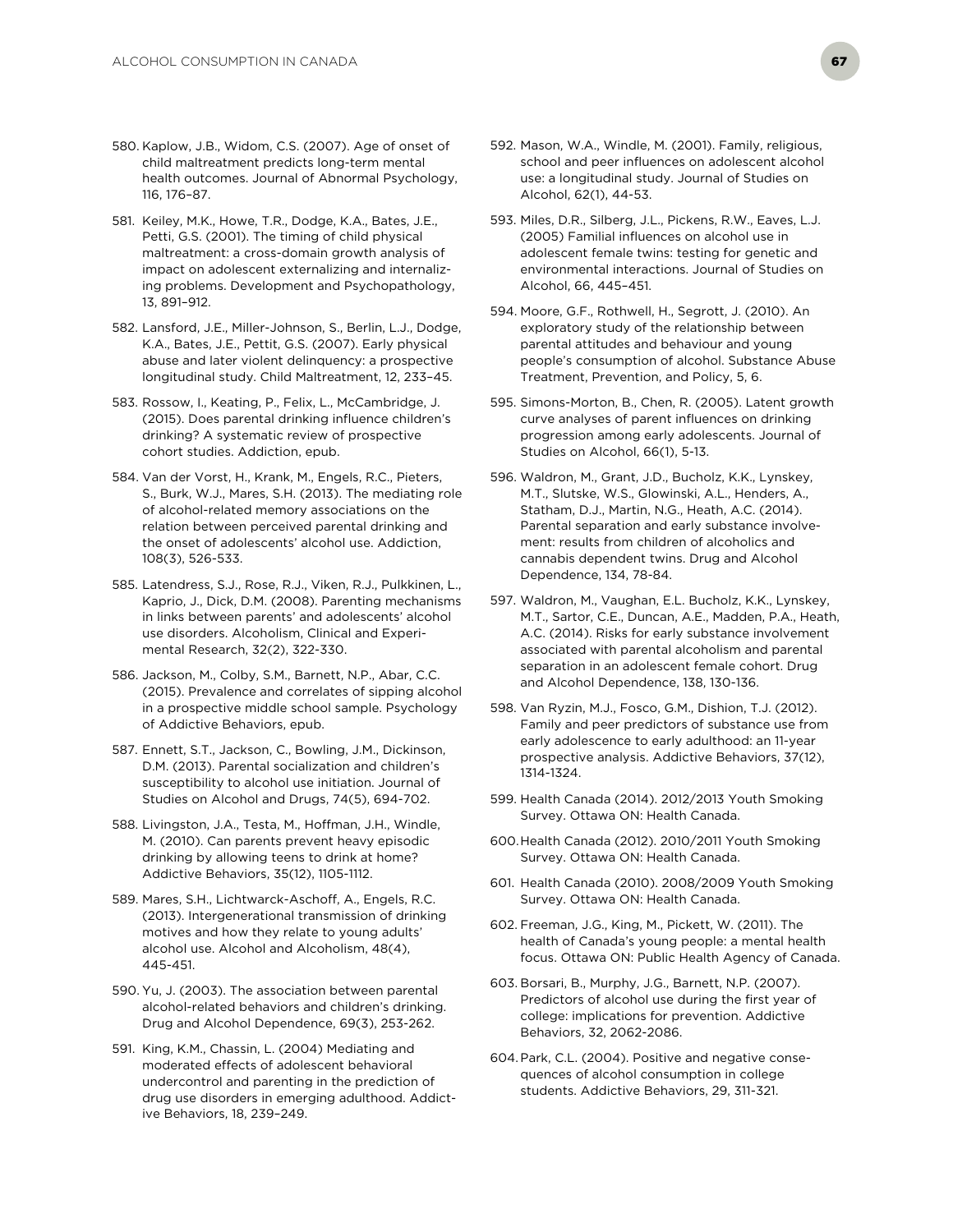- 580. Kaplow, J.B., Widom, C.S. (2007). Age of onset of child maltreatment predicts long-term mental health outcomes. Journal of Abnormal Psychology, 116, 176–87.
- 581. Keiley, M.K., Howe, T.R., Dodge, K.A., Bates, J.E., Petti, G.S. (2001). The timing of child physical maltreatment: a cross-domain growth analysis of impact on adolescent externalizing and internalizing problems. Development and Psychopathology, 13, 891–912.
- 582. Lansford, J.E., Miller-Johnson, S., Berlin, L.J., Dodge, K.A., Bates, J.E., Pettit, G.S. (2007). Early physical abuse and later violent delinquency: a prospective longitudinal study. Child Maltreatment, 12, 233–45.
- 583. Rossow, I., Keating, P., Felix, L., McCambridge, J. (2015). Does parental drinking influence children's drinking? A systematic review of prospective cohort studies. Addiction, epub.
- 584. Van der Vorst, H., Krank, M., Engels, R.C., Pieters, S., Burk, W.J., Mares, S.H. (2013). The mediating role of alcohol-related memory associations on the relation between perceived parental drinking and the onset of adolescents' alcohol use. Addiction, 108(3), 526-533.
- 585. Latendress, S.J., Rose, R.J., Viken, R.J., Pulkkinen, L., Kaprio, J., Dick, D.M. (2008). Parenting mechanisms in links between parents' and adolescents' alcohol use disorders. Alcoholism, Clinical and Experimental Research, 32(2), 322-330.
- 586. Jackson, M., Colby, S.M., Barnett, N.P., Abar, C.C. (2015). Prevalence and correlates of sipping alcohol in a prospective middle school sample. Psychology of Addictive Behaviors, epub.
- 587. Ennett, S.T., Jackson, C., Bowling, J.M., Dickinson, D.M. (2013). Parental socialization and children's susceptibility to alcohol use initiation. Journal of Studies on Alcohol and Drugs, 74(5), 694-702.
- 588. Livingston, J.A., Testa, M., Hoffman, J.H., Windle, M. (2010). Can parents prevent heavy episodic drinking by allowing teens to drink at home? Addictive Behaviors, 35(12), 1105-1112.
- 589. Mares, S.H., Lichtwarck-Aschoff, A., Engels, R.C. (2013). Intergenerational transmission of drinking motives and how they relate to young adults' alcohol use. Alcohol and Alcoholism, 48(4), 445-451.
- 590. Yu, J. (2003). The association between parental alcohol-related behaviors and children's drinking. Drug and Alcohol Dependence, 69(3), 253-262.
- 591. King, K.M., Chassin, L. (2004) Mediating and moderated effects of adolescent behavioral undercontrol and parenting in the prediction of drug use disorders in emerging adulthood. Addictive Behaviors, 18, 239–249.
- 592. Mason, W.A., Windle, M. (2001). Family, religious, school and peer influences on adolescent alcohol use: a longitudinal study. Journal of Studies on Alcohol, 62(1), 44-53.
- 593. Miles, D.R., Silberg, J.L., Pickens, R.W., Eaves, L.J. (2005) Familial influences on alcohol use in adolescent female twins: testing for genetic and environmental interactions. Journal of Studies on Alcohol, 66, 445–451.
- 594. Moore, G.F., Rothwell, H., Segrott, J. (2010). An exploratory study of the relationship between parental attitudes and behaviour and young people's consumption of alcohol. Substance Abuse Treatment, Prevention, and Policy, 5, 6.
- 595. Simons-Morton, B., Chen, R. (2005). Latent growth curve analyses of parent influences on drinking progression among early adolescents. Journal of Studies on Alcohol, 66(1), 5-13.
- 596. Waldron, M., Grant, J.D., Bucholz, K.K., Lynskey, M.T., Slutske, W.S., Glowinski, A.L., Henders, A., Statham, D.J., Martin, N.G., Heath, A.C. (2014). Parental separation and early substance involvement: results from children of alcoholics and cannabis dependent twins. Drug and Alcohol Dependence, 134, 78-84.
- 597. Waldron, M., Vaughan, E.L. Bucholz, K.K., Lynskey, M.T., Sartor, C.E., Duncan, A.E., Madden, P.A., Heath, A.C. (2014). Risks for early substance involvement associated with parental alcoholism and parental separation in an adolescent female cohort. Drug and Alcohol Dependence, 138, 130-136.
- 598. Van Ryzin, M.J., Fosco, G.M., Dishion, T.J. (2012). Family and peer predictors of substance use from early adolescence to early adulthood: an 11-year prospective analysis. Addictive Behaviors, 37(12), 1314-1324.
- 599. Health Canada (2014). 2012/2013 Youth Smoking Survey. Ottawa ON: Health Canada.
- 600.Health Canada (2012). 2010/2011 Youth Smoking Survey. Ottawa ON: Health Canada.
- 601. Health Canada (2010). 2008/2009 Youth Smoking Survey. Ottawa ON: Health Canada.
- 602. Freeman, J.G., King, M., Pickett, W. (2011). The health of Canada's young people: a mental health focus. Ottawa ON: Public Health Agency of Canada.
- 603. Borsari, B., Murphy, J.G., Barnett, N.P. (2007). Predictors of alcohol use during the first year of college: implications for prevention. Addictive Behaviors, 32, 2062-2086.
- 604.Park, C.L. (2004). Positive and negative consequences of alcohol consumption in college students. Addictive Behaviors, 29, 311-321.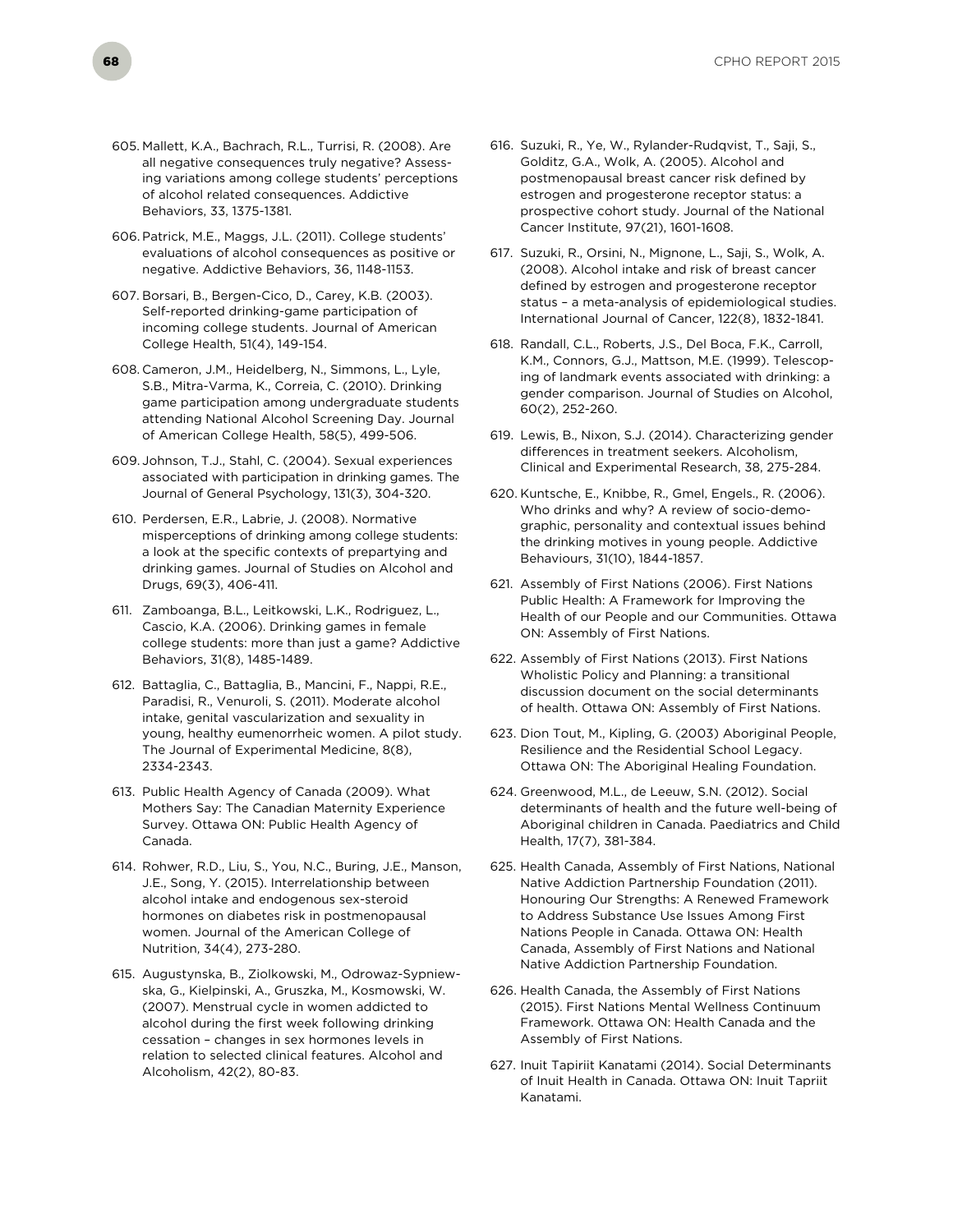- 
- 605. Mallett, K.A., Bachrach, R.L., Turrisi, R. (2008). Are all negative consequences truly negative? Assessing variations among college students' perceptions of alcohol related consequences. Addictive Behaviors, 33, 1375-1381.
- 606. Patrick, M.E., Maggs, J.L. (2011). College students' evaluations of alcohol consequences as positive or negative. Addictive Behaviors, 36, 1148-1153.
- 607. Borsari, B., Bergen-Cico, D., Carey, K.B. (2003). Self-reported drinking-game participation of incoming college students. Journal of American College Health, 51(4), 149-154.
- 608. Cameron, J.M., Heidelberg, N., Simmons, L., Lyle, S.B., Mitra-Varma, K., Correia, C. (2010). Drinking game participation among undergraduate students attending National Alcohol Screening Day. Journal of American College Health, 58(5), 499-506.
- 609. Johnson, T.J., Stahl, C. (2004). Sexual experiences associated with participation in drinking games. The Journal of General Psychology, 131(3), 304-320.
- 610. Perdersen, E.R., Labrie, J. (2008). Normative misperceptions of drinking among college students: a look at the specific contexts of prepartying and drinking games. Journal of Studies on Alcohol and Drugs, 69(3), 406-411.
- 611. Zamboanga, B.L., Leitkowski, L.K., Rodriguez, L., Cascio, K.A. (2006). Drinking games in female college students: more than just a game? Addictive Behaviors, 31(8), 1485-1489.
- 612. Battaglia, C., Battaglia, B., Mancini, F., Nappi, R.E., Paradisi, R., Venuroli, S. (2011). Moderate alcohol intake, genital vascularization and sexuality in young, healthy eumenorrheic women. A pilot study. The Journal of Experimental Medicine, 8(8), 2334-2343.
- 613. Public Health Agency of Canada (2009). What Mothers Say: The Canadian Maternity Experience Survey. Ottawa ON: Public Health Agency of Canada.
- 614. Rohwer, R.D., Liu, S., You, N.C., Buring, J.E., Manson, J.E., Song, Y. (2015). Interrelationship between alcohol intake and endogenous sex-steroid hormones on diabetes risk in postmenopausal women. Journal of the American College of Nutrition, 34(4), 273-280.
- 615. Augustynska, B., Ziolkowski, M., Odrowaz-Sypniewska, G., Kielpinski, A., Gruszka, M., Kosmowski, W. (2007). Menstrual cycle in women addicted to alcohol during the first week following drinking cessation – changes in sex hormones levels in relation to selected clinical features. Alcohol and Alcoholism, 42(2), 80-83.
- 616. Suzuki, R., Ye, W., Rylander-Rudqvist, T., Saji, S., Golditz, G.A., Wolk, A. (2005). Alcohol and postmenopausal breast cancer risk defined by estrogen and progesterone receptor status: a prospective cohort study. Journal of the National Cancer Institute, 97(21), 1601-1608.
- 617. Suzuki, R., Orsini, N., Mignone, L., Saji, S., Wolk, A. (2008). Alcohol intake and risk of breast cancer defined by estrogen and progesterone receptor status – a meta-analysis of epidemiological studies. International Journal of Cancer, 122(8), 1832-1841.
- 618. Randall, C.L., Roberts, J.S., Del Boca, F.K., Carroll, K.M., Connors, G.J., Mattson, M.E. (1999). Telescoping of landmark events associated with drinking: a gender comparison. Journal of Studies on Alcohol, 60(2), 252-260.
- 619. Lewis, B., Nixon, S.J. (2014). Characterizing gender differences in treatment seekers. Alcoholism, Clinical and Experimental Research, 38, 275-284.
- 620. Kuntsche, E., Knibbe, R., Gmel, Engels., R. (2006). Who drinks and why? A review of socio-demographic, personality and contextual issues behind the drinking motives in young people. Addictive Behaviours, 31(10), 1844-1857.
- 621. Assembly of First Nations (2006). First Nations Public Health: A Framework for Improving the Health of our People and our Communities. Ottawa ON: Assembly of First Nations.
- 622. Assembly of First Nations (2013). First Nations Wholistic Policy and Planning: a transitional discussion document on the social determinants of health. Ottawa ON: Assembly of First Nations.
- 623. Dion Tout, M., Kipling, G. (2003) Aboriginal People, Resilience and the Residential School Legacy. Ottawa ON: The Aboriginal Healing Foundation.
- 624. Greenwood, M.L., de Leeuw, S.N. (2012). Social determinants of health and the future well-being of Aboriginal children in Canada. Paediatrics and Child Health, 17(7), 381-384.
- 625. Health Canada, Assembly of First Nations, National Native Addiction Partnership Foundation (2011). Honouring Our Strengths: A Renewed Framework to Address Substance Use Issues Among First Nations People in Canada. Ottawa ON: Health Canada, Assembly of First Nations and National Native Addiction Partnership Foundation.
- 626. Health Canada, the Assembly of First Nations (2015). First Nations Mental Wellness Continuum Framework. Ottawa ON: Health Canada and the Assembly of First Nations.
- 627. Inuit Tapiriit Kanatami (2014). Social Determinants of Inuit Health in Canada. Ottawa ON: Inuit Tapriit Kanatami.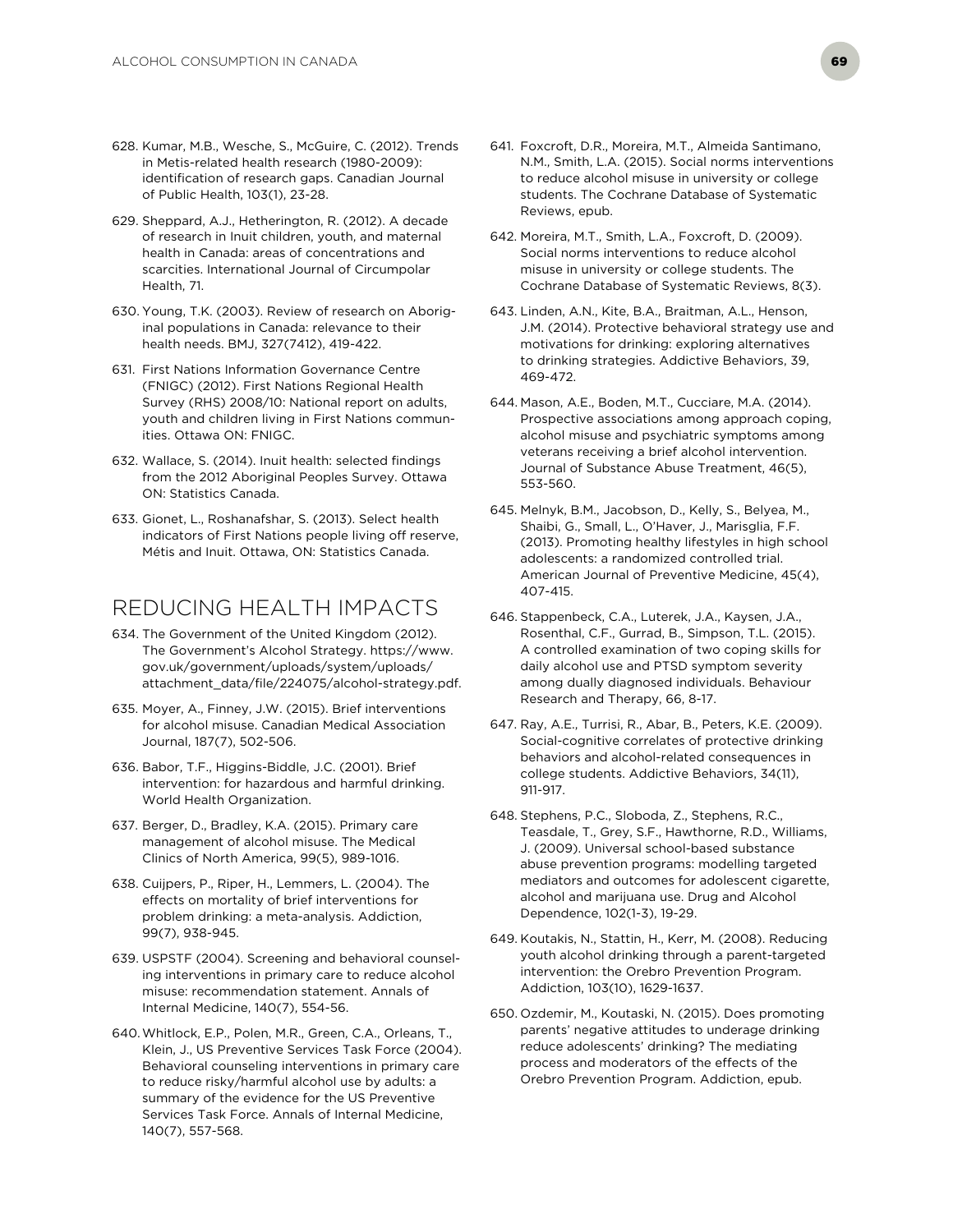- 628. Kumar, M.B., Wesche, S., McGuire, C. (2012). Trends in Metis-related health research (1980-2009): identification of research gaps. Canadian Journal of Public Health, 103(1), 23-28.
- 629. Sheppard, A.J., Hetherington, R. (2012). A decade of research in Inuit children, youth, and maternal health in Canada: areas of concentrations and scarcities. International Journal of Circumpolar Health, 71.
- 630. Young, T.K. (2003). Review of research on Aboriginal populations in Canada: relevance to their health needs. BMJ, 327(7412), 419-422.
- 631. First Nations Information Governance Centre (FNIGC) (2012). First Nations Regional Health Survey (RHS) 2008/10: National report on adults, youth and children living in First Nations communities. Ottawa ON: FNIGC.
- 632. Wallace, S. (2014). Inuit health: selected findings from the 2012 Aboriginal Peoples Survey. Ottawa ON: Statistics Canada.
- 633. Gionet, L., Roshanafshar, S. (2013). Select health indicators of First Nations people living off reserve, Métis and Inuit. Ottawa, ON: Statistics Canada.

## REDUCING HEALTH IMPACTS

- 634. The Government of the United Kingdom (2012). The Government's Alcohol Strategy. https://www. gov.uk/government/uploads/system/uploads/ attachment\_data/file/224075/alcohol-strategy.pdf.
- 635. Moyer, A., Finney, J.W. (2015). Brief interventions for alcohol misuse. Canadian Medical Association Journal, 187(7), 502-506.
- 636. Babor, T.F., Higgins-Biddle, J.C. (2001). Brief intervention: for hazardous and harmful drinking. World Health Organization.
- 637. Berger, D., Bradley, K.A. (2015). Primary care management of alcohol misuse. The Medical Clinics of North America, 99(5), 989-1016.
- 638. Cuijpers, P., Riper, H., Lemmers, L. (2004). The effects on mortality of brief interventions for problem drinking: a meta-analysis. Addiction, 99(7), 938-945.
- 639. USPSTF (2004). Screening and behavioral counseling interventions in primary care to reduce alcohol misuse: recommendation statement. Annals of Internal Medicine, 140(7), 554-56.
- 640.Whitlock, E.P., Polen, M.R., Green, C.A., Orleans, T., Klein, J., US Preventive Services Task Force (2004). Behavioral counseling interventions in primary care to reduce risky/harmful alcohol use by adults: a summary of the evidence for the US Preventive Services Task Force. Annals of Internal Medicine, 140(7), 557-568.
- 641. Foxcroft, D.R., Moreira, M.T., Almeida Santimano, N.M., Smith, L.A. (2015). Social norms interventions to reduce alcohol misuse in university or college students. The Cochrane Database of Systematic Reviews, epub.
- 642. Moreira, M.T., Smith, L.A., Foxcroft, D. (2009). Social norms interventions to reduce alcohol misuse in university or college students. The Cochrane Database of Systematic Reviews, 8(3).
- 643. Linden, A.N., Kite, B.A., Braitman, A.L., Henson, J.M. (2014). Protective behavioral strategy use and motivations for drinking: exploring alternatives to drinking strategies. Addictive Behaviors, 39, 469-472.
- 644. Mason, A.E., Boden, M.T., Cucciare, M.A. (2014). Prospective associations among approach coping, alcohol misuse and psychiatric symptoms among veterans receiving a brief alcohol intervention. Journal of Substance Abuse Treatment, 46(5), 553-560.
- 645. Melnyk, B.M., Jacobson, D., Kelly, S., Belyea, M., Shaibi, G., Small, L., O'Haver, J., Marisglia, F.F. (2013). Promoting healthy lifestyles in high school adolescents: a randomized controlled trial. American Journal of Preventive Medicine, 45(4), 407-415.
- 646. Stappenbeck, C.A., Luterek, J.A., Kaysen, J.A., Rosenthal, C.F., Gurrad, B., Simpson, T.L. (2015). A controlled examination of two coping skills for daily alcohol use and PTSD symptom severity among dually diagnosed individuals. Behaviour Research and Therapy, 66, 8-17.
- 647. Ray, A.E., Turrisi, R., Abar, B., Peters, K.E. (2009). Social-cognitive correlates of protective drinking behaviors and alcohol-related consequences in college students. Addictive Behaviors, 34(11), 911-917.
- 648. Stephens, P.C., Sloboda, Z., Stephens, R.C., Teasdale, T., Grey, S.F., Hawthorne, R.D., Williams, J. (2009). Universal school-based substance abuse prevention programs: modelling targeted mediators and outcomes for adolescent cigarette, alcohol and marijuana use. Drug and Alcohol Dependence, 102(1-3), 19-29.
- 649. Koutakis, N., Stattin, H., Kerr, M. (2008). Reducing youth alcohol drinking through a parent-targeted intervention: the Orebro Prevention Program. Addiction, 103(10), 1629-1637.
- 650. Ozdemir, M., Koutaski, N. (2015). Does promoting parents' negative attitudes to underage drinking reduce adolescents' drinking? The mediating process and moderators of the effects of the Orebro Prevention Program. Addiction, epub.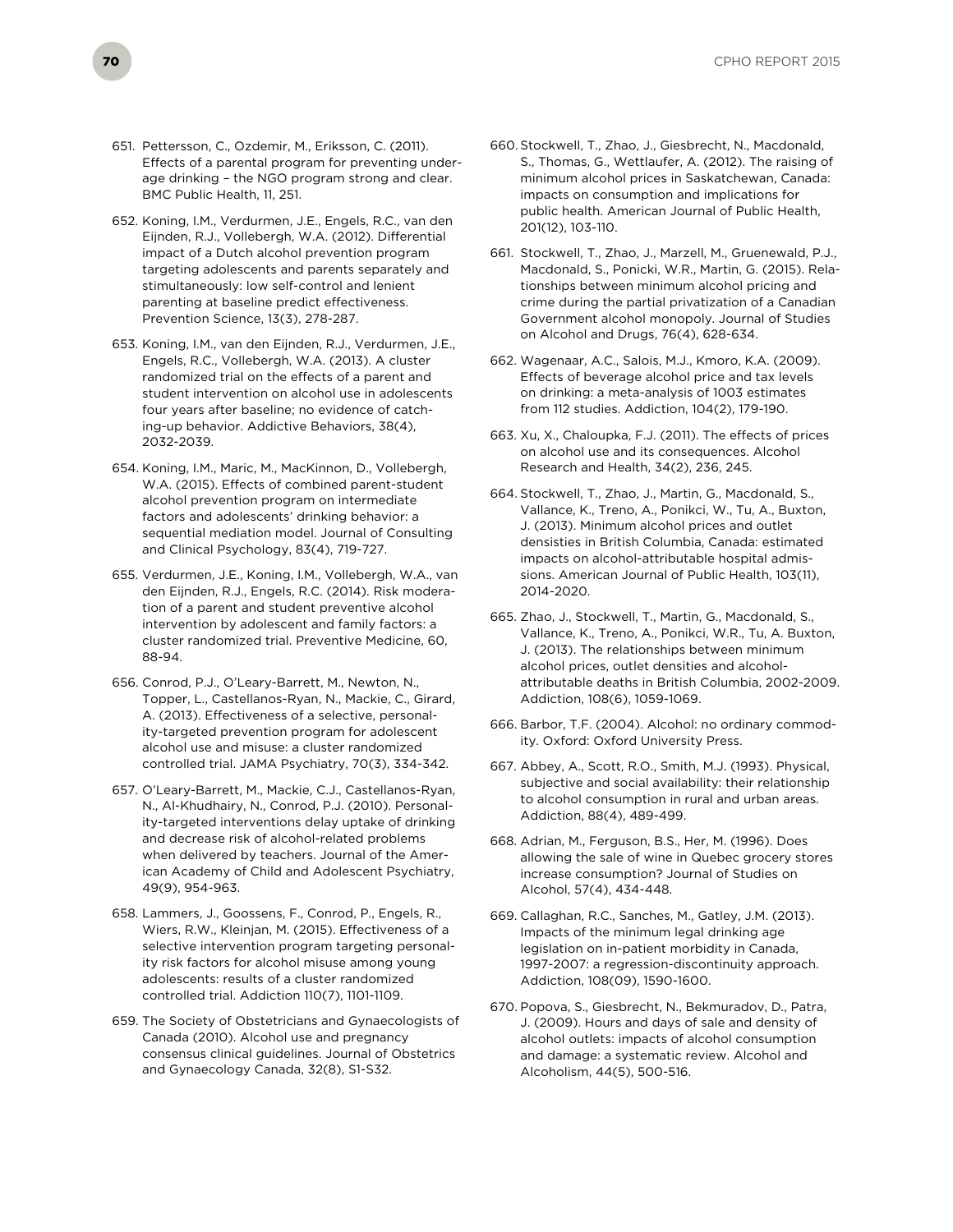- 651. Pettersson, C., Ozdemir, M., Eriksson, C. (2011). Effects of a parental program for preventing underage drinking – the NGO program strong and clear. BMC Public Health, 11, 251.
- 652. Koning, I.M., Verdurmen, J.E., Engels, R.C., van den Eijnden, R.J., Vollebergh, W.A. (2012). Differential impact of a Dutch alcohol prevention program targeting adolescents and parents separately and stimultaneously: low self-control and lenient parenting at baseline predict effectiveness. Prevention Science, 13(3), 278-287.
- 653. Koning, I.M., van den Eijnden, R.J., Verdurmen, J.E., Engels, R.C., Vollebergh, W.A. (2013). A cluster randomized trial on the effects of a parent and student intervention on alcohol use in adolescents four years after baseline; no evidence of catching-up behavior. Addictive Behaviors, 38(4), 2032-2039.
- 654. Koning, I.M., Maric, M., MacKinnon, D., Vollebergh, W.A. (2015). Effects of combined parent-student alcohol prevention program on intermediate factors and adolescents' drinking behavior: a sequential mediation model. Journal of Consulting and Clinical Psychology, 83(4), 719-727.
- 655. Verdurmen, J.E., Koning, I.M., Vollebergh, W.A., van den Eijnden, R.J., Engels, R.C. (2014). Risk moderation of a parent and student preventive alcohol intervention by adolescent and family factors: a cluster randomized trial. Preventive Medicine, 60, 88-94.
- 656. Conrod, P.J., O'Leary-Barrett, M., Newton, N., Topper, L., Castellanos-Ryan, N., Mackie, C., Girard, A. (2013). Effectiveness of a selective, personality-targeted prevention program for adolescent alcohol use and misuse: a cluster randomized controlled trial. JAMA Psychiatry, 70(3), 334-342.
- 657. O'Leary-Barrett, M., Mackie, C.J., Castellanos-Ryan, N., Al-Khudhairy, N., Conrod, P.J. (2010). Personality-targeted interventions delay uptake of drinking and decrease risk of alcohol-related problems when delivered by teachers. Journal of the American Academy of Child and Adolescent Psychiatry, 49(9), 954-963.
- 658. Lammers, J., Goossens, F., Conrod, P., Engels, R., Wiers, R.W., Kleinjan, M. (2015). Effectiveness of a selective intervention program targeting personality risk factors for alcohol misuse among young adolescents: results of a cluster randomized controlled trial. Addiction 110(7), 1101-1109.
- 659. The Society of Obstetricians and Gynaecologists of Canada (2010). Alcohol use and pregnancy consensus clinical guidelines. Journal of Obstetrics and Gynaecology Canada, 32(8), S1-S32.
- 660. Stockwell, T., Zhao, J., Giesbrecht, N., Macdonald, S., Thomas, G., Wettlaufer, A. (2012). The raising of minimum alcohol prices in Saskatchewan, Canada: impacts on consumption and implications for public health. American Journal of Public Health, 201(12), 103-110.
- 661. Stockwell, T., Zhao, J., Marzell, M., Gruenewald, P.J., Macdonald, S., Ponicki, W.R., Martin, G. (2015). Relationships between minimum alcohol pricing and crime during the partial privatization of a Canadian Government alcohol monopoly. Journal of Studies on Alcohol and Drugs, 76(4), 628-634.
- 662. Wagenaar, A.C., Salois, M.J., Kmoro, K.A. (2009). Effects of beverage alcohol price and tax levels on drinking: a meta-analysis of 1003 estimates from 112 studies. Addiction, 104(2), 179-190.
- 663. Xu, X., Chaloupka, F.J. (2011). The effects of prices on alcohol use and its consequences. Alcohol Research and Health, 34(2), 236, 245.
- 664. Stockwell, T., Zhao, J., Martin, G., Macdonald, S., Vallance, K., Treno, A., Ponikci, W., Tu, A., Buxton, J. (2013). Minimum alcohol prices and outlet densisties in British Columbia, Canada: estimated impacts on alcohol-attributable hospital admissions. American Journal of Public Health, 103(11), 2014-2020.
- 665. Zhao, J., Stockwell, T., Martin, G., Macdonald, S., Vallance, K., Treno, A., Ponikci, W.R., Tu, A. Buxton, J. (2013). The relationships between minimum alcohol prices, outlet densities and alcoholattributable deaths in British Columbia, 2002-2009. Addiction, 108(6), 1059-1069.
- 666. Barbor, T.F. (2004). Alcohol: no ordinary commodity. Oxford: Oxford University Press.
- 667. Abbey, A., Scott, R.O., Smith, M.J. (1993). Physical, subjective and social availability: their relationship to alcohol consumption in rural and urban areas. Addiction, 88(4), 489-499.
- 668. Adrian, M., Ferguson, B.S., Her, M. (1996). Does allowing the sale of wine in Quebec grocery stores increase consumption? Journal of Studies on Alcohol, 57(4), 434-448.
- 669. Callaghan, R.C., Sanches, M., Gatley, J.M. (2013). Impacts of the minimum legal drinking age legislation on in-patient morbidity in Canada, 1997-2007: a regression-discontinuity approach. Addiction, 108(09), 1590-1600.
- 670. Popova, S., Giesbrecht, N., Bekmuradov, D., Patra, J. (2009). Hours and days of sale and density of alcohol outlets: impacts of alcohol consumption and damage: a systematic review. Alcohol and Alcoholism, 44(5), 500-516.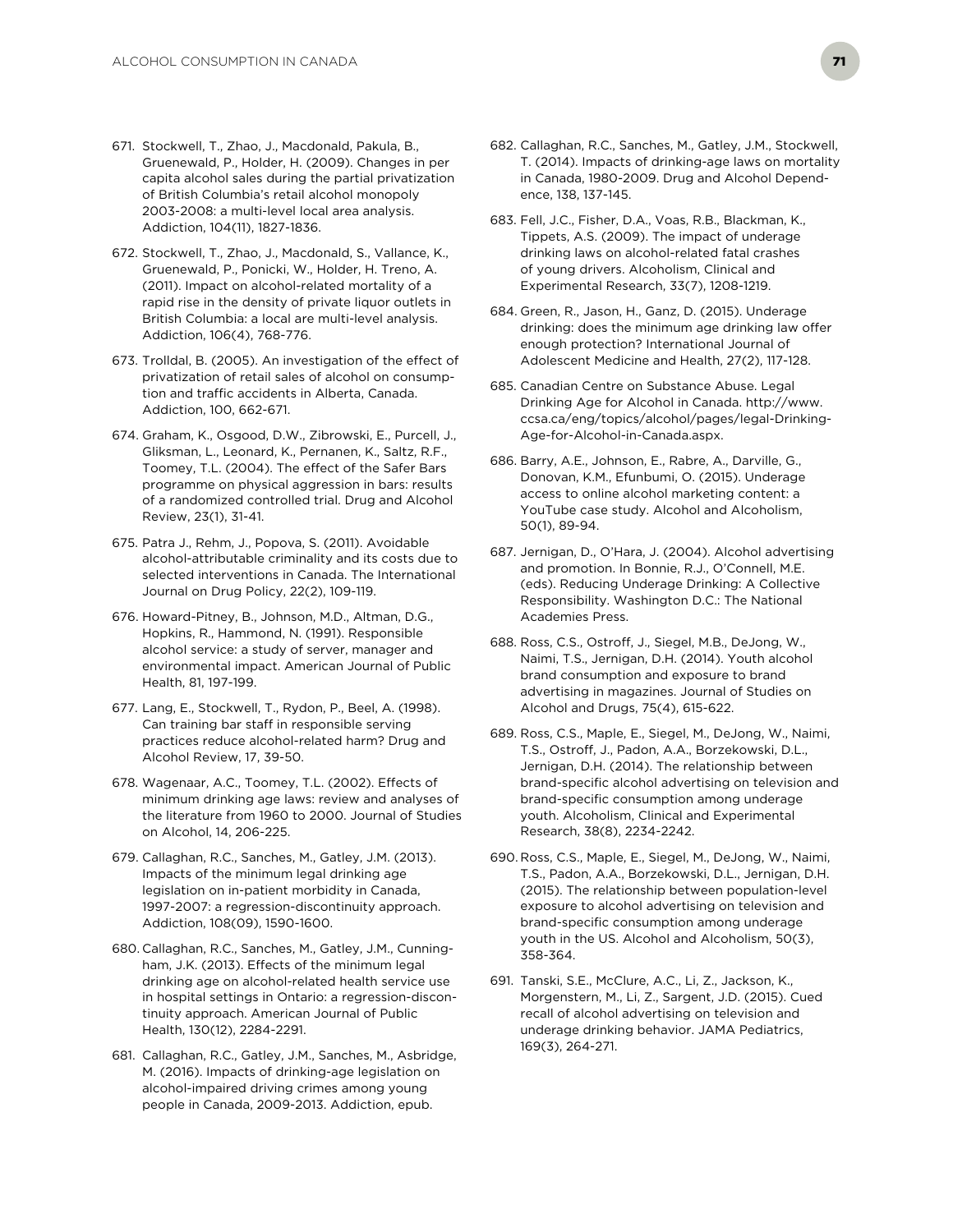- 671. Stockwell, T., Zhao, J., Macdonald, Pakula, B., Gruenewald, P., Holder, H. (2009). Changes in per capita alcohol sales during the partial privatization of British Columbia's retail alcohol monopoly 2003-2008: a multi-level local area analysis. Addiction, 104(11), 1827-1836.
- 672. Stockwell, T., Zhao, J., Macdonald, S., Vallance, K., Gruenewald, P., Ponicki, W., Holder, H. Treno, A. (2011). Impact on alcohol-related mortality of a rapid rise in the density of private liquor outlets in British Columbia: a local are multi-level analysis. Addiction, 106(4), 768-776.
- 673. Trolldal, B. (2005). An investigation of the effect of privatization of retail sales of alcohol on consumption and traffic accidents in Alberta, Canada. Addiction, 100, 662-671.
- 674. Graham, K., Osgood, D.W., Zibrowski, E., Purcell, J., Gliksman, L., Leonard, K., Pernanen, K., Saltz, R.F., Toomey, T.L. (2004). The effect of the Safer Bars programme on physical aggression in bars: results of a randomized controlled trial. Drug and Alcohol Review, 23(1), 31-41.
- 675. Patra J., Rehm, J., Popova, S. (2011). Avoidable alcohol-attributable criminality and its costs due to selected interventions in Canada. The International Journal on Drug Policy, 22(2), 109-119.
- 676. Howard-Pitney, B., Johnson, M.D., Altman, D.G., Hopkins, R., Hammond, N. (1991). Responsible alcohol service: a study of server, manager and environmental impact. American Journal of Public Health, 81, 197-199.
- 677. Lang, E., Stockwell, T., Rydon, P., Beel, A. (1998). Can training bar staff in responsible serving practices reduce alcohol-related harm? Drug and Alcohol Review, 17, 39-50.
- 678. Wagenaar, A.C., Toomey, T.L. (2002). Effects of minimum drinking age laws: review and analyses of the literature from 1960 to 2000. Journal of Studies on Alcohol, 14, 206-225.
- 679. Callaghan, R.C., Sanches, M., Gatley, J.M. (2013). Impacts of the minimum legal drinking age legislation on in-patient morbidity in Canada, 1997-2007: a regression-discontinuity approach. Addiction, 108(09), 1590-1600.
- 680. Callaghan, R.C., Sanches, M., Gatley, J.M., Cunningham, J.K. (2013). Effects of the minimum legal drinking age on alcohol-related health service use in hospital settings in Ontario: a regression-discontinuity approach. American Journal of Public Health, 130(12), 2284-2291.
- 681. Callaghan, R.C., Gatley, J.M., Sanches, M., Asbridge, M. (2016). Impacts of drinking-age legislation on alcohol-impaired driving crimes among young people in Canada, 2009-2013. Addiction, epub.
- 682. Callaghan, R.C., Sanches, M., Gatley, J.M., Stockwell, T. (2014). Impacts of drinking-age laws on mortality in Canada, 1980-2009. Drug and Alcohol Dependence, 138, 137-145.
- 683. Fell, J.C., Fisher, D.A., Voas, R.B., Blackman, K., Tippets, A.S. (2009). The impact of underage drinking laws on alcohol-related fatal crashes of young drivers. Alcoholism, Clinical and Experimental Research, 33(7), 1208-1219.
- 684. Green, R., Jason, H., Ganz, D. (2015). Underage drinking: does the minimum age drinking law offer enough protection? International Journal of Adolescent Medicine and Health, 27(2), 117-128.
- 685. Canadian Centre on Substance Abuse. Legal Drinking Age for Alcohol in Canada. http://www. ccsa.ca/eng/topics/alcohol/pages/legal-Drinking-Age-for-Alcohol-in-Canada.aspx.
- 686. Barry, A.E., Johnson, E., Rabre, A., Darville, G., Donovan, K.M., Efunbumi, O. (2015). Underage access to online alcohol marketing content: a YouTube case study. Alcohol and Alcoholism, 50(1), 89-94.
- 687. Jernigan, D., O'Hara, J. (2004). Alcohol advertising and promotion. In Bonnie, R.J., O'Connell, M.E. (eds). Reducing Underage Drinking: A Collective Responsibility. Washington D.C.: The National Academies Press.
- 688. Ross, C.S., Ostroff, J., Siegel, M.B., DeJong, W., Naimi, T.S., Jernigan, D.H. (2014). Youth alcohol brand consumption and exposure to brand advertising in magazines. Journal of Studies on Alcohol and Drugs, 75(4), 615-622.
- 689. Ross, C.S., Maple, E., Siegel, M., DeJong, W., Naimi, T.S., Ostroff, J., Padon, A.A., Borzekowski, D.L., Jernigan, D.H. (2014). The relationship between brand-specific alcohol advertising on television and brand-specific consumption among underage youth. Alcoholism, Clinical and Experimental Research, 38(8), 2234-2242.
- 690. Ross, C.S., Maple, E., Siegel, M., DeJong, W., Naimi, T.S., Padon, A.A., Borzekowski, D.L., Jernigan, D.H. (2015). The relationship between population-level exposure to alcohol advertising on television and brand-specific consumption among underage youth in the US. Alcohol and Alcoholism, 50(3), 358-364.
- 691. Tanski, S.E., McClure, A.C., Li, Z., Jackson, K., Morgenstern, M., Li, Z., Sargent, J.D. (2015). Cued recall of alcohol advertising on television and underage drinking behavior. JAMA Pediatrics, 169(3), 264-271.